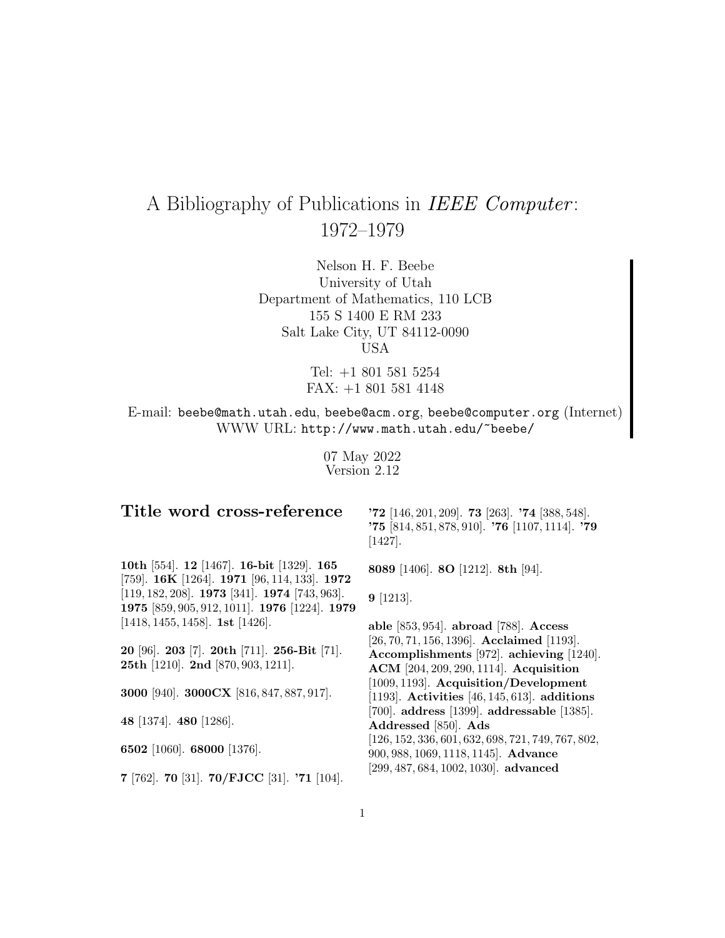# A Bibliography of Publications in IEEE Computer : 1972–1979

Nelson H. F. Beebe University of Utah Department of Mathematics, 110 LCB 155 S 1400 E RM 233 Salt Lake City, UT 84112-0090 USA

> Tel: +1 801 581 5254 FAX: +1 801 581 4148

E-mail: beebe@math.utah.edu, beebe@acm.org, beebe@computer.org (Internet) WWW URL: http://www.math.utah.edu/~beebe/

> 07 May 2022 Version 2.12

## **Title word cross-reference**

**'72** [146, 201, 209]. **73** [263]. **'74** [388, 548]. **'75** [814, 851, 878, 910]. **'76** [1107, 1114]. **'79** [1427].

**8089** [1406]. **8O** [1212]. **8th** [94].

**10th** [554]. **12** [1467]. **16-bit** [1329]. **165** [759]. **16K** [1264]. **1971** [96, 114, 133]. **1972** [119, 182, 208]. **1973** [341]. **1974** [743, 963]. **1975** [859, 905, 912, 1011]. **1976** [1224]. **1979** [1418, 1455, 1458]. **1st** [1426].

**20** [96]. **203** [7]. **20th** [711]. **256-Bit** [71]. **25th** [1210]. **2nd** [870, 903, 1211].

**3000** [940]. **3000CX** [816, 847, 887, 917].

**48** [1374]. **480** [1286].

**6502** [1060]. **68000** [1376].

**7** [762]. **70** [31]. **70/FJCC** [31]. **'71** [104].

**9** [1213].

**able** [853, 954]. **abroad** [788]. **Access** [26, 70, 71, 156, 1396]. **Acclaimed** [1193]. **Accomplishments** [972]. **achieving** [1240]. **ACM** [204, 209, 290, 1114]. **Acquisition** [1009, 1193]. **Acquisition/Development** [1193]. **Activities** [46, 145, 613]. **additions** [700]. **address** [1399]. **addressable** [1385]. **Addressed** [850]. **Ads** [126, 152, 336, 601, 632, 698, 721, 749, 767, 802, 900, 988, 1069, 1118, 1145]. **Advance** [299, 487, 684, 1002, 1030]. **advanced**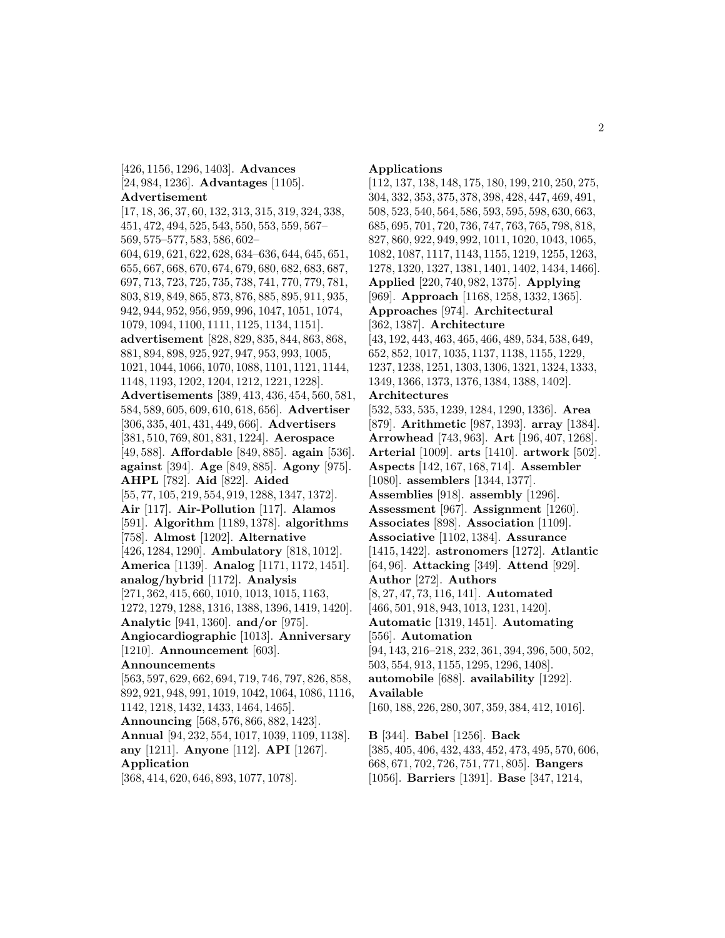[426, 1156, 1296, 1403]. **Advances** [24, 984, 1236]. **Advantages** [1105]. **Advertisement**

[17, 18, 36, 37, 60, 132, 313, 315, 319, 324, 338, 451, 472, 494, 525, 543, 550, 553, 559, 567– 569, 575–577, 583, 586, 602– 604, 619, 621, 622, 628, 634–636, 644, 645, 651, 655, 667, 668, 670, 674, 679, 680, 682, 683, 687, 697, 713, 723, 725, 735, 738, 741, 770, 779, 781, 803, 819, 849, 865, 873, 876, 885, 895, 911, 935, 942, 944, 952, 956, 959, 996, 1047, 1051, 1074, 1079, 1094, 1100, 1111, 1125, 1134, 1151]. **advertisement** [828, 829, 835, 844, 863, 868, 881, 894, 898, 925, 927, 947, 953, 993, 1005, 1021, 1044, 1066, 1070, 1088, 1101, 1121, 1144, 1148, 1193, 1202, 1204, 1212, 1221, 1228]. **Advertisements** [389, 413, 436, 454, 560, 581, 584, 589, 605, 609, 610, 618, 656]. **Advertiser** [306, 335, 401, 431, 449, 666]. **Advertisers** [381, 510, 769, 801, 831, 1224]. **Aerospace** [49, 588]. **Affordable** [849, 885]. **again** [536]. **against** [394]. **Age** [849, 885]. **Agony** [975]. **AHPL** [782]. **Aid** [822]. **Aided** [55, 77, 105, 219, 554, 919, 1288, 1347, 1372]. **Air** [117]. **Air-Pollution** [117]. **Alamos** [591]. **Algorithm** [1189, 1378]. **algorithms** [758]. **Almost** [1202]. **Alternative** [426, 1284, 1290]. **Ambulatory** [818, 1012]. **America** [1139]. **Analog** [1171, 1172, 1451]. **analog/hybrid** [1172]. **Analysis** [271, 362, 415, 660, 1010, 1013, 1015, 1163, 1272, 1279, 1288, 1316, 1388, 1396, 1419, 1420]. **Analytic** [941, 1360]. **and/or** [975]. **Angiocardiographic** [1013]. **Anniversary** [1210]. **Announcement** [603]. **Announcements** [563, 597, 629, 662, 694, 719, 746, 797, 826, 858, 892, 921, 948, 991, 1019, 1042, 1064, 1086, 1116, 1142, 1218, 1432, 1433, 1464, 1465]. **Announcing** [568, 576, 866, 882, 1423]. **Annual** [94, 232, 554, 1017, 1039, 1109, 1138]. **any** [1211]. **Anyone** [112]. **API** [1267]. **Application**

[368, 414, 620, 646, 893, 1077, 1078].

#### **Applications**

[112, 137, 138, 148, 175, 180, 199, 210, 250, 275, 304, 332, 353, 375, 378, 398, 428, 447, 469, 491, 508, 523, 540, 564, 586, 593, 595, 598, 630, 663, 685, 695, 701, 720, 736, 747, 763, 765, 798, 818, 827, 860, 922, 949, 992, 1011, 1020, 1043, 1065, 1082, 1087, 1117, 1143, 1155, 1219, 1255, 1263, 1278, 1320, 1327, 1381, 1401, 1402, 1434, 1466]. **Applied** [220, 740, 982, 1375]. **Applying** [969]. **Approach** [1168, 1258, 1332, 1365]. **Approaches** [974]. **Architectural** [362, 1387]. **Architecture** [43, 192, 443, 463, 465, 466, 489, 534, 538, 649, 652, 852, 1017, 1035, 1137, 1138, 1155, 1229, 1237, 1238, 1251, 1303, 1306, 1321, 1324, 1333, 1349, 1366, 1373, 1376, 1384, 1388, 1402]. **Architectures** [532, 533, 535, 1239, 1284, 1290, 1336]. **Area** [879]. **Arithmetic** [987, 1393]. **array** [1384]. **Arrowhead** [743, 963]. **Art** [196, 407, 1268]. **Arterial** [1009]. **arts** [1410]. **artwork** [502]. **Aspects** [142, 167, 168, 714]. **Assembler** [1080]. **assemblers** [1344, 1377]. **Assemblies** [918]. **assembly** [1296]. **Assessment** [967]. **Assignment** [1260]. **Associates** [898]. **Association** [1109]. **Associative** [1102, 1384]. **Assurance** [1415, 1422]. **astronomers** [1272]. **Atlantic** [64, 96]. **Attacking** [349]. **Attend** [929]. **Author** [272]. **Authors** [8, 27, 47, 73, 116, 141]. **Automated** [466, 501, 918, 943, 1013, 1231, 1420]. **Automatic** [1319, 1451]. **Automating** [556]. **Automation** [94, 143, 216–218, 232, 361, 394, 396, 500, 502, 503, 554, 913, 1155, 1295, 1296, 1408]. **automobile** [688]. **availability** [1292]. **Available** [160, 188, 226, 280, 307, 359, 384, 412, 1016]. **B** [344]. **Babel** [1256]. **Back** [385, 405, 406, 432, 433, 452, 473, 495, 570, 606, 668, 671, 702, 726, 751, 771, 805]. **Bangers**

[1056]. **Barriers** [1391]. **Base** [347, 1214,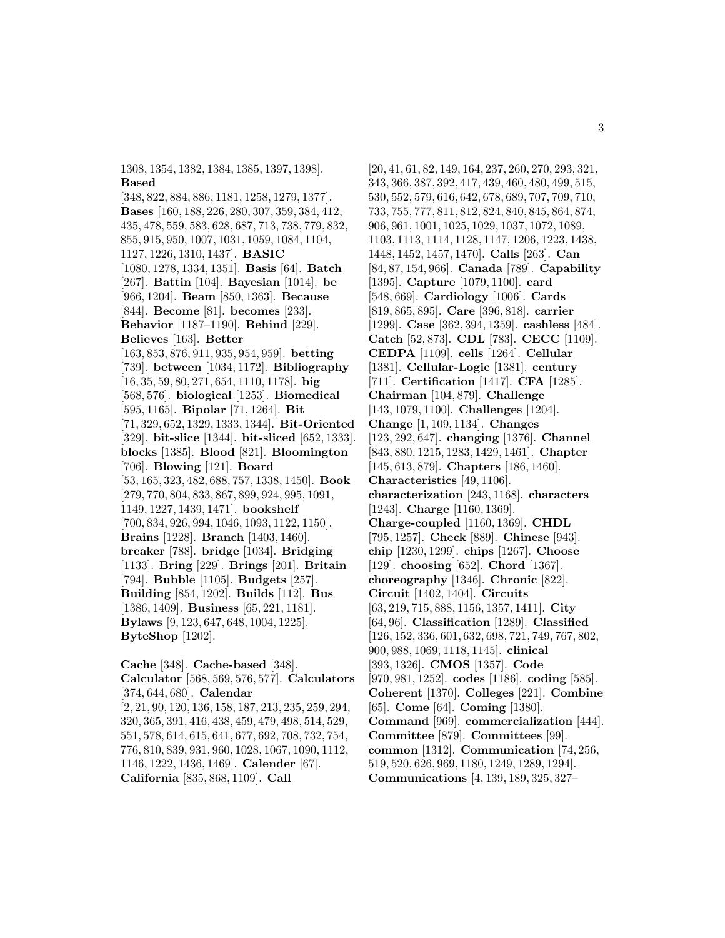1308, 1354, 1382, 1384, 1385, 1397, 1398]. **Based**

[348, 822, 884, 886, 1181, 1258, 1279, 1377]. **Bases** [160, 188, 226, 280, 307, 359, 384, 412, 435, 478, 559, 583, 628, 687, 713, 738, 779, 832, 855, 915, 950, 1007, 1031, 1059, 1084, 1104, 1127, 1226, 1310, 1437]. **BASIC** [1080, 1278, 1334, 1351]. **Basis** [64]. **Batch** [267]. **Battin** [104]. **Bayesian** [1014]. **be** [966, 1204]. **Beam** [850, 1363]. **Because** [844]. **Become** [81]. **becomes** [233]. **Behavior** [1187–1190]. **Behind** [229]. **Believes** [163]. **Better** [163, 853, 876, 911, 935, 954, 959]. **betting** [739]. **between** [1034, 1172]. **Bibliography** [16, 35, 59, 80, 271, 654, 1110, 1178]. **big** [568, 576]. **biological** [1253]. **Biomedical** [595, 1165]. **Bipolar** [71, 1264]. **Bit** [71, 329, 652, 1329, 1333, 1344]. **Bit-Oriented** [329]. **bit-slice** [1344]. **bit-sliced** [652, 1333]. **blocks** [1385]. **Blood** [821]. **Bloomington** [706]. **Blowing** [121]. **Board** [53, 165, 323, 482, 688, 757, 1338, 1450]. **Book** [279, 770, 804, 833, 867, 899, 924, 995, 1091, 1149, 1227, 1439, 1471]. **bookshelf** [700, 834, 926, 994, 1046, 1093, 1122, 1150]. **Brains** [1228]. **Branch** [1403, 1460]. **breaker** [788]. **bridge** [1034]. **Bridging** [1133]. **Bring** [229]. **Brings** [201]. **Britain** [794]. **Bubble** [1105]. **Budgets** [257]. **Building** [854, 1202]. **Builds** [112]. **Bus** [1386, 1409]. **Business** [65, 221, 1181]. **Bylaws** [9, 123, 647, 648, 1004, 1225]. **ByteShop** [1202].

**Cache** [348]. **Cache-based** [348]. **Calculator** [568, 569, 576, 577]. **Calculators** [374, 644, 680]. **Calendar** [2, 21, 90, 120, 136, 158, 187, 213, 235, 259, 294, 320, 365, 391, 416, 438, 459, 479, 498, 514, 529, 551, 578, 614, 615, 641, 677, 692, 708, 732, 754, 776, 810, 839, 931, 960, 1028, 1067, 1090, 1112, 1146, 1222, 1436, 1469]. **Calender** [67]. **California** [835, 868, 1109]. **Call**

[20, 41, 61, 82, 149, 164, 237, 260, 270, 293, 321, 343, 366, 387, 392, 417, 439, 460, 480, 499, 515, 530, 552, 579, 616, 642, 678, 689, 707, 709, 710, 733, 755, 777, 811, 812, 824, 840, 845, 864, 874, 906, 961, 1001, 1025, 1029, 1037, 1072, 1089, 1103, 1113, 1114, 1128, 1147, 1206, 1223, 1438, 1448, 1452, 1457, 1470]. **Calls** [263]. **Can** [84, 87, 154, 966]. **Canada** [789]. **Capability** [1395]. **Capture** [1079, 1100]. **card** [548, 669]. **Cardiology** [1006]. **Cards** [819, 865, 895]. **Care** [396, 818]. **carrier** [1299]. **Case** [362, 394, 1359]. **cashless** [484]. **Catch** [52, 873]. **CDL** [783]. **CECC** [1109]. **CEDPA** [1109]. **cells** [1264]. **Cellular** [1381]. **Cellular-Logic** [1381]. **century** [711]. **Certification** [1417]. **CFA** [1285]. **Chairman** [104, 879]. **Challenge** [143, 1079, 1100]. **Challenges** [1204]. **Change** [1, 109, 1134]. **Changes** [123, 292, 647]. **changing** [1376]. **Channel** [843, 880, 1215, 1283, 1429, 1461]. **Chapter** [145, 613, 879]. **Chapters** [186, 1460]. **Characteristics** [49, 1106]. **characterization** [243, 1168]. **characters** [1243]. **Charge** [1160, 1369]. **Charge-coupled** [1160, 1369]. **CHDL** [795, 1257]. **Check** [889]. **Chinese** [943]. **chip** [1230, 1299]. **chips** [1267]. **Choose** [129]. **choosing** [652]. **Chord** [1367]. **choreography** [1346]. **Chronic** [822]. **Circuit** [1402, 1404]. **Circuits** [63, 219, 715, 888, 1156, 1357, 1411]. **City** [64, 96]. **Classification** [1289]. **Classified** [126, 152, 336, 601, 632, 698, 721, 749, 767, 802, 900, 988, 1069, 1118, 1145]. **clinical** [393, 1326]. **CMOS** [1357]. **Code** [970, 981, 1252]. **codes** [1186]. **coding** [585]. **Coherent** [1370]. **Colleges** [221]. **Combine** [65]. **Come** [64]. **Coming** [1380]. **Command** [969]. **commercialization** [444]. **Committee** [879]. **Committees** [99]. **common** [1312]. **Communication** [74, 256, 519, 520, 626, 969, 1180, 1249, 1289, 1294]. **Communications** [4, 139, 189, 325, 327–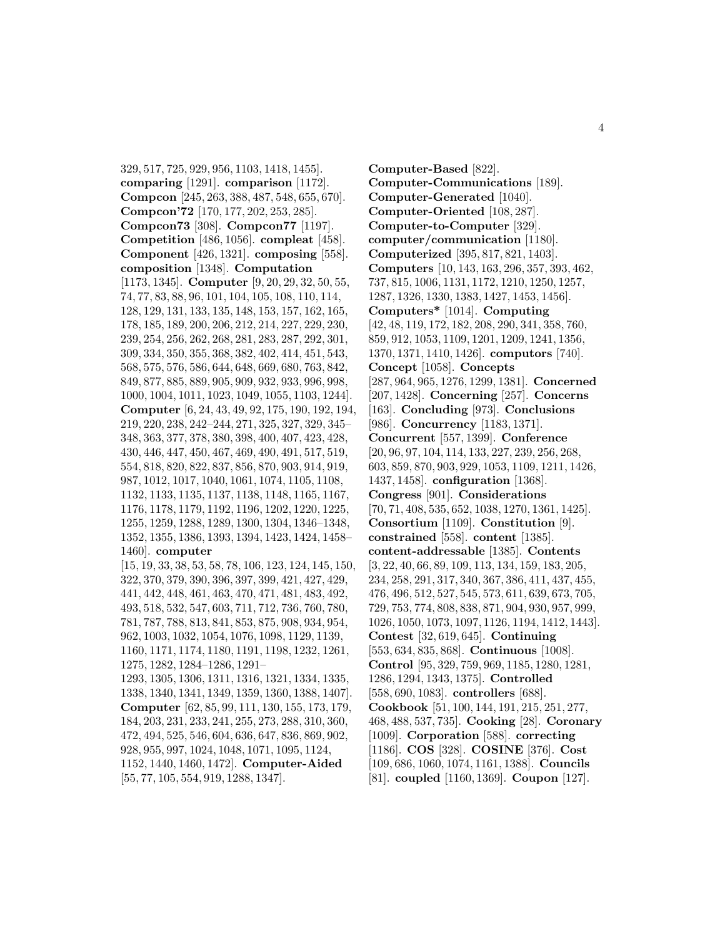329, 517, 725, 929, 956, 1103, 1418, 1455]. **comparing** [1291]. **comparison** [1172]. **Compcon** [245, 263, 388, 487, 548, 655, 670]. **Compcon'72** [170, 177, 202, 253, 285]. **Compcon73** [308]. **Compcon77** [1197]. **Competition** [486, 1056]. **compleat** [458]. **Component** [426, 1321]. **composing** [558]. **composition** [1348]. **Computation** [1173, 1345]. **Computer** [9, 20, 29, 32, 50, 55, 74, 77, 83, 88, 96, 101, 104, 105, 108, 110, 114, 128, 129, 131, 133, 135, 148, 153, 157, 162, 165, 178, 185, 189, 200, 206, 212, 214, 227, 229, 230, 239, 254, 256, 262, 268, 281, 283, 287, 292, 301, 309, 334, 350, 355, 368, 382, 402, 414, 451, 543, 568, 575, 576, 586, 644, 648, 669, 680, 763, 842, 849, 877, 885, 889, 905, 909, 932, 933, 996, 998, 1000, 1004, 1011, 1023, 1049, 1055, 1103, 1244]. **Computer** [6, 24, 43, 49, 92, 175, 190, 192, 194, 219, 220, 238, 242–244, 271, 325, 327, 329, 345– 348, 363, 377, 378, 380, 398, 400, 407, 423, 428, 430, 446, 447, 450, 467, 469, 490, 491, 517, 519, 554, 818, 820, 822, 837, 856, 870, 903, 914, 919, 987, 1012, 1017, 1040, 1061, 1074, 1105, 1108, 1132, 1133, 1135, 1137, 1138, 1148, 1165, 1167, 1176, 1178, 1179, 1192, 1196, 1202, 1220, 1225, 1255, 1259, 1288, 1289, 1300, 1304, 1346–1348, 1352, 1355, 1386, 1393, 1394, 1423, 1424, 1458– 1460]. **computer** [15, 19, 33, 38, 53, 58, 78, 106, 123, 124, 145, 150, 322, 370, 379, 390, 396, 397, 399, 421, 427, 429, 441, 442, 448, 461, 463, 470, 471, 481, 483, 492, 493, 518, 532, 547, 603, 711, 712, 736, 760, 780, 781, 787, 788, 813, 841, 853, 875, 908, 934, 954, 962, 1003, 1032, 1054, 1076, 1098, 1129, 1139, 1160, 1171, 1174, 1180, 1191, 1198, 1232, 1261, 1275, 1282, 1284–1286, 1291– 1293, 1305, 1306, 1311, 1316, 1321, 1334, 1335, 1338, 1340, 1341, 1349, 1359, 1360, 1388, 1407]. **Computer** [62, 85, 99, 111, 130, 155, 173, 179, 184, 203, 231, 233, 241, 255, 273, 288, 310, 360, 472, 494, 525, 546, 604, 636, 647, 836, 869, 902, 928, 955, 997, 1024, 1048, 1071, 1095, 1124, 1152, 1440, 1460, 1472]. **Computer-Aided**

[55, 77, 105, 554, 919, 1288, 1347].

**Computer-Based** [822]. **Computer-Communications** [189]. **Computer-Generated** [1040]. **Computer-Oriented** [108, 287]. **Computer-to-Computer** [329]. **computer/communication** [1180]. **Computerized** [395, 817, 821, 1403]. **Computers** [10, 143, 163, 296, 357, 393, 462, 737, 815, 1006, 1131, 1172, 1210, 1250, 1257, 1287, 1326, 1330, 1383, 1427, 1453, 1456]. **Computers\*** [1014]. **Computing** [42, 48, 119, 172, 182, 208, 290, 341, 358, 760, 859, 912, 1053, 1109, 1201, 1209, 1241, 1356, 1370, 1371, 1410, 1426]. **computors** [740]. **Concept** [1058]. **Concepts** [287, 964, 965, 1276, 1299, 1381]. **Concerned** [207, 1428]. **Concerning** [257]. **Concerns** [163]. **Concluding** [973]. **Conclusions** [986]. **Concurrency** [1183, 1371]. **Concurrent** [557, 1399]. **Conference** [20, 96, 97, 104, 114, 133, 227, 239, 256, 268, 603, 859, 870, 903, 929, 1053, 1109, 1211, 1426, 1437, 1458]. **configuration** [1368]. **Congress** [901]. **Considerations** [70, 71, 408, 535, 652, 1038, 1270, 1361, 1425]. **Consortium** [1109]. **Constitution** [9]. **constrained** [558]. **content** [1385]. **content-addressable** [1385]. **Contents** [3, 22, 40, 66, 89, 109, 113, 134, 159, 183, 205, 234, 258, 291, 317, 340, 367, 386, 411, 437, 455, 476, 496, 512, 527, 545, 573, 611, 639, 673, 705, 729, 753, 774, 808, 838, 871, 904, 930, 957, 999, 1026, 1050, 1073, 1097, 1126, 1194, 1412, 1443]. **Contest** [32, 619, 645]. **Continuing** [553, 634, 835, 868]. **Continuous** [1008]. **Control** [95, 329, 759, 969, 1185, 1280, 1281, 1286, 1294, 1343, 1375]. **Controlled** [558, 690, 1083]. **controllers** [688]. **Cookbook** [51, 100, 144, 191, 215, 251, 277, 468, 488, 537, 735]. **Cooking** [28]. **Coronary** [1009]. **Corporation** [588]. **correcting** [1186]. **COS** [328]. **COSINE** [376]. **Cost** [109, 686, 1060, 1074, 1161, 1388]. **Councils** [81]. **coupled** [1160, 1369]. **Coupon** [127].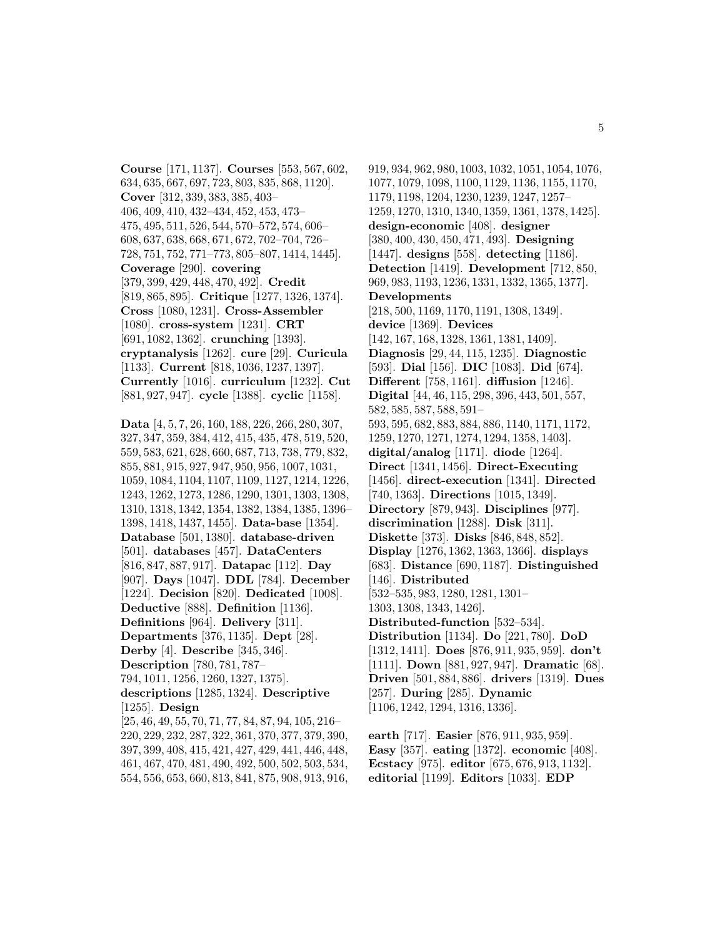**Course** [171, 1137]. **Courses** [553, 567, 602, 634, 635, 667, 697, 723, 803, 835, 868, 1120]. **Cover** [312, 339, 383, 385, 403– 406, 409, 410, 432–434, 452, 453, 473– 475, 495, 511, 526, 544, 570–572, 574, 606– 608, 637, 638, 668, 671, 672, 702–704, 726– 728, 751, 752, 771–773, 805–807, 1414, 1445]. **Coverage** [290]. **covering** [379, 399, 429, 448, 470, 492]. **Credit** [819, 865, 895]. **Critique** [1277, 1326, 1374]. **Cross** [1080, 1231]. **Cross-Assembler** [1080]. **cross-system** [1231]. **CRT** [691, 1082, 1362]. **crunching** [1393]. **cryptanalysis** [1262]. **cure** [29]. **Curicula** [1133]. **Current** [818, 1036, 1237, 1397]. **Currently** [1016]. **curriculum** [1232]. **Cut** [881, 927, 947]. **cycle** [1388]. **cyclic** [1158].

**Data** [4, 5, 7, 26, 160, 188, 226, 266, 280, 307, 327, 347, 359, 384, 412, 415, 435, 478, 519, 520, 559, 583, 621, 628, 660, 687, 713, 738, 779, 832, 855, 881, 915, 927, 947, 950, 956, 1007, 1031, 1059, 1084, 1104, 1107, 1109, 1127, 1214, 1226, 1243, 1262, 1273, 1286, 1290, 1301, 1303, 1308, 1310, 1318, 1342, 1354, 1382, 1384, 1385, 1396– 1398, 1418, 1437, 1455]. **Data-base** [1354]. **Database** [501, 1380]. **database-driven** [501]. **databases** [457]. **DataCenters** [816, 847, 887, 917]. **Datapac** [112]. **Day** [907]. **Days** [1047]. **DDL** [784]. **December** [1224]. **Decision** [820]. **Dedicated** [1008]. **Deductive** [888]. **Definition** [1136]. **Definitions** [964]. **Delivery** [311]. **Departments** [376, 1135]. **Dept** [28]. **Derby** [4]. **Describe** [345, 346]. **Description** [780, 781, 787– 794, 1011, 1256, 1260, 1327, 1375]. **descriptions** [1285, 1324]. **Descriptive** [1255]. **Design** [25, 46, 49, 55, 70, 71, 77, 84, 87, 94, 105, 216– 220, 229, 232, 287, 322, 361, 370, 377, 379, 390, 397, 399, 408, 415, 421, 427, 429, 441, 446, 448, 461, 467, 470, 481, 490, 492, 500, 502, 503, 534,

554, 556, 653, 660, 813, 841, 875, 908, 913, 916,

919, 934, 962, 980, 1003, 1032, 1051, 1054, 1076, 1077, 1079, 1098, 1100, 1129, 1136, 1155, 1170, 1179, 1198, 1204, 1230, 1239, 1247, 1257– 1259, 1270, 1310, 1340, 1359, 1361, 1378, 1425]. **design-economic** [408]. **designer** [380, 400, 430, 450, 471, 493]. **Designing** [1447]. **designs** [558]. **detecting** [1186]. **Detection** [1419]. **Development** [712, 850, 969, 983, 1193, 1236, 1331, 1332, 1365, 1377]. **Developments** [218, 500, 1169, 1170, 1191, 1308, 1349]. **device** [1369]. **Devices** [142, 167, 168, 1328, 1361, 1381, 1409]. **Diagnosis** [29, 44, 115, 1235]. **Diagnostic** [593]. **Dial** [156]. **DIC** [1083]. **Did** [674]. **Different** [758, 1161]. **diffusion** [1246]. **Digital** [44, 46, 115, 298, 396, 443, 501, 557, 582, 585, 587, 588, 591– 593, 595, 682, 883, 884, 886, 1140, 1171, 1172, 1259, 1270, 1271, 1274, 1294, 1358, 1403]. **digital/analog** [1171]. **diode** [1264]. **Direct** [1341, 1456]. **Direct-Executing** [1456]. **direct-execution** [1341]. **Directed** [740, 1363]. **Directions** [1015, 1349]. **Directory** [879, 943]. **Disciplines** [977]. **discrimination** [1288]. **Disk** [311]. **Diskette** [373]. **Disks** [846, 848, 852]. **Display** [1276, 1362, 1363, 1366]. **displays** [683]. **Distance** [690, 1187]. **Distinguished** [146]. **Distributed** [532–535, 983, 1280, 1281, 1301– 1303, 1308, 1343, 1426]. **Distributed-function** [532–534]. **Distribution** [1134]. **Do** [221, 780]. **DoD** [1312, 1411]. **Does** [876, 911, 935, 959]. **don't** [1111]. **Down** [881, 927, 947]. **Dramatic** [68]. **Driven** [501, 884, 886]. **drivers** [1319]. **Dues** [257]. **During** [285]. **Dynamic** [1106, 1242, 1294, 1316, 1336].

**earth** [717]. **Easier** [876, 911, 935, 959]. **Easy** [357]. **eating** [1372]. **economic** [408]. **Ecstacy** [975]. **editor** [675, 676, 913, 1132]. **editorial** [1199]. **Editors** [1033]. **EDP**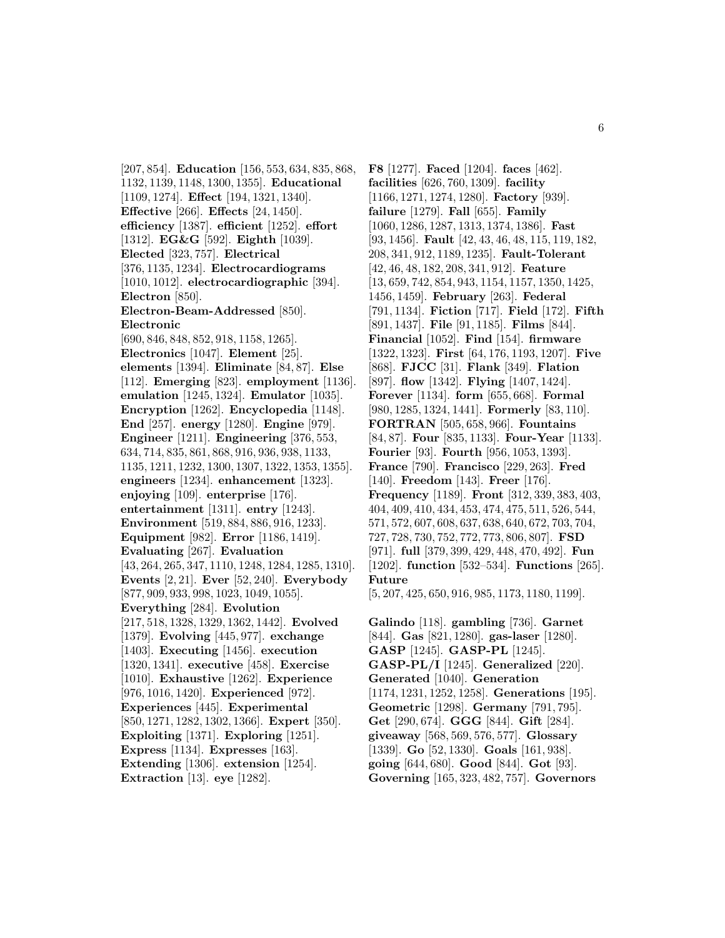[207, 854]. **Education** [156, 553, 634, 835, 868, 1132, 1139, 1148, 1300, 1355]. **Educational** [1109, 1274]. **Effect** [194, 1321, 1340]. **Effective** [266]. **Effects** [24, 1450]. **efficiency** [1387]. **efficient** [1252]. **effort** [1312]. **EG&G** [592]. **Eighth** [1039]. **Elected** [323, 757]. **Electrical** [376, 1135, 1234]. **Electrocardiograms** [1010, 1012]. **electrocardiographic** [394]. **Electron** [850]. **Electron-Beam-Addressed** [850]. **Electronic** [690, 846, 848, 852, 918, 1158, 1265]. **Electronics** [1047]. **Element** [25]. **elements** [1394]. **Eliminate** [84, 87]. **Else** [112]. **Emerging** [823]. **employment** [1136]. **emulation** [1245, 1324]. **Emulator** [1035]. **Encryption** [1262]. **Encyclopedia** [1148]. **End** [257]. **energy** [1280]. **Engine** [979]. **Engineer** [1211]. **Engineering** [376, 553, 634, 714, 835, 861, 868, 916, 936, 938, 1133, 1135, 1211, 1232, 1300, 1307, 1322, 1353, 1355]. **engineers** [1234]. **enhancement** [1323]. **enjoying** [109]. **enterprise** [176]. **entertainment** [1311]. **entry** [1243]. **Environment** [519, 884, 886, 916, 1233]. **Equipment** [982]. **Error** [1186, 1419]. **Evaluating** [267]. **Evaluation** [43, 264, 265, 347, 1110, 1248, 1284, 1285, 1310]. **Events** [2, 21]. **Ever** [52, 240]. **Everybody** [877, 909, 933, 998, 1023, 1049, 1055]. **Everything** [284]. **Evolution** [217, 518, 1328, 1329, 1362, 1442]. **Evolved** [1379]. **Evolving** [445, 977]. **exchange** [1403]. **Executing** [1456]. **execution** [1320, 1341]. **executive** [458]. **Exercise** [1010]. **Exhaustive** [1262]. **Experience** [976, 1016, 1420]. **Experienced** [972]. **Experiences** [445]. **Experimental** [850, 1271, 1282, 1302, 1366]. **Expert** [350]. **Exploiting** [1371]. **Exploring** [1251]. **Express** [1134]. **Expresses** [163]. **Extending** [1306]. **extension** [1254]. **Extraction** [13]. **eye** [1282].

**F8** [1277]. **Faced** [1204]. **faces** [462]. **facilities** [626, 760, 1309]. **facility** [1166, 1271, 1274, 1280]. **Factory** [939]. **failure** [1279]. **Fall** [655]. **Family** [1060, 1286, 1287, 1313, 1374, 1386]. **Fast** [93, 1456]. **Fault** [42, 43, 46, 48, 115, 119, 182, 208, 341, 912, 1189, 1235]. **Fault-Tolerant** [42, 46, 48, 182, 208, 341, 912]. **Feature** [13, 659, 742, 854, 943, 1154, 1157, 1350, 1425, 1456, 1459]. **February** [263]. **Federal** [791, 1134]. **Fiction** [717]. **Field** [172]. **Fifth** [891, 1437]. **File** [91, 1185]. **Films** [844]. **Financial** [1052]. **Find** [154]. **firmware** [1322, 1323]. **First** [64, 176, 1193, 1207]. **Five** [868]. **FJCC** [31]. **Flank** [349]. **Flation** [897]. **flow** [1342]. **Flying** [1407, 1424]. **Forever** [1134]. **form** [655, 668]. **Formal** [980, 1285, 1324, 1441]. **Formerly** [83, 110]. **FORTRAN** [505, 658, 966]. **Fountains** [84, 87]. **Four** [835, 1133]. **Four-Year** [1133]. **Fourier** [93]. **Fourth** [956, 1053, 1393]. **France** [790]. **Francisco** [229, 263]. **Fred** [140]. **Freedom** [143]. **Freer** [176]. **Frequency** [1189]. **Front** [312, 339, 383, 403, 404, 409, 410, 434, 453, 474, 475, 511, 526, 544, 571, 572, 607, 608, 637, 638, 640, 672, 703, 704, 727, 728, 730, 752, 772, 773, 806, 807]. **FSD** [971]. **full** [379, 399, 429, 448, 470, 492]. **Fun** [1202]. **function** [532–534]. **Functions** [265]. **Future** [5, 207, 425, 650, 916, 985, 1173, 1180, 1199].

**Galindo** [118]. **gambling** [736]. **Garnet** [844]. **Gas** [821, 1280]. **gas-laser** [1280]. **GASP** [1245]. **GASP-PL** [1245]. **GASP-PL/I** [1245]. **Generalized** [220]. **Generated** [1040]. **Generation** [1174, 1231, 1252, 1258]. **Generations** [195]. **Geometric** [1298]. **Germany** [791, 795]. **Get** [290, 674]. **GGG** [844]. **Gift** [284]. **giveaway** [568, 569, 576, 577]. **Glossary** [1339]. **Go** [52, 1330]. **Goals** [161, 938]. **going** [644, 680]. **Good** [844]. **Got** [93]. **Governing** [165, 323, 482, 757]. **Governors**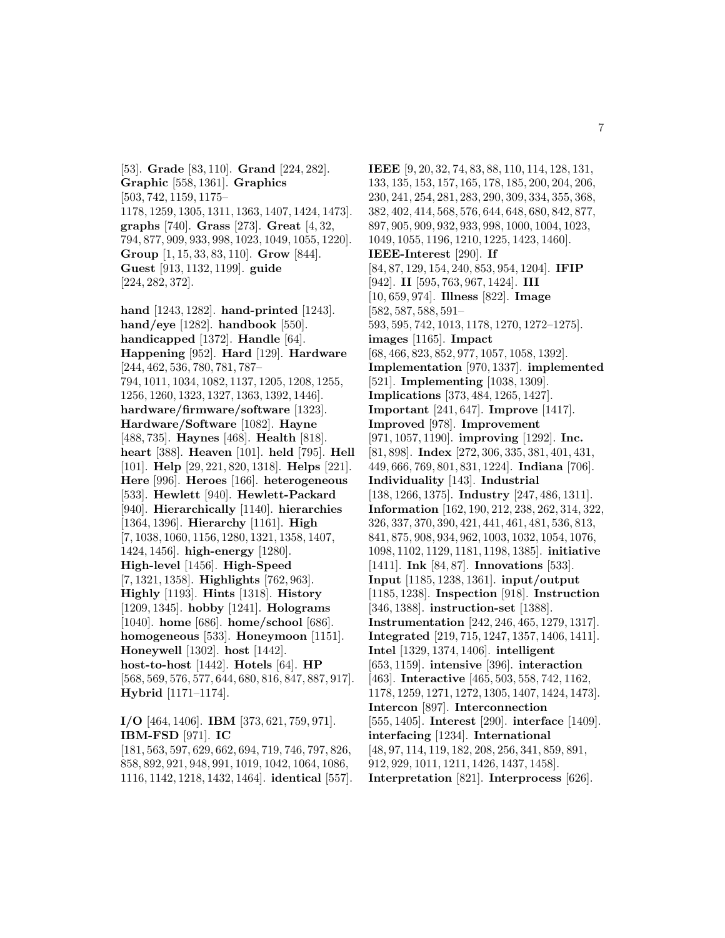[53]. **Grade** [83, 110]. **Grand** [224, 282]. **Graphic** [558, 1361]. **Graphics** [503, 742, 1159, 1175– 1178, 1259, 1305, 1311, 1363, 1407, 1424, 1473]. **graphs** [740]. **Grass** [273]. **Great** [4, 32, 794, 877, 909, 933, 998, 1023, 1049, 1055, 1220]. **Group** [1, 15, 33, 83, 110]. **Grow** [844]. **Guest** [913, 1132, 1199]. **guide** [224, 282, 372].

**hand** [1243, 1282]. **hand-printed** [1243]. **hand/eye** [1282]. **handbook** [550]. **handicapped** [1372]. **Handle** [64]. **Happening** [952]. **Hard** [129]. **Hardware** [244, 462, 536, 780, 781, 787– 794, 1011, 1034, 1082, 1137, 1205, 1208, 1255, 1256, 1260, 1323, 1327, 1363, 1392, 1446]. **hardware/firmware/software** [1323]. **Hardware/Software** [1082]. **Hayne** [488, 735]. **Haynes** [468]. **Health** [818]. **heart** [388]. **Heaven** [101]. **held** [795]. **Hell** [101]. **Help** [29, 221, 820, 1318]. **Helps** [221]. **Here** [996]. **Heroes** [166]. **heterogeneous** [533]. **Hewlett** [940]. **Hewlett-Packard** [940]. **Hierarchically** [1140]. **hierarchies** [1364, 1396]. **Hierarchy** [1161]. **High** [7, 1038, 1060, 1156, 1280, 1321, 1358, 1407, 1424, 1456]. **high-energy** [1280]. **High-level** [1456]. **High-Speed** [7, 1321, 1358]. **Highlights** [762, 963]. **Highly** [1193]. **Hints** [1318]. **History** [1209, 1345]. **hobby** [1241]. **Holograms** [1040]. **home** [686]. **home/school** [686]. **homogeneous** [533]. **Honeymoon** [1151]. **Honeywell** [1302]. **host** [1442]. **host-to-host** [1442]. **Hotels** [64]. **HP** [568, 569, 576, 577, 644, 680, 816, 847, 887, 917]. **Hybrid** [1171–1174].

**I/O** [464, 1406]. **IBM** [373, 621, 759, 971]. **IBM-FSD** [971]. **IC** [181, 563, 597, 629, 662, 694, 719, 746, 797, 826,

858, 892, 921, 948, 991, 1019, 1042, 1064, 1086, 1116, 1142, 1218, 1432, 1464]. **identical** [557].

**IEEE** [9, 20, 32, 74, 83, 88, 110, 114, 128, 131, 133, 135, 153, 157, 165, 178, 185, 200, 204, 206, 230, 241, 254, 281, 283, 290, 309, 334, 355, 368, 382, 402, 414, 568, 576, 644, 648, 680, 842, 877, 897, 905, 909, 932, 933, 998, 1000, 1004, 1023, 1049, 1055, 1196, 1210, 1225, 1423, 1460]. **IEEE-Interest** [290]. **If** [84, 87, 129, 154, 240, 853, 954, 1204]. **IFIP** [942]. **II** [595, 763, 967, 1424]. **III** [10, 659, 974]. **Illness** [822]. **Image** [582, 587, 588, 591– 593, 595, 742, 1013, 1178, 1270, 1272–1275]. **images** [1165]. **Impact** [68, 466, 823, 852, 977, 1057, 1058, 1392]. **Implementation** [970, 1337]. **implemented** [521]. **Implementing** [1038, 1309]. **Implications** [373, 484, 1265, 1427]. **Important** [241, 647]. **Improve** [1417]. **Improved** [978]. **Improvement** [971, 1057, 1190]. **improving** [1292]. **Inc.** [81, 898]. **Index** [272, 306, 335, 381, 401, 431, 449, 666, 769, 801, 831, 1224]. **Indiana** [706]. **Individuality** [143]. **Industrial** [138, 1266, 1375]. **Industry** [247, 486, 1311]. **Information** [162, 190, 212, 238, 262, 314, 322, 326, 337, 370, 390, 421, 441, 461, 481, 536, 813, 841, 875, 908, 934, 962, 1003, 1032, 1054, 1076, 1098, 1102, 1129, 1181, 1198, 1385]. **initiative** [1411]. **Ink** [84, 87]. **Innovations** [533]. **Input** [1185, 1238, 1361]. **input/output** [1185, 1238]. **Inspection** [918]. **Instruction** [346, 1388]. **instruction-set** [1388]. **Instrumentation** [242, 246, 465, 1279, 1317]. **Integrated** [219, 715, 1247, 1357, 1406, 1411]. **Intel** [1329, 1374, 1406]. **intelligent** [653, 1159]. **intensive** [396]. **interaction** [463]. **Interactive** [465, 503, 558, 742, 1162, 1178, 1259, 1271, 1272, 1305, 1407, 1424, 1473]. **Intercon** [897]. **Interconnection** [555, 1405]. **Interest** [290]. **interface** [1409]. **interfacing** [1234]. **International** [48, 97, 114, 119, 182, 208, 256, 341, 859, 891, 912, 929, 1011, 1211, 1426, 1437, 1458]. **Interpretation** [821]. **Interprocess** [626].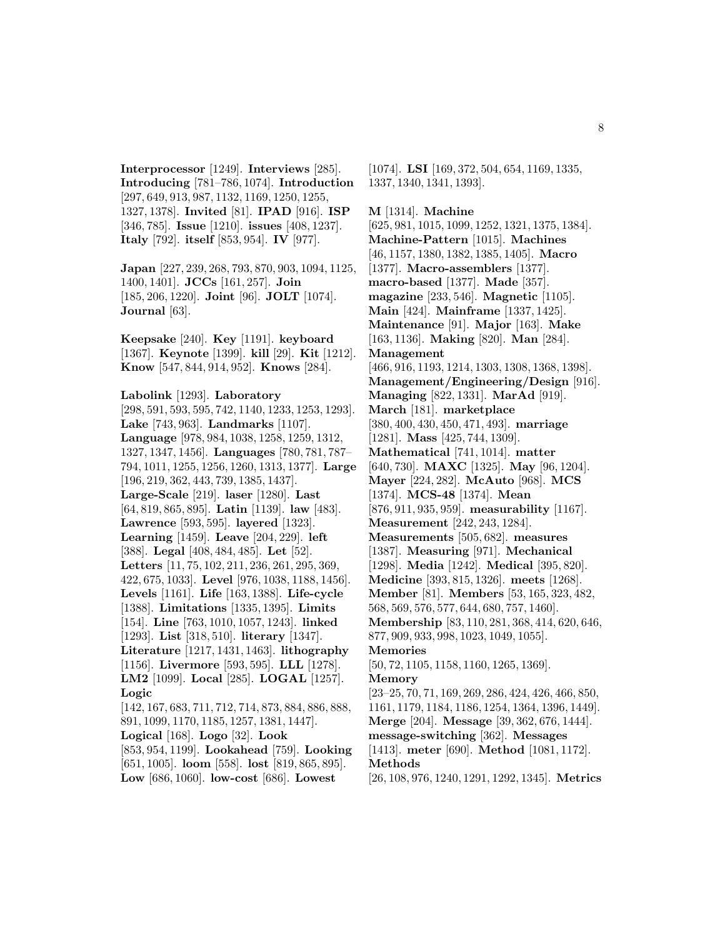**Interprocessor** [1249]. **Interviews** [285]. **Introducing** [781–786, 1074]. **Introduction** [297, 649, 913, 987, 1132, 1169, 1250, 1255, 1327, 1378]. **Invited** [81]. **IPAD** [916]. **ISP** [346, 785]. **Issue** [1210]. **issues** [408, 1237]. **Italy** [792]. **itself** [853, 954]. **IV** [977].

**Japan** [227, 239, 268, 793, 870, 903, 1094, 1125, 1400, 1401]. **JCCs** [161, 257]. **Join** [185, 206, 1220]. **Joint** [96]. **JOLT** [1074]. **Journal** [63].

**Keepsake** [240]. **Key** [1191]. **keyboard** [1367]. **Keynote** [1399]. **kill** [29]. **Kit** [1212]. **Know** [547, 844, 914, 952]. **Knows** [284].

**Labolink** [1293]. **Laboratory** [298, 591, 593, 595, 742, 1140, 1233, 1253, 1293]. **Lake** [743, 963]. **Landmarks** [1107]. **Language** [978, 984, 1038, 1258, 1259, 1312, 1327, 1347, 1456]. **Languages** [780, 781, 787– 794, 1011, 1255, 1256, 1260, 1313, 1377]. **Large** [196, 219, 362, 443, 739, 1385, 1437]. **Large-Scale** [219]. **laser** [1280]. **Last** [64, 819, 865, 895]. **Latin** [1139]. **law** [483]. **Lawrence** [593, 595]. **layered** [1323]. **Learning** [1459]. **Leave** [204, 229]. **left** [388]. **Legal** [408, 484, 485]. **Let** [52]. **Letters** [11, 75, 102, 211, 236, 261, 295, 369, 422, 675, 1033]. **Level** [976, 1038, 1188, 1456]. **Levels** [1161]. **Life** [163, 1388]. **Life-cycle** [1388]. **Limitations** [1335, 1395]. **Limits** [154]. **Line** [763, 1010, 1057, 1243]. **linked** [1293]. **List** [318, 510]. **literary** [1347]. **Literature** [1217, 1431, 1463]. **lithography** [1156]. **Livermore** [593, 595]. **LLL** [1278]. **LM2** [1099]. **Local** [285]. **LOGAL** [1257]. **Logic** [142, 167, 683, 711, 712, 714, 873, 884, 886, 888, 891, 1099, 1170, 1185, 1257, 1381, 1447]. **Logical** [168]. **Logo** [32]. **Look**

[853, 954, 1199]. **Lookahead** [759]. **Looking** [651, 1005]. **loom** [558]. **lost** [819, 865, 895]. **Low** [686, 1060]. **low-cost** [686]. **Lowest**

[1074]. **LSI** [169, 372, 504, 654, 1169, 1335, 1337, 1340, 1341, 1393].

**M** [1314]. **Machine** [625, 981, 1015, 1099, 1252, 1321, 1375, 1384]. **Machine-Pattern** [1015]. **Machines** [46, 1157, 1380, 1382, 1385, 1405]. **Macro** [1377]. **Macro-assemblers** [1377]. **macro-based** [1377]. **Made** [357]. **magazine** [233, 546]. **Magnetic** [1105].

**Main** [424]. **Mainframe** [1337, 1425]. **Maintenance** [91]. **Major** [163]. **Make** [163, 1136]. **Making** [820]. **Man** [284]. **Management**

[466, 916, 1193, 1214, 1303, 1308, 1368, 1398]. **Management/Engineering/Design** [916]. **Managing** [822, 1331]. **MarAd** [919]. **March** [181]. **marketplace** [380, 400, 430, 450, 471, 493]. **marriage** [1281]. **Mass** [425, 744, 1309]. **Mathematical** [741, 1014]. **matter** [640, 730]. **MAXC** [1325]. **May** [96, 1204]. **Mayer** [224, 282]. **McAuto** [968]. **MCS** [1374]. **MCS-48** [1374]. **Mean**

[876, 911, 935, 959]. **measurability** [1167]. **Measurement** [242, 243, 1284].

**Measurements** [505, 682]. **measures**

[1387]. **Measuring** [971]. **Mechanical**

[1298]. **Media** [1242]. **Medical** [395, 820].

**Medicine** [393, 815, 1326]. **meets** [1268].

**Member** [81]. **Members** [53, 165, 323, 482,

568, 569, 576, 577, 644, 680, 757, 1460].

**Membership** [83, 110, 281, 368, 414, 620, 646, 877, 909, 933, 998, 1023, 1049, 1055].

**Memories**

[50, 72, 1105, 1158, 1160, 1265, 1369]. **Memory**

[23–25, 70, 71, 169, 269, 286, 424, 426, 466, 850, 1161, 1179, 1184, 1186, 1254, 1364, 1396, 1449].

**Merge** [204]. **Message** [39, 362, 676, 1444]. **message-switching** [362]. **Messages**

[1413]. **meter** [690]. **Method** [1081, 1172].

**Methods**

[26, 108, 976, 1240, 1291, 1292, 1345]. **Metrics**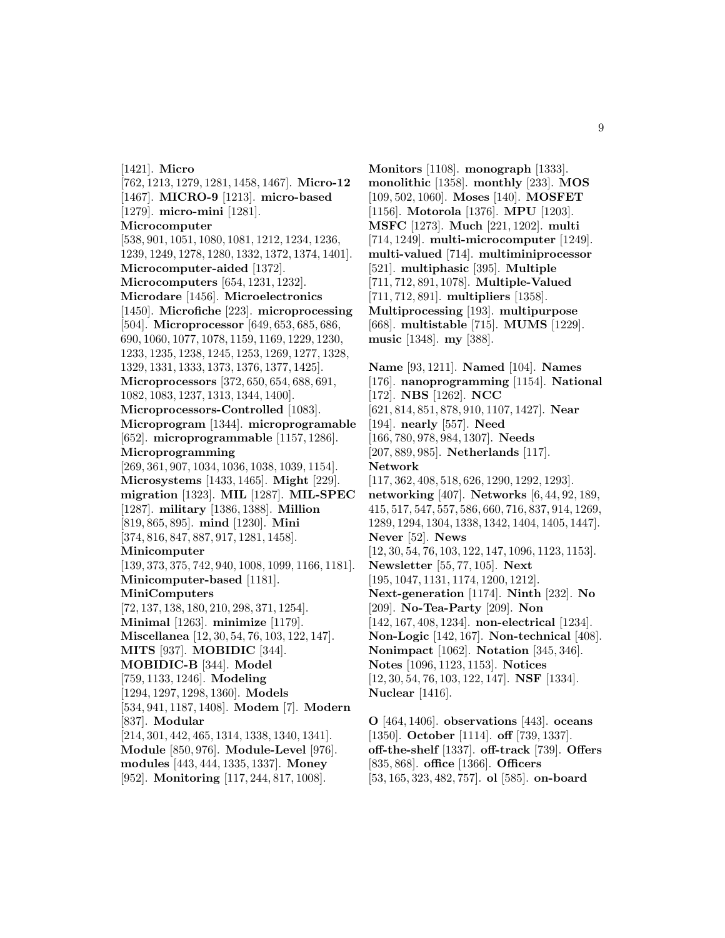[1421]. **Micro** [762, 1213, 1279, 1281, 1458, 1467]. **Micro-12** [1467]. **MICRO-9** [1213]. **micro-based** [1279]. **micro-mini** [1281]. **Microcomputer** [538, 901, 1051, 1080, 1081, 1212, 1234, 1236, 1239, 1249, 1278, 1280, 1332, 1372, 1374, 1401]. **Microcomputer-aided** [1372]. **Microcomputers** [654, 1231, 1232]. **Microdare** [1456]. **Microelectronics** [1450]. **Microfiche** [223]. **microprocessing** [504]. **Microprocessor** [649, 653, 685, 686, 690, 1060, 1077, 1078, 1159, 1169, 1229, 1230, 1233, 1235, 1238, 1245, 1253, 1269, 1277, 1328, 1329, 1331, 1333, 1373, 1376, 1377, 1425]. **Microprocessors** [372, 650, 654, 688, 691, 1082, 1083, 1237, 1313, 1344, 1400]. **Microprocessors-Controlled** [1083]. **Microprogram** [1344]. **microprogramable** [652]. **microprogrammable** [1157, 1286]. **Microprogramming** [269, 361, 907, 1034, 1036, 1038, 1039, 1154]. **Microsystems** [1433, 1465]. **Might** [229]. **migration** [1323]. **MIL** [1287]. **MIL-SPEC** [1287]. **military** [1386, 1388]. **Million** [819, 865, 895]. **mind** [1230]. **Mini** [374, 816, 847, 887, 917, 1281, 1458]. **Minicomputer** [139, 373, 375, 742, 940, 1008, 1099, 1166, 1181]. **Minicomputer-based** [1181]. **MiniComputers** [72, 137, 138, 180, 210, 298, 371, 1254]. **Minimal** [1263]. **minimize** [1179]. **Miscellanea** [12, 30, 54, 76, 103, 122, 147]. **MITS** [937]. **MOBIDIC** [344]. **MOBIDIC-B** [344]. **Model** [759, 1133, 1246]. **Modeling** [1294, 1297, 1298, 1360]. **Models** [534, 941, 1187, 1408]. **Modem** [7]. **Modern** [837]. **Modular** [214, 301, 442, 465, 1314, 1338, 1340, 1341]. **Module** [850, 976]. **Module-Level** [976]. **modules** [443, 444, 1335, 1337]. **Money** [952]. **Monitoring** [117, 244, 817, 1008].

**Monitors** [1108]. **monograph** [1333]. **monolithic** [1358]. **monthly** [233]. **MOS** [109, 502, 1060]. **Moses** [140]. **MOSFET** [1156]. **Motorola** [1376]. **MPU** [1203]. **MSFC** [1273]. **Much** [221, 1202]. **multi** [714, 1249]. **multi-microcomputer** [1249]. **multi-valued** [714]. **multiminiprocessor** [521]. **multiphasic** [395]. **Multiple** [711, 712, 891, 1078]. **Multiple-Valued** [711, 712, 891]. **multipliers** [1358]. **Multiprocessing** [193]. **multipurpose** [668]. **multistable** [715]. **MUMS** [1229]. **music** [1348]. **my** [388].

**Name** [93, 1211]. **Named** [104]. **Names** [176]. **nanoprogramming** [1154]. **National** [172]. **NBS** [1262]. **NCC** [621, 814, 851, 878, 910, 1107, 1427]. **Near** [194]. **nearly** [557]. **Need** [166, 780, 978, 984, 1307]. **Needs** [207, 889, 985]. **Netherlands** [117]. **Network** [117, 362, 408, 518, 626, 1290, 1292, 1293]. **networking** [407]. **Networks** [6, 44, 92, 189, 415, 517, 547, 557, 586, 660, 716, 837, 914, 1269, 1289, 1294, 1304, 1338, 1342, 1404, 1405, 1447]. **Never** [52]. **News** [12, 30, 54, 76, 103, 122, 147, 1096, 1123, 1153]. **Newsletter** [55, 77, 105]. **Next** [195, 1047, 1131, 1174, 1200, 1212]. **Next-generation** [1174]. **Ninth** [232]. **No** [209]. **No-Tea-Party** [209]. **Non** [142, 167, 408, 1234]. **non-electrical** [1234]. **Non-Logic** [142, 167]. **Non-technical** [408]. **Nonimpact** [1062]. **Notation** [345, 346]. **Notes** [1096, 1123, 1153]. **Notices** [12, 30, 54, 76, 103, 122, 147]. **NSF** [1334]. **Nuclear** [1416].

**O** [464, 1406]. **observations** [443]. **oceans** [1350]. **October** [1114]. **off** [739, 1337]. **off-the-shelf** [1337]. **off-track** [739]. **Offers** [835, 868]. **office** [1366]. **Officers** [53, 165, 323, 482, 757]. **ol** [585]. **on-board**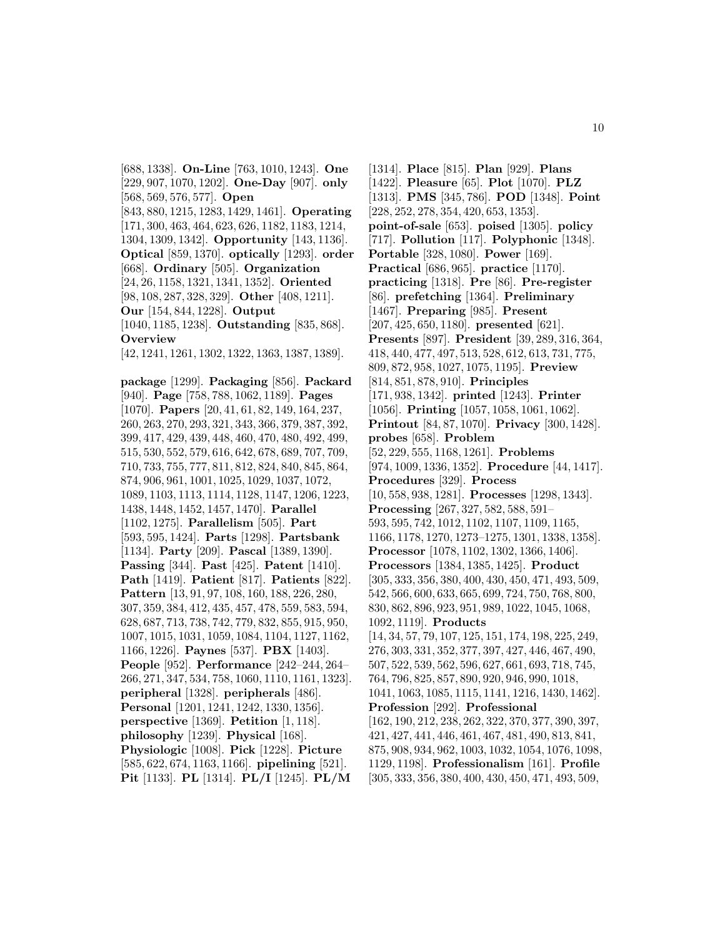[688, 1338]. **On-Line** [763, 1010, 1243]. **One** [229, 907, 1070, 1202]. **One-Day** [907]. **only** [568, 569, 576, 577]. **Open** [843, 880, 1215, 1283, 1429, 1461]. **Operating** [171, 300, 463, 464, 623, 626, 1182, 1183, 1214, 1304, 1309, 1342]. **Opportunity** [143, 1136]. **Optical** [859, 1370]. **optically** [1293]. **order** [668]. **Ordinary** [505]. **Organization** [24, 26, 1158, 1321, 1341, 1352]. **Oriented** [98, 108, 287, 328, 329]. **Other** [408, 1211]. **Our** [154, 844, 1228]. **Output** [1040, 1185, 1238]. **Outstanding** [835, 868]. **Overview** [42, 1241, 1261, 1302, 1322, 1363, 1387, 1389]. **package** [1299]. **Packaging** [856]. **Packard** [940]. **Page** [758, 788, 1062, 1189]. **Pages** [1070]. **Papers** [20, 41, 61, 82, 149, 164, 237, 260, 263, 270, 293, 321, 343, 366, 379, 387, 392, 399, 417, 429, 439, 448, 460, 470, 480, 492, 499, 515, 530, 552, 579, 616, 642, 678, 689, 707, 709, 710, 733, 755, 777, 811, 812, 824, 840, 845, 864, 874, 906, 961, 1001, 1025, 1029, 1037, 1072, 1089, 1103, 1113, 1114, 1128, 1147, 1206, 1223, 1438, 1448, 1452, 1457, 1470]. **Parallel** [1102, 1275]. **Parallelism** [505]. **Part** [593, 595, 1424]. **Parts** [1298]. **Partsbank** [1134]. **Party** [209]. **Pascal** [1389, 1390]. **Passing** [344]. **Past** [425]. **Patent** [1410]. **Path** [1419]. **Patient** [817]. **Patients** [822]. **Pattern** [13, 91, 97, 108, 160, 188, 226, 280, 307, 359, 384, 412, 435, 457, 478, 559, 583, 594, 628, 687, 713, 738, 742, 779, 832, 855, 915, 950, 1007, 1015, 1031, 1059, 1084, 1104, 1127, 1162, 1166, 1226]. **Paynes** [537]. **PBX** [1403]. **People** [952]. **Performance** [242–244, 264– 266, 271, 347, 534, 758, 1060, 1110, 1161, 1323]. **peripheral** [1328]. **peripherals** [486]. **Personal** [1201, 1241, 1242, 1330, 1356]. **perspective** [1369]. **Petition** [1, 118]. **philosophy** [1239]. **Physical** [168]. **Physiologic** [1008]. **Pick** [1228]. **Picture** [585, 622, 674, 1163, 1166]. **pipelining** [521]. **Pit** [1133]. **PL** [1314]. **PL/I** [1245]. **PL/M**

[1314]. **Place** [815]. **Plan** [929]. **Plans** [1422]. **Pleasure** [65]. **Plot** [1070]. **PLZ** [1313]. **PMS** [345, 786]. **POD** [1348]. **Point** [228, 252, 278, 354, 420, 653, 1353]. **point-of-sale** [653]. **poised** [1305]. **policy** [717]. **Pollution** [117]. **Polyphonic** [1348]. **Portable** [328, 1080]. **Power** [169]. **Practical** [686, 965]. **practice** [1170]. **practicing** [1318]. **Pre** [86]. **Pre-register** [86]. **prefetching** [1364]. **Preliminary** [1467]. **Preparing** [985]. **Present** [207, 425, 650, 1180]. **presented** [621]. **Presents** [897]. **President** [39, 289, 316, 364, 418, 440, 477, 497, 513, 528, 612, 613, 731, 775, 809, 872, 958, 1027, 1075, 1195]. **Preview** [814, 851, 878, 910]. **Principles** [171, 938, 1342]. **printed** [1243]. **Printer** [1056]. **Printing** [1057, 1058, 1061, 1062]. **Printout** [84, 87, 1070]. **Privacy** [300, 1428]. **probes** [658]. **Problem** [52, 229, 555, 1168, 1261]. **Problems** [974, 1009, 1336, 1352]. **Procedure** [44, 1417]. **Procedures** [329]. **Process** [10, 558, 938, 1281]. **Processes** [1298, 1343]. **Processing** [267, 327, 582, 588, 591– 593, 595, 742, 1012, 1102, 1107, 1109, 1165, 1166, 1178, 1270, 1273–1275, 1301, 1338, 1358]. **Processor** [1078, 1102, 1302, 1366, 1406]. **Processors** [1384, 1385, 1425]. **Product** [305, 333, 356, 380, 400, 430, 450, 471, 493, 509, 542, 566, 600, 633, 665, 699, 724, 750, 768, 800, 830, 862, 896, 923, 951, 989, 1022, 1045, 1068, 1092, 1119]. **Products** [14, 34, 57, 79, 107, 125, 151, 174, 198, 225, 249, 276, 303, 331, 352, 377, 397, 427, 446, 467, 490, 507, 522, 539, 562, 596, 627, 661, 693, 718, 745, 764, 796, 825, 857, 890, 920, 946, 990, 1018, 1041, 1063, 1085, 1115, 1141, 1216, 1430, 1462]. **Profession** [292]. **Professional** [162, 190, 212, 238, 262, 322, 370, 377, 390, 397, 421, 427, 441, 446, 461, 467, 481, 490, 813, 841, 875, 908, 934, 962, 1003, 1032, 1054, 1076, 1098, 1129, 1198]. **Professionalism** [161]. **Profile** [305, 333, 356, 380, 400, 430, 450, 471, 493, 509,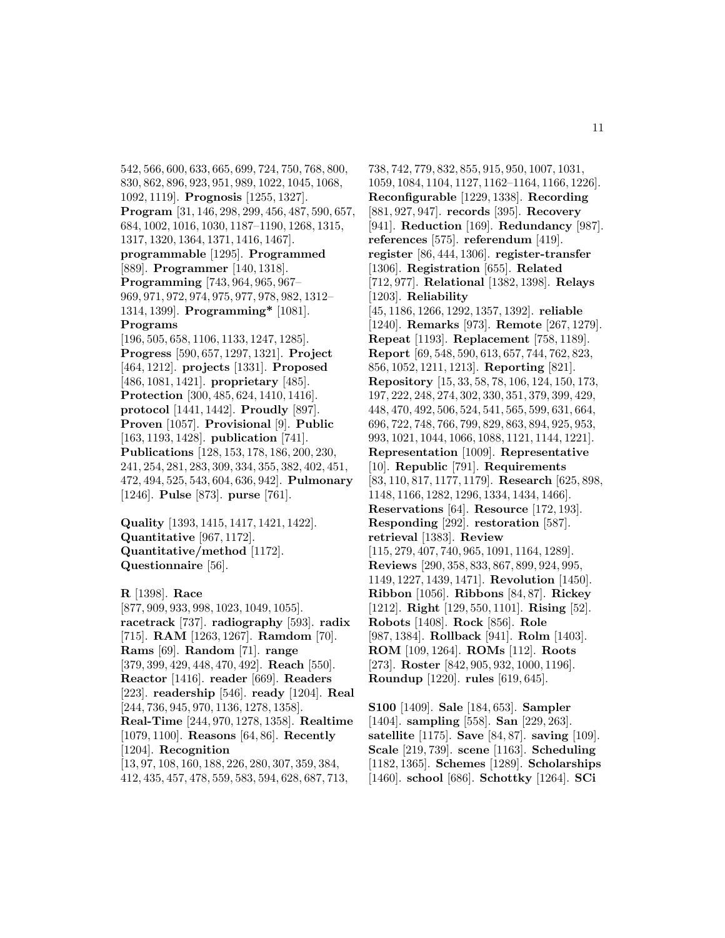542, 566, 600, 633, 665, 699, 724, 750, 768, 800, 830, 862, 896, 923, 951, 989, 1022, 1045, 1068, 1092, 1119]. **Prognosis** [1255, 1327]. **Program** [31, 146, 298, 299, 456, 487, 590, 657, 684, 1002, 1016, 1030, 1187–1190, 1268, 1315, 1317, 1320, 1364, 1371, 1416, 1467]. **programmable** [1295]. **Programmed** [889]. **Programmer** [140, 1318]. **Programming** [743, 964, 965, 967– 969, 971, 972, 974, 975, 977, 978, 982, 1312– 1314, 1399]. **Programming\*** [1081]. **Programs**

[196, 505, 658, 1106, 1133, 1247, 1285]. **Progress** [590, 657, 1297, 1321]. **Project** [464, 1212]. **projects** [1331]. **Proposed** [486, 1081, 1421]. **proprietary** [485]. **Protection** [300, 485, 624, 1410, 1416]. **protocol** [1441, 1442]. **Proudly** [897]. **Proven** [1057]. **Provisional** [9]. **Public** [163, 1193, 1428]. **publication** [741]. **Publications** [128, 153, 178, 186, 200, 230, 241, 254, 281, 283, 309, 334, 355, 382, 402, 451, 472, 494, 525, 543, 604, 636, 942]. **Pulmonary** [1246]. **Pulse** [873]. **purse** [761].

**Quality** [1393, 1415, 1417, 1421, 1422]. **Quantitative** [967, 1172]. **Quantitative/method** [1172]. **Questionnaire** [56].

**R** [1398]. **Race** [877, 909, 933, 998, 1023, 1049, 1055]. **racetrack** [737]. **radiography** [593]. **radix** [715]. **RAM** [1263, 1267]. **Ramdom** [70]. **Rams** [69]. **Random** [71]. **range** [379, 399, 429, 448, 470, 492]. **Reach** [550]. **Reactor** [1416]. **reader** [669]. **Readers** [223]. **readership** [546]. **ready** [1204]. **Real** [244, 736, 945, 970, 1136, 1278, 1358]. **Real-Time** [244, 970, 1278, 1358]. **Realtime** [1079, 1100]. **Reasons** [64, 86]. **Recently** [1204]. **Recognition** [13, 97, 108, 160, 188, 226, 280, 307, 359, 384, 412, 435, 457, 478, 559, 583, 594, 628, 687, 713,

738, 742, 779, 832, 855, 915, 950, 1007, 1031, 1059, 1084, 1104, 1127, 1162–1164, 1166, 1226]. **Reconfigurable** [1229, 1338]. **Recording** [881, 927, 947]. **records** [395]. **Recovery** [941]. **Reduction** [169]. **Redundancy** [987]. **references** [575]. **referendum** [419]. **register** [86, 444, 1306]. **register-transfer** [1306]. **Registration** [655]. **Related** [712, 977]. **Relational** [1382, 1398]. **Relays** [1203]. **Reliability** [45, 1186, 1266, 1292, 1357, 1392]. **reliable** [1240]. **Remarks** [973]. **Remote** [267, 1279]. **Repeat** [1193]. **Replacement** [758, 1189]. **Report** [69, 548, 590, 613, 657, 744, 762, 823, 856, 1052, 1211, 1213]. **Reporting** [821]. **Repository** [15, 33, 58, 78, 106, 124, 150, 173, 197, 222, 248, 274, 302, 330, 351, 379, 399, 429, 448, 470, 492, 506, 524, 541, 565, 599, 631, 664, 696, 722, 748, 766, 799, 829, 863, 894, 925, 953, 993, 1021, 1044, 1066, 1088, 1121, 1144, 1221]. **Representation** [1009]. **Representative** [10]. **Republic** [791]. **Requirements** [83, 110, 817, 1177, 1179]. **Research** [625, 898, 1148, 1166, 1282, 1296, 1334, 1434, 1466]. **Reservations** [64]. **Resource** [172, 193]. **Responding** [292]. **restoration** [587]. **retrieval** [1383]. **Review** [115, 279, 407, 740, 965, 1091, 1164, 1289]. **Reviews** [290, 358, 833, 867, 899, 924, 995, 1149, 1227, 1439, 1471]. **Revolution** [1450]. **Ribbon** [1056]. **Ribbons** [84, 87]. **Rickey** [1212]. **Right** [129, 550, 1101]. **Rising** [52]. **Robots** [1408]. **Rock** [856]. **Role** [987, 1384]. **Rollback** [941]. **Rolm** [1403]. **ROM** [109, 1264]. **ROMs** [112]. **Roots** [273]. **Roster** [842, 905, 932, 1000, 1196]. **Roundup** [1220]. **rules** [619, 645].

**S100** [1409]. **Sale** [184, 653]. **Sampler** [1404]. **sampling** [558]. **San** [229, 263]. **satellite** [1175]. **Save** [84, 87]. **saving** [109]. **Scale** [219, 739]. **scene** [1163]. **Scheduling** [1182, 1365]. **Schemes** [1289]. **Scholarships** [1460]. **school** [686]. **Schottky** [1264]. **SCi**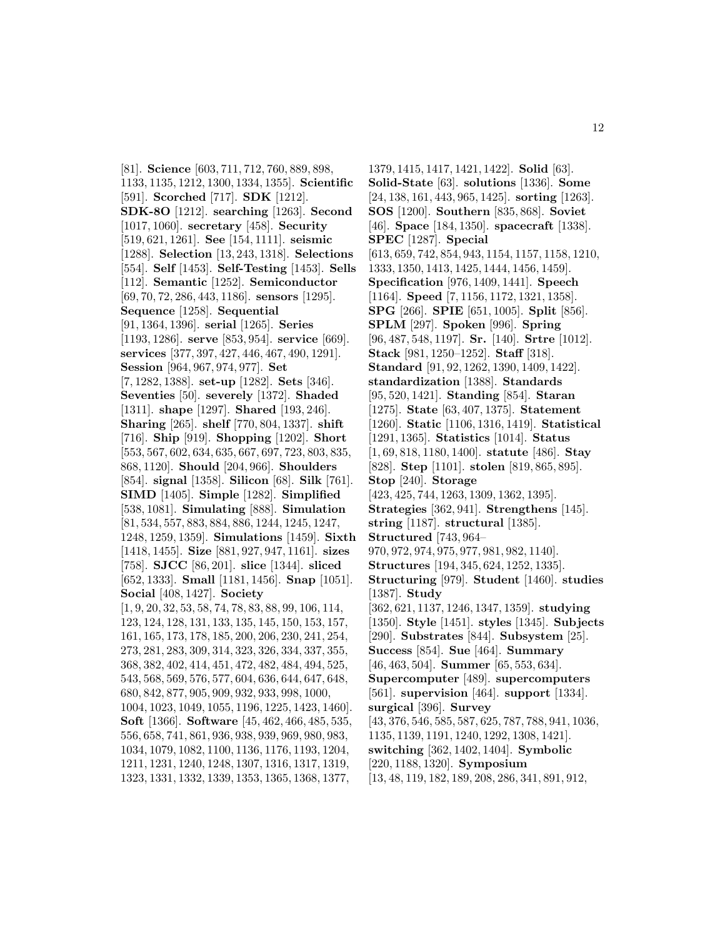[81]. **Science** [603, 711, 712, 760, 889, 898, 1133, 1135, 1212, 1300, 1334, 1355]. **Scientific** [591]. **Scorched** [717]. **SDK** [1212]. **SDK-8O** [1212]. **searching** [1263]. **Second** [1017, 1060]. **secretary** [458]. **Security** [519, 621, 1261]. **See** [154, 1111]. **seismic** [1288]. **Selection** [13, 243, 1318]. **Selections** [554]. **Self** [1453]. **Self-Testing** [1453]. **Sells** [112]. **Semantic** [1252]. **Semiconductor** [69, 70, 72, 286, 443, 1186]. **sensors** [1295]. **Sequence** [1258]. **Sequential** [91, 1364, 1396]. **serial** [1265]. **Series** [1193, 1286]. **serve** [853, 954]. **service** [669]. **services** [377, 397, 427, 446, 467, 490, 1291]. **Session** [964, 967, 974, 977]. **Set** [7, 1282, 1388]. **set-up** [1282]. **Sets** [346]. **Seventies** [50]. **severely** [1372]. **Shaded** [1311]. **shape** [1297]. **Shared** [193, 246]. **Sharing** [265]. **shelf** [770, 804, 1337]. **shift** [716]. **Ship** [919]. **Shopping** [1202]. **Short** [553, 567, 602, 634, 635, 667, 697, 723, 803, 835, 868, 1120]. **Should** [204, 966]. **Shoulders** [854]. **signal** [1358]. **Silicon** [68]. **Silk** [761]. **SIMD** [1405]. **Simple** [1282]. **Simplified** [538, 1081]. **Simulating** [888]. **Simulation** [81, 534, 557, 883, 884, 886, 1244, 1245, 1247, 1248, 1259, 1359]. **Simulations** [1459]. **Sixth** [1418, 1455]. **Size** [881, 927, 947, 1161]. **sizes** [758]. **SJCC** [86, 201]. **slice** [1344]. **sliced** [652, 1333]. **Small** [1181, 1456]. **Snap** [1051]. **Social** [408, 1427]. **Society** [1, 9, 20, 32, 53, 58, 74, 78, 83, 88, 99, 106, 114, 123, 124, 128, 131, 133, 135, 145, 150, 153, 157, 161, 165, 173, 178, 185, 200, 206, 230, 241, 254, 273, 281, 283, 309, 314, 323, 326, 334, 337, 355, 368, 382, 402, 414, 451, 472, 482, 484, 494, 525, 543, 568, 569, 576, 577, 604, 636, 644, 647, 648, 680, 842, 877, 905, 909, 932, 933, 998, 1000, 1004, 1023, 1049, 1055, 1196, 1225, 1423, 1460]. **Soft** [1366]. **Software** [45, 462, 466, 485, 535, 556, 658, 741, 861, 936, 938, 939, 969, 980, 983, 1034, 1079, 1082, 1100, 1136, 1176, 1193, 1204, 1211, 1231, 1240, 1248, 1307, 1316, 1317, 1319, 1323, 1331, 1332, 1339, 1353, 1365, 1368, 1377,

1379, 1415, 1417, 1421, 1422]. **Solid** [63]. **Solid-State** [63]. **solutions** [1336]. **Some** [24, 138, 161, 443, 965, 1425]. **sorting** [1263]. **SOS** [1200]. **Southern** [835, 868]. **Soviet** [46]. **Space** [184, 1350]. **spacecraft** [1338]. **SPEC** [1287]. **Special** [613, 659, 742, 854, 943, 1154, 1157, 1158, 1210, 1333, 1350, 1413, 1425, 1444, 1456, 1459]. **Specification** [976, 1409, 1441]. **Speech** [1164]. **Speed** [7, 1156, 1172, 1321, 1358]. **SPG** [266]. **SPIE** [651, 1005]. **Split** [856]. **SPLM** [297]. **Spoken** [996]. **Spring** [96, 487, 548, 1197]. **Sr.** [140]. **Srtre** [1012]. **Stack** [981, 1250–1252]. **Staff** [318]. **Standard** [91, 92, 1262, 1390, 1409, 1422]. **standardization** [1388]. **Standards** [95, 520, 1421]. **Standing** [854]. **Staran** [1275]. **State** [63, 407, 1375]. **Statement** [1260]. **Static** [1106, 1316, 1419]. **Statistical** [1291, 1365]. **Statistics** [1014]. **Status** [1, 69, 818, 1180, 1400]. **statute** [486]. **Stay** [828]. **Step** [1101]. **stolen** [819, 865, 895]. **Stop** [240]. **Storage** [423, 425, 744, 1263, 1309, 1362, 1395]. **Strategies** [362, 941]. **Strengthens** [145]. **string** [1187]. **structural** [1385]. **Structured** [743, 964– 970, 972, 974, 975, 977, 981, 982, 1140]. **Structures** [194, 345, 624, 1252, 1335]. **Structuring** [979]. **Student** [1460]. **studies** [1387]. **Study** [362, 621, 1137, 1246, 1347, 1359]. **studying** [1350]. **Style** [1451]. **styles** [1345]. **Subjects** [290]. **Substrates** [844]. **Subsystem** [25]. **Success** [854]. **Sue** [464]. **Summary** [46, 463, 504]. **Summer** [65, 553, 634]. **Supercomputer** [489]. **supercomputers** [561]. **supervision** [464]. **support** [1334]. **surgical** [396]. **Survey** [43, 376, 546, 585, 587, 625, 787, 788, 941, 1036, 1135, 1139, 1191, 1240, 1292, 1308, 1421]. **switching** [362, 1402, 1404]. **Symbolic** [220, 1188, 1320]. **Symposium** [13, 48, 119, 182, 189, 208, 286, 341, 891, 912,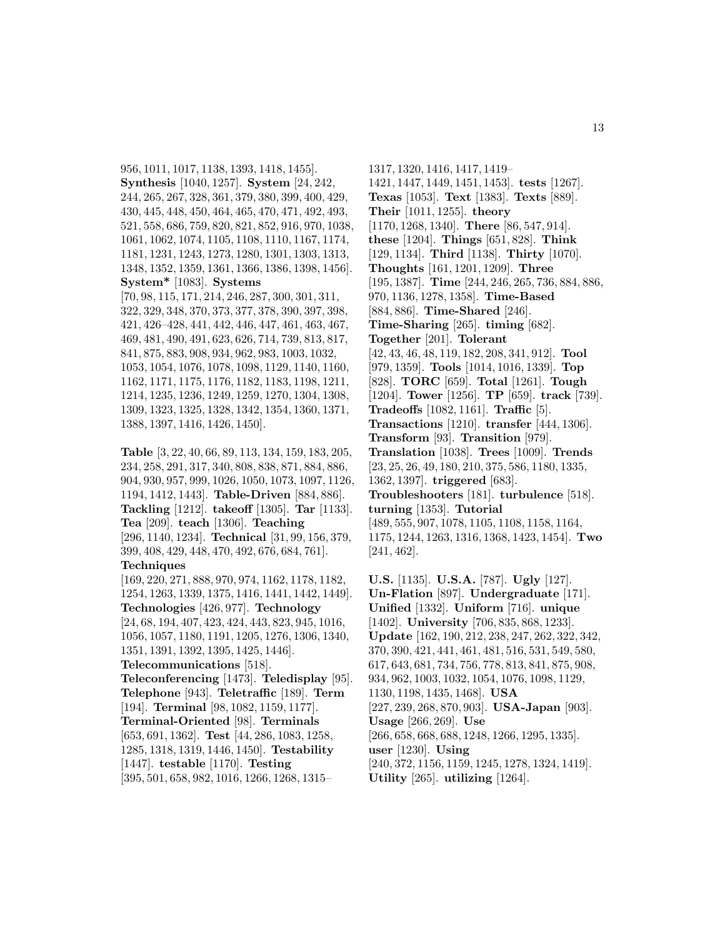956, 1011, 1017, 1138, 1393, 1418, 1455]. **Synthesis** [1040, 1257]. **System** [24, 242, 244, 265, 267, 328, 361, 379, 380, 399, 400, 429, 430, 445, 448, 450, 464, 465, 470, 471, 492, 493, 521, 558, 686, 759, 820, 821, 852, 916, 970, 1038, 1061, 1062, 1074, 1105, 1108, 1110, 1167, 1174, 1181, 1231, 1243, 1273, 1280, 1301, 1303, 1313, 1348, 1352, 1359, 1361, 1366, 1386, 1398, 1456]. **System\*** [1083]. **Systems** [70, 98, 115, 171, 214, 246, 287, 300, 301, 311, 322, 329, 348, 370, 373, 377, 378, 390, 397, 398,

421, 426–428, 441, 442, 446, 447, 461, 463, 467, 469, 481, 490, 491, 623, 626, 714, 739, 813, 817, 841, 875, 883, 908, 934, 962, 983, 1003, 1032, 1053, 1054, 1076, 1078, 1098, 1129, 1140, 1160, 1162, 1171, 1175, 1176, 1182, 1183, 1198, 1211, 1214, 1235, 1236, 1249, 1259, 1270, 1304, 1308, 1309, 1323, 1325, 1328, 1342, 1354, 1360, 1371, 1388, 1397, 1416, 1426, 1450].

**Table** [3, 22, 40, 66, 89, 113, 134, 159, 183, 205, 234, 258, 291, 317, 340, 808, 838, 871, 884, 886, 904, 930, 957, 999, 1026, 1050, 1073, 1097, 1126, 1194, 1412, 1443]. **Table-Driven** [884, 886]. **Tackling** [1212]. **takeoff** [1305]. **Tar** [1133]. **Tea** [209]. **teach** [1306]. **Teaching** [296, 1140, 1234]. **Technical** [31, 99, 156, 379, 399, 408, 429, 448, 470, 492, 676, 684, 761]. **Techniques**

[169, 220, 271, 888, 970, 974, 1162, 1178, 1182, 1254, 1263, 1339, 1375, 1416, 1441, 1442, 1449]. **Technologies** [426, 977]. **Technology** [24, 68, 194, 407, 423, 424, 443, 823, 945, 1016, 1056, 1057, 1180, 1191, 1205, 1276, 1306, 1340, 1351, 1391, 1392, 1395, 1425, 1446]. **Telecommunications** [518].

**Teleconferencing** [1473]. **Teledisplay** [95]. **Telephone** [943]. **Teletraffic** [189]. **Term** [194]. **Terminal** [98, 1082, 1159, 1177]. **Terminal-Oriented** [98]. **Terminals** [653, 691, 1362]. **Test** [44, 286, 1083, 1258, 1285, 1318, 1319, 1446, 1450]. **Testability** [1447]. **testable** [1170]. **Testing** [395, 501, 658, 982, 1016, 1266, 1268, 1315–

1317, 1320, 1416, 1417, 1419– 1421, 1447, 1449, 1451, 1453]. **tests** [1267]. **Texas** [1053]. **Text** [1383]. **Texts** [889]. **Their** [1011, 1255]. **theory** [1170, 1268, 1340]. **There** [86, 547, 914]. **these** [1204]. **Things** [651, 828]. **Think** [129, 1134]. **Third** [1138]. **Thirty** [1070]. **Thoughts** [161, 1201, 1209]. **Three** [195, 1387]. **Time** [244, 246, 265, 736, 884, 886, 970, 1136, 1278, 1358]. **Time-Based** [884, 886]. **Time-Shared** [246]. **Time-Sharing** [265]. **timing** [682]. **Together** [201]. **Tolerant** [42, 43, 46, 48, 119, 182, 208, 341, 912]. **Tool** [979, 1359]. **Tools** [1014, 1016, 1339]. **Top** [828]. **TORC** [659]. **Total** [1261]. **Tough** [1204]. **Tower** [1256]. **TP** [659]. **track** [739]. **Tradeoffs** [1082, 1161]. **Traffic** [5]. **Transactions** [1210]. **transfer** [444, 1306]. **Transform** [93]. **Transition** [979]. **Translation** [1038]. **Trees** [1009]. **Trends** [23, 25, 26, 49, 180, 210, 375, 586, 1180, 1335, 1362, 1397]. **triggered** [683]. **Troubleshooters** [181]. **turbulence** [518]. **turning** [1353]. **Tutorial** [489, 555, 907, 1078, 1105, 1108, 1158, 1164, 1175, 1244, 1263, 1316, 1368, 1423, 1454]. **Two** [241, 462].

**U.S.** [1135]. **U.S.A.** [787]. **Ugly** [127]. **Un-Flation** [897]. **Undergraduate** [171]. **Unified** [1332]. **Uniform** [716]. **unique** [1402]. **University** [706, 835, 868, 1233]. **Update** [162, 190, 212, 238, 247, 262, 322, 342, 370, 390, 421, 441, 461, 481, 516, 531, 549, 580, 617, 643, 681, 734, 756, 778, 813, 841, 875, 908, 934, 962, 1003, 1032, 1054, 1076, 1098, 1129, 1130, 1198, 1435, 1468]. **USA** [227, 239, 268, 870, 903]. **USA-Japan** [903]. **Usage** [266, 269]. **Use** [266, 658, 668, 688, 1248, 1266, 1295, 1335]. **user** [1230]. **Using** [240, 372, 1156, 1159, 1245, 1278, 1324, 1419]. **Utility** [265]. **utilizing** [1264].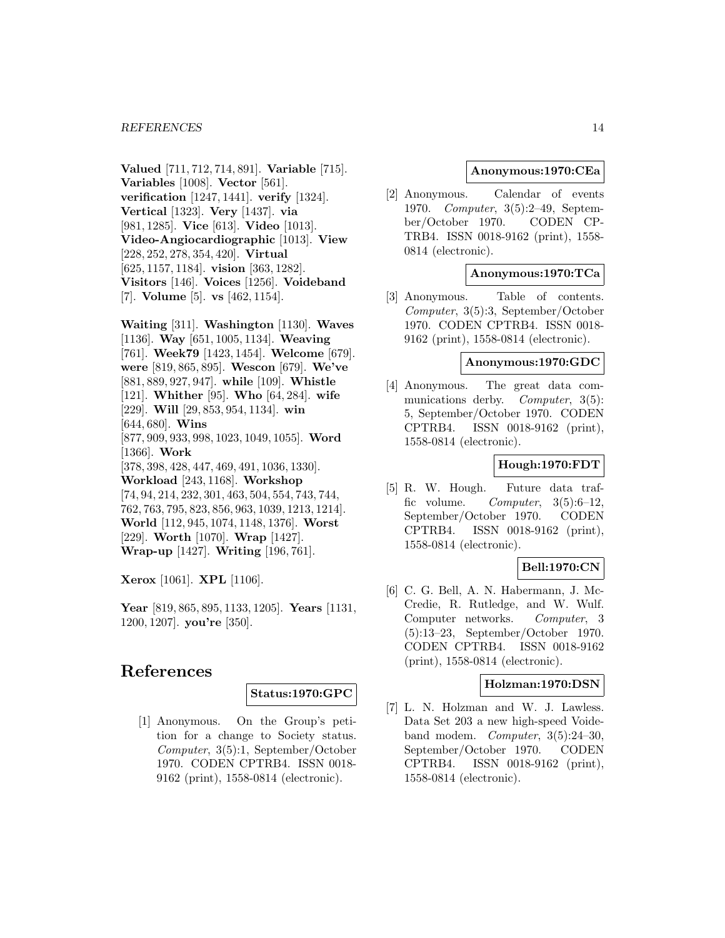**Valued** [711, 712, 714, 891]. **Variable** [715]. **Variables** [1008]. **Vector** [561]. **verification** [1247, 1441]. **verify** [1324]. **Vertical** [1323]. **Very** [1437]. **via** [981, 1285]. **Vice** [613]. **Video** [1013]. **Video-Angiocardiographic** [1013]. **View** [228, 252, 278, 354, 420]. **Virtual** [625, 1157, 1184]. **vision** [363, 1282]. **Visitors** [146]. **Voices** [1256]. **Voideband** [7]. **Volume** [5]. **vs** [462, 1154].

**Waiting** [311]. **Washington** [1130]. **Waves** [1136]. **Way** [651, 1005, 1134]. **Weaving** [761]. **Week79** [1423, 1454]. **Welcome** [679]. **were** [819, 865, 895]. **Wescon** [679]. **We've** [881, 889, 927, 947]. **while** [109]. **Whistle** [121]. **Whither** [95]. **Who** [64, 284]. **wife** [229]. **Will** [29, 853, 954, 1134]. **win** [644, 680]. **Wins** [877, 909, 933, 998, 1023, 1049, 1055]. **Word** [1366]. **Work** [378, 398, 428, 447, 469, 491, 1036, 1330]. **Workload** [243, 1168]. **Workshop** [74, 94, 214, 232, 301, 463, 504, 554, 743, 744, 762, 763, 795, 823, 856, 963, 1039, 1213, 1214]. **World** [112, 945, 1074, 1148, 1376]. **Worst** [229]. **Worth** [1070]. **Wrap** [1427]. **Wrap-up** [1427]. **Writing** [196, 761].

**Xerox** [1061]. **XPL** [1106].

**Year** [819, 865, 895, 1133, 1205]. **Years** [1131, 1200, 1207]. **you're** [350].

### **References**

#### **Status:1970:GPC**

[1] Anonymous. On the Group's petition for a change to Society status. Computer, 3(5):1, September/October 1970. CODEN CPTRB4. ISSN 0018- 9162 (print), 1558-0814 (electronic).

### **Anonymous:1970:CEa**

[2] Anonymous. Calendar of events 1970. Computer, 3(5):2–49, September/October 1970. CODEN CP-TRB4. ISSN 0018-9162 (print), 1558- 0814 (electronic).

### **Anonymous:1970:TCa**

[3] Anonymous. Table of contents. Computer, 3(5):3, September/October 1970. CODEN CPTRB4. ISSN 0018- 9162 (print), 1558-0814 (electronic).

#### **Anonymous:1970:GDC**

[4] Anonymous. The great data communications derby. *Computer*, 3(5): 5, September/October 1970. CODEN CPTRB4. ISSN 0018-9162 (print), 1558-0814 (electronic).

#### **Hough:1970:FDT**

[5] R. W. Hough. Future data traffic volume. Computer,  $3(5):6-12$ , September/October 1970. CODEN CPTRB4. ISSN 0018-9162 (print), 1558-0814 (electronic).

### **Bell:1970:CN**

[6] C. G. Bell, A. N. Habermann, J. Mc-Credie, R. Rutledge, and W. Wulf. Computer networks. Computer, 3 (5):13–23, September/October 1970. CODEN CPTRB4. ISSN 0018-9162 (print), 1558-0814 (electronic).

### **Holzman:1970:DSN**

[7] L. N. Holzman and W. J. Lawless. Data Set 203 a new high-speed Voideband modem. *Computer*,  $3(5):24-30$ , September/October 1970. CODEN CPTRB4. ISSN 0018-9162 (print), 1558-0814 (electronic).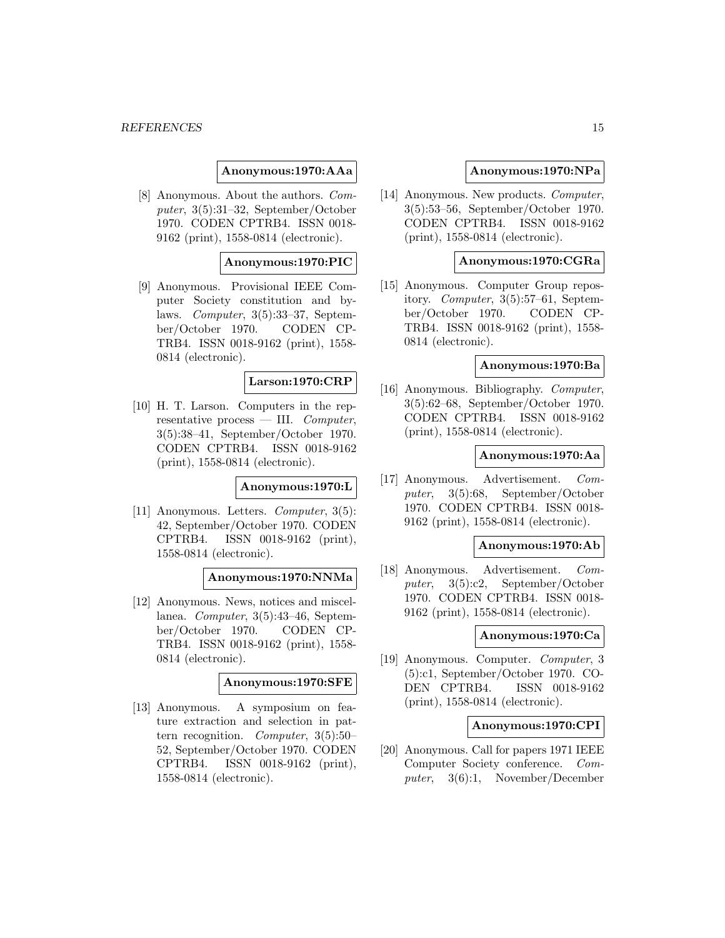### **Anonymous:1970:AAa**

[8] Anonymous. About the authors. Computer, 3(5):31–32, September/October 1970. CODEN CPTRB4. ISSN 0018- 9162 (print), 1558-0814 (electronic).

#### **Anonymous:1970:PIC**

[9] Anonymous. Provisional IEEE Computer Society constitution and bylaws. Computer, 3(5):33–37, September/October 1970. CODEN CP-TRB4. ISSN 0018-9162 (print), 1558- 0814 (electronic).

### **Larson:1970:CRP**

[10] H. T. Larson. Computers in the representative process — III.  $Computer$ . 3(5):38–41, September/October 1970. CODEN CPTRB4. ISSN 0018-9162 (print), 1558-0814 (electronic).

#### **Anonymous:1970:L**

[11] Anonymous. Letters. Computer, 3(5): 42, September/October 1970. CODEN CPTRB4. ISSN 0018-9162 (print), 1558-0814 (electronic).

#### **Anonymous:1970:NNMa**

[12] Anonymous. News, notices and miscellanea. Computer, 3(5):43–46, September/October 1970. CODEN CP-TRB4. ISSN 0018-9162 (print), 1558- 0814 (electronic).

### **Anonymous:1970:SFE**

[13] Anonymous. A symposium on feature extraction and selection in pattern recognition. Computer, 3(5):50– 52, September/October 1970. CODEN CPTRB4. ISSN 0018-9162 (print), 1558-0814 (electronic).

#### **Anonymous:1970:NPa**

[14] Anonymous. New products. *Computer*, 3(5):53–56, September/October 1970. CODEN CPTRB4. ISSN 0018-9162 (print), 1558-0814 (electronic).

### **Anonymous:1970:CGRa**

[15] Anonymous. Computer Group repository. Computer, 3(5):57–61, September/October 1970. CODEN CP-TRB4. ISSN 0018-9162 (print), 1558- 0814 (electronic).

### **Anonymous:1970:Ba**

[16] Anonymous. Bibliography. Computer, 3(5):62–68, September/October 1970. CODEN CPTRB4. ISSN 0018-9162 (print), 1558-0814 (electronic).

#### **Anonymous:1970:Aa**

[17] Anonymous. Advertisement. Computer, 3(5):68, September/October 1970. CODEN CPTRB4. ISSN 0018- 9162 (print), 1558-0814 (electronic).

#### **Anonymous:1970:Ab**

[18] Anonymous. Advertisement. Computer, 3(5):c2, September/October 1970. CODEN CPTRB4. ISSN 0018- 9162 (print), 1558-0814 (electronic).

### **Anonymous:1970:Ca**

[19] Anonymous. Computer. Computer, 3 (5):c1, September/October 1970. CO-DEN CPTRB4. ISSN 0018-9162 (print), 1558-0814 (electronic).

### **Anonymous:1970:CPI**

[20] Anonymous. Call for papers 1971 IEEE Computer Society conference. Computer, 3(6):1, November/December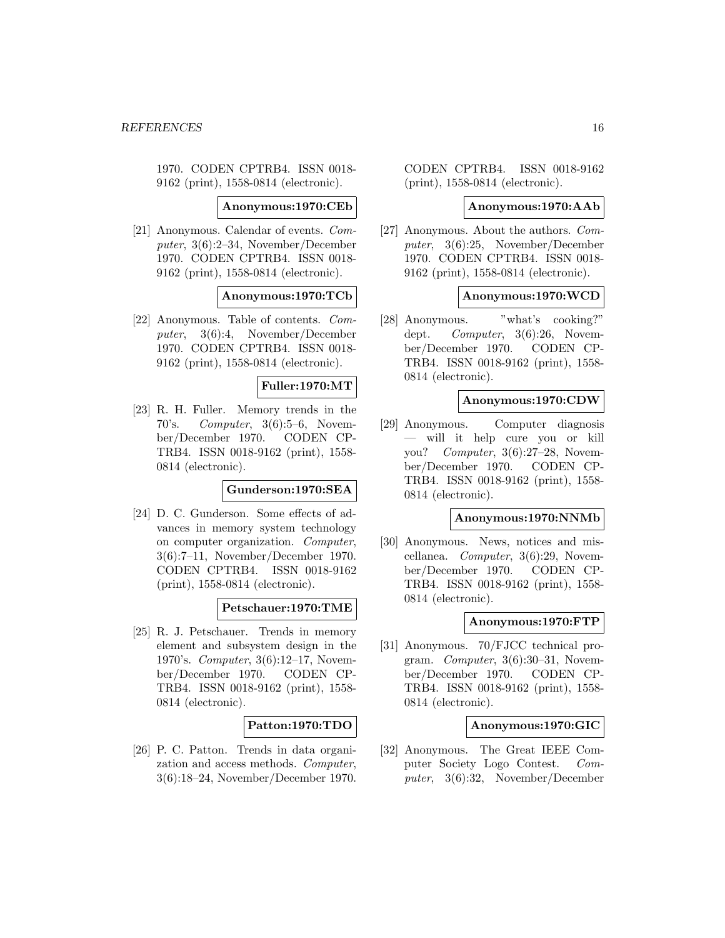1970. CODEN CPTRB4. ISSN 0018- 9162 (print), 1558-0814 (electronic).

#### **Anonymous:1970:CEb**

[21] Anonymous. Calendar of events. Computer, 3(6):2–34, November/December 1970. CODEN CPTRB4. ISSN 0018- 9162 (print), 1558-0814 (electronic).

#### **Anonymous:1970:TCb**

[22] Anonymous. Table of contents. Computer, 3(6):4, November/December 1970. CODEN CPTRB4. ISSN 0018- 9162 (print), 1558-0814 (electronic).

### **Fuller:1970:MT**

[23] R. H. Fuller. Memory trends in the 70's. Computer,  $3(6):5-6$ , November/December 1970. CODEN CP-TRB4. ISSN 0018-9162 (print), 1558- 0814 (electronic).

**Gunderson:1970:SEA**

[24] D. C. Gunderson. Some effects of advances in memory system technology on computer organization. Computer, 3(6):7–11, November/December 1970. CODEN CPTRB4. ISSN 0018-9162 (print), 1558-0814 (electronic).

**Petschauer:1970:TME**

[25] R. J. Petschauer. Trends in memory element and subsystem design in the 1970's. Computer, 3(6):12–17, November/December 1970. CODEN CP-TRB4. ISSN 0018-9162 (print), 1558- 0814 (electronic).

### **Patton:1970:TDO**

[26] P. C. Patton. Trends in data organization and access methods. Computer, 3(6):18–24, November/December 1970. CODEN CPTRB4. ISSN 0018-9162 (print), 1558-0814 (electronic).

#### **Anonymous:1970:AAb**

[27] Anonymous. About the authors. Computer, 3(6):25, November/December 1970. CODEN CPTRB4. ISSN 0018- 9162 (print), 1558-0814 (electronic).

#### **Anonymous:1970:WCD**

[28] Anonymous. "what's cooking?" dept. Computer, 3(6):26, November/December 1970. CODEN CP-TRB4. ISSN 0018-9162 (print), 1558- 0814 (electronic).

#### **Anonymous:1970:CDW**

[29] Anonymous. Computer diagnosis — will it help cure you or kill you? Computer,  $3(6):27-28$ , November/December 1970. CODEN CP-TRB4. ISSN 0018-9162 (print), 1558- 0814 (electronic).

#### **Anonymous:1970:NNMb**

[30] Anonymous. News, notices and miscellanea. Computer, 3(6):29, November/December 1970. CODEN CP-TRB4. ISSN 0018-9162 (print), 1558- 0814 (electronic).

#### **Anonymous:1970:FTP**

[31] Anonymous. 70/FJCC technical program. Computer, 3(6):30–31, November/December 1970. CODEN CP-TRB4. ISSN 0018-9162 (print), 1558- 0814 (electronic).

#### **Anonymous:1970:GIC**

[32] Anonymous. The Great IEEE Computer Society Logo Contest. Computer, 3(6):32, November/December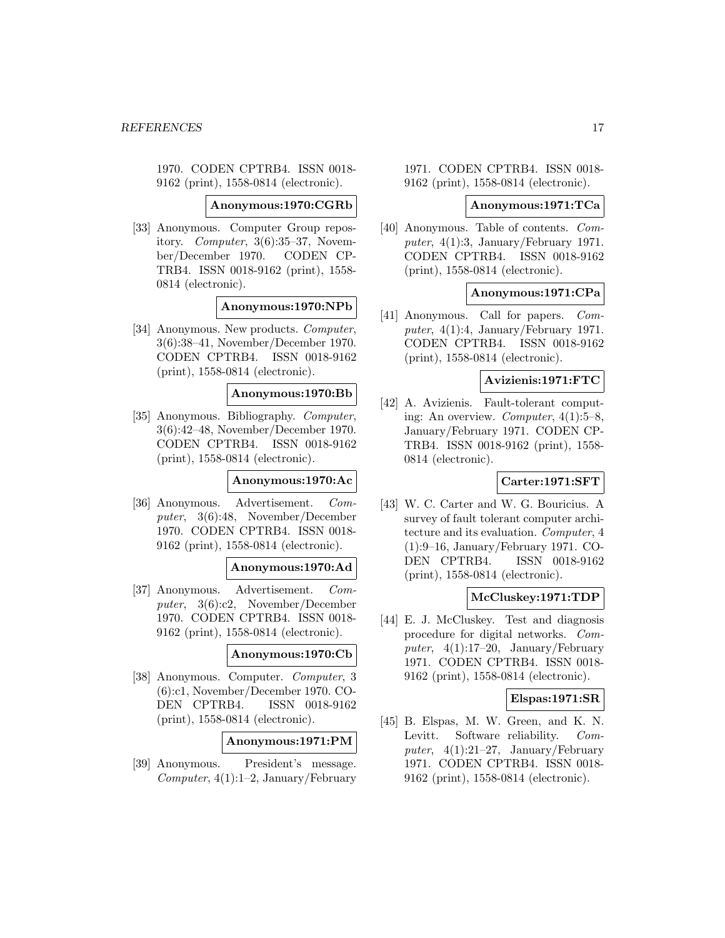1970. CODEN CPTRB4. ISSN 0018- 9162 (print), 1558-0814 (electronic).

#### **Anonymous:1970:CGRb**

[33] Anonymous. Computer Group repository. Computer, 3(6):35–37, November/December 1970. CODEN CP-TRB4. ISSN 0018-9162 (print), 1558- 0814 (electronic).

### **Anonymous:1970:NPb**

[34] Anonymous. New products. Computer, 3(6):38–41, November/December 1970. CODEN CPTRB4. ISSN 0018-9162 (print), 1558-0814 (electronic).

#### **Anonymous:1970:Bb**

[35] Anonymous. Bibliography. Computer, 3(6):42–48, November/December 1970. CODEN CPTRB4. ISSN 0018-9162 (print), 1558-0814 (electronic).

### **Anonymous:1970:Ac**

[36] Anonymous. Advertisement. Computer, 3(6):48, November/December 1970. CODEN CPTRB4. ISSN 0018- 9162 (print), 1558-0814 (electronic).

### **Anonymous:1970:Ad**

[37] Anonymous. Advertisement. Computer, 3(6):c2, November/December 1970. CODEN CPTRB4. ISSN 0018- 9162 (print), 1558-0814 (electronic).

#### **Anonymous:1970:Cb**

[38] Anonymous. Computer. Computer, 3 (6):c1, November/December 1970. CO-DEN CPTRB4. ISSN 0018-9162 (print), 1558-0814 (electronic).

### **Anonymous:1971:PM**

[39] Anonymous. President's message.  $Computer, 4(1):1-2, January/February$  1971. CODEN CPTRB4. ISSN 0018- 9162 (print), 1558-0814 (electronic).

### **Anonymous:1971:TCa**

[40] Anonymous. Table of contents. Computer, 4(1):3, January/February 1971. CODEN CPTRB4. ISSN 0018-9162 (print), 1558-0814 (electronic).

### **Anonymous:1971:CPa**

[41] Anonymous. Call for papers. Computer,  $4(1):4$ , January/February 1971. CODEN CPTRB4. ISSN 0018-9162 (print), 1558-0814 (electronic).

#### **Avizienis:1971:FTC**

[42] A. Avizienis. Fault-tolerant computing: An overview. Computer, 4(1):5–8, January/February 1971. CODEN CP-TRB4. ISSN 0018-9162 (print), 1558- 0814 (electronic).

### **Carter:1971:SFT**

[43] W. C. Carter and W. G. Bouricius. A survey of fault tolerant computer architecture and its evaluation. Computer, 4 (1):9–16, January/February 1971. CO-DEN CPTRB4. ISSN 0018-9162 (print), 1558-0814 (electronic).

#### **McCluskey:1971:TDP**

[44] E. J. McCluskey. Test and diagnosis procedure for digital networks. Computer,  $4(1):17-20$ , January/February 1971. CODEN CPTRB4. ISSN 0018- 9162 (print), 1558-0814 (electronic).

### **Elspas:1971:SR**

[45] B. Elspas, M. W. Green, and K. N. Levitt. Software reliability. Computer,  $4(1):21-27$ , January/February 1971. CODEN CPTRB4. ISSN 0018- 9162 (print), 1558-0814 (electronic).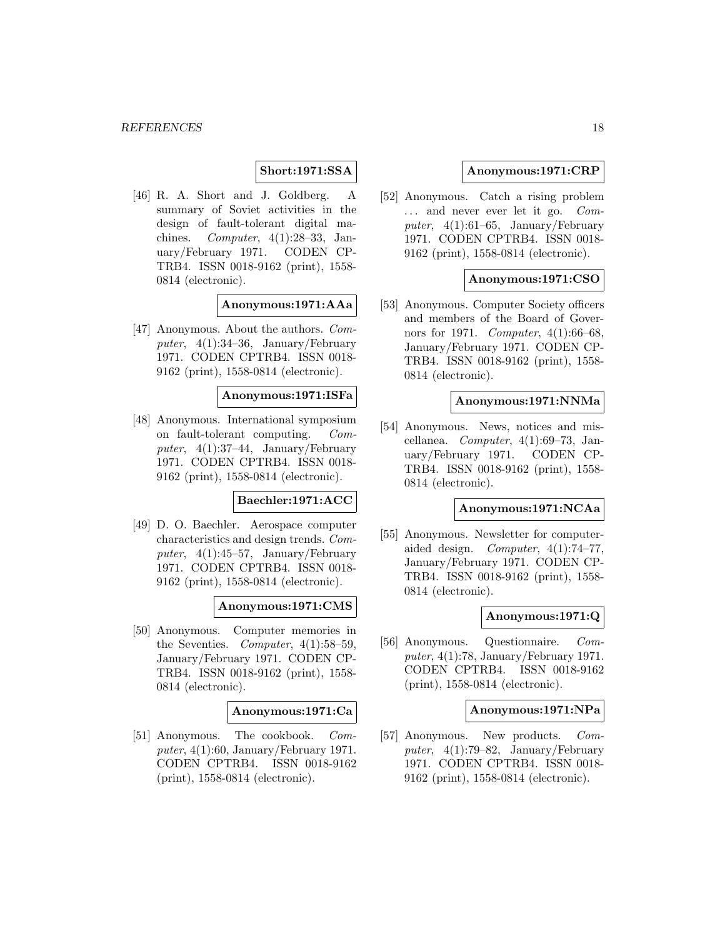#### **Short:1971:SSA**

[46] R. A. Short and J. Goldberg. A summary of Soviet activities in the design of fault-tolerant digital machines. Computer,  $4(1):28-33$ , January/February 1971. CODEN CP-TRB4. ISSN 0018-9162 (print), 1558- 0814 (electronic).

### **Anonymous:1971:AAa**

[47] Anonymous. About the authors. Computer,  $4(1):34-36$ , January/February 1971. CODEN CPTRB4. ISSN 0018- 9162 (print), 1558-0814 (electronic).

### **Anonymous:1971:ISFa**

[48] Anonymous. International symposium on fault-tolerant computing. Computer,  $4(1):37-44$ , January/February 1971. CODEN CPTRB4. ISSN 0018- 9162 (print), 1558-0814 (electronic).

### **Baechler:1971:ACC**

[49] D. O. Baechler. Aerospace computer characteristics and design trends. Computer,  $4(1):45-57$ , January/February 1971. CODEN CPTRB4. ISSN 0018- 9162 (print), 1558-0814 (electronic).

### **Anonymous:1971:CMS**

[50] Anonymous. Computer memories in the Seventies. Computer,  $4(1):58-59$ , January/February 1971. CODEN CP-TRB4. ISSN 0018-9162 (print), 1558- 0814 (electronic).

#### **Anonymous:1971:Ca**

[51] Anonymous. The cookbook. Computer,  $4(1):60$ , January/February 1971. CODEN CPTRB4. ISSN 0018-9162 (print), 1558-0814 (electronic).

### **Anonymous:1971:CRP**

[52] Anonymous. Catch a rising problem ... and never ever let it go. Computer,  $4(1):61-65$ , January/February 1971. CODEN CPTRB4. ISSN 0018- 9162 (print), 1558-0814 (electronic).

### **Anonymous:1971:CSO**

[53] Anonymous. Computer Society officers and members of the Board of Governors for 1971. Computer, 4(1):66–68, January/February 1971. CODEN CP-TRB4. ISSN 0018-9162 (print), 1558- 0814 (electronic).

#### **Anonymous:1971:NNMa**

[54] Anonymous. News, notices and miscellanea. Computer, 4(1):69–73, January/February 1971. CODEN CP-TRB4. ISSN 0018-9162 (print), 1558- 0814 (electronic).

#### **Anonymous:1971:NCAa**

[55] Anonymous. Newsletter for computeraided design. Computer, 4(1):74–77, January/February 1971. CODEN CP-TRB4. ISSN 0018-9162 (print), 1558- 0814 (electronic).

#### **Anonymous:1971:Q**

[56] Anonymous. Questionnaire. Computer,  $4(1)$ :78, January/February 1971. CODEN CPTRB4. ISSN 0018-9162 (print), 1558-0814 (electronic).

#### **Anonymous:1971:NPa**

[57] Anonymous. New products. Computer,  $4(1)$ :79–82, January/February 1971. CODEN CPTRB4. ISSN 0018- 9162 (print), 1558-0814 (electronic).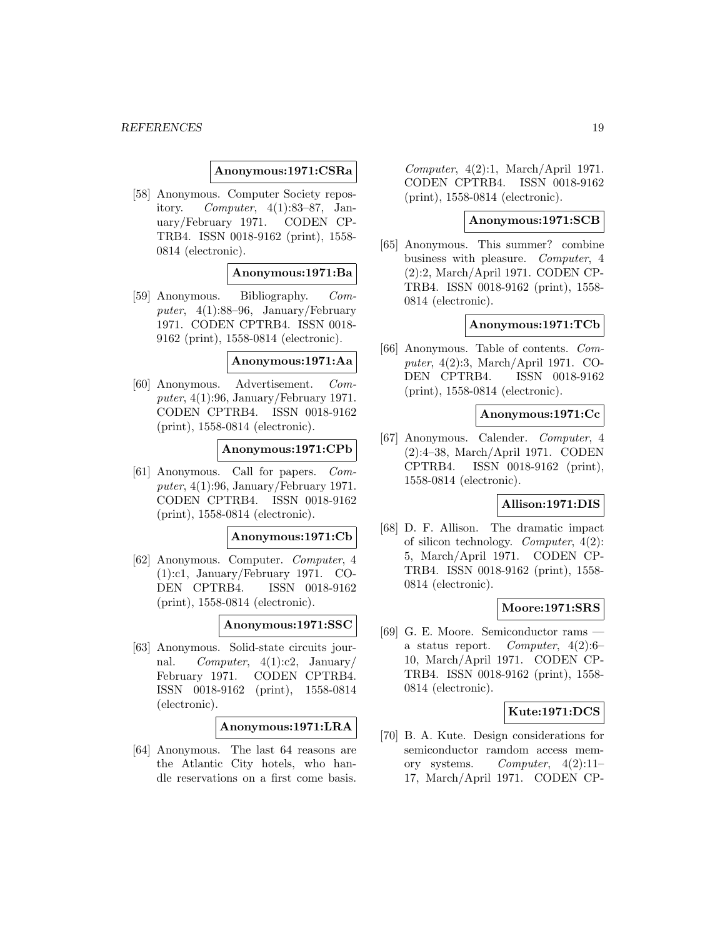#### **Anonymous:1971:CSRa**

[58] Anonymous. Computer Society repository. Computer, 4(1):83–87, January/February 1971. CODEN CP-TRB4. ISSN 0018-9162 (print), 1558- 0814 (electronic).

#### **Anonymous:1971:Ba**

[59] Anonymous. Bibliography. Computer, 4(1):88–96, January/February 1971. CODEN CPTRB4. ISSN 0018- 9162 (print), 1558-0814 (electronic).

**Anonymous:1971:Aa**

[60] Anonymous. Advertisement. Computer,  $4(1):96$ , January/February 1971. CODEN CPTRB4. ISSN 0018-9162 (print), 1558-0814 (electronic).

#### **Anonymous:1971:CPb**

[61] Anonymous. Call for papers. Computer,  $4(1):96$ , January/February 1971. CODEN CPTRB4. ISSN 0018-9162 (print), 1558-0814 (electronic).

#### **Anonymous:1971:Cb**

[62] Anonymous. Computer. Computer, 4 (1):c1, January/February 1971. CO-DEN CPTRB4. ISSN 0018-9162 (print), 1558-0814 (electronic).

### **Anonymous:1971:SSC**

[63] Anonymous. Solid-state circuits journal. Computer,  $4(1):c2$ , January/ February 1971. CODEN CPTRB4. ISSN 0018-9162 (print), 1558-0814 (electronic).

### **Anonymous:1971:LRA**

[64] Anonymous. The last 64 reasons are the Atlantic City hotels, who handle reservations on a first come basis.

Computer, 4(2):1, March/April 1971. CODEN CPTRB4. ISSN 0018-9162 (print), 1558-0814 (electronic).

### **Anonymous:1971:SCB**

[65] Anonymous. This summer? combine business with pleasure. Computer, 4 (2):2, March/April 1971. CODEN CP-TRB4. ISSN 0018-9162 (print), 1558- 0814 (electronic).

### **Anonymous:1971:TCb**

[66] Anonymous. Table of contents. Computer, 4(2):3, March/April 1971. CO-DEN CPTRB4. ISSN 0018-9162 (print), 1558-0814 (electronic).

#### **Anonymous:1971:Cc**

[67] Anonymous. Calender. Computer, 4 (2):4–38, March/April 1971. CODEN CPTRB4. ISSN 0018-9162 (print), 1558-0814 (electronic).

### **Allison:1971:DIS**

[68] D. F. Allison. The dramatic impact of silicon technology. Computer, 4(2): 5, March/April 1971. CODEN CP-TRB4. ISSN 0018-9162 (print), 1558- 0814 (electronic).

#### **Moore:1971:SRS**

[69] G. E. Moore. Semiconductor rams a status report. Computer, 4(2):6– 10, March/April 1971. CODEN CP-TRB4. ISSN 0018-9162 (print), 1558- 0814 (electronic).

### **Kute:1971:DCS**

[70] B. A. Kute. Design considerations for semiconductor ramdom access memory systems. Computer, 4(2):11– 17, March/April 1971. CODEN CP-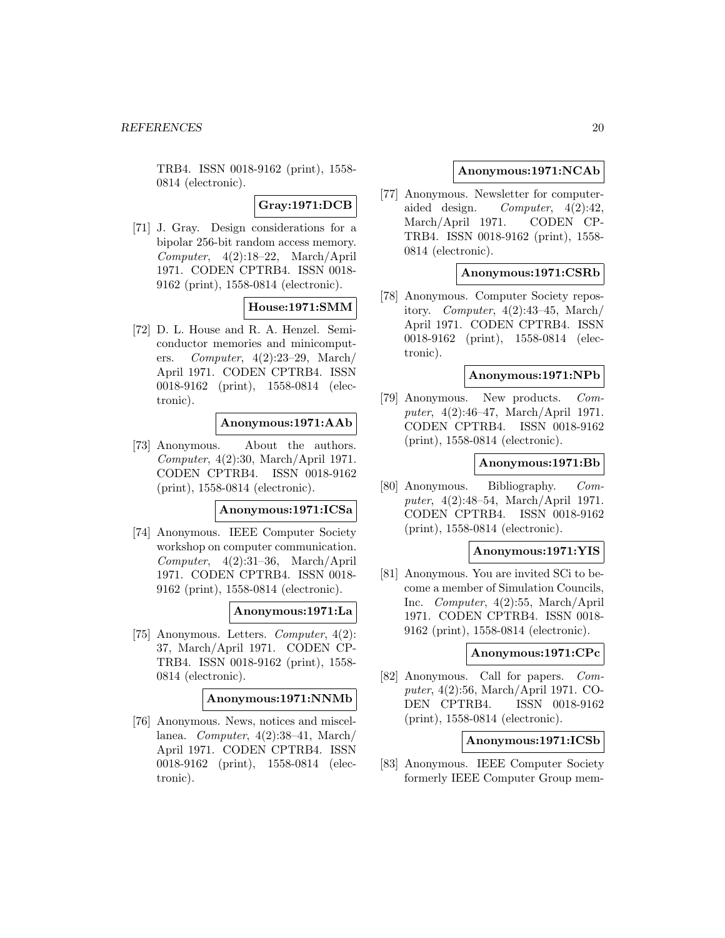TRB4. ISSN 0018-9162 (print), 1558- 0814 (electronic).

**Gray:1971:DCB**

[71] J. Gray. Design considerations for a bipolar 256-bit random access memory. Computer, 4(2):18–22, March/April 1971. CODEN CPTRB4. ISSN 0018- 9162 (print), 1558-0814 (electronic).

### **House:1971:SMM**

[72] D. L. House and R. A. Henzel. Semiconductor memories and minicomputers. Computer, 4(2):23–29, March/ April 1971. CODEN CPTRB4. ISSN 0018-9162 (print), 1558-0814 (electronic).

### **Anonymous:1971:AAb**

[73] Anonymous. About the authors. Computer, 4(2):30, March/April 1971. CODEN CPTRB4. ISSN 0018-9162 (print), 1558-0814 (electronic).

### **Anonymous:1971:ICSa**

[74] Anonymous. IEEE Computer Society workshop on computer communication. Computer, 4(2):31–36, March/April 1971. CODEN CPTRB4. ISSN 0018- 9162 (print), 1558-0814 (electronic).

#### **Anonymous:1971:La**

[75] Anonymous. Letters. Computer, 4(2): 37, March/April 1971. CODEN CP-TRB4. ISSN 0018-9162 (print), 1558- 0814 (electronic).

#### **Anonymous:1971:NNMb**

[76] Anonymous. News, notices and miscellanea. Computer, 4(2):38–41, March/ April 1971. CODEN CPTRB4. ISSN 0018-9162 (print), 1558-0814 (electronic).

### **Anonymous:1971:NCAb**

[77] Anonymous. Newsletter for computeraided design. Computer, 4(2):42, March/April 1971. CODEN CP-TRB4. ISSN 0018-9162 (print), 1558- 0814 (electronic).

### **Anonymous:1971:CSRb**

[78] Anonymous. Computer Society repository. Computer,  $4(2):43-45$ , March/ April 1971. CODEN CPTRB4. ISSN 0018-9162 (print), 1558-0814 (electronic).

#### **Anonymous:1971:NPb**

[79] Anonymous. New products. Computer, 4(2):46–47, March/April 1971. CODEN CPTRB4. ISSN 0018-9162 (print), 1558-0814 (electronic).

### **Anonymous:1971:Bb**

[80] Anonymous. Bibliography. Computer, 4(2):48–54, March/April 1971. CODEN CPTRB4. ISSN 0018-9162 (print), 1558-0814 (electronic).

#### **Anonymous:1971:YIS**

[81] Anonymous. You are invited SCi to become a member of Simulation Councils, Inc. Computer, 4(2):55, March/April 1971. CODEN CPTRB4. ISSN 0018- 9162 (print), 1558-0814 (electronic).

#### **Anonymous:1971:CPc**

[82] Anonymous. Call for papers. Computer, 4(2):56, March/April 1971. CO-DEN CPTRB4. ISSN 0018-9162 (print), 1558-0814 (electronic).

### **Anonymous:1971:ICSb**

[83] Anonymous. IEEE Computer Society formerly IEEE Computer Group mem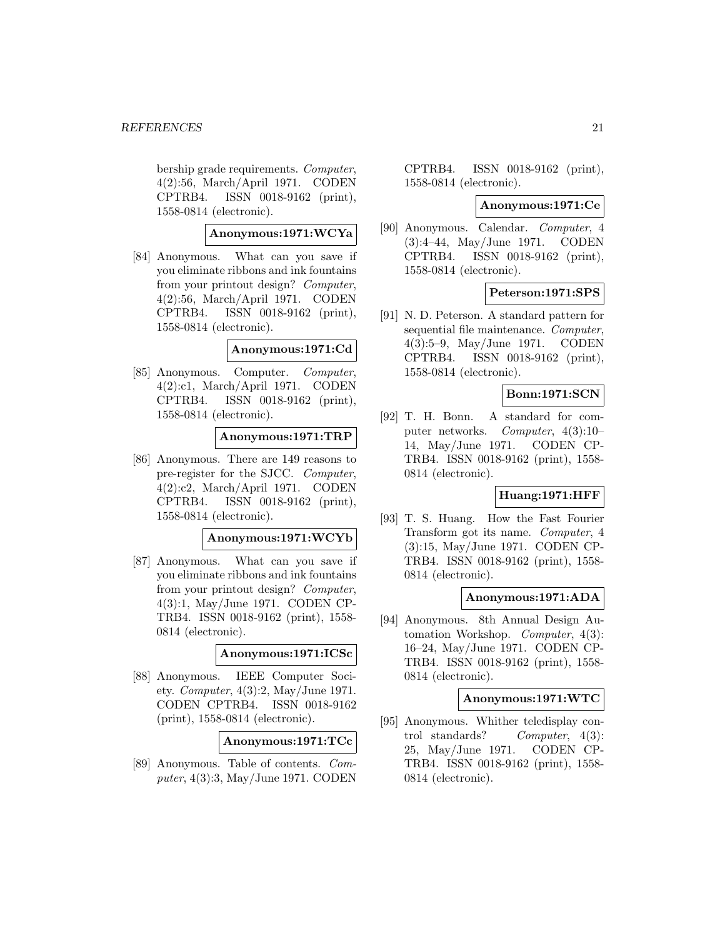bership grade requirements. Computer, 4(2):56, March/April 1971. CODEN CPTRB4. ISSN 0018-9162 (print), 1558-0814 (electronic).

### **Anonymous:1971:WCYa**

[84] Anonymous. What can you save if you eliminate ribbons and ink fountains from your printout design? Computer, 4(2):56, March/April 1971. CODEN CPTRB4. ISSN 0018-9162 (print), 1558-0814 (electronic).

### **Anonymous:1971:Cd**

[85] Anonymous. Computer. Computer, 4(2):c1, March/April 1971. CODEN CPTRB4. ISSN 0018-9162 (print), 1558-0814 (electronic).

### **Anonymous:1971:TRP**

[86] Anonymous. There are 149 reasons to pre-register for the SJCC. Computer, 4(2):c2, March/April 1971. CODEN CPTRB4. ISSN 0018-9162 (print), 1558-0814 (electronic).

#### **Anonymous:1971:WCYb**

[87] Anonymous. What can you save if you eliminate ribbons and ink fountains from your printout design? Computer, 4(3):1, May/June 1971. CODEN CP-TRB4. ISSN 0018-9162 (print), 1558- 0814 (electronic).

#### **Anonymous:1971:ICSc**

[88] Anonymous. IEEE Computer Society. Computer, 4(3):2, May/June 1971. CODEN CPTRB4. ISSN 0018-9162 (print), 1558-0814 (electronic).

**Anonymous:1971:TCc**

[89] Anonymous. Table of contents. Computer, 4(3):3, May/June 1971. CODEN CPTRB4. ISSN 0018-9162 (print), 1558-0814 (electronic).

#### **Anonymous:1971:Ce**

[90] Anonymous. Calendar. Computer, 4 (3):4–44, May/June 1971. CODEN CPTRB4. ISSN 0018-9162 (print), 1558-0814 (electronic).

### **Peterson:1971:SPS**

[91] N. D. Peterson. A standard pattern for sequential file maintenance. Computer, 4(3):5–9, May/June 1971. CODEN CPTRB4. ISSN 0018-9162 (print), 1558-0814 (electronic).

### **Bonn:1971:SCN**

[92] T. H. Bonn. A standard for computer networks. Computer, 4(3):10– 14, May/June 1971. CODEN CP-TRB4. ISSN 0018-9162 (print), 1558- 0814 (electronic).

### **Huang:1971:HFF**

[93] T. S. Huang. How the Fast Fourier Transform got its name. Computer, 4 (3):15, May/June 1971. CODEN CP-TRB4. ISSN 0018-9162 (print), 1558- 0814 (electronic).

### **Anonymous:1971:ADA**

[94] Anonymous. 8th Annual Design Automation Workshop. Computer, 4(3): 16–24, May/June 1971. CODEN CP-TRB4. ISSN 0018-9162 (print), 1558- 0814 (electronic).

#### **Anonymous:1971:WTC**

[95] Anonymous. Whither teledisplay control standards? Computer, 4(3): 25, May/June 1971. CODEN CP-TRB4. ISSN 0018-9162 (print), 1558- 0814 (electronic).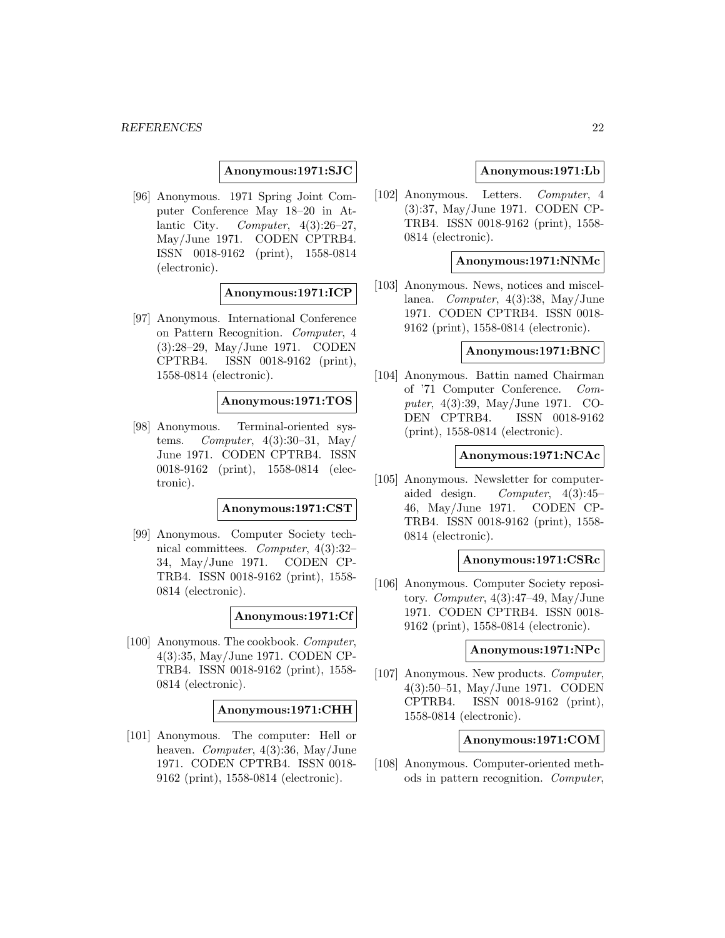**Anonymous:1971:SJC**

[96] Anonymous. 1971 Spring Joint Computer Conference May 18–20 in Atlantic City. Computer,  $4(3):26-27$ , May/June 1971. CODEN CPTRB4. ISSN 0018-9162 (print), 1558-0814 (electronic).

**Anonymous:1971:ICP**

[97] Anonymous. International Conference on Pattern Recognition. Computer, 4 (3):28–29, May/June 1971. CODEN CPTRB4. ISSN 0018-9162 (print), 1558-0814 (electronic).

#### **Anonymous:1971:TOS**

[98] Anonymous. Terminal-oriented systems. Computer,  $4(3):30-31$ , May/ June 1971. CODEN CPTRB4. ISSN 0018-9162 (print), 1558-0814 (electronic).

### **Anonymous:1971:CST**

[99] Anonymous. Computer Society technical committees. Computer, 4(3):32– 34, May/June 1971. CODEN CP-TRB4. ISSN 0018-9162 (print), 1558- 0814 (electronic).

### **Anonymous:1971:Cf**

[100] Anonymous. The cookbook. Computer, 4(3):35, May/June 1971. CODEN CP-TRB4. ISSN 0018-9162 (print), 1558- 0814 (electronic).

#### **Anonymous:1971:CHH**

[101] Anonymous. The computer: Hell or heaven. Computer, 4(3):36, May/June 1971. CODEN CPTRB4. ISSN 0018- 9162 (print), 1558-0814 (electronic).

### **Anonymous:1971:Lb**

[102] Anonymous. Letters. Computer, 4 (3):37, May/June 1971. CODEN CP-TRB4. ISSN 0018-9162 (print), 1558- 0814 (electronic).

#### **Anonymous:1971:NNMc**

[103] Anonymous. News, notices and miscellanea. Computer, 4(3):38, May/June 1971. CODEN CPTRB4. ISSN 0018- 9162 (print), 1558-0814 (electronic).

### **Anonymous:1971:BNC**

[104] Anonymous. Battin named Chairman of '71 Computer Conference. Computer, 4(3):39, May/June 1971. CO-DEN CPTRB4. ISSN 0018-9162 (print), 1558-0814 (electronic).

#### **Anonymous:1971:NCAc**

[105] Anonymous. Newsletter for computeraided design. Computer, 4(3):45– 46, May/June 1971. CODEN CP-TRB4. ISSN 0018-9162 (print), 1558- 0814 (electronic).

#### **Anonymous:1971:CSRc**

[106] Anonymous. Computer Society repository. Computer,  $4(3):47-49$ , May/June 1971. CODEN CPTRB4. ISSN 0018- 9162 (print), 1558-0814 (electronic).

#### **Anonymous:1971:NPc**

[107] Anonymous. New products. Computer, 4(3):50–51, May/June 1971. CODEN CPTRB4. ISSN 0018-9162 (print), 1558-0814 (electronic).

#### **Anonymous:1971:COM**

[108] Anonymous. Computer-oriented methods in pattern recognition. Computer,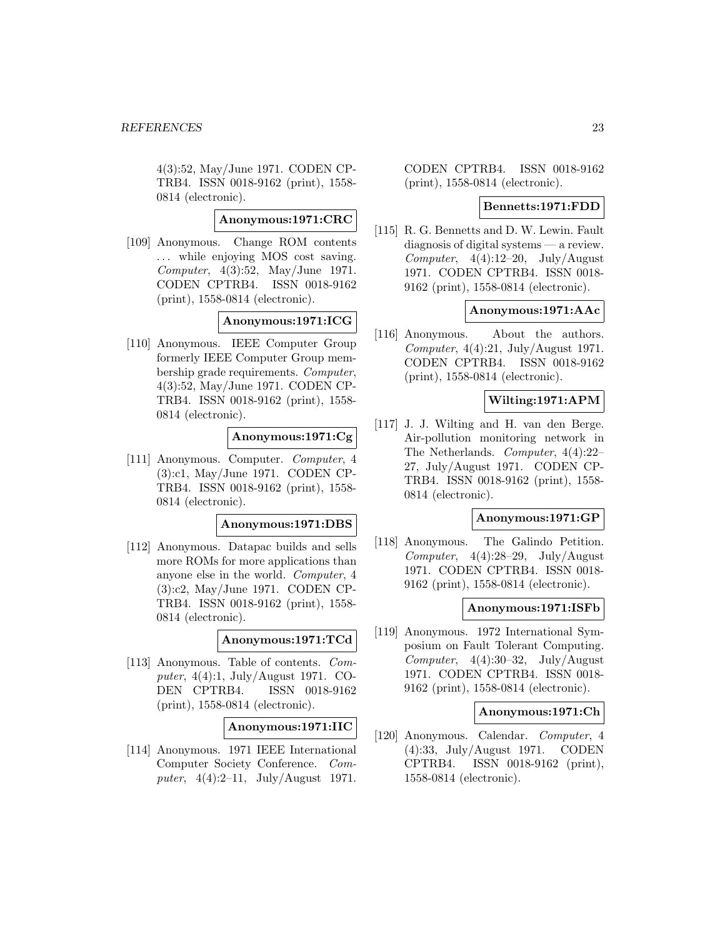4(3):52, May/June 1971. CODEN CP-TRB4. ISSN 0018-9162 (print), 1558- 0814 (electronic).

### **Anonymous:1971:CRC**

[109] Anonymous. Change ROM contents ... while enjoying MOS cost saving. Computer, 4(3):52, May/June 1971. CODEN CPTRB4. ISSN 0018-9162 (print), 1558-0814 (electronic).

#### **Anonymous:1971:ICG**

[110] Anonymous. IEEE Computer Group formerly IEEE Computer Group membership grade requirements. Computer, 4(3):52, May/June 1971. CODEN CP-TRB4. ISSN 0018-9162 (print), 1558- 0814 (electronic).

### **Anonymous:1971:Cg**

[111] Anonymous. Computer. Computer, 4 (3):c1, May/June 1971. CODEN CP-TRB4. ISSN 0018-9162 (print), 1558- 0814 (electronic).

#### **Anonymous:1971:DBS**

[112] Anonymous. Datapac builds and sells more ROMs for more applications than anyone else in the world. Computer, 4 (3):c2, May/June 1971. CODEN CP-TRB4. ISSN 0018-9162 (print), 1558- 0814 (electronic).

### **Anonymous:1971:TCd**

[113] Anonymous. Table of contents. Computer, 4(4):1, July/August 1971. CO-DEN CPTRB4. ISSN 0018-9162 (print), 1558-0814 (electronic).

### **Anonymous:1971:IIC**

[114] Anonymous. 1971 IEEE International Computer Society Conference. Computer, 4(4):2–11, July/August 1971.

CODEN CPTRB4. ISSN 0018-9162 (print), 1558-0814 (electronic).

### **Bennetts:1971:FDD**

[115] R. G. Bennetts and D. W. Lewin. Fault diagnosis of digital systems — a review. Computer,  $4(4):12-20$ , July/August 1971. CODEN CPTRB4. ISSN 0018- 9162 (print), 1558-0814 (electronic).

### **Anonymous:1971:AAc**

[116] Anonymous. About the authors. Computer,  $4(4):21$ , July/August 1971. CODEN CPTRB4. ISSN 0018-9162 (print), 1558-0814 (electronic).

### **Wilting:1971:APM**

[117] J. J. Wilting and H. van den Berge. Air-pollution monitoring network in The Netherlands. Computer, 4(4):22– 27, July/August 1971. CODEN CP-TRB4. ISSN 0018-9162 (print), 1558- 0814 (electronic).

#### **Anonymous:1971:GP**

[118] Anonymous. The Galindo Petition. Computer,  $4(4):28-29$ , July/August 1971. CODEN CPTRB4. ISSN 0018- 9162 (print), 1558-0814 (electronic).

#### **Anonymous:1971:ISFb**

[119] Anonymous. 1972 International Symposium on Fault Tolerant Computing. Computer,  $4(4):30-32$ , July/August 1971. CODEN CPTRB4. ISSN 0018- 9162 (print), 1558-0814 (electronic).

#### **Anonymous:1971:Ch**

[120] Anonymous. Calendar. Computer, 4 (4):33, July/August 1971. CODEN CPTRB4. ISSN 0018-9162 (print), 1558-0814 (electronic).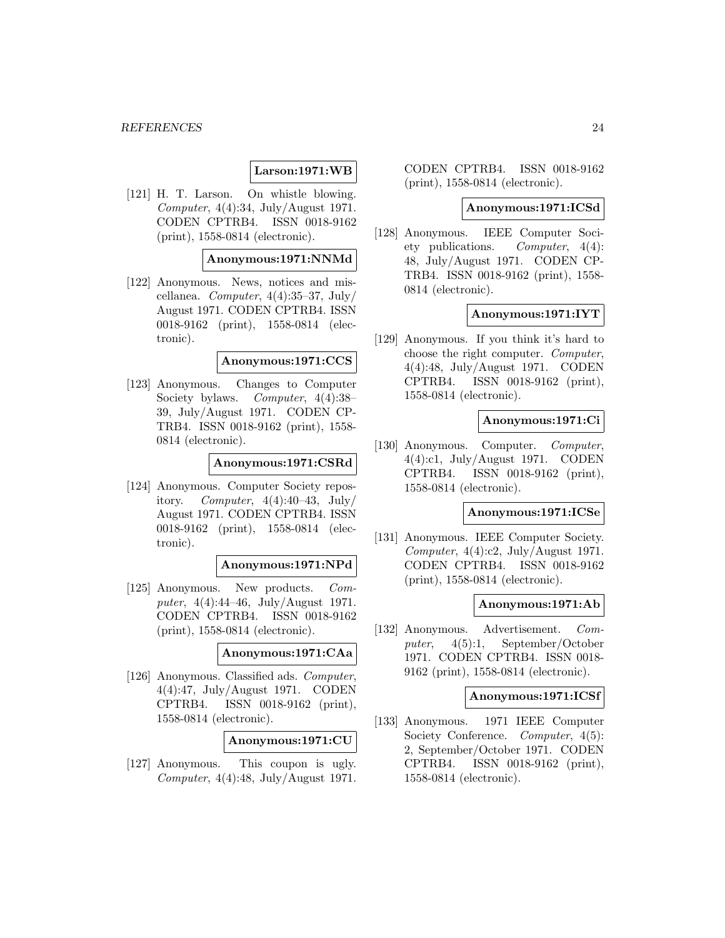### **Larson:1971:WB**

[121] H. T. Larson. On whistle blowing. Computer, 4(4):34, July/August 1971. CODEN CPTRB4. ISSN 0018-9162 (print), 1558-0814 (electronic).

### **Anonymous:1971:NNMd**

[122] Anonymous. News, notices and miscellanea. *Computer*,  $4(4):35-37$ , July/ August 1971. CODEN CPTRB4. ISSN 0018-9162 (print), 1558-0814 (electronic).

#### **Anonymous:1971:CCS**

[123] Anonymous. Changes to Computer Society bylaws. Computer, 4(4):38– 39, July/August 1971. CODEN CP-TRB4. ISSN 0018-9162 (print), 1558- 0814 (electronic).

### **Anonymous:1971:CSRd**

[124] Anonymous. Computer Society repository. Computer,  $4(4):40-43$ , July August 1971. CODEN CPTRB4. ISSN 0018-9162 (print), 1558-0814 (electronic).

### **Anonymous:1971:NPd**

[125] Anonymous. New products. Computer, 4(4):44–46, July/August 1971. CODEN CPTRB4. ISSN 0018-9162 (print), 1558-0814 (electronic).

#### **Anonymous:1971:CAa**

[126] Anonymous. Classified ads. Computer, 4(4):47, July/August 1971. CODEN CPTRB4. ISSN 0018-9162 (print), 1558-0814 (electronic).

#### **Anonymous:1971:CU**

[127] Anonymous. This coupon is ugly. Computer,  $4(4):48$ , July/August 1971. CODEN CPTRB4. ISSN 0018-9162 (print), 1558-0814 (electronic).

#### **Anonymous:1971:ICSd**

[128] Anonymous. IEEE Computer Society publications. Computer, 4(4): 48, July/August 1971. CODEN CP-TRB4. ISSN 0018-9162 (print), 1558- 0814 (electronic).

### **Anonymous:1971:IYT**

[129] Anonymous. If you think it's hard to choose the right computer. Computer, 4(4):48, July/August 1971. CODEN CPTRB4. ISSN 0018-9162 (print), 1558-0814 (electronic).

#### **Anonymous:1971:Ci**

[130] Anonymous. Computer. Computer, 4(4):c1, July/August 1971. CODEN CPTRB4. ISSN 0018-9162 (print), 1558-0814 (electronic).

#### **Anonymous:1971:ICSe**

[131] Anonymous. IEEE Computer Society. Computer, 4(4):c2, July/August 1971. CODEN CPTRB4. ISSN 0018-9162 (print), 1558-0814 (electronic).

### **Anonymous:1971:Ab**

[132] Anonymous. Advertisement. Computer, 4(5):1, September/October 1971. CODEN CPTRB4. ISSN 0018- 9162 (print), 1558-0814 (electronic).

#### **Anonymous:1971:ICSf**

[133] Anonymous. 1971 IEEE Computer Society Conference. Computer,  $4(5)$ : 2, September/October 1971. CODEN CPTRB4. ISSN 0018-9162 (print), 1558-0814 (electronic).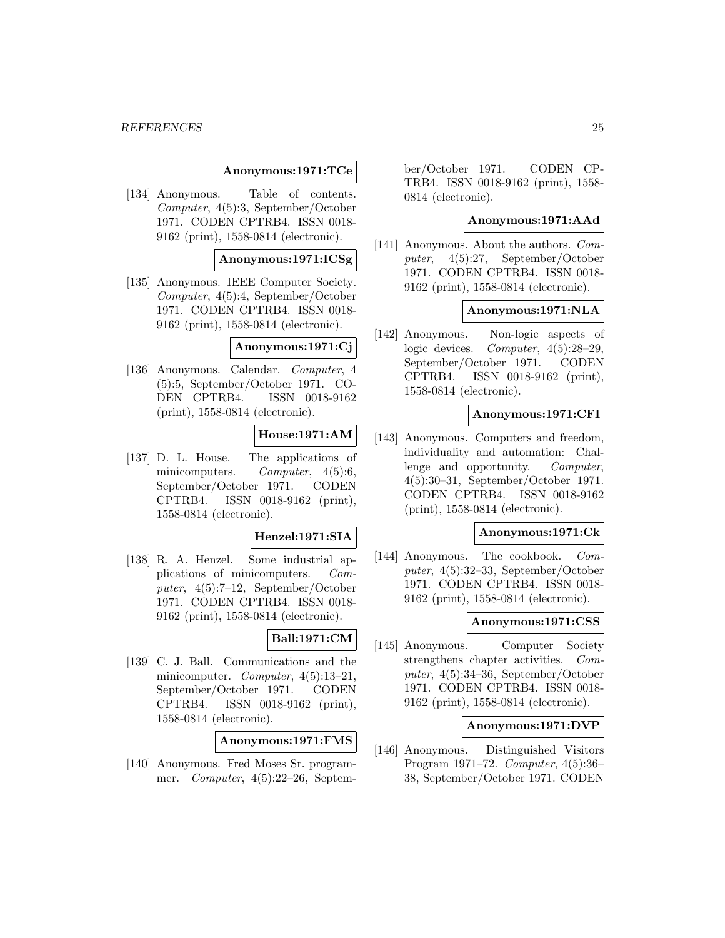#### *REFERENCES* 25

#### **Anonymous:1971:TCe**

[134] Anonymous. Table of contents. Computer, 4(5):3, September/October 1971. CODEN CPTRB4. ISSN 0018- 9162 (print), 1558-0814 (electronic).

### **Anonymous:1971:ICSg**

[135] Anonymous. IEEE Computer Society. Computer, 4(5):4, September/October 1971. CODEN CPTRB4. ISSN 0018- 9162 (print), 1558-0814 (electronic).

#### **Anonymous:1971:Cj**

[136] Anonymous. Calendar. Computer, 4 (5):5, September/October 1971. CO-DEN CPTRB4. ISSN 0018-9162 (print), 1558-0814 (electronic).

### **House:1971:AM**

[137] D. L. House. The applications of minicomputers. Computer, 4(5):6, September/October 1971. CODEN CPTRB4. ISSN 0018-9162 (print), 1558-0814 (electronic).

### **Henzel:1971:SIA**

[138] R. A. Henzel. Some industrial applications of minicomputers. Computer, 4(5):7–12, September/October 1971. CODEN CPTRB4. ISSN 0018- 9162 (print), 1558-0814 (electronic).

### **Ball:1971:CM**

[139] C. J. Ball. Communications and the minicomputer. Computer, 4(5):13–21, September/October 1971. CODEN CPTRB4. ISSN 0018-9162 (print), 1558-0814 (electronic).

| Anonymous:1971:FMS |
|--------------------|
|--------------------|

[140] Anonymous. Fred Moses Sr. programmer. Computer, 4(5):22–26, September/October 1971. CODEN CP-TRB4. ISSN 0018-9162 (print), 1558- 0814 (electronic).

### **Anonymous:1971:AAd**

[141] Anonymous. About the authors. Computer, 4(5):27, September/October 1971. CODEN CPTRB4. ISSN 0018- 9162 (print), 1558-0814 (electronic).

#### **Anonymous:1971:NLA**

[142] Anonymous. Non-logic aspects of logic devices. *Computer*, 4(5):28–29, September/October 1971. CODEN CPTRB4. ISSN 0018-9162 (print), 1558-0814 (electronic).

### **Anonymous:1971:CFI**

[143] Anonymous. Computers and freedom, individuality and automation: Challenge and opportunity. Computer, 4(5):30–31, September/October 1971. CODEN CPTRB4. ISSN 0018-9162 (print), 1558-0814 (electronic).

### **Anonymous:1971:Ck**

[144] Anonymous. The cookbook. Computer, 4(5):32–33, September/October 1971. CODEN CPTRB4. ISSN 0018- 9162 (print), 1558-0814 (electronic).

#### **Anonymous:1971:CSS**

[145] Anonymous. Computer Society strengthens chapter activities. Computer, 4(5):34–36, September/October 1971. CODEN CPTRB4. ISSN 0018- 9162 (print), 1558-0814 (electronic).

### **Anonymous:1971:DVP**

[146] Anonymous. Distinguished Visitors Program 1971–72. Computer, 4(5):36– 38, September/October 1971. CODEN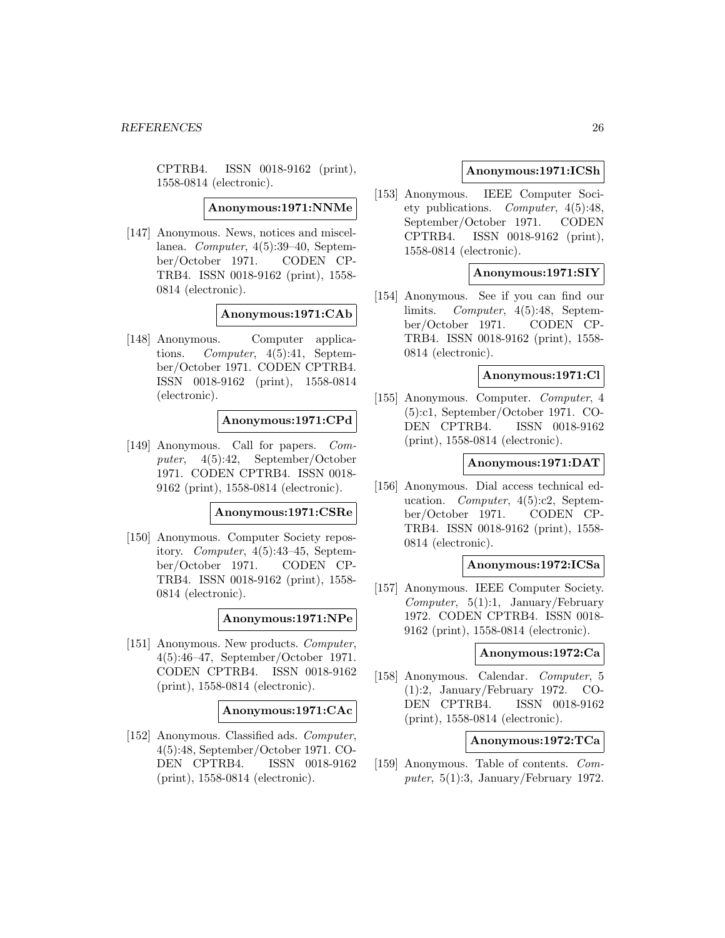CPTRB4. ISSN 0018-9162 (print), 1558-0814 (electronic).

**Anonymous:1971:NNMe**

[147] Anonymous. News, notices and miscellanea. Computer, 4(5):39–40, September/October 1971. CODEN CP-TRB4. ISSN 0018-9162 (print), 1558- 0814 (electronic).

#### **Anonymous:1971:CAb**

[148] Anonymous. Computer applications. Computer, 4(5):41, September/October 1971. CODEN CPTRB4. ISSN 0018-9162 (print), 1558-0814 (electronic).

#### **Anonymous:1971:CPd**

[149] Anonymous. Call for papers. Computer, 4(5):42, September/October 1971. CODEN CPTRB4. ISSN 0018- 9162 (print), 1558-0814 (electronic).

#### **Anonymous:1971:CSRe**

[150] Anonymous. Computer Society repository. Computer, 4(5):43–45, September/October 1971. CODEN CP-TRB4. ISSN 0018-9162 (print), 1558- 0814 (electronic).

### **Anonymous:1971:NPe**

[151] Anonymous. New products. Computer, 4(5):46–47, September/October 1971. CODEN CPTRB4. ISSN 0018-9162 (print), 1558-0814 (electronic).

#### **Anonymous:1971:CAc**

[152] Anonymous. Classified ads. Computer, 4(5):48, September/October 1971. CO-DEN CPTRB4. ISSN 0018-9162 (print), 1558-0814 (electronic).

### **Anonymous:1971:ICSh**

[153] Anonymous. IEEE Computer Society publications. Computer, 4(5):48, September/October 1971. CODEN CPTRB4. ISSN 0018-9162 (print), 1558-0814 (electronic).

### **Anonymous:1971:SIY**

[154] Anonymous. See if you can find our limits. Computer, 4(5):48, September/October 1971. CODEN CP-TRB4. ISSN 0018-9162 (print), 1558- 0814 (electronic).

### **Anonymous:1971:Cl**

[155] Anonymous. Computer. Computer, 4 (5):c1, September/October 1971. CO-DEN CPTRB4. ISSN 0018-9162 (print), 1558-0814 (electronic).

### **Anonymous:1971:DAT**

[156] Anonymous. Dial access technical education. Computer, 4(5):c2, September/October 1971. CODEN CP-TRB4. ISSN 0018-9162 (print), 1558- 0814 (electronic).

#### **Anonymous:1972:ICSa**

[157] Anonymous. IEEE Computer Society.  $Computer, 5(1):1, January/February$ 1972. CODEN CPTRB4. ISSN 0018- 9162 (print), 1558-0814 (electronic).

#### **Anonymous:1972:Ca**

[158] Anonymous. Calendar. Computer, 5 (1):2, January/February 1972. CO-DEN CPTRB4. ISSN 0018-9162 (print), 1558-0814 (electronic).

### **Anonymous:1972:TCa**

[159] Anonymous. Table of contents. Computer,  $5(1):3$ , January/February 1972.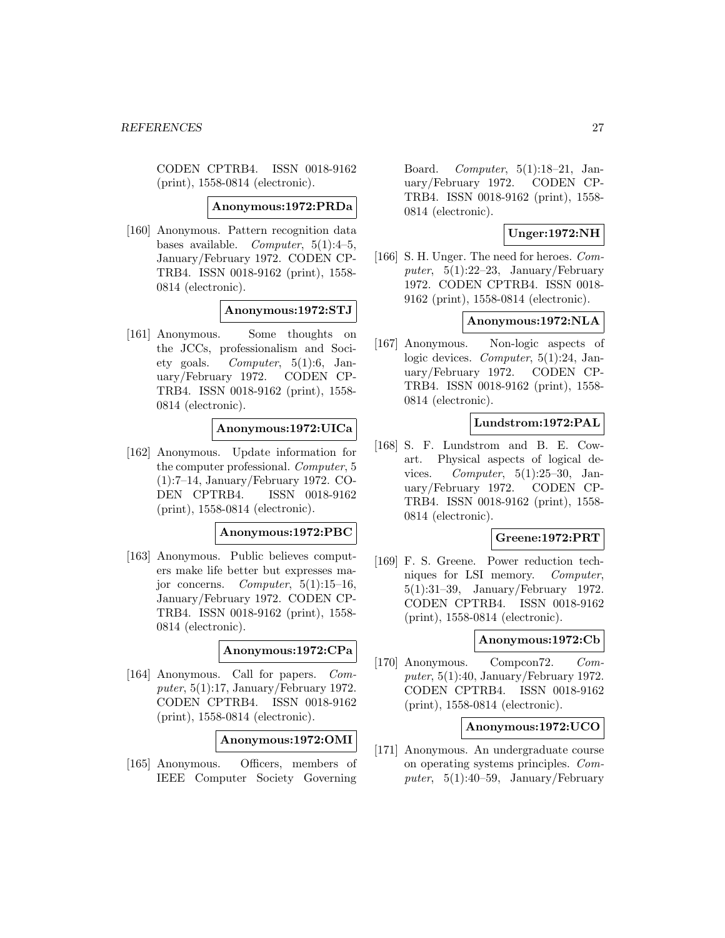CODEN CPTRB4. ISSN 0018-9162 (print), 1558-0814 (electronic).

#### **Anonymous:1972:PRDa**

[160] Anonymous. Pattern recognition data bases available. Computer,  $5(1):4-5$ , January/February 1972. CODEN CP-TRB4. ISSN 0018-9162 (print), 1558- 0814 (electronic).

#### **Anonymous:1972:STJ**

[161] Anonymous. Some thoughts on the JCCs, professionalism and Society goals. Computer, 5(1):6, January/February 1972. CODEN CP-TRB4. ISSN 0018-9162 (print), 1558- 0814 (electronic).

### **Anonymous:1972:UICa**

[162] Anonymous. Update information for the computer professional. Computer, 5 (1):7–14, January/February 1972. CO-DEN CPTRB4. ISSN 0018-9162 (print), 1558-0814 (electronic).

### **Anonymous:1972:PBC**

[163] Anonymous. Public believes computers make life better but expresses major concerns. Computer,  $5(1):15-16$ , January/February 1972. CODEN CP-TRB4. ISSN 0018-9162 (print), 1558- 0814 (electronic).

### **Anonymous:1972:CPa**

[164] Anonymous. Call for papers. Computer,  $5(1):17$ , January/February 1972. CODEN CPTRB4. ISSN 0018-9162 (print), 1558-0814 (electronic).

**Anonymous:1972:OMI**

[165] Anonymous. Officers, members of IEEE Computer Society Governing

Board. Computer, 5(1):18–21, January/February 1972. CODEN CP-TRB4. ISSN 0018-9162 (print), 1558- 0814 (electronic).

### **Unger:1972:NH**

[166] S. H. Unger. The need for heroes. Computer,  $5(1):22-23$ , January/February 1972. CODEN CPTRB4. ISSN 0018- 9162 (print), 1558-0814 (electronic).

#### **Anonymous:1972:NLA**

[167] Anonymous. Non-logic aspects of logic devices. Computer, 5(1):24, January/February 1972. CODEN CP-TRB4. ISSN 0018-9162 (print), 1558- 0814 (electronic).

#### **Lundstrom:1972:PAL**

[168] S. F. Lundstrom and B. E. Cowart. Physical aspects of logical devices. Computer, 5(1):25–30, January/February 1972. CODEN CP-TRB4. ISSN 0018-9162 (print), 1558- 0814 (electronic).

### **Greene:1972:PRT**

[169] F. S. Greene. Power reduction techniques for LSI memory. Computer, 5(1):31–39, January/February 1972. CODEN CPTRB4. ISSN 0018-9162 (print), 1558-0814 (electronic).

### **Anonymous:1972:Cb**

[170] Anonymous. Compcon72. Computer,  $5(1):40$ , January/February 1972. CODEN CPTRB4. ISSN 0018-9162 (print), 1558-0814 (electronic).

#### **Anonymous:1972:UCO**

[171] Anonymous. An undergraduate course on operating systems principles. Computer,  $5(1):40-59$ , January/February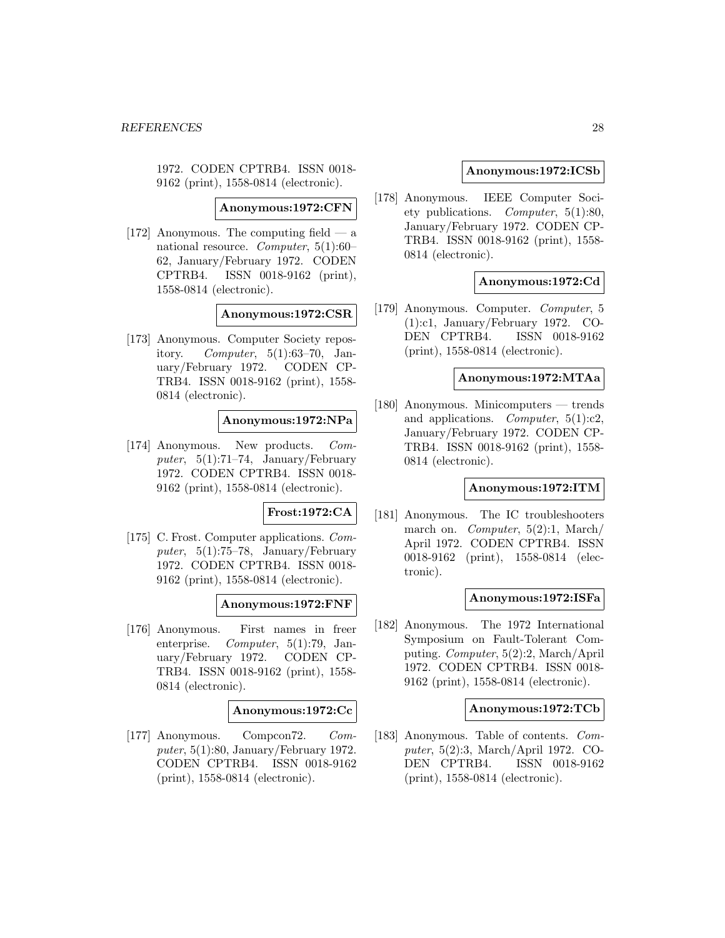1972. CODEN CPTRB4. ISSN 0018- 9162 (print), 1558-0814 (electronic).

**Anonymous:1972:CFN**

[172] Anonymous. The computing field — a national resource. Computer, 5(1):60– 62, January/February 1972. CODEN CPTRB4. ISSN 0018-9162 (print), 1558-0814 (electronic).

#### **Anonymous:1972:CSR**

[173] Anonymous. Computer Society repository. Computer,  $5(1):63-70$ , January/February 1972. CODEN CP-TRB4. ISSN 0018-9162 (print), 1558- 0814 (electronic).

#### **Anonymous:1972:NPa**

[174] Anonymous. New products. Computer,  $5(1)$ :71–74, January/February 1972. CODEN CPTRB4. ISSN 0018- 9162 (print), 1558-0814 (electronic).

#### **Frost:1972:CA**

[175] C. Frost. Computer applications. Computer,  $5(1):75-78$ , January/February 1972. CODEN CPTRB4. ISSN 0018- 9162 (print), 1558-0814 (electronic).

#### **Anonymous:1972:FNF**

[176] Anonymous. First names in freer enterprise.  $Computer, 5(1):79, Jan$ uary/February 1972. CODEN CP-TRB4. ISSN 0018-9162 (print), 1558- 0814 (electronic).

#### **Anonymous:1972:Cc**

[177] Anonymous. Compcon72. Computer,  $5(1):80$ , January/February 1972. CODEN CPTRB4. ISSN 0018-9162 (print), 1558-0814 (electronic).

#### **Anonymous:1972:ICSb**

[178] Anonymous. IEEE Computer Society publications. Computer, 5(1):80, January/February 1972. CODEN CP-TRB4. ISSN 0018-9162 (print), 1558- 0814 (electronic).

### **Anonymous:1972:Cd**

[179] Anonymous. Computer. Computer, 5 (1):c1, January/February 1972. CO-DEN CPTRB4. ISSN 0018-9162 (print), 1558-0814 (electronic).

### **Anonymous:1972:MTAa**

[180] Anonymous. Minicomputers — trends and applications. *Computer*,  $5(1):c2$ , January/February 1972. CODEN CP-TRB4. ISSN 0018-9162 (print), 1558- 0814 (electronic).

### **Anonymous:1972:ITM**

[181] Anonymous. The IC troubleshooters march on. *Computer*,  $5(2)$ :1, March/ April 1972. CODEN CPTRB4. ISSN 0018-9162 (print), 1558-0814 (electronic).

#### **Anonymous:1972:ISFa**

[182] Anonymous. The 1972 International Symposium on Fault-Tolerant Computing. Computer, 5(2):2, March/April 1972. CODEN CPTRB4. ISSN 0018- 9162 (print), 1558-0814 (electronic).

### **Anonymous:1972:TCb**

[183] Anonymous. Table of contents. Computer, 5(2):3, March/April 1972. CO-DEN CPTRB4. ISSN 0018-9162 (print), 1558-0814 (electronic).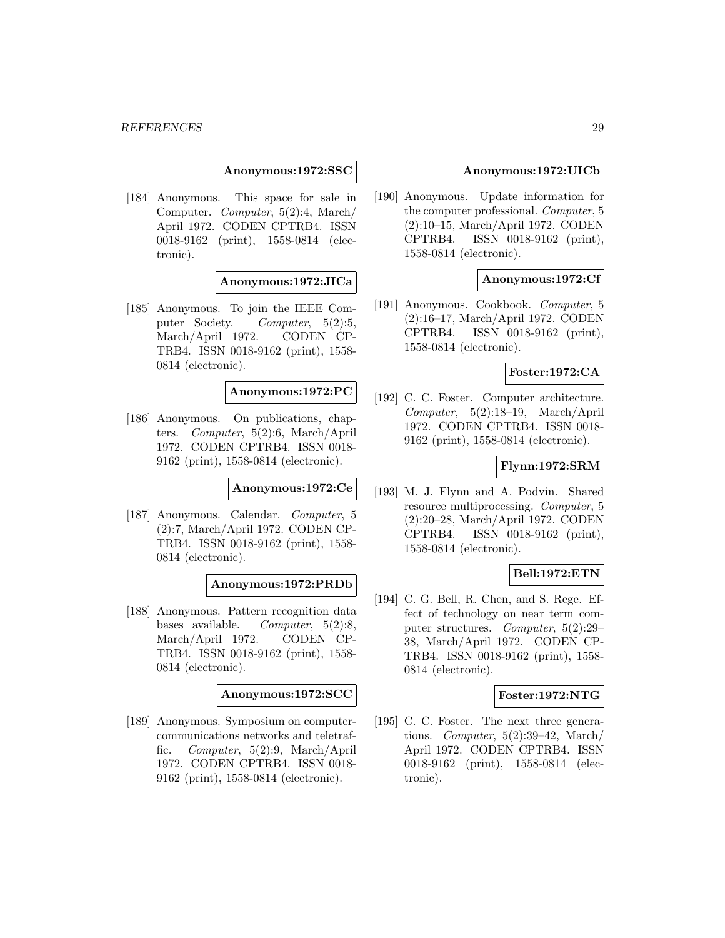**Anonymous:1972:SSC**

[184] Anonymous. This space for sale in Computer. Computer, 5(2):4, March/ April 1972. CODEN CPTRB4. ISSN 0018-9162 (print), 1558-0814 (electronic).

### **Anonymous:1972:JICa**

[185] Anonymous. To join the IEEE Computer Society. Computer, 5(2):5, March/April 1972. CODEN CP-TRB4. ISSN 0018-9162 (print), 1558- 0814 (electronic).

**Anonymous:1972:PC**

[186] Anonymous. On publications, chapters. Computer, 5(2):6, March/April 1972. CODEN CPTRB4. ISSN 0018- 9162 (print), 1558-0814 (electronic).

**Anonymous:1972:Ce**

[187] Anonymous. Calendar. Computer, 5 (2):7, March/April 1972. CODEN CP-TRB4. ISSN 0018-9162 (print), 1558- 0814 (electronic).

**Anonymous:1972:PRDb**

[188] Anonymous. Pattern recognition data bases available. Computer,  $5(2):8$ , March/April 1972. CODEN CP-TRB4. ISSN 0018-9162 (print), 1558- 0814 (electronic).

**Anonymous:1972:SCC**

[189] Anonymous. Symposium on computercommunications networks and teletraffic. Computer, 5(2):9, March/April 1972. CODEN CPTRB4. ISSN 0018- 9162 (print), 1558-0814 (electronic).

#### **Anonymous:1972:UICb**

[190] Anonymous. Update information for the computer professional. Computer, 5 (2):10–15, March/April 1972. CODEN CPTRB4. ISSN 0018-9162 (print), 1558-0814 (electronic).

### **Anonymous:1972:Cf**

[191] Anonymous. Cookbook. Computer, 5 (2):16–17, March/April 1972. CODEN CPTRB4. ISSN 0018-9162 (print), 1558-0814 (electronic).

### **Foster:1972:CA**

[192] C. C. Foster. Computer architecture. Computer, 5(2):18–19, March/April 1972. CODEN CPTRB4. ISSN 0018- 9162 (print), 1558-0814 (electronic).

### **Flynn:1972:SRM**

[193] M. J. Flynn and A. Podvin. Shared resource multiprocessing. Computer, 5 (2):20–28, March/April 1972. CODEN CPTRB4. ISSN 0018-9162 (print), 1558-0814 (electronic).

### **Bell:1972:ETN**

[194] C. G. Bell, R. Chen, and S. Rege. Effect of technology on near term computer structures. Computer, 5(2):29– 38, March/April 1972. CODEN CP-TRB4. ISSN 0018-9162 (print), 1558- 0814 (electronic).

#### **Foster:1972:NTG**

[195] C. C. Foster. The next three generations. Computer, 5(2):39–42, March/ April 1972. CODEN CPTRB4. ISSN 0018-9162 (print), 1558-0814 (electronic).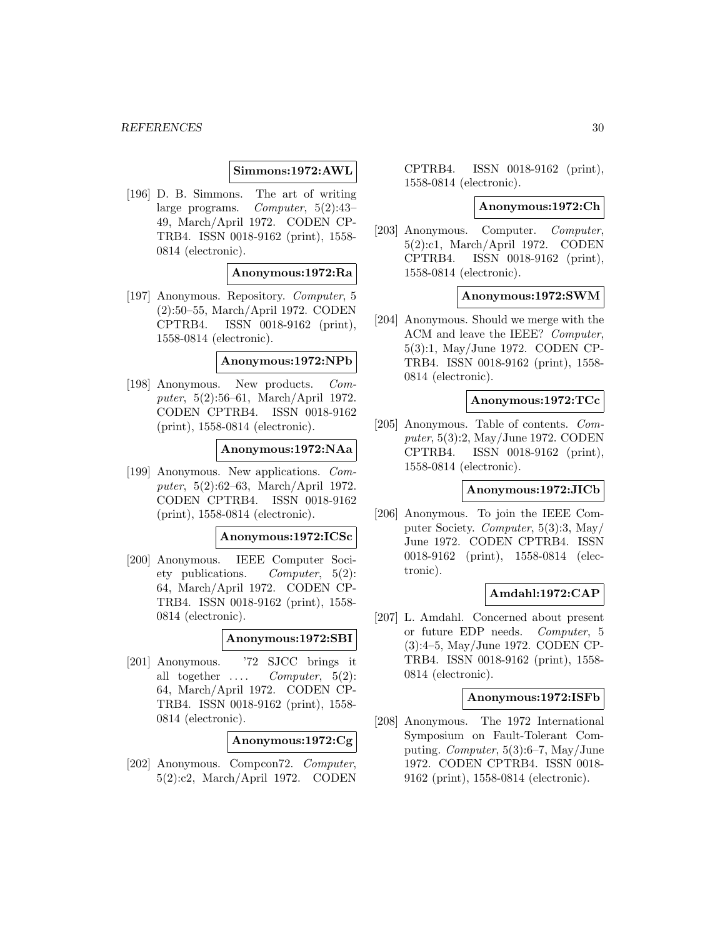### **Simmons:1972:AWL**

[196] D. B. Simmons. The art of writing large programs. Computer, 5(2):43– 49, March/April 1972. CODEN CP-TRB4. ISSN 0018-9162 (print), 1558- 0814 (electronic).

#### **Anonymous:1972:Ra**

[197] Anonymous. Repository. Computer, 5 (2):50–55, March/April 1972. CODEN CPTRB4. ISSN 0018-9162 (print), 1558-0814 (electronic).

#### **Anonymous:1972:NPb**

[198] Anonymous. New products. Computer, 5(2):56–61, March/April 1972. CODEN CPTRB4. ISSN 0018-9162 (print), 1558-0814 (electronic).

#### **Anonymous:1972:NAa**

[199] Anonymous. New applications. Computer, 5(2):62–63, March/April 1972. CODEN CPTRB4. ISSN 0018-9162 (print), 1558-0814 (electronic).

#### **Anonymous:1972:ICSc**

[200] Anonymous. IEEE Computer Society publications. Computer, 5(2): 64, March/April 1972. CODEN CP-TRB4. ISSN 0018-9162 (print), 1558- 0814 (electronic).

#### **Anonymous:1972:SBI**

[201] Anonymous. '72 SJCC brings it all together  $\dots$  *Computer*,  $5(2)$ : 64, March/April 1972. CODEN CP-TRB4. ISSN 0018-9162 (print), 1558- 0814 (electronic).

### **Anonymous:1972:Cg**

[202] Anonymous. Compcon72. Computer, 5(2):c2, March/April 1972. CODEN

CPTRB4. ISSN 0018-9162 (print), 1558-0814 (electronic).

#### **Anonymous:1972:Ch**

[203] Anonymous. Computer. Computer, 5(2):c1, March/April 1972. CODEN CPTRB4. ISSN 0018-9162 (print), 1558-0814 (electronic).

#### **Anonymous:1972:SWM**

[204] Anonymous. Should we merge with the ACM and leave the IEEE? Computer, 5(3):1, May/June 1972. CODEN CP-TRB4. ISSN 0018-9162 (print), 1558- 0814 (electronic).

#### **Anonymous:1972:TCc**

[205] Anonymous. Table of contents. Computer, 5(3):2, May/June 1972. CODEN CPTRB4. ISSN 0018-9162 (print), 1558-0814 (electronic).

#### **Anonymous:1972:JICb**

[206] Anonymous. To join the IEEE Computer Society. Computer, 5(3):3, May/ June 1972. CODEN CPTRB4. ISSN 0018-9162 (print), 1558-0814 (electronic).

### **Amdahl:1972:CAP**

[207] L. Amdahl. Concerned about present or future EDP needs. Computer, 5 (3):4–5, May/June 1972. CODEN CP-TRB4. ISSN 0018-9162 (print), 1558- 0814 (electronic).

### **Anonymous:1972:ISFb**

[208] Anonymous. The 1972 International Symposium on Fault-Tolerant Computing. Computer, 5(3):6–7, May/June 1972. CODEN CPTRB4. ISSN 0018- 9162 (print), 1558-0814 (electronic).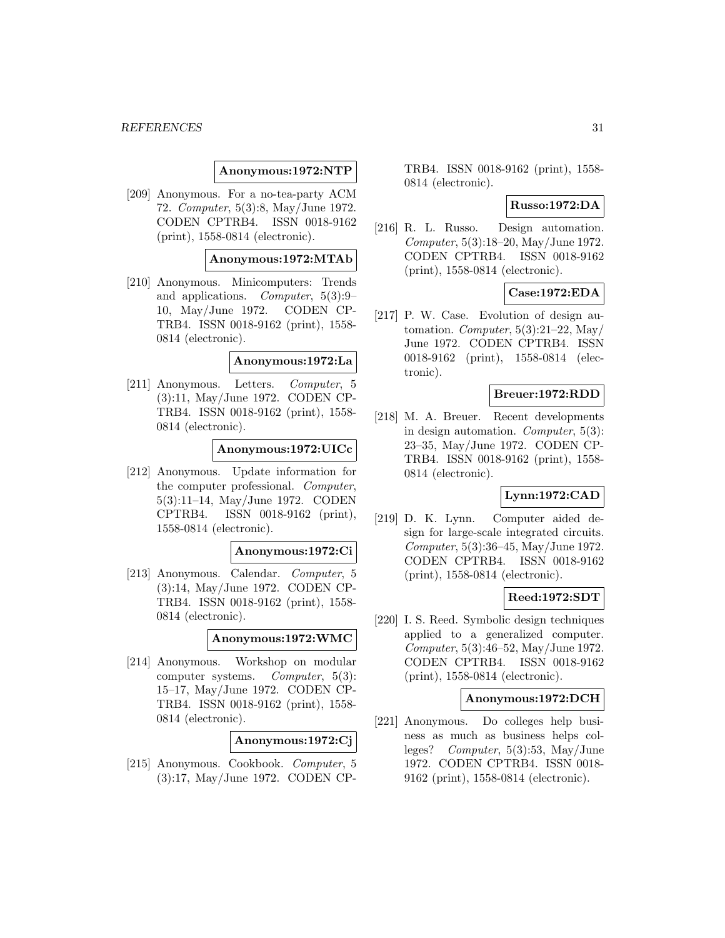#### **Anonymous:1972:NTP**

[209] Anonymous. For a no-tea-party ACM 72. Computer, 5(3):8, May/June 1972. CODEN CPTRB4. ISSN 0018-9162 (print), 1558-0814 (electronic).

### **Anonymous:1972:MTAb**

[210] Anonymous. Minicomputers: Trends and applications. Computer, 5(3):9– 10, May/June 1972. CODEN CP-TRB4. ISSN 0018-9162 (print), 1558- 0814 (electronic).

#### **Anonymous:1972:La**

[211] Anonymous. Letters. Computer, 5 (3):11, May/June 1972. CODEN CP-TRB4. ISSN 0018-9162 (print), 1558- 0814 (electronic).

#### **Anonymous:1972:UICc**

[212] Anonymous. Update information for the computer professional. Computer, 5(3):11–14, May/June 1972. CODEN CPTRB4. ISSN 0018-9162 (print), 1558-0814 (electronic).

#### **Anonymous:1972:Ci**

[213] Anonymous. Calendar. Computer, 5 (3):14, May/June 1972. CODEN CP-TRB4. ISSN 0018-9162 (print), 1558- 0814 (electronic).

#### **Anonymous:1972:WMC**

[214] Anonymous. Workshop on modular computer systems. Computer, 5(3): 15–17, May/June 1972. CODEN CP-TRB4. ISSN 0018-9162 (print), 1558- 0814 (electronic).

### **Anonymous:1972:Cj**

[215] Anonymous. Cookbook. Computer, 5 (3):17, May/June 1972. CODEN CP- TRB4. ISSN 0018-9162 (print), 1558- 0814 (electronic).

#### **Russo:1972:DA**

[216] R. L. Russo. Design automation. Computer, 5(3):18–20, May/June 1972. CODEN CPTRB4. ISSN 0018-9162 (print), 1558-0814 (electronic).

### **Case:1972:EDA**

[217] P. W. Case. Evolution of design automation. Computer,  $5(3):21-22$ , May June 1972. CODEN CPTRB4. ISSN 0018-9162 (print), 1558-0814 (electronic).

### **Breuer:1972:RDD**

[218] M. A. Breuer. Recent developments in design automation. Computer, 5(3): 23–35, May/June 1972. CODEN CP-TRB4. ISSN 0018-9162 (print), 1558- 0814 (electronic).

### **Lynn:1972:CAD**

[219] D. K. Lynn. Computer aided design for large-scale integrated circuits. Computer, 5(3):36–45, May/June 1972. CODEN CPTRB4. ISSN 0018-9162 (print), 1558-0814 (electronic).

### **Reed:1972:SDT**

[220] I. S. Reed. Symbolic design techniques applied to a generalized computer. Computer, 5(3):46–52, May/June 1972. CODEN CPTRB4. ISSN 0018-9162 (print), 1558-0814 (electronic).

#### **Anonymous:1972:DCH**

[221] Anonymous. Do colleges help business as much as business helps colleges? Computer, 5(3):53, May/June 1972. CODEN CPTRB4. ISSN 0018- 9162 (print), 1558-0814 (electronic).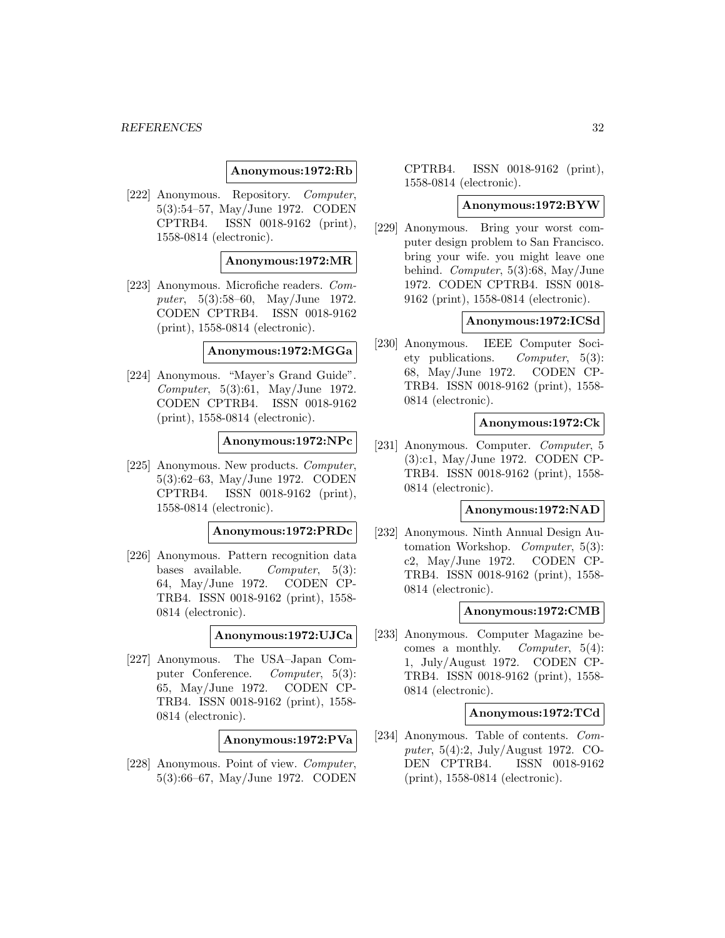### **Anonymous:1972:Rb**

[222] Anonymous. Repository. Computer, 5(3):54–57, May/June 1972. CODEN CPTRB4. ISSN 0018-9162 (print), 1558-0814 (electronic).

### **Anonymous:1972:MR**

[223] Anonymous. Microfiche readers. Computer, 5(3):58–60, May/June 1972. CODEN CPTRB4. ISSN 0018-9162 (print), 1558-0814 (electronic).

#### **Anonymous:1972:MGGa**

[224] Anonymous. "Mayer's Grand Guide". Computer, 5(3):61, May/June 1972. CODEN CPTRB4. ISSN 0018-9162 (print), 1558-0814 (electronic).

#### **Anonymous:1972:NPc**

[225] Anonymous. New products. Computer, 5(3):62–63, May/June 1972. CODEN CPTRB4. ISSN 0018-9162 (print), 1558-0814 (electronic).

### **Anonymous:1972:PRDc**

[226] Anonymous. Pattern recognition data bases available. Computer,  $5(3)$ : 64, May/June 1972. CODEN CP-TRB4. ISSN 0018-9162 (print), 1558- 0814 (electronic).

#### **Anonymous:1972:UJCa**

[227] Anonymous. The USA–Japan Computer Conference. Computer, 5(3): 65, May/June 1972. CODEN CP-TRB4. ISSN 0018-9162 (print), 1558- 0814 (electronic).

### **Anonymous:1972:PVa**

[228] Anonymous. Point of view. Computer, 5(3):66–67, May/June 1972. CODEN CPTRB4. ISSN 0018-9162 (print), 1558-0814 (electronic).

#### **Anonymous:1972:BYW**

[229] Anonymous. Bring your worst computer design problem to San Francisco. bring your wife. you might leave one behind. Computer, 5(3):68, May/June 1972. CODEN CPTRB4. ISSN 0018- 9162 (print), 1558-0814 (electronic).

#### **Anonymous:1972:ICSd**

[230] Anonymous. IEEE Computer Society publications. Computer, 5(3): 68, May/June 1972. CODEN CP-TRB4. ISSN 0018-9162 (print), 1558- 0814 (electronic).

#### **Anonymous:1972:Ck**

[231] Anonymous. Computer. Computer, 5 (3):c1, May/June 1972. CODEN CP-TRB4. ISSN 0018-9162 (print), 1558- 0814 (electronic).

### **Anonymous:1972:NAD**

[232] Anonymous. Ninth Annual Design Automation Workshop. Computer, 5(3): c2, May/June 1972. CODEN CP-TRB4. ISSN 0018-9162 (print), 1558- 0814 (electronic).

### **Anonymous:1972:CMB**

[233] Anonymous. Computer Magazine becomes a monthly. Computer, 5(4): 1, July/August 1972. CODEN CP-TRB4. ISSN 0018-9162 (print), 1558- 0814 (electronic).

#### **Anonymous:1972:TCd**

[234] Anonymous. Table of contents. Computer, 5(4):2, July/August 1972. CO-DEN CPTRB4. ISSN 0018-9162 (print), 1558-0814 (electronic).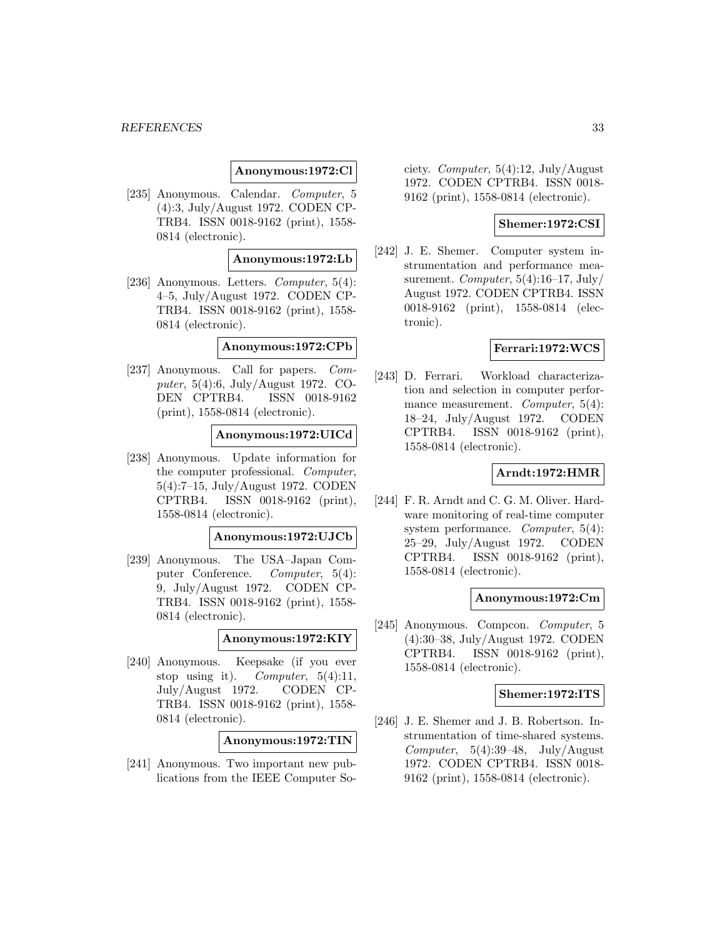**Anonymous:1972:Cl**

[235] Anonymous. Calendar. Computer, 5 (4):3, July/August 1972. CODEN CP-TRB4. ISSN 0018-9162 (print), 1558- 0814 (electronic).

#### **Anonymous:1972:Lb**

[236] Anonymous. Letters. Computer, 5(4): 4–5, July/August 1972. CODEN CP-TRB4. ISSN 0018-9162 (print), 1558- 0814 (electronic).

### **Anonymous:1972:CPb**

[237] Anonymous. Call for papers. Computer, 5(4):6, July/August 1972. CO-DEN CPTRB4. ISSN 0018-9162 (print), 1558-0814 (electronic).

### **Anonymous:1972:UICd**

[238] Anonymous. Update information for the computer professional. Computer, 5(4):7–15, July/August 1972. CODEN CPTRB4. ISSN 0018-9162 (print), 1558-0814 (electronic).

#### **Anonymous:1972:UJCb**

[239] Anonymous. The USA–Japan Computer Conference. Computer, 5(4): 9, July/August 1972. CODEN CP-TRB4. ISSN 0018-9162 (print), 1558- 0814 (electronic).

### **Anonymous:1972:KIY**

[240] Anonymous. Keepsake (if you ever stop using it). Computer,  $5(4):11$ , July/August 1972. CODEN CP-TRB4. ISSN 0018-9162 (print), 1558- 0814 (electronic).

**Anonymous:1972:TIN**

[241] Anonymous. Two important new publications from the IEEE Computer So-

ciety. Computer, 5(4):12, July/August 1972. CODEN CPTRB4. ISSN 0018- 9162 (print), 1558-0814 (electronic).

### **Shemer:1972:CSI**

[242] J. E. Shemer. Computer system instrumentation and performance measurement. Computer,  $5(4):16-17$ , July/ August 1972. CODEN CPTRB4. ISSN 0018-9162 (print), 1558-0814 (electronic).

#### **Ferrari:1972:WCS**

[243] D. Ferrari. Workload characterization and selection in computer performance measurement. Computer, 5(4): 18–24, July/August 1972. CODEN CPTRB4. ISSN 0018-9162 (print), 1558-0814 (electronic).

### **Arndt:1972:HMR**

[244] F. R. Arndt and C. G. M. Oliver. Hardware monitoring of real-time computer system performance. Computer, 5(4): 25–29, July/August 1972. CODEN CPTRB4. ISSN 0018-9162 (print), 1558-0814 (electronic).

### **Anonymous:1972:Cm**

[245] Anonymous. Compcon. Computer, 5 (4):30–38, July/August 1972. CODEN CPTRB4. ISSN 0018-9162 (print), 1558-0814 (electronic).

#### **Shemer:1972:ITS**

[246] J. E. Shemer and J. B. Robertson. Instrumentation of time-shared systems. Computer,  $5(4):39-48$ , July/August 1972. CODEN CPTRB4. ISSN 0018- 9162 (print), 1558-0814 (electronic).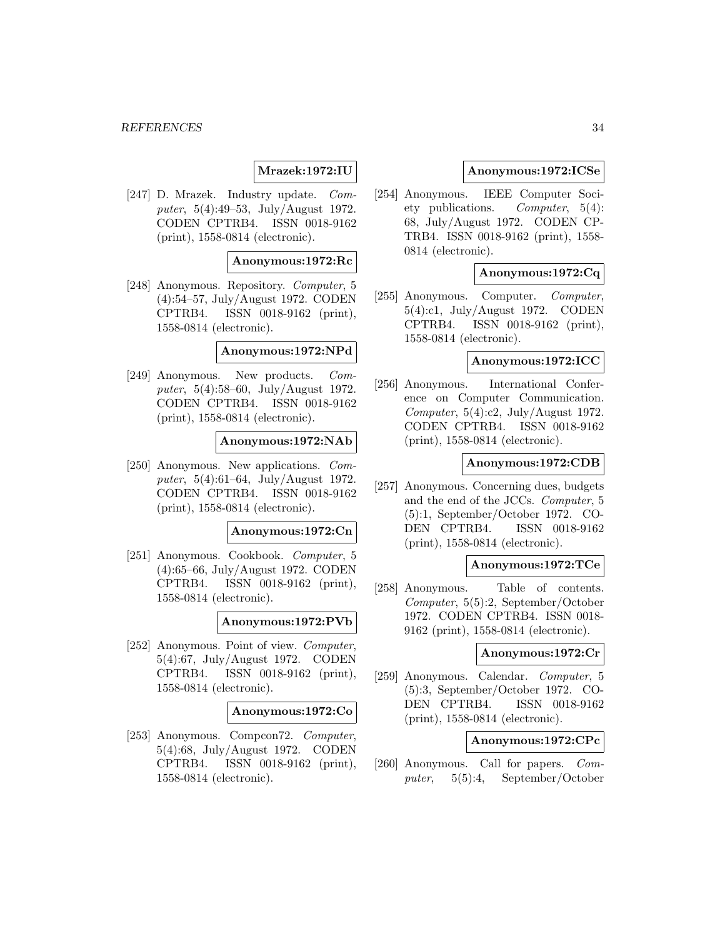### **Mrazek:1972:IU**

[247] D. Mrazek. Industry update. Computer, 5(4):49–53, July/August 1972. CODEN CPTRB4. ISSN 0018-9162 (print), 1558-0814 (electronic).

#### **Anonymous:1972:Rc**

[248] Anonymous. Repository. Computer, 5 (4):54–57, July/August 1972. CODEN CPTRB4. ISSN 0018-9162 (print), 1558-0814 (electronic).

### **Anonymous:1972:NPd**

[249] Anonymous. New products. Computer, 5(4):58–60, July/August 1972. CODEN CPTRB4. ISSN 0018-9162 (print), 1558-0814 (electronic).

#### **Anonymous:1972:NAb**

[250] Anonymous. New applications. Computer, 5(4):61–64, July/August 1972. CODEN CPTRB4. ISSN 0018-9162 (print), 1558-0814 (electronic).

#### **Anonymous:1972:Cn**

[251] Anonymous. Cookbook. Computer, 5 (4):65–66, July/August 1972. CODEN CPTRB4. ISSN 0018-9162 (print), 1558-0814 (electronic).

### **Anonymous:1972:PVb**

[252] Anonymous. Point of view. Computer, 5(4):67, July/August 1972. CODEN CPTRB4. ISSN 0018-9162 (print), 1558-0814 (electronic).

#### **Anonymous:1972:Co**

[253] Anonymous. Compcon72. Computer, 5(4):68, July/August 1972. CODEN CPTRB4. ISSN 0018-9162 (print), 1558-0814 (electronic).

### **Anonymous:1972:ICSe**

[254] Anonymous. IEEE Computer Society publications. Computer, 5(4): 68, July/August 1972. CODEN CP-TRB4. ISSN 0018-9162 (print), 1558- 0814 (electronic).

### **Anonymous:1972:Cq**

[255] Anonymous. Computer. Computer, 5(4):c1, July/August 1972. CODEN CPTRB4. ISSN 0018-9162 (print), 1558-0814 (electronic).

#### **Anonymous:1972:ICC**

[256] Anonymous. International Conference on Computer Communication. Computer,  $5(4):c2$ , July/August 1972. CODEN CPTRB4. ISSN 0018-9162 (print), 1558-0814 (electronic).

### **Anonymous:1972:CDB**

[257] Anonymous. Concerning dues, budgets and the end of the JCCs. Computer, 5 (5):1, September/October 1972. CO-DEN CPTRB4. ISSN 0018-9162 (print), 1558-0814 (electronic).

### **Anonymous:1972:TCe**

[258] Anonymous. Table of contents. Computer, 5(5):2, September/October 1972. CODEN CPTRB4. ISSN 0018- 9162 (print), 1558-0814 (electronic).

#### **Anonymous:1972:Cr**

[259] Anonymous. Calendar. Computer, 5 (5):3, September/October 1972. CO-DEN CPTRB4. ISSN 0018-9162 (print), 1558-0814 (electronic).

### **Anonymous:1972:CPc**

[260] Anonymous. Call for papers. Computer, 5(5):4, September/October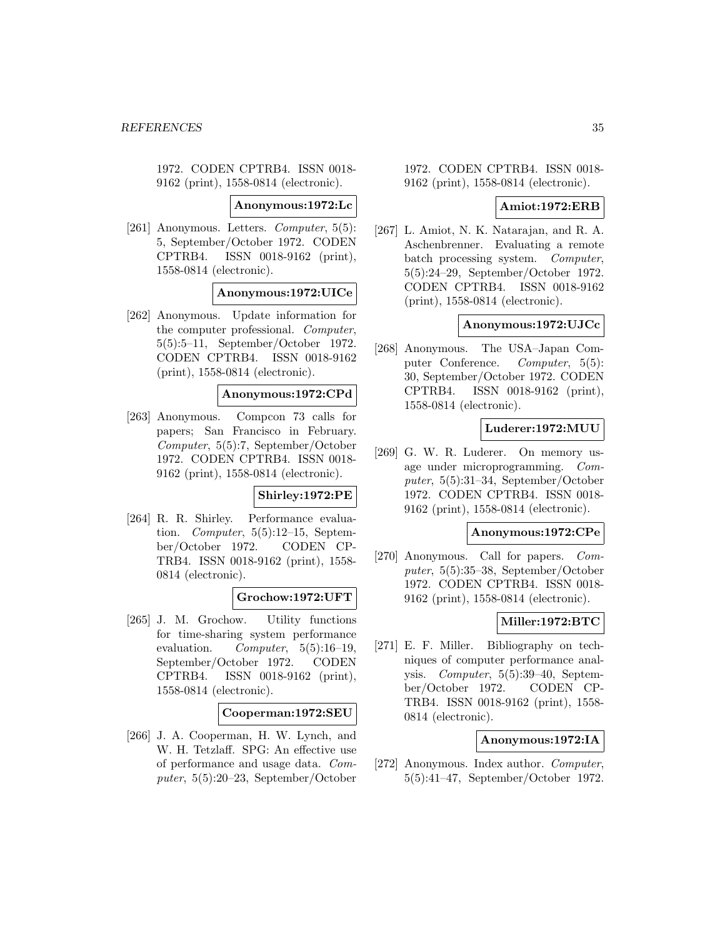1972. CODEN CPTRB4. ISSN 0018- 9162 (print), 1558-0814 (electronic).

**Anonymous:1972:Lc**

[261] Anonymous. Letters. Computer, 5(5): 5, September/October 1972. CODEN CPTRB4. ISSN 0018-9162 (print), 1558-0814 (electronic).

**Anonymous:1972:UICe**

[262] Anonymous. Update information for the computer professional. Computer, 5(5):5–11, September/October 1972. CODEN CPTRB4. ISSN 0018-9162 (print), 1558-0814 (electronic).

### **Anonymous:1972:CPd**

[263] Anonymous. Compcon 73 calls for papers; San Francisco in February. Computer, 5(5):7, September/October 1972. CODEN CPTRB4. ISSN 0018- 9162 (print), 1558-0814 (electronic).

### **Shirley:1972:PE**

[264] R. R. Shirley. Performance evaluation. Computer,  $5(5):12-15$ , September/October 1972. CODEN CP-TRB4. ISSN 0018-9162 (print), 1558- 0814 (electronic).

### **Grochow:1972:UFT**

[265] J. M. Grochow. Utility functions for time-sharing system performance evaluation. Computer,  $5(5):16-19$ , September/October 1972. CODEN CPTRB4. ISSN 0018-9162 (print), 1558-0814 (electronic).

### **Cooperman:1972:SEU**

[266] J. A. Cooperman, H. W. Lynch, and W. H. Tetzlaff. SPG: An effective use of performance and usage data. Computer, 5(5):20–23, September/October

1972. CODEN CPTRB4. ISSN 0018- 9162 (print), 1558-0814 (electronic).

### **Amiot:1972:ERB**

[267] L. Amiot, N. K. Natarajan, and R. A. Aschenbrenner. Evaluating a remote batch processing system. Computer, 5(5):24–29, September/October 1972. CODEN CPTRB4. ISSN 0018-9162 (print), 1558-0814 (electronic).

#### **Anonymous:1972:UJCc**

[268] Anonymous. The USA–Japan Computer Conference. Computer, 5(5): 30, September/October 1972. CODEN CPTRB4. ISSN 0018-9162 (print), 1558-0814 (electronic).

### **Luderer:1972:MUU**

[269] G. W. R. Luderer. On memory usage under microprogramming. Computer, 5(5):31–34, September/October 1972. CODEN CPTRB4. ISSN 0018- 9162 (print), 1558-0814 (electronic).

### **Anonymous:1972:CPe**

[270] Anonymous. Call for papers. Computer, 5(5):35–38, September/October 1972. CODEN CPTRB4. ISSN 0018- 9162 (print), 1558-0814 (electronic).

### **Miller:1972:BTC**

[271] E. F. Miller. Bibliography on techniques of computer performance analysis. Computer, 5(5):39–40, September/October 1972. CODEN CP-TRB4. ISSN 0018-9162 (print), 1558- 0814 (electronic).

### **Anonymous:1972:IA**

[272] Anonymous. Index author. Computer, 5(5):41–47, September/October 1972.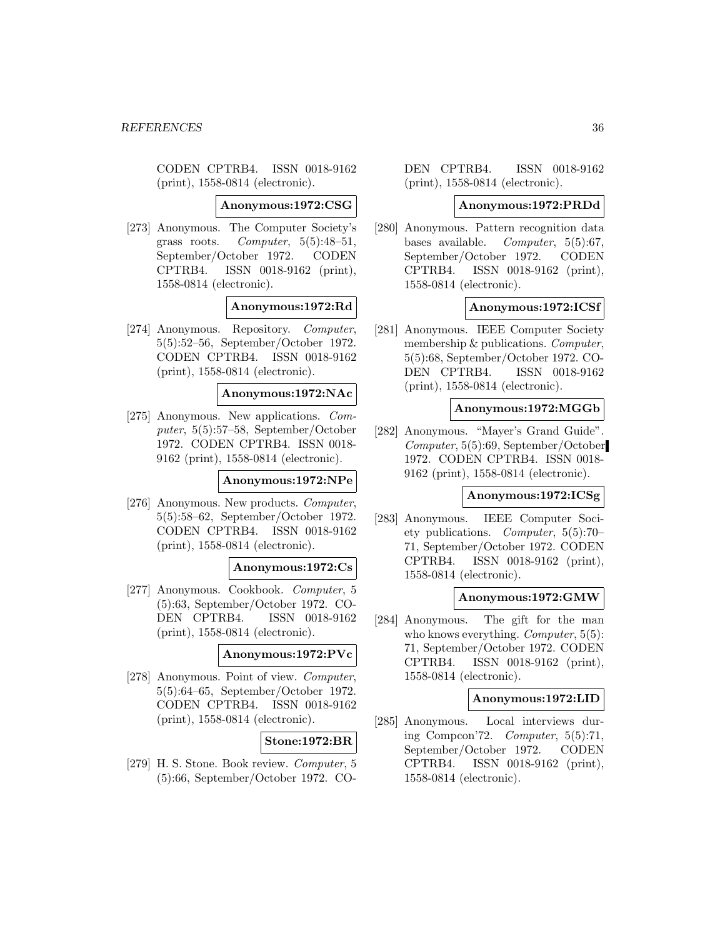CODEN CPTRB4. ISSN 0018-9162 (print), 1558-0814 (electronic).

**Anonymous:1972:CSG**

[273] Anonymous. The Computer Society's grass roots. Computer,  $5(5):48-51$ , September/October 1972. CODEN CPTRB4. ISSN 0018-9162 (print), 1558-0814 (electronic).

### **Anonymous:1972:Rd**

[274] Anonymous. Repository. Computer, 5(5):52–56, September/October 1972. CODEN CPTRB4. ISSN 0018-9162 (print), 1558-0814 (electronic).

#### **Anonymous:1972:NAc**

[275] Anonymous. New applications. Computer, 5(5):57–58, September/October 1972. CODEN CPTRB4. ISSN 0018- 9162 (print), 1558-0814 (electronic).

#### **Anonymous:1972:NPe**

[276] Anonymous. New products. Computer, 5(5):58–62, September/October 1972. CODEN CPTRB4. ISSN 0018-9162 (print), 1558-0814 (electronic).

### **Anonymous:1972:Cs**

[277] Anonymous. Cookbook. Computer, 5 (5):63, September/October 1972. CO-DEN CPTRB4. ISSN 0018-9162 (print), 1558-0814 (electronic).

### **Anonymous:1972:PVc**

[278] Anonymous. Point of view. Computer, 5(5):64–65, September/October 1972. CODEN CPTRB4. ISSN 0018-9162 (print), 1558-0814 (electronic).

#### **Stone:1972:BR**

[279] H. S. Stone. Book review. Computer, 5 (5):66, September/October 1972. CO- DEN CPTRB4. ISSN 0018-9162 (print), 1558-0814 (electronic).

#### **Anonymous:1972:PRDd**

[280] Anonymous. Pattern recognition data bases available. Computer, 5(5):67, September/October 1972. CODEN CPTRB4. ISSN 0018-9162 (print), 1558-0814 (electronic).

#### **Anonymous:1972:ICSf**

[281] Anonymous. IEEE Computer Society membership & publications. Computer, 5(5):68, September/October 1972. CO-DEN CPTRB4. ISSN 0018-9162 (print), 1558-0814 (electronic).

### **Anonymous:1972:MGGb**

[282] Anonymous. "Mayer's Grand Guide". Computer, 5(5):69, September/October 1972. CODEN CPTRB4. ISSN 0018- 9162 (print), 1558-0814 (electronic).

#### **Anonymous:1972:ICSg**

[283] Anonymous. IEEE Computer Society publications. Computer, 5(5):70– 71, September/October 1972. CODEN CPTRB4. ISSN 0018-9162 (print), 1558-0814 (electronic).

#### **Anonymous:1972:GMW**

[284] Anonymous. The gift for the man who knows everything. *Computer*, 5(5): 71, September/October 1972. CODEN CPTRB4. ISSN 0018-9162 (print), 1558-0814 (electronic).

#### **Anonymous:1972:LID**

[285] Anonymous. Local interviews during Compcon'72. Computer, 5(5):71, September/October 1972. CODEN CPTRB4. ISSN 0018-9162 (print), 1558-0814 (electronic).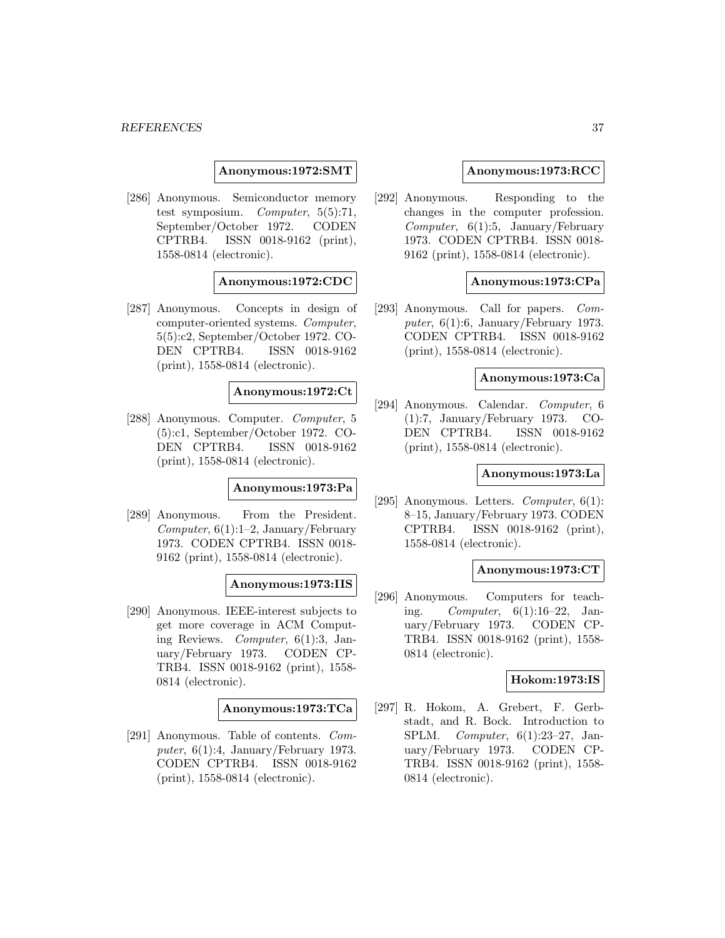**Anonymous:1972:SMT**

[286] Anonymous. Semiconductor memory test symposium. Computer, 5(5):71, September/October 1972. CODEN CPTRB4. ISSN 0018-9162 (print), 1558-0814 (electronic).

#### **Anonymous:1972:CDC**

[287] Anonymous. Concepts in design of computer-oriented systems. Computer, 5(5):c2, September/October 1972. CO-DEN CPTRB4. ISSN 0018-9162 (print), 1558-0814 (electronic).

## **Anonymous:1972:Ct**

[288] Anonymous. Computer. Computer, 5 (5):c1, September/October 1972. CO-DEN CPTRB4. ISSN 0018-9162 (print), 1558-0814 (electronic).

## **Anonymous:1973:Pa**

[289] Anonymous. From the President.  $Computer, 6(1):1-2, January/February$ 1973. CODEN CPTRB4. ISSN 0018- 9162 (print), 1558-0814 (electronic).

#### **Anonymous:1973:IIS**

[290] Anonymous. IEEE-interest subjects to get more coverage in ACM Computing Reviews. Computer, 6(1):3, January/February 1973. CODEN CP-TRB4. ISSN 0018-9162 (print), 1558- 0814 (electronic).

#### **Anonymous:1973:TCa**

[291] Anonymous. Table of contents. Computer,  $6(1):4$ , January/February 1973. CODEN CPTRB4. ISSN 0018-9162 (print), 1558-0814 (electronic).

### **Anonymous:1973:RCC**

[292] Anonymous. Responding to the changes in the computer profession. Computer,  $6(1):5$ , January/February 1973. CODEN CPTRB4. ISSN 0018- 9162 (print), 1558-0814 (electronic).

#### **Anonymous:1973:CPa**

[293] Anonymous. Call for papers. Computer,  $6(1):6$ , January/February 1973. CODEN CPTRB4. ISSN 0018-9162 (print), 1558-0814 (electronic).

## **Anonymous:1973:Ca**

[294] Anonymous. Calendar. Computer, 6 (1):7, January/February 1973. CO-DEN CPTRB4. ISSN 0018-9162 (print), 1558-0814 (electronic).

## **Anonymous:1973:La**

[295] Anonymous. Letters. Computer, 6(1): 8–15, January/February 1973. CODEN CPTRB4. ISSN 0018-9162 (print), 1558-0814 (electronic).

## **Anonymous:1973:CT**

[296] Anonymous. Computers for teaching. Computer, 6(1):16–22, January/February 1973. CODEN CP-TRB4. ISSN 0018-9162 (print), 1558- 0814 (electronic).

#### **Hokom:1973:IS**

[297] R. Hokom, A. Grebert, F. Gerbstadt, and R. Bock. Introduction to SPLM. Computer, 6(1):23–27, January/February 1973. CODEN CP-TRB4. ISSN 0018-9162 (print), 1558- 0814 (electronic).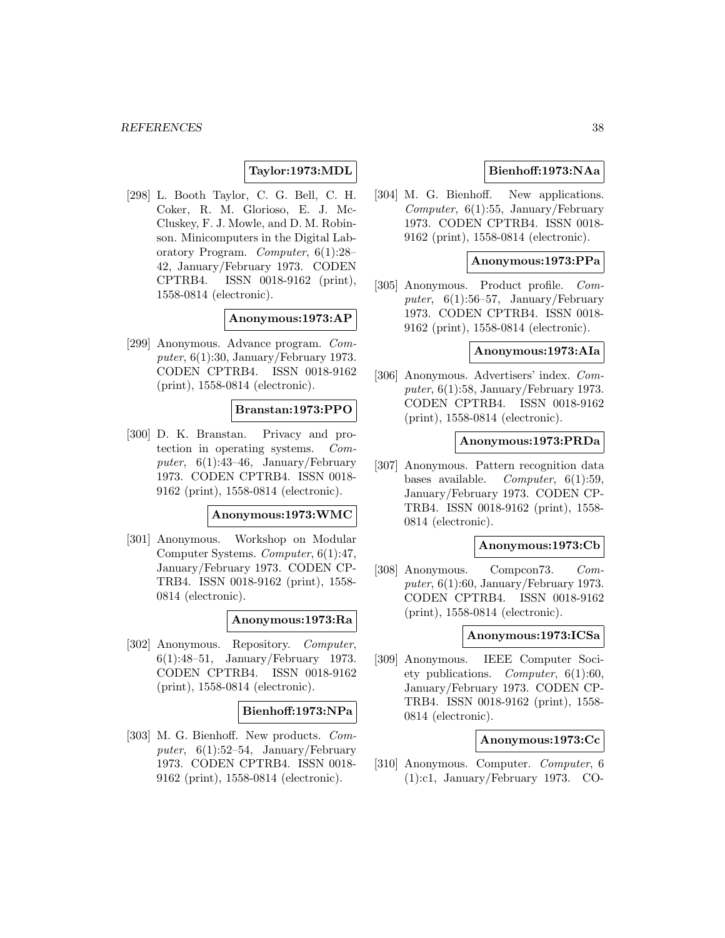# **Taylor:1973:MDL**

[298] L. Booth Taylor, C. G. Bell, C. H. Coker, R. M. Glorioso, E. J. Mc-Cluskey, F. J. Mowle, and D. M. Robinson. Minicomputers in the Digital Laboratory Program. Computer, 6(1):28– 42, January/February 1973. CODEN CPTRB4. ISSN 0018-9162 (print), 1558-0814 (electronic).

#### **Anonymous:1973:AP**

[299] Anonymous. Advance program. Computer,  $6(1):30$ , January/February 1973. CODEN CPTRB4. ISSN 0018-9162 (print), 1558-0814 (electronic).

# **Branstan:1973:PPO**

[300] D. K. Branstan. Privacy and protection in operating systems. Computer,  $6(1):43-46$ , January/February 1973. CODEN CPTRB4. ISSN 0018- 9162 (print), 1558-0814 (electronic).

### **Anonymous:1973:WMC**

[301] Anonymous. Workshop on Modular Computer Systems. Computer, 6(1):47, January/February 1973. CODEN CP-TRB4. ISSN 0018-9162 (print), 1558- 0814 (electronic).

#### **Anonymous:1973:Ra**

[302] Anonymous. Repository. Computer, 6(1):48–51, January/February 1973. CODEN CPTRB4. ISSN 0018-9162 (print), 1558-0814 (electronic).

#### **Bienhoff:1973:NPa**

[303] M. G. Bienhoff. New products. Computer,  $6(1):52-54$ , January/February 1973. CODEN CPTRB4. ISSN 0018- 9162 (print), 1558-0814 (electronic).

# **Bienhoff:1973:NAa**

[304] M. G. Bienhoff. New applications. Computer, 6(1):55, January/February 1973. CODEN CPTRB4. ISSN 0018- 9162 (print), 1558-0814 (electronic).

## **Anonymous:1973:PPa**

[305] Anonymous. Product profile. Computer,  $6(1):56-57$ , January/February 1973. CODEN CPTRB4. ISSN 0018- 9162 (print), 1558-0814 (electronic).

# **Anonymous:1973:AIa**

[306] Anonymous. Advertisers' index. Computer,  $6(1):58$ , January/February 1973. CODEN CPTRB4. ISSN 0018-9162 (print), 1558-0814 (electronic).

#### **Anonymous:1973:PRDa**

[307] Anonymous. Pattern recognition data bases available. Computer, 6(1):59, January/February 1973. CODEN CP-TRB4. ISSN 0018-9162 (print), 1558- 0814 (electronic).

## **Anonymous:1973:Cb**

[308] Anonymous. Compcon73. Computer,  $6(1):60$ , January/February 1973. CODEN CPTRB4. ISSN 0018-9162 (print), 1558-0814 (electronic).

#### **Anonymous:1973:ICSa**

[309] Anonymous. IEEE Computer Society publications. Computer, 6(1):60, January/February 1973. CODEN CP-TRB4. ISSN 0018-9162 (print), 1558- 0814 (electronic).

#### **Anonymous:1973:Cc**

[310] Anonymous. Computer. Computer, 6 (1):c1, January/February 1973. CO-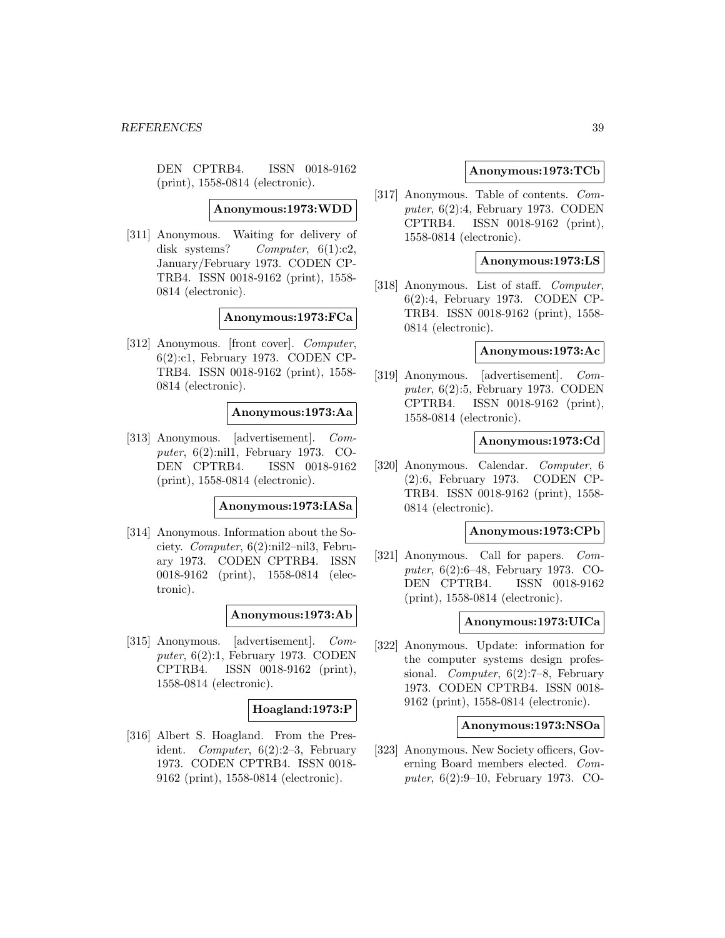DEN CPTRB4. ISSN 0018-9162 (print), 1558-0814 (electronic).

**Anonymous:1973:WDD**

[311] Anonymous. Waiting for delivery of disk systems? Computer,  $6(1):c2$ , January/February 1973. CODEN CP-TRB4. ISSN 0018-9162 (print), 1558- 0814 (electronic).

#### **Anonymous:1973:FCa**

[312] Anonymous. [front cover]. Computer, 6(2):c1, February 1973. CODEN CP-TRB4. ISSN 0018-9162 (print), 1558- 0814 (electronic).

#### **Anonymous:1973:Aa**

[313] Anonymous. [advertisement]. Computer, 6(2):nil1, February 1973. CO-DEN CPTRB4. ISSN 0018-9162 (print), 1558-0814 (electronic).

## **Anonymous:1973:IASa**

[314] Anonymous. Information about the Society. Computer, 6(2):nil2–nil3, February 1973. CODEN CPTRB4. ISSN 0018-9162 (print), 1558-0814 (electronic).

**Anonymous:1973:Ab**

[315] Anonymous. [advertisement]. Computer, 6(2):1, February 1973. CODEN CPTRB4. ISSN 0018-9162 (print), 1558-0814 (electronic).

#### **Hoagland:1973:P**

[316] Albert S. Hoagland. From the President. Computer, 6(2):2–3, February 1973. CODEN CPTRB4. ISSN 0018- 9162 (print), 1558-0814 (electronic).

### **Anonymous:1973:TCb**

[317] Anonymous. Table of contents. Computer, 6(2):4, February 1973. CODEN CPTRB4. ISSN 0018-9162 (print), 1558-0814 (electronic).

## **Anonymous:1973:LS**

[318] Anonymous. List of staff. *Computer*, 6(2):4, February 1973. CODEN CP-TRB4. ISSN 0018-9162 (print), 1558- 0814 (electronic).

## **Anonymous:1973:Ac**

[319] Anonymous. [advertisement]. Computer, 6(2):5, February 1973. CODEN CPTRB4. ISSN 0018-9162 (print), 1558-0814 (electronic).

### **Anonymous:1973:Cd**

[320] Anonymous. Calendar. Computer, 6 (2):6, February 1973. CODEN CP-TRB4. ISSN 0018-9162 (print), 1558- 0814 (electronic).

## **Anonymous:1973:CPb**

[321] Anonymous. Call for papers. Computer, 6(2):6–48, February 1973. CO-DEN CPTRB4. ISSN 0018-9162 (print), 1558-0814 (electronic).

#### **Anonymous:1973:UICa**

[322] Anonymous. Update: information for the computer systems design professional. Computer, 6(2):7–8, February 1973. CODEN CPTRB4. ISSN 0018- 9162 (print), 1558-0814 (electronic).

## **Anonymous:1973:NSOa**

[323] Anonymous. New Society officers, Governing Board members elected. Computer, 6(2):9–10, February 1973. CO-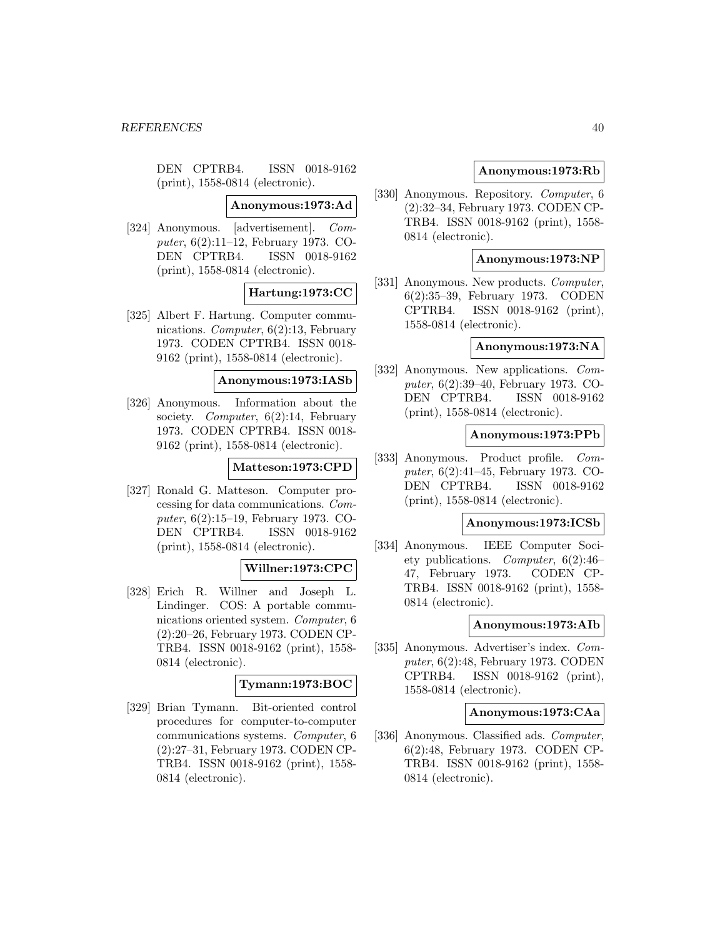DEN CPTRB4. ISSN 0018-9162 (print), 1558-0814 (electronic).

**Anonymous:1973:Ad**

[324] Anonymous. [advertisement]. Computer, 6(2):11–12, February 1973. CO-DEN CPTRB4. ISSN 0018-9162 (print), 1558-0814 (electronic).

## **Hartung:1973:CC**

[325] Albert F. Hartung. Computer communications. Computer, 6(2):13, February 1973. CODEN CPTRB4. ISSN 0018- 9162 (print), 1558-0814 (electronic).

**Anonymous:1973:IASb**

[326] Anonymous. Information about the society. Computer, 6(2):14, February 1973. CODEN CPTRB4. ISSN 0018- 9162 (print), 1558-0814 (electronic).

### **Matteson:1973:CPD**

[327] Ronald G. Matteson. Computer processing for data communications. Computer, 6(2):15–19, February 1973. CO-DEN CPTRB4. ISSN 0018-9162 (print), 1558-0814 (electronic).

### **Willner:1973:CPC**

[328] Erich R. Willner and Joseph L. Lindinger. COS: A portable communications oriented system. Computer, 6 (2):20–26, February 1973. CODEN CP-TRB4. ISSN 0018-9162 (print), 1558- 0814 (electronic).

## **Tymann:1973:BOC**

[329] Brian Tymann. Bit-oriented control procedures for computer-to-computer communications systems. Computer, 6 (2):27–31, February 1973. CODEN CP-TRB4. ISSN 0018-9162 (print), 1558- 0814 (electronic).

## **Anonymous:1973:Rb**

[330] Anonymous. Repository. Computer, 6 (2):32–34, February 1973. CODEN CP-TRB4. ISSN 0018-9162 (print), 1558- 0814 (electronic).

## **Anonymous:1973:NP**

[331] Anonymous. New products. *Computer*, 6(2):35–39, February 1973. CODEN CPTRB4. ISSN 0018-9162 (print), 1558-0814 (electronic).

## **Anonymous:1973:NA**

[332] Anonymous. New applications. Computer, 6(2):39–40, February 1973. CO-DEN CPTRB4. ISSN 0018-9162 (print), 1558-0814 (electronic).

### **Anonymous:1973:PPb**

[333] Anonymous. Product profile. Computer, 6(2):41–45, February 1973. CO-DEN CPTRB4. ISSN 0018-9162 (print), 1558-0814 (electronic).

#### **Anonymous:1973:ICSb**

[334] Anonymous. IEEE Computer Society publications. Computer, 6(2):46– 47, February 1973. CODEN CP-TRB4. ISSN 0018-9162 (print), 1558- 0814 (electronic).

#### **Anonymous:1973:AIb**

[335] Anonymous. Advertiser's index. Computer, 6(2):48, February 1973. CODEN CPTRB4. ISSN 0018-9162 (print), 1558-0814 (electronic).

## **Anonymous:1973:CAa**

[336] Anonymous. Classified ads. Computer, 6(2):48, February 1973. CODEN CP-TRB4. ISSN 0018-9162 (print), 1558- 0814 (electronic).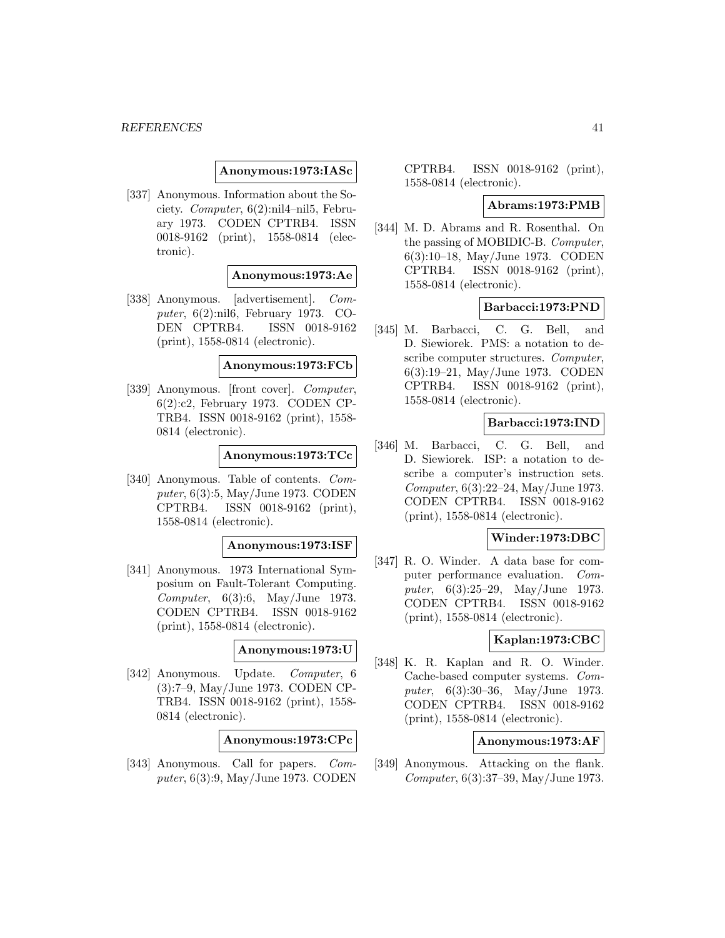## **Anonymous:1973:IASc**

[337] Anonymous. Information about the Society. Computer, 6(2):nil4–nil5, February 1973. CODEN CPTRB4. ISSN 0018-9162 (print), 1558-0814 (electronic).

## **Anonymous:1973:Ae**

[338] Anonymous. [advertisement]. Computer, 6(2):nil6, February 1973. CO-DEN CPTRB4. ISSN 0018-9162 (print), 1558-0814 (electronic).

#### **Anonymous:1973:FCb**

[339] Anonymous. [front cover]. Computer, 6(2):c2, February 1973. CODEN CP-TRB4. ISSN 0018-9162 (print), 1558- 0814 (electronic).

### **Anonymous:1973:TCc**

[340] Anonymous. Table of contents. Computer, 6(3):5, May/June 1973. CODEN CPTRB4. ISSN 0018-9162 (print), 1558-0814 (electronic).

#### **Anonymous:1973:ISF**

[341] Anonymous. 1973 International Symposium on Fault-Tolerant Computing. Computer, 6(3):6, May/June 1973. CODEN CPTRB4. ISSN 0018-9162 (print), 1558-0814 (electronic).

## **Anonymous:1973:U**

[342] Anonymous. Update. Computer, 6 (3):7–9, May/June 1973. CODEN CP-TRB4. ISSN 0018-9162 (print), 1558- 0814 (electronic).

## **Anonymous:1973:CPc**

[343] Anonymous. Call for papers. Computer, 6(3):9, May/June 1973. CODEN

CPTRB4. ISSN 0018-9162 (print), 1558-0814 (electronic).

#### **Abrams:1973:PMB**

[344] M. D. Abrams and R. Rosenthal. On the passing of MOBIDIC-B. Computer, 6(3):10–18, May/June 1973. CODEN CPTRB4. ISSN 0018-9162 (print), 1558-0814 (electronic).

### **Barbacci:1973:PND**

[345] M. Barbacci, C. G. Bell, and D. Siewiorek. PMS: a notation to describe computer structures. Computer, 6(3):19–21, May/June 1973. CODEN CPTRB4. ISSN 0018-9162 (print), 1558-0814 (electronic).

### **Barbacci:1973:IND**

[346] M. Barbacci, C. G. Bell, and D. Siewiorek. ISP: a notation to describe a computer's instruction sets. Computer, 6(3):22–24, May/June 1973. CODEN CPTRB4. ISSN 0018-9162 (print), 1558-0814 (electronic).

## **Winder:1973:DBC**

[347] R. O. Winder. A data base for computer performance evaluation. Computer, 6(3):25–29, May/June 1973. CODEN CPTRB4. ISSN 0018-9162 (print), 1558-0814 (electronic).

## **Kaplan:1973:CBC**

[348] K. R. Kaplan and R. O. Winder. Cache-based computer systems. Computer, 6(3):30–36, May/June 1973. CODEN CPTRB4. ISSN 0018-9162 (print), 1558-0814 (electronic).

## **Anonymous:1973:AF**

[349] Anonymous. Attacking on the flank. Computer, 6(3):37–39, May/June 1973.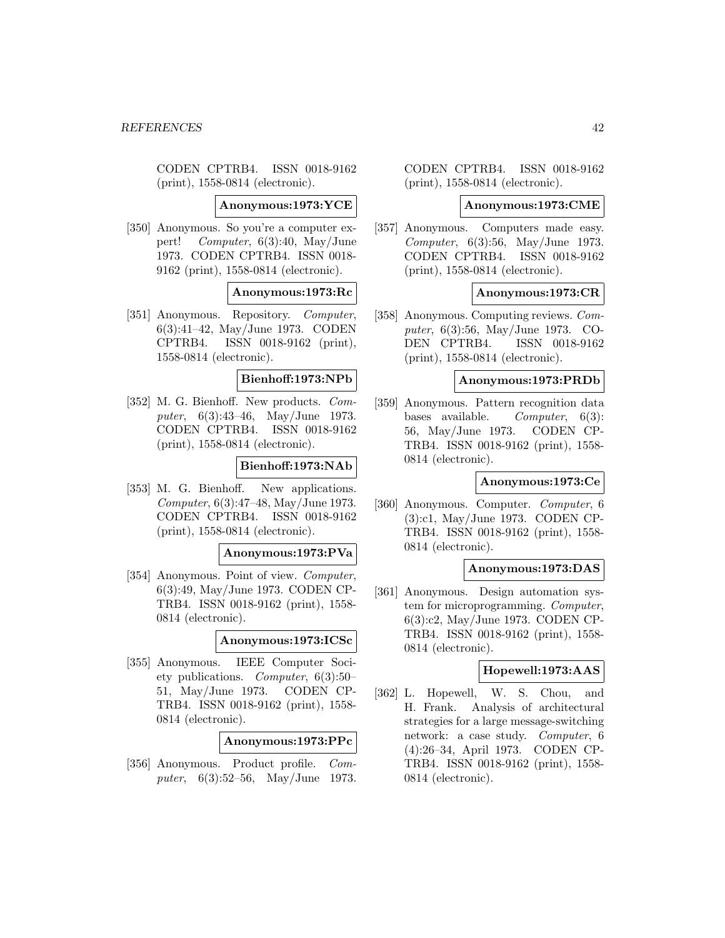CODEN CPTRB4. ISSN 0018-9162 (print), 1558-0814 (electronic).

**Anonymous:1973:YCE**

[350] Anonymous. So you're a computer expert! Computer, 6(3):40, May/June 1973. CODEN CPTRB4. ISSN 0018- 9162 (print), 1558-0814 (electronic).

# **Anonymous:1973:Rc**

[351] Anonymous. Repository. Computer, 6(3):41–42, May/June 1973. CODEN CPTRB4. ISSN 0018-9162 (print), 1558-0814 (electronic).

## **Bienhoff:1973:NPb**

[352] M. G. Bienhoff. New products. Computer, 6(3):43–46, May/June 1973. CODEN CPTRB4. ISSN 0018-9162 (print), 1558-0814 (electronic).

### **Bienhoff:1973:NAb**

[353] M. G. Bienhoff. New applications. Computer, 6(3):47–48, May/June 1973. CODEN CPTRB4. ISSN 0018-9162 (print), 1558-0814 (electronic).

#### **Anonymous:1973:PVa**

[354] Anonymous. Point of view. Computer, 6(3):49, May/June 1973. CODEN CP-TRB4. ISSN 0018-9162 (print), 1558- 0814 (electronic).

#### **Anonymous:1973:ICSc**

[355] Anonymous. IEEE Computer Society publications. Computer, 6(3):50– 51, May/June 1973. CODEN CP-TRB4. ISSN 0018-9162 (print), 1558- 0814 (electronic).

## **Anonymous:1973:PPc**

[356] Anonymous. Product profile. Computer, 6(3):52–56, May/June 1973.

CODEN CPTRB4. ISSN 0018-9162 (print), 1558-0814 (electronic).

#### **Anonymous:1973:CME**

[357] Anonymous. Computers made easy. Computer, 6(3):56, May/June 1973. CODEN CPTRB4. ISSN 0018-9162 (print), 1558-0814 (electronic).

## **Anonymous:1973:CR**

[358] Anonymous. Computing reviews. Computer, 6(3):56, May/June 1973. CO-DEN CPTRB4. ISSN 0018-9162 (print), 1558-0814 (electronic).

#### **Anonymous:1973:PRDb**

[359] Anonymous. Pattern recognition data bases available. Computer, 6(3): 56, May/June 1973. CODEN CP-TRB4. ISSN 0018-9162 (print), 1558- 0814 (electronic).

## **Anonymous:1973:Ce**

[360] Anonymous. Computer. Computer, 6 (3):c1, May/June 1973. CODEN CP-TRB4. ISSN 0018-9162 (print), 1558- 0814 (electronic).

## **Anonymous:1973:DAS**

[361] Anonymous. Design automation system for microprogramming. Computer, 6(3):c2, May/June 1973. CODEN CP-TRB4. ISSN 0018-9162 (print), 1558- 0814 (electronic).

# **Hopewell:1973:AAS**

[362] L. Hopewell, W. S. Chou, and H. Frank. Analysis of architectural strategies for a large message-switching network: a case study. Computer, 6 (4):26–34, April 1973. CODEN CP-TRB4. ISSN 0018-9162 (print), 1558- 0814 (electronic).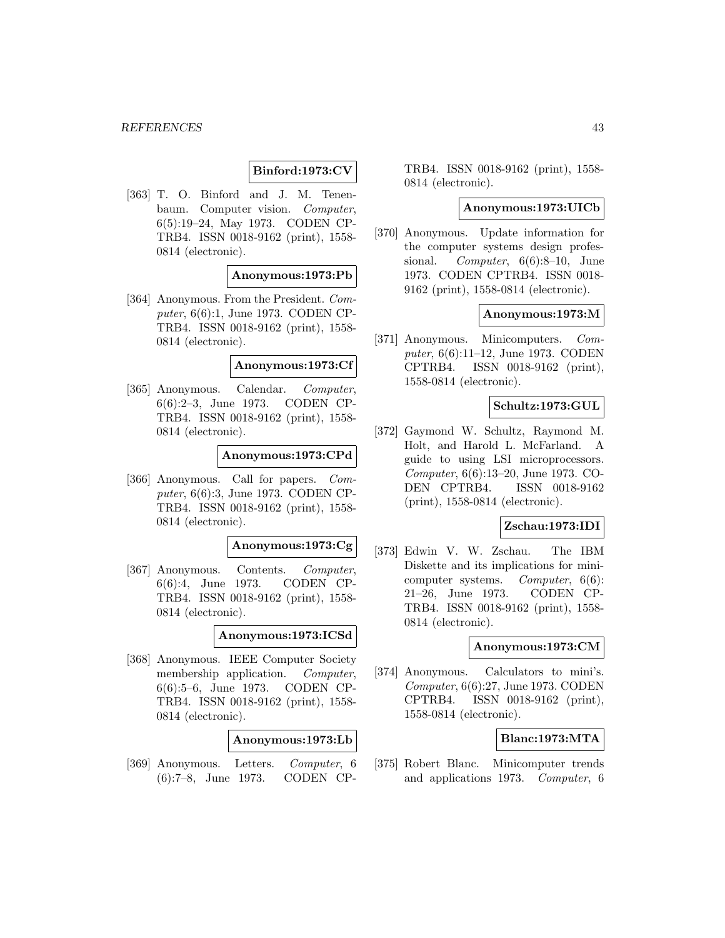# **Binford:1973:CV**

[363] T. O. Binford and J. M. Tenenbaum. Computer vision. Computer, 6(5):19–24, May 1973. CODEN CP-TRB4. ISSN 0018-9162 (print), 1558- 0814 (electronic).

## **Anonymous:1973:Pb**

[364] Anonymous. From the President. Computer, 6(6):1, June 1973. CODEN CP-TRB4. ISSN 0018-9162 (print), 1558- 0814 (electronic).

#### **Anonymous:1973:Cf**

[365] Anonymous. Calendar. Computer, 6(6):2–3, June 1973. CODEN CP-TRB4. ISSN 0018-9162 (print), 1558- 0814 (electronic).

#### **Anonymous:1973:CPd**

[366] Anonymous. Call for papers. Computer, 6(6):3, June 1973. CODEN CP-TRB4. ISSN 0018-9162 (print), 1558- 0814 (electronic).

#### **Anonymous:1973:Cg**

[367] Anonymous. Contents. Computer, 6(6):4, June 1973. CODEN CP-TRB4. ISSN 0018-9162 (print), 1558- 0814 (electronic).

#### **Anonymous:1973:ICSd**

[368] Anonymous. IEEE Computer Society membership application. *Computer*, 6(6):5–6, June 1973. CODEN CP-TRB4. ISSN 0018-9162 (print), 1558- 0814 (electronic).

#### **Anonymous:1973:Lb**

[369] Anonymous. Letters. Computer, 6 (6):7–8, June 1973. CODEN CP-

TRB4. ISSN 0018-9162 (print), 1558- 0814 (electronic).

### **Anonymous:1973:UICb**

[370] Anonymous. Update information for the computer systems design professional. Computer, 6(6):8-10, June 1973. CODEN CPTRB4. ISSN 0018- 9162 (print), 1558-0814 (electronic).

# **Anonymous:1973:M**

[371] Anonymous. Minicomputers. Computer, 6(6):11–12, June 1973. CODEN CPTRB4. ISSN 0018-9162 (print), 1558-0814 (electronic).

## **Schultz:1973:GUL**

[372] Gaymond W. Schultz, Raymond M. Holt, and Harold L. McFarland. A guide to using LSI microprocessors. Computer, 6(6):13–20, June 1973. CO-DEN CPTRB4. ISSN 0018-9162 (print), 1558-0814 (electronic).

# **Zschau:1973:IDI**

[373] Edwin V. W. Zschau. The IBM Diskette and its implications for minicomputer systems. Computer, 6(6): 21–26, June 1973. CODEN CP-TRB4. ISSN 0018-9162 (print), 1558- 0814 (electronic).

## **Anonymous:1973:CM**

[374] Anonymous. Calculators to mini's. Computer, 6(6):27, June 1973. CODEN CPTRB4. ISSN 0018-9162 (print), 1558-0814 (electronic).

### **Blanc:1973:MTA**

[375] Robert Blanc. Minicomputer trends and applications 1973. Computer, 6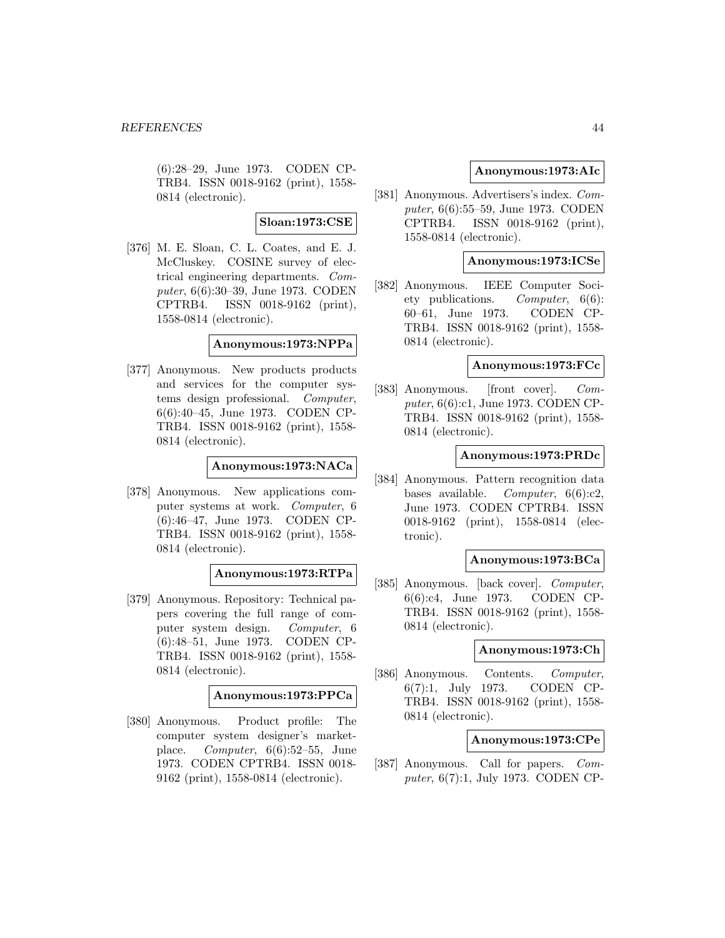(6):28–29, June 1973. CODEN CP-TRB4. ISSN 0018-9162 (print), 1558- 0814 (electronic).

## **Sloan:1973:CSE**

[376] M. E. Sloan, C. L. Coates, and E. J. McCluskey. COSINE survey of electrical engineering departments. Computer, 6(6):30–39, June 1973. CODEN CPTRB4. ISSN 0018-9162 (print), 1558-0814 (electronic).

# **Anonymous:1973:NPPa**

[377] Anonymous. New products products and services for the computer systems design professional. Computer, 6(6):40–45, June 1973. CODEN CP-TRB4. ISSN 0018-9162 (print), 1558- 0814 (electronic).

## **Anonymous:1973:NACa**

[378] Anonymous. New applications computer systems at work. Computer, 6 (6):46–47, June 1973. CODEN CP-TRB4. ISSN 0018-9162 (print), 1558- 0814 (electronic).

# **Anonymous:1973:RTPa**

[379] Anonymous. Repository: Technical papers covering the full range of computer system design. Computer, 6 (6):48–51, June 1973. CODEN CP-TRB4. ISSN 0018-9162 (print), 1558- 0814 (electronic).

### **Anonymous:1973:PPCa**

[380] Anonymous. Product profile: The computer system designer's marketplace. Computer, 6(6):52–55, June 1973. CODEN CPTRB4. ISSN 0018- 9162 (print), 1558-0814 (electronic).

## **Anonymous:1973:AIc**

[381] Anonymous. Advertisers's index. Computer, 6(6):55–59, June 1973. CODEN CPTRB4. ISSN 0018-9162 (print), 1558-0814 (electronic).

## **Anonymous:1973:ICSe**

[382] Anonymous. IEEE Computer Society publications. Computer, 6(6): 60–61, June 1973. CODEN CP-TRB4. ISSN 0018-9162 (print), 1558- 0814 (electronic).

## **Anonymous:1973:FCc**

[383] Anonymous. [front cover]. Computer, 6(6):c1, June 1973. CODEN CP-TRB4. ISSN 0018-9162 (print), 1558- 0814 (electronic).

## **Anonymous:1973:PRDc**

[384] Anonymous. Pattern recognition data bases available. Computer,  $6(6):c2$ , June 1973. CODEN CPTRB4. ISSN 0018-9162 (print), 1558-0814 (electronic).

#### **Anonymous:1973:BCa**

[385] Anonymous. [back cover]. Computer, 6(6):c4, June 1973. CODEN CP-TRB4. ISSN 0018-9162 (print), 1558- 0814 (electronic).

## **Anonymous:1973:Ch**

[386] Anonymous. Contents. Computer, 6(7):1, July 1973. CODEN CP-TRB4. ISSN 0018-9162 (print), 1558- 0814 (electronic).

### **Anonymous:1973:CPe**

[387] Anonymous. Call for papers. Computer, 6(7):1, July 1973. CODEN CP-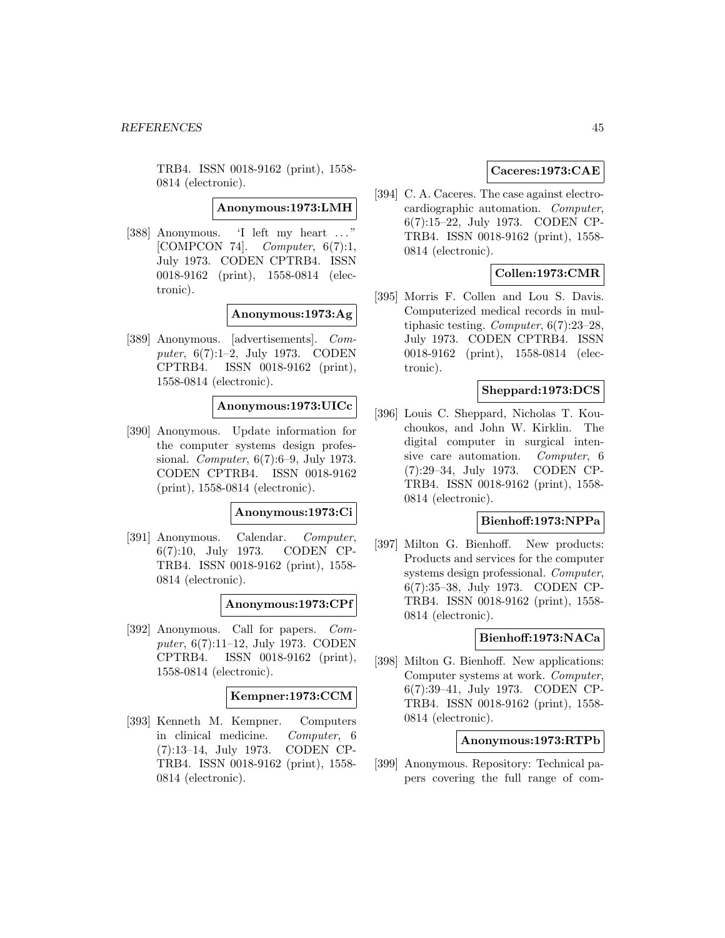TRB4. ISSN 0018-9162 (print), 1558- 0814 (electronic).

**Anonymous:1973:LMH**

[388] Anonymous. 'I left my heart ... " [COMPCON 74]. *Computer*,  $6(7):1$ , July 1973. CODEN CPTRB4. ISSN 0018-9162 (print), 1558-0814 (electronic).

### **Anonymous:1973:Ag**

[389] Anonymous. [advertisements]. Computer, 6(7):1–2, July 1973. CODEN CPTRB4. ISSN 0018-9162 (print), 1558-0814 (electronic).

#### **Anonymous:1973:UICc**

[390] Anonymous. Update information for the computer systems design professional. Computer, 6(7):6–9, July 1973. CODEN CPTRB4. ISSN 0018-9162 (print), 1558-0814 (electronic).

#### **Anonymous:1973:Ci**

[391] Anonymous. Calendar. Computer, 6(7):10, July 1973. CODEN CP-TRB4. ISSN 0018-9162 (print), 1558- 0814 (electronic).

#### **Anonymous:1973:CPf**

[392] Anonymous. Call for papers. Computer, 6(7):11–12, July 1973. CODEN CPTRB4. ISSN 0018-9162 (print), 1558-0814 (electronic).

#### **Kempner:1973:CCM**

[393] Kenneth M. Kempner. Computers in clinical medicine. Computer, 6 (7):13–14, July 1973. CODEN CP-TRB4. ISSN 0018-9162 (print), 1558- 0814 (electronic).

# **Caceres:1973:CAE**

[394] C. A. Caceres. The case against electrocardiographic automation. Computer, 6(7):15–22, July 1973. CODEN CP-TRB4. ISSN 0018-9162 (print), 1558- 0814 (electronic).

# **Collen:1973:CMR**

[395] Morris F. Collen and Lou S. Davis. Computerized medical records in multiphasic testing. Computer, 6(7):23–28, July 1973. CODEN CPTRB4. ISSN 0018-9162 (print), 1558-0814 (electronic).

# **Sheppard:1973:DCS**

[396] Louis C. Sheppard, Nicholas T. Kouchoukos, and John W. Kirklin. The digital computer in surgical intensive care automation. Computer, 6 (7):29–34, July 1973. CODEN CP-TRB4. ISSN 0018-9162 (print), 1558- 0814 (electronic).

## **Bienhoff:1973:NPPa**

[397] Milton G. Bienhoff. New products: Products and services for the computer systems design professional. Computer, 6(7):35–38, July 1973. CODEN CP-TRB4. ISSN 0018-9162 (print), 1558- 0814 (electronic).

# **Bienhoff:1973:NACa**

[398] Milton G. Bienhoff. New applications: Computer systems at work. Computer, 6(7):39–41, July 1973. CODEN CP-TRB4. ISSN 0018-9162 (print), 1558- 0814 (electronic).

## **Anonymous:1973:RTPb**

[399] Anonymous. Repository: Technical papers covering the full range of com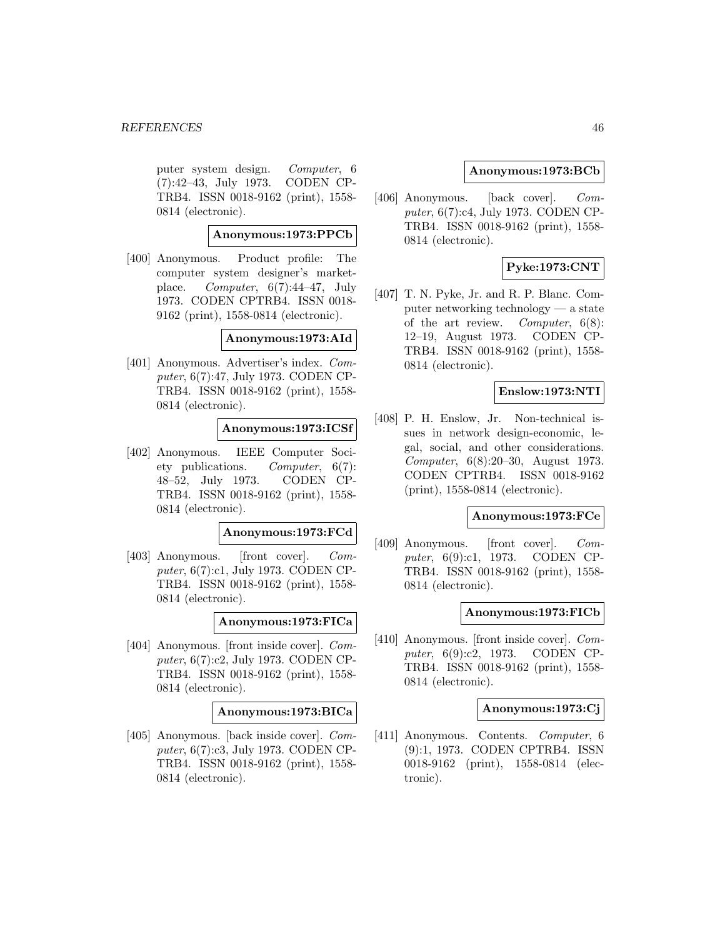puter system design. Computer, 6 (7):42–43, July 1973. CODEN CP-TRB4. ISSN 0018-9162 (print), 1558- 0814 (electronic).

**Anonymous:1973:PPCb**

[400] Anonymous. Product profile: The computer system designer's marketplace. Computer,  $6(7):44-47$ , July 1973. CODEN CPTRB4. ISSN 0018- 9162 (print), 1558-0814 (electronic).

**Anonymous:1973:AId**

[401] Anonymous. Advertiser's index. Computer, 6(7):47, July 1973. CODEN CP-TRB4. ISSN 0018-9162 (print), 1558- 0814 (electronic).

**Anonymous:1973:ICSf**

[402] Anonymous. IEEE Computer Society publications. Computer, 6(7): 48–52, July 1973. CODEN CP-TRB4. ISSN 0018-9162 (print), 1558- 0814 (electronic).

**Anonymous:1973:FCd**

[403] Anonymous. [front cover]. Computer, 6(7):c1, July 1973. CODEN CP-TRB4. ISSN 0018-9162 (print), 1558- 0814 (electronic).

**Anonymous:1973:FICa**

[404] Anonymous. [front inside cover]. Computer, 6(7):c2, July 1973. CODEN CP-TRB4. ISSN 0018-9162 (print), 1558- 0814 (electronic).

**Anonymous:1973:BICa**

[405] Anonymous. [back inside cover]. Computer, 6(7):c3, July 1973. CODEN CP-TRB4. ISSN 0018-9162 (print), 1558- 0814 (electronic).

## **Anonymous:1973:BCb**

[406] Anonymous. [back cover]. Computer, 6(7):c4, July 1973. CODEN CP-TRB4. ISSN 0018-9162 (print), 1558- 0814 (electronic).

# **Pyke:1973:CNT**

[407] T. N. Pyke, Jr. and R. P. Blanc. Computer networking technology — a state of the art review. Computer, 6(8): 12–19, August 1973. CODEN CP-TRB4. ISSN 0018-9162 (print), 1558- 0814 (electronic).

# **Enslow:1973:NTI**

[408] P. H. Enslow, Jr. Non-technical issues in network design-economic, legal, social, and other considerations. Computer, 6(8):20–30, August 1973. CODEN CPTRB4. ISSN 0018-9162 (print), 1558-0814 (electronic).

#### **Anonymous:1973:FCe**

[409] Anonymous. [front cover]. Computer, 6(9):c1, 1973. CODEN CP-TRB4. ISSN 0018-9162 (print), 1558- 0814 (electronic).

#### **Anonymous:1973:FICb**

[410] Anonymous. [front inside cover]. Computer, 6(9):c2, 1973. CODEN CP-TRB4. ISSN 0018-9162 (print), 1558- 0814 (electronic).

### **Anonymous:1973:Cj**

[411] Anonymous. Contents. Computer, 6 (9):1, 1973. CODEN CPTRB4. ISSN 0018-9162 (print), 1558-0814 (electronic).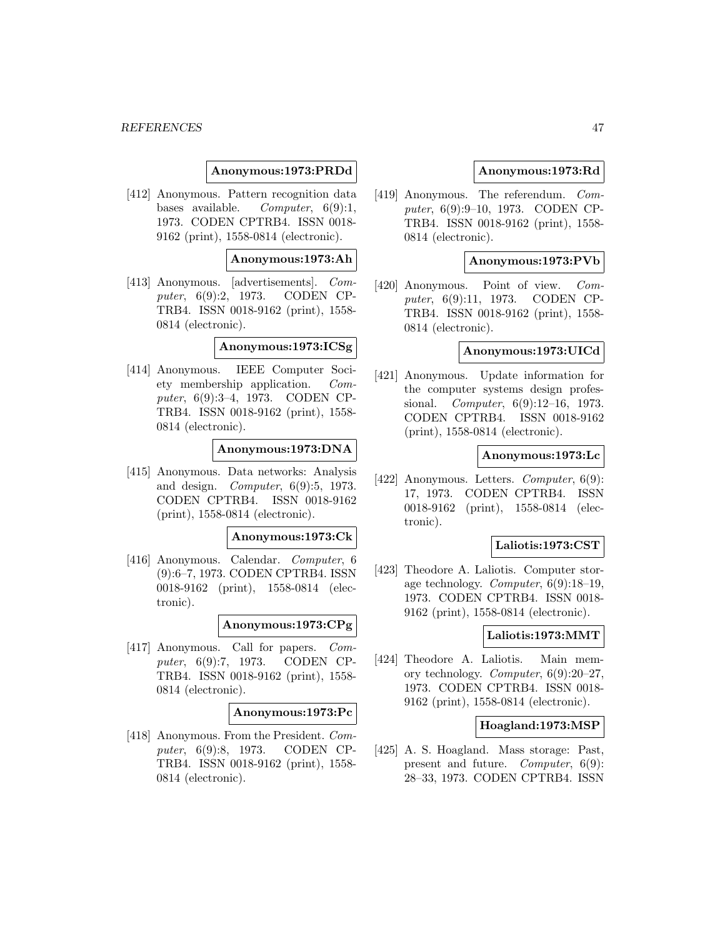### **Anonymous:1973:PRDd**

[412] Anonymous. Pattern recognition data bases available. Computer,  $6(9):1$ , 1973. CODEN CPTRB4. ISSN 0018- 9162 (print), 1558-0814 (electronic).

## **Anonymous:1973:Ah**

[413] Anonymous. [advertisements]. Computer, 6(9):2, 1973. CODEN CP-TRB4. ISSN 0018-9162 (print), 1558- 0814 (electronic).

# **Anonymous:1973:ICSg**

[414] Anonymous. IEEE Computer Society membership application. Computer, 6(9):3–4, 1973. CODEN CP-TRB4. ISSN 0018-9162 (print), 1558- 0814 (electronic).

### **Anonymous:1973:DNA**

[415] Anonymous. Data networks: Analysis and design. Computer, 6(9):5, 1973. CODEN CPTRB4. ISSN 0018-9162 (print), 1558-0814 (electronic).

#### **Anonymous:1973:Ck**

[416] Anonymous. Calendar. Computer, 6 (9):6–7, 1973. CODEN CPTRB4. ISSN 0018-9162 (print), 1558-0814 (electronic).

#### **Anonymous:1973:CPg**

[417] Anonymous. Call for papers. Computer, 6(9):7, 1973. CODEN CP-TRB4. ISSN 0018-9162 (print), 1558- 0814 (electronic).

#### **Anonymous:1973:Pc**

[418] Anonymous. From the President. Computer, 6(9):8, 1973. CODEN CP-TRB4. ISSN 0018-9162 (print), 1558- 0814 (electronic).

## **Anonymous:1973:Rd**

[419] Anonymous. The referendum. Computer, 6(9):9–10, 1973. CODEN CP-TRB4. ISSN 0018-9162 (print), 1558- 0814 (electronic).

#### **Anonymous:1973:PVb**

[420] Anonymous. Point of view. Computer, 6(9):11, 1973. CODEN CP-TRB4. ISSN 0018-9162 (print), 1558- 0814 (electronic).

## **Anonymous:1973:UICd**

[421] Anonymous. Update information for the computer systems design professional. Computer, 6(9):12–16, 1973. CODEN CPTRB4. ISSN 0018-9162 (print), 1558-0814 (electronic).

### **Anonymous:1973:Lc**

[422] Anonymous. Letters. *Computer*, 6(9): 17, 1973. CODEN CPTRB4. ISSN 0018-9162 (print), 1558-0814 (electronic).

## **Laliotis:1973:CST**

[423] Theodore A. Laliotis. Computer storage technology. Computer, 6(9):18–19, 1973. CODEN CPTRB4. ISSN 0018- 9162 (print), 1558-0814 (electronic).

# **Laliotis:1973:MMT**

[424] Theodore A. Laliotis. Main memory technology. Computer, 6(9):20–27, 1973. CODEN CPTRB4. ISSN 0018- 9162 (print), 1558-0814 (electronic).

### **Hoagland:1973:MSP**

[425] A. S. Hoagland. Mass storage: Past, present and future. Computer, 6(9): 28–33, 1973. CODEN CPTRB4. ISSN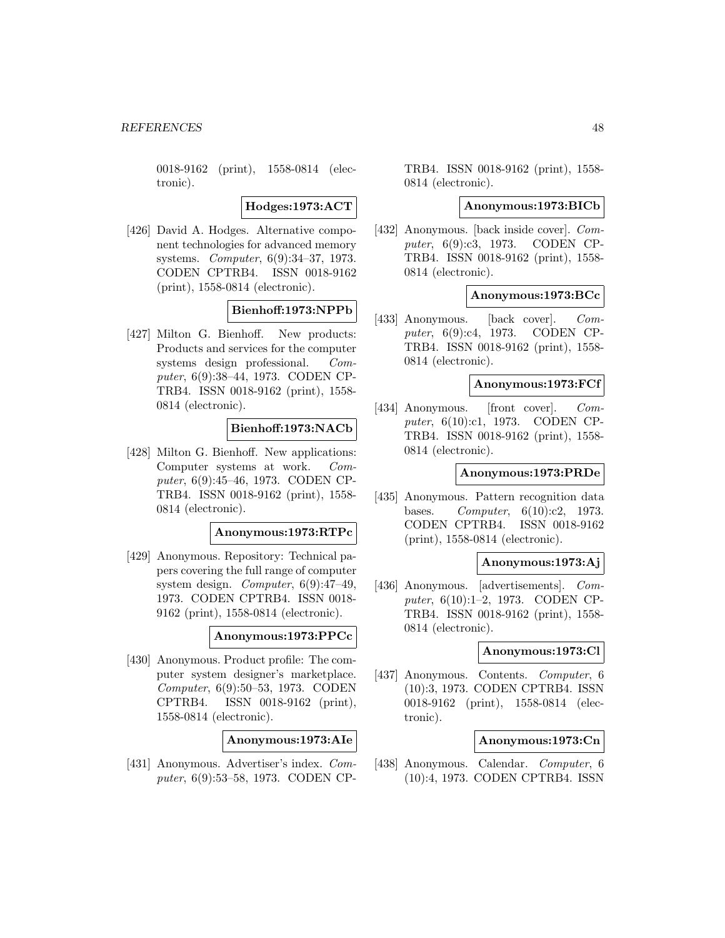0018-9162 (print), 1558-0814 (electronic).

**Hodges:1973:ACT**

[426] David A. Hodges. Alternative component technologies for advanced memory systems. Computer, 6(9):34–37, 1973. CODEN CPTRB4. ISSN 0018-9162 (print), 1558-0814 (electronic).

## **Bienhoff:1973:NPPb**

[427] Milton G. Bienhoff. New products: Products and services for the computer systems design professional. Computer, 6(9):38–44, 1973. CODEN CP-TRB4. ISSN 0018-9162 (print), 1558- 0814 (electronic).

# **Bienhoff:1973:NACb**

[428] Milton G. Bienhoff. New applications: Computer systems at work. Computer, 6(9):45–46, 1973. CODEN CP-TRB4. ISSN 0018-9162 (print), 1558- 0814 (electronic).

# **Anonymous:1973:RTPc**

[429] Anonymous. Repository: Technical papers covering the full range of computer system design. Computer, 6(9):47–49, 1973. CODEN CPTRB4. ISSN 0018- 9162 (print), 1558-0814 (electronic).

#### **Anonymous:1973:PPCc**

[430] Anonymous. Product profile: The computer system designer's marketplace. Computer, 6(9):50–53, 1973. CODEN CPTRB4. ISSN 0018-9162 (print), 1558-0814 (electronic).

**Anonymous:1973:AIe**

[431] Anonymous. Advertiser's index. Computer, 6(9):53–58, 1973. CODEN CP-

TRB4. ISSN 0018-9162 (print), 1558- 0814 (electronic).

#### **Anonymous:1973:BICb**

[432] Anonymous. [back inside cover]. Computer, 6(9):c3, 1973. CODEN CP-TRB4. ISSN 0018-9162 (print), 1558- 0814 (electronic).

#### **Anonymous:1973:BCc**

[433] Anonymous. [back cover]. Computer, 6(9):c4, 1973. CODEN CP-TRB4. ISSN 0018-9162 (print), 1558- 0814 (electronic).

#### **Anonymous:1973:FCf**

[434] Anonymous. [front cover]. *Com*puter, 6(10):c1, 1973. CODEN CP-TRB4. ISSN 0018-9162 (print), 1558- 0814 (electronic).

## **Anonymous:1973:PRDe**

[435] Anonymous. Pattern recognition data bases. Computer, 6(10):c2, 1973. CODEN CPTRB4. ISSN 0018-9162 (print), 1558-0814 (electronic).

#### **Anonymous:1973:Aj**

[436] Anonymous. [advertisements]. Computer, 6(10):1–2, 1973. CODEN CP-TRB4. ISSN 0018-9162 (print), 1558- 0814 (electronic).

#### **Anonymous:1973:Cl**

[437] Anonymous. Contents. Computer, 6 (10):3, 1973. CODEN CPTRB4. ISSN 0018-9162 (print), 1558-0814 (electronic).

#### **Anonymous:1973:Cn**

[438] Anonymous. Calendar. Computer, 6 (10):4, 1973. CODEN CPTRB4. ISSN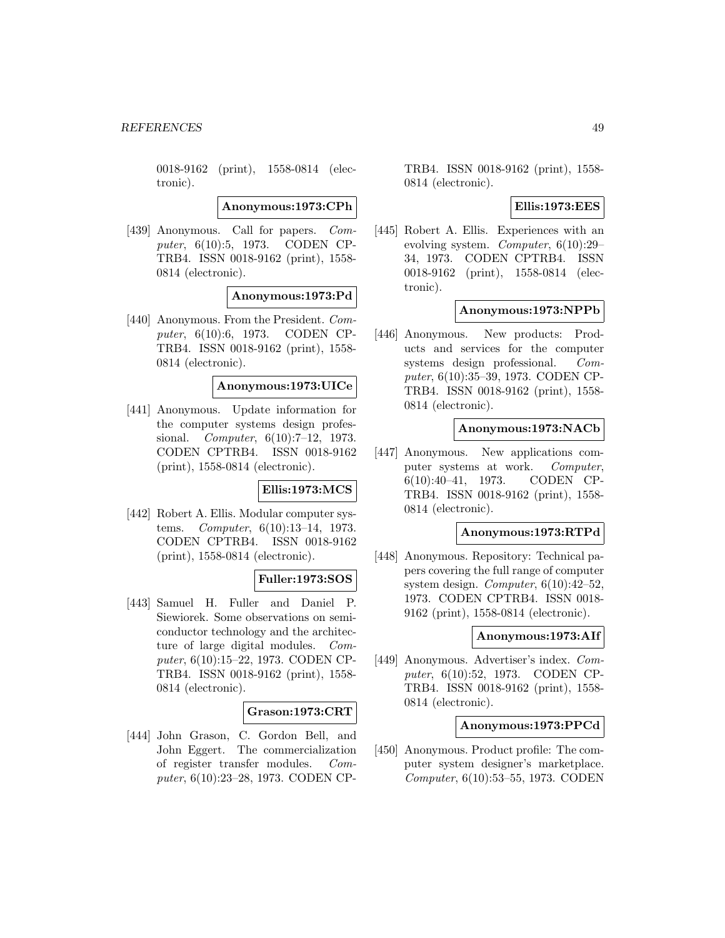0018-9162 (print), 1558-0814 (electronic).

**Anonymous:1973:CPh**

[439] Anonymous. Call for papers. Computer, 6(10):5, 1973. CODEN CP-TRB4. ISSN 0018-9162 (print), 1558- 0814 (electronic).

**Anonymous:1973:Pd**

[440] Anonymous. From the President. Computer, 6(10):6, 1973. CODEN CP-TRB4. ISSN 0018-9162 (print), 1558- 0814 (electronic).

### **Anonymous:1973:UICe**

[441] Anonymous. Update information for the computer systems design professional. Computer, 6(10):7–12, 1973. CODEN CPTRB4. ISSN 0018-9162 (print), 1558-0814 (electronic).

#### **Ellis:1973:MCS**

[442] Robert A. Ellis. Modular computer systems. Computer, 6(10):13–14, 1973. CODEN CPTRB4. ISSN 0018-9162 (print), 1558-0814 (electronic).

## **Fuller:1973:SOS**

[443] Samuel H. Fuller and Daniel P. Siewiorek. Some observations on semiconductor technology and the architecture of large digital modules. Computer, 6(10):15–22, 1973. CODEN CP-TRB4. ISSN 0018-9162 (print), 1558- 0814 (electronic).

## **Grason:1973:CRT**

[444] John Grason, C. Gordon Bell, and John Eggert. The commercialization of register transfer modules. Computer, 6(10):23–28, 1973. CODEN CP- TRB4. ISSN 0018-9162 (print), 1558- 0814 (electronic).

### **Ellis:1973:EES**

[445] Robert A. Ellis. Experiences with an evolving system. Computer, 6(10):29– 34, 1973. CODEN CPTRB4. ISSN 0018-9162 (print), 1558-0814 (electronic).

### **Anonymous:1973:NPPb**

[446] Anonymous. New products: Products and services for the computer systems design professional. Computer, 6(10):35–39, 1973. CODEN CP-TRB4. ISSN 0018-9162 (print), 1558- 0814 (electronic).

### **Anonymous:1973:NACb**

[447] Anonymous. New applications computer systems at work. Computer, 6(10):40–41, 1973. CODEN CP-TRB4. ISSN 0018-9162 (print), 1558- 0814 (electronic).

# **Anonymous:1973:RTPd**

[448] Anonymous. Repository: Technical papers covering the full range of computer system design. Computer, 6(10):42–52, 1973. CODEN CPTRB4. ISSN 0018- 9162 (print), 1558-0814 (electronic).

#### **Anonymous:1973:AIf**

[449] Anonymous. Advertiser's index. Computer, 6(10):52, 1973. CODEN CP-TRB4. ISSN 0018-9162 (print), 1558- 0814 (electronic).

#### **Anonymous:1973:PPCd**

[450] Anonymous. Product profile: The computer system designer's marketplace. Computer, 6(10):53–55, 1973. CODEN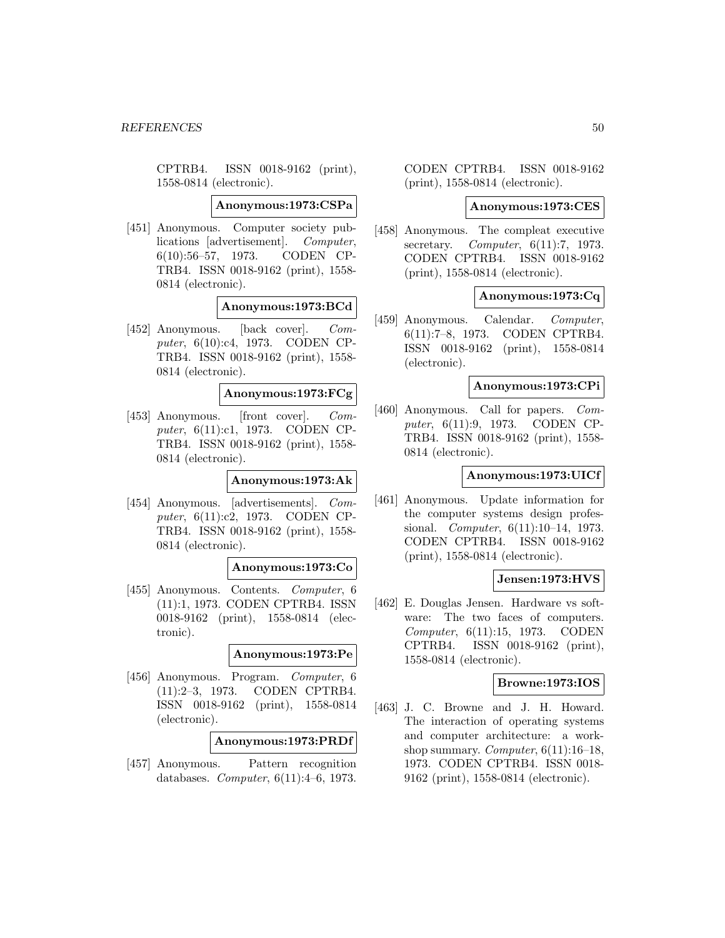CPTRB4. ISSN 0018-9162 (print), 1558-0814 (electronic).

**Anonymous:1973:CSPa**

[451] Anonymous. Computer society publications [advertisement]. Computer, 6(10):56–57, 1973. CODEN CP-TRB4. ISSN 0018-9162 (print), 1558- 0814 (electronic).

# **Anonymous:1973:BCd**

[452] Anonymous. [back cover]. Computer, 6(10):c4, 1973. CODEN CP-TRB4. ISSN 0018-9162 (print), 1558- 0814 (electronic).

### **Anonymous:1973:FCg**

[453] Anonymous. [front cover]. Computer, 6(11):c1, 1973. CODEN CP-TRB4. ISSN 0018-9162 (print), 1558- 0814 (electronic).

## **Anonymous:1973:Ak**

[454] Anonymous. [advertisements]. Computer, 6(11):c2, 1973. CODEN CP-TRB4. ISSN 0018-9162 (print), 1558- 0814 (electronic).

## **Anonymous:1973:Co**

[455] Anonymous. Contents. Computer, 6 (11):1, 1973. CODEN CPTRB4. ISSN 0018-9162 (print), 1558-0814 (electronic).

## **Anonymous:1973:Pe**

[456] Anonymous. Program. Computer, 6 (11):2–3, 1973. CODEN CPTRB4. ISSN 0018-9162 (print), 1558-0814 (electronic).

# **Anonymous:1973:PRDf**

[457] Anonymous. Pattern recognition databases. Computer, 6(11):4–6, 1973.

CODEN CPTRB4. ISSN 0018-9162 (print), 1558-0814 (electronic).

### **Anonymous:1973:CES**

[458] Anonymous. The compleat executive secretary. *Computer*, 6(11):7, 1973. CODEN CPTRB4. ISSN 0018-9162 (print), 1558-0814 (electronic).

### **Anonymous:1973:Cq**

[459] Anonymous. Calendar. Computer, 6(11):7–8, 1973. CODEN CPTRB4. ISSN 0018-9162 (print), 1558-0814 (electronic).

## **Anonymous:1973:CPi**

[460] Anonymous. Call for papers. Computer, 6(11):9, 1973. CODEN CP-TRB4. ISSN 0018-9162 (print), 1558- 0814 (electronic).

### **Anonymous:1973:UICf**

[461] Anonymous. Update information for the computer systems design professional. Computer, 6(11):10–14, 1973. CODEN CPTRB4. ISSN 0018-9162 (print), 1558-0814 (electronic).

# **Jensen:1973:HVS**

[462] E. Douglas Jensen. Hardware vs software: The two faces of computers. Computer, 6(11):15, 1973. CODEN CPTRB4. ISSN 0018-9162 (print), 1558-0814 (electronic).

#### **Browne:1973:IOS**

[463] J. C. Browne and J. H. Howard. The interaction of operating systems and computer architecture: a workshop summary. Computer,  $6(11):16-18$ , 1973. CODEN CPTRB4. ISSN 0018- 9162 (print), 1558-0814 (electronic).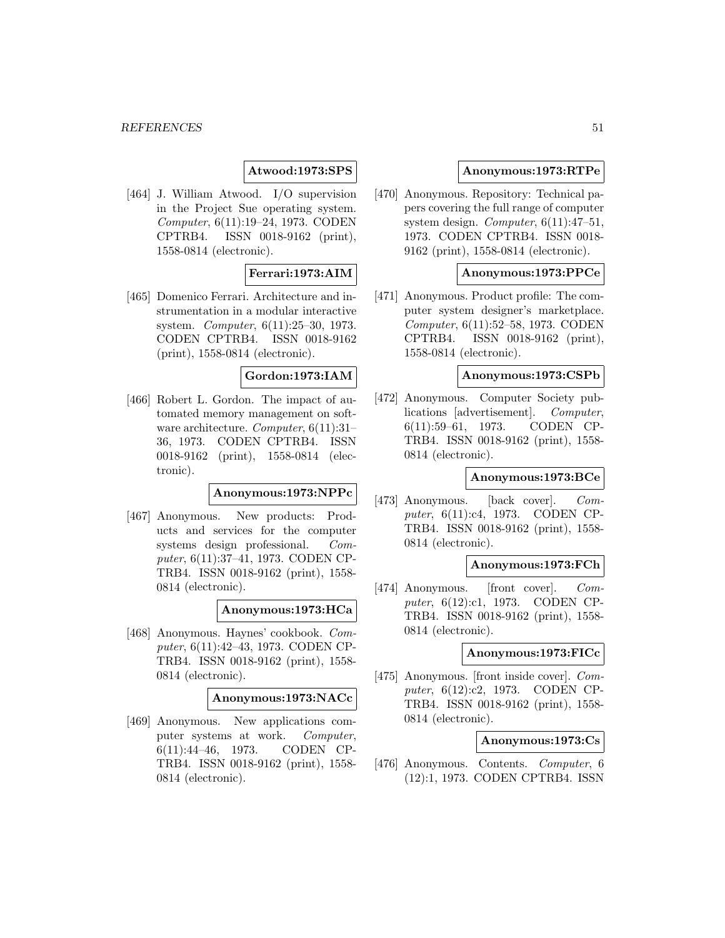# **Atwood:1973:SPS**

[464] J. William Atwood. I/O supervision in the Project Sue operating system. Computer, 6(11):19–24, 1973. CODEN CPTRB4. ISSN 0018-9162 (print), 1558-0814 (electronic).

## **Ferrari:1973:AIM**

[465] Domenico Ferrari. Architecture and instrumentation in a modular interactive system. Computer, 6(11):25–30, 1973. CODEN CPTRB4. ISSN 0018-9162 (print), 1558-0814 (electronic).

## **Gordon:1973:IAM**

[466] Robert L. Gordon. The impact of automated memory management on software architecture. Computer, 6(11):31-36, 1973. CODEN CPTRB4. ISSN 0018-9162 (print), 1558-0814 (electronic).

# **Anonymous:1973:NPPc**

[467] Anonymous. New products: Products and services for the computer systems design professional. Computer, 6(11):37–41, 1973. CODEN CP-TRB4. ISSN 0018-9162 (print), 1558- 0814 (electronic).

#### **Anonymous:1973:HCa**

[468] Anonymous. Haynes' cookbook. Computer, 6(11):42–43, 1973. CODEN CP-TRB4. ISSN 0018-9162 (print), 1558- 0814 (electronic).

## **Anonymous:1973:NACc**

[469] Anonymous. New applications computer systems at work. Computer, 6(11):44–46, 1973. CODEN CP-TRB4. ISSN 0018-9162 (print), 1558- 0814 (electronic).

## **Anonymous:1973:RTPe**

[470] Anonymous. Repository: Technical papers covering the full range of computer system design. Computer,  $6(11):47-51$ , 1973. CODEN CPTRB4. ISSN 0018- 9162 (print), 1558-0814 (electronic).

## **Anonymous:1973:PPCe**

[471] Anonymous. Product profile: The computer system designer's marketplace. Computer, 6(11):52–58, 1973. CODEN CPTRB4. ISSN 0018-9162 (print), 1558-0814 (electronic).

#### **Anonymous:1973:CSPb**

[472] Anonymous. Computer Society publications [advertisement]. Computer, 6(11):59–61, 1973. CODEN CP-TRB4. ISSN 0018-9162 (print), 1558- 0814 (electronic).

#### **Anonymous:1973:BCe**

[473] Anonymous. [back cover]. Computer, 6(11):c4, 1973. CODEN CP-TRB4. ISSN 0018-9162 (print), 1558- 0814 (electronic).

# **Anonymous:1973:FCh**

[474] Anonymous. [front cover]. *Com*puter, 6(12):c1, 1973. CODEN CP-TRB4. ISSN 0018-9162 (print), 1558- 0814 (electronic).

#### **Anonymous:1973:FICc**

[475] Anonymous. [front inside cover]. Computer, 6(12):c2, 1973. CODEN CP-TRB4. ISSN 0018-9162 (print), 1558- 0814 (electronic).

## **Anonymous:1973:Cs**

[476] Anonymous. Contents. Computer, 6 (12):1, 1973. CODEN CPTRB4. ISSN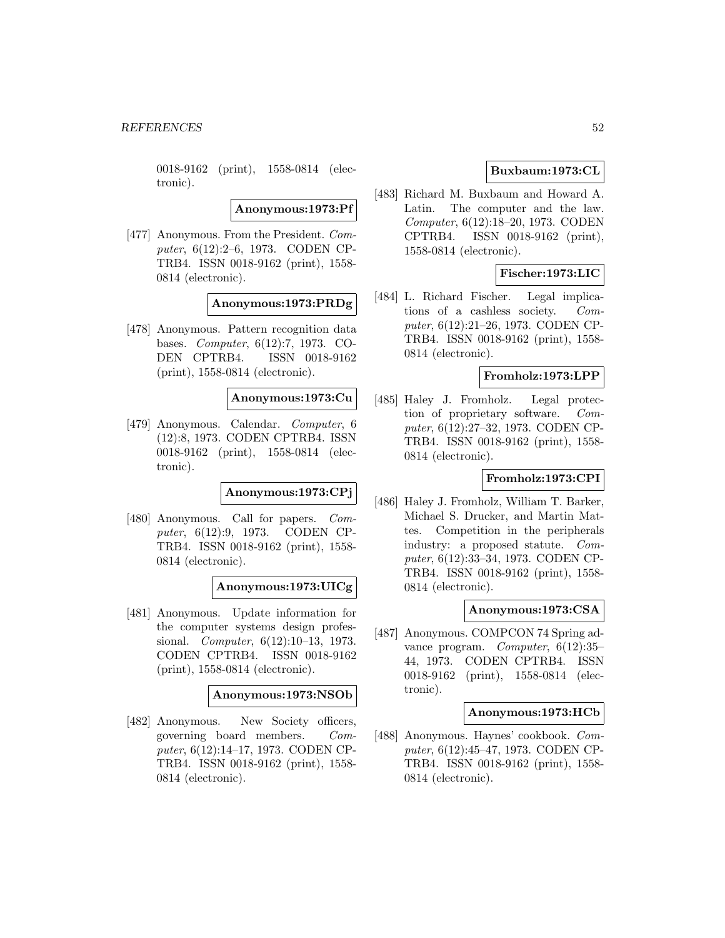0018-9162 (print), 1558-0814 (electronic).

**Anonymous:1973:Pf**

[477] Anonymous. From the President. Computer, 6(12):2–6, 1973. CODEN CP-TRB4. ISSN 0018-9162 (print), 1558- 0814 (electronic).

**Anonymous:1973:PRDg**

[478] Anonymous. Pattern recognition data bases. Computer, 6(12):7, 1973. CO-DEN CPTRB4. ISSN 0018-9162 (print), 1558-0814 (electronic).

### **Anonymous:1973:Cu**

[479] Anonymous. Calendar. Computer, 6 (12):8, 1973. CODEN CPTRB4. ISSN 0018-9162 (print), 1558-0814 (electronic).

**Anonymous:1973:CPj**

[480] Anonymous. Call for papers. Computer, 6(12):9, 1973. CODEN CP-TRB4. ISSN 0018-9162 (print), 1558- 0814 (electronic).

**Anonymous:1973:UICg**

[481] Anonymous. Update information for the computer systems design professional. Computer, 6(12):10–13, 1973. CODEN CPTRB4. ISSN 0018-9162 (print), 1558-0814 (electronic).

## **Anonymous:1973:NSOb**

[482] Anonymous. New Society officers, governing board members. Computer, 6(12):14–17, 1973. CODEN CP-TRB4. ISSN 0018-9162 (print), 1558- 0814 (electronic).

# **Buxbaum:1973:CL**

[483] Richard M. Buxbaum and Howard A. Latin. The computer and the law. Computer, 6(12):18–20, 1973. CODEN CPTRB4. ISSN 0018-9162 (print), 1558-0814 (electronic).

# **Fischer:1973:LIC**

[484] L. Richard Fischer. Legal implications of a cashless society. Computer, 6(12):21–26, 1973. CODEN CP-TRB4. ISSN 0018-9162 (print), 1558- 0814 (electronic).

## **Fromholz:1973:LPP**

[485] Haley J. Fromholz. Legal protection of proprietary software. Computer, 6(12):27–32, 1973. CODEN CP-TRB4. ISSN 0018-9162 (print), 1558- 0814 (electronic).

## **Fromholz:1973:CPI**

[486] Haley J. Fromholz, William T. Barker, Michael S. Drucker, and Martin Mattes. Competition in the peripherals industry: a proposed statute. Computer, 6(12):33–34, 1973. CODEN CP-TRB4. ISSN 0018-9162 (print), 1558- 0814 (electronic).

#### **Anonymous:1973:CSA**

[487] Anonymous. COMPCON 74 Spring advance program. Computer, 6(12):35– 44, 1973. CODEN CPTRB4. ISSN 0018-9162 (print), 1558-0814 (electronic).

#### **Anonymous:1973:HCb**

[488] Anonymous. Haynes' cookbook. Computer, 6(12):45–47, 1973. CODEN CP-TRB4. ISSN 0018-9162 (print), 1558- 0814 (electronic).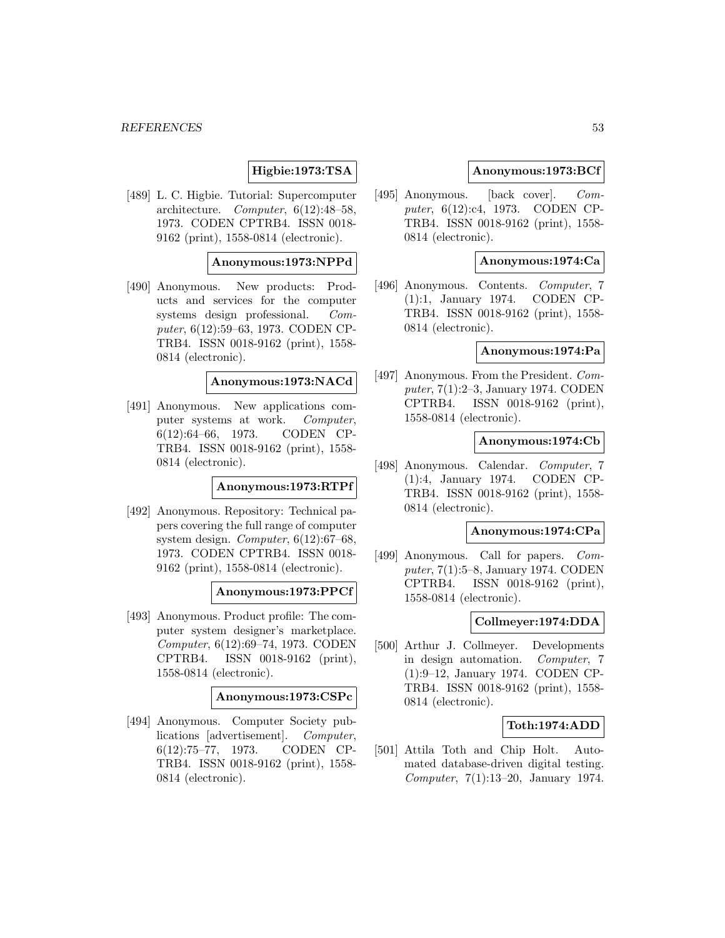# **Higbie:1973:TSA**

[489] L. C. Higbie. Tutorial: Supercomputer architecture. Computer, 6(12):48–58, 1973. CODEN CPTRB4. ISSN 0018- 9162 (print), 1558-0814 (electronic).

### **Anonymous:1973:NPPd**

[490] Anonymous. New products: Products and services for the computer systems design professional. Computer, 6(12):59–63, 1973. CODEN CP-TRB4. ISSN 0018-9162 (print), 1558- 0814 (electronic).

# **Anonymous:1973:NACd**

[491] Anonymous. New applications computer systems at work. Computer, 6(12):64–66, 1973. CODEN CP-TRB4. ISSN 0018-9162 (print), 1558- 0814 (electronic).

## **Anonymous:1973:RTPf**

[492] Anonymous. Repository: Technical papers covering the full range of computer system design. Computer, 6(12):67–68, 1973. CODEN CPTRB4. ISSN 0018- 9162 (print), 1558-0814 (electronic).

## **Anonymous:1973:PPCf**

[493] Anonymous. Product profile: The computer system designer's marketplace. Computer, 6(12):69–74, 1973. CODEN CPTRB4. ISSN 0018-9162 (print), 1558-0814 (electronic).

### **Anonymous:1973:CSPc**

[494] Anonymous. Computer Society publications [advertisement]. Computer, 6(12):75–77, 1973. CODEN CP-TRB4. ISSN 0018-9162 (print), 1558- 0814 (electronic).

## **Anonymous:1973:BCf**

[495] Anonymous. [back cover]. Computer, 6(12):c4, 1973. CODEN CP-TRB4. ISSN 0018-9162 (print), 1558- 0814 (electronic).

### **Anonymous:1974:Ca**

[496] Anonymous. Contents. Computer, 7 (1):1, January 1974. CODEN CP-TRB4. ISSN 0018-9162 (print), 1558- 0814 (electronic).

### **Anonymous:1974:Pa**

[497] Anonymous. From the President. Computer, 7(1):2–3, January 1974. CODEN CPTRB4. ISSN 0018-9162 (print), 1558-0814 (electronic).

### **Anonymous:1974:Cb**

[498] Anonymous. Calendar. Computer, 7 (1):4, January 1974. CODEN CP-TRB4. ISSN 0018-9162 (print), 1558- 0814 (electronic).

#### **Anonymous:1974:CPa**

[499] Anonymous. Call for papers. Computer, 7(1):5–8, January 1974. CODEN CPTRB4. ISSN 0018-9162 (print), 1558-0814 (electronic).

## **Collmeyer:1974:DDA**

[500] Arthur J. Collmeyer. Developments in design automation. Computer, 7 (1):9–12, January 1974. CODEN CP-TRB4. ISSN 0018-9162 (print), 1558- 0814 (electronic).

## **Toth:1974:ADD**

[501] Attila Toth and Chip Holt. Automated database-driven digital testing. Computer, 7(1):13–20, January 1974.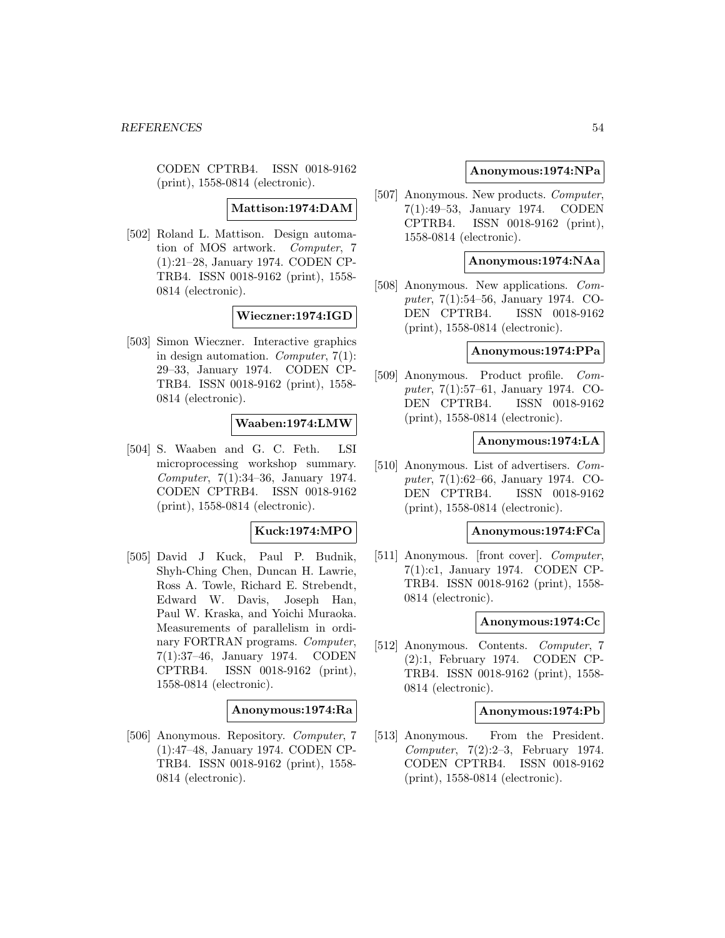CODEN CPTRB4. ISSN 0018-9162 (print), 1558-0814 (electronic).

**Mattison:1974:DAM**

[502] Roland L. Mattison. Design automation of MOS artwork. Computer, 7 (1):21–28, January 1974. CODEN CP-TRB4. ISSN 0018-9162 (print), 1558- 0814 (electronic).

# **Wieczner:1974:IGD**

[503] Simon Wieczner. Interactive graphics in design automation. Computer, 7(1): 29–33, January 1974. CODEN CP-TRB4. ISSN 0018-9162 (print), 1558- 0814 (electronic).

# **Waaben:1974:LMW**

[504] S. Waaben and G. C. Feth. LSI microprocessing workshop summary. Computer, 7(1):34–36, January 1974. CODEN CPTRB4. ISSN 0018-9162 (print), 1558-0814 (electronic).

# **Kuck:1974:MPO**

[505] David J Kuck, Paul P. Budnik, Shyh-Ching Chen, Duncan H. Lawrie, Ross A. Towle, Richard E. Strebendt, Edward W. Davis, Joseph Han, Paul W. Kraska, and Yoichi Muraoka. Measurements of parallelism in ordinary FORTRAN programs. Computer, 7(1):37–46, January 1974. CODEN CPTRB4. ISSN 0018-9162 (print), 1558-0814 (electronic).

#### **Anonymous:1974:Ra**

[506] Anonymous. Repository. Computer, 7 (1):47–48, January 1974. CODEN CP-TRB4. ISSN 0018-9162 (print), 1558- 0814 (electronic).

### **Anonymous:1974:NPa**

[507] Anonymous. New products. *Computer*, 7(1):49–53, January 1974. CODEN CPTRB4. ISSN 0018-9162 (print), 1558-0814 (electronic).

## **Anonymous:1974:NAa**

[508] Anonymous. New applications. Computer, 7(1):54–56, January 1974. CO-DEN CPTRB4. ISSN 0018-9162 (print), 1558-0814 (electronic).

# **Anonymous:1974:PPa**

[509] Anonymous. Product profile. Computer, 7(1):57–61, January 1974. CO-DEN CPTRB4. ISSN 0018-9162 (print), 1558-0814 (electronic).

### **Anonymous:1974:LA**

[510] Anonymous. List of advertisers. Computer, 7(1):62–66, January 1974. CO-DEN CPTRB4. ISSN 0018-9162 (print), 1558-0814 (electronic).

# **Anonymous:1974:FCa**

[511] Anonymous. [front cover]. *Computer*, 7(1):c1, January 1974. CODEN CP-TRB4. ISSN 0018-9162 (print), 1558- 0814 (electronic).

#### **Anonymous:1974:Cc**

[512] Anonymous. Contents. Computer, 7 (2):1, February 1974. CODEN CP-TRB4. ISSN 0018-9162 (print), 1558- 0814 (electronic).

#### **Anonymous:1974:Pb**

[513] Anonymous. From the President. Computer, 7(2):2–3, February 1974. CODEN CPTRB4. ISSN 0018-9162 (print), 1558-0814 (electronic).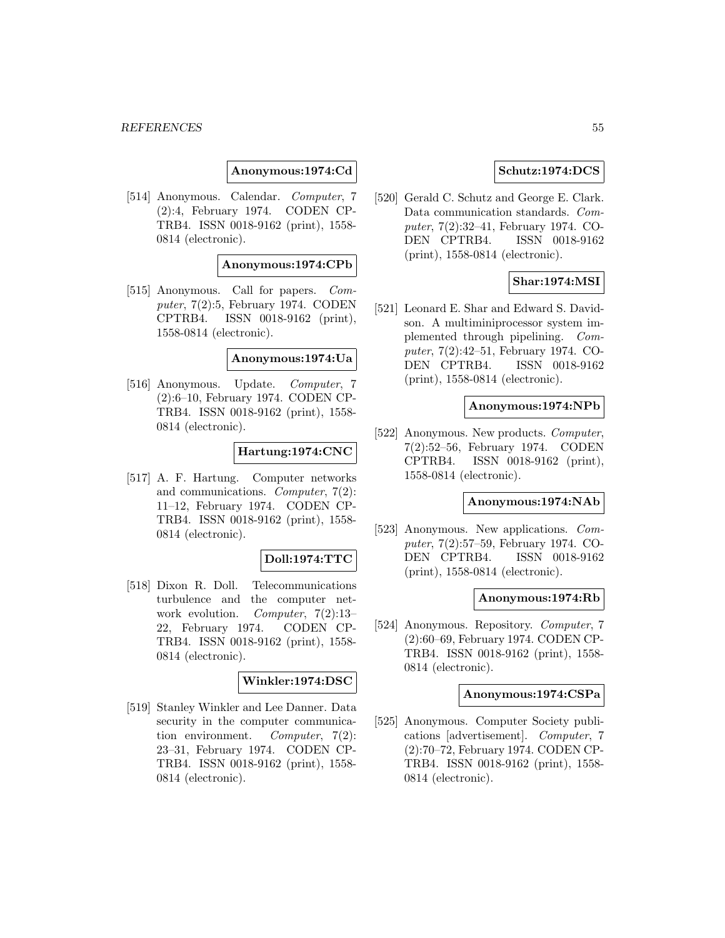**Anonymous:1974:Cd**

[514] Anonymous. Calendar. Computer, 7 (2):4, February 1974. CODEN CP-TRB4. ISSN 0018-9162 (print), 1558- 0814 (electronic).

#### **Anonymous:1974:CPb**

[515] Anonymous. Call for papers. Computer, 7(2):5, February 1974. CODEN CPTRB4. ISSN 0018-9162 (print), 1558-0814 (electronic).

#### **Anonymous:1974:Ua**

[516] Anonymous. Update. Computer, 7 (2):6–10, February 1974. CODEN CP-TRB4. ISSN 0018-9162 (print), 1558- 0814 (electronic).

# **Hartung:1974:CNC**

[517] A. F. Hartung. Computer networks and communications. Computer, 7(2): 11–12, February 1974. CODEN CP-TRB4. ISSN 0018-9162 (print), 1558- 0814 (electronic).

## **Doll:1974:TTC**

[518] Dixon R. Doll. Telecommunications turbulence and the computer network evolution. Computer, 7(2):13-22, February 1974. CODEN CP-TRB4. ISSN 0018-9162 (print), 1558- 0814 (electronic).

## **Winkler:1974:DSC**

[519] Stanley Winkler and Lee Danner. Data security in the computer communication environment. Computer, 7(2): 23–31, February 1974. CODEN CP-TRB4. ISSN 0018-9162 (print), 1558- 0814 (electronic).

### **Schutz:1974:DCS**

[520] Gerald C. Schutz and George E. Clark. Data communication standards. Computer, 7(2):32–41, February 1974. CO-DEN CPTRB4. ISSN 0018-9162 (print), 1558-0814 (electronic).

## **Shar:1974:MSI**

[521] Leonard E. Shar and Edward S. Davidson. A multiminiprocessor system implemented through pipelining. Computer, 7(2):42–51, February 1974. CO-DEN CPTRB4. ISSN 0018-9162 (print), 1558-0814 (electronic).

#### **Anonymous:1974:NPb**

[522] Anonymous. New products. *Computer*, 7(2):52–56, February 1974. CODEN CPTRB4. ISSN 0018-9162 (print), 1558-0814 (electronic).

## **Anonymous:1974:NAb**

[523] Anonymous. New applications. Computer, 7(2):57–59, February 1974. CO-DEN CPTRB4. ISSN 0018-9162 (print), 1558-0814 (electronic).

#### **Anonymous:1974:Rb**

[524] Anonymous. Repository. Computer, 7 (2):60–69, February 1974. CODEN CP-TRB4. ISSN 0018-9162 (print), 1558- 0814 (electronic).

#### **Anonymous:1974:CSPa**

[525] Anonymous. Computer Society publications [advertisement]. Computer, 7 (2):70–72, February 1974. CODEN CP-TRB4. ISSN 0018-9162 (print), 1558- 0814 (electronic).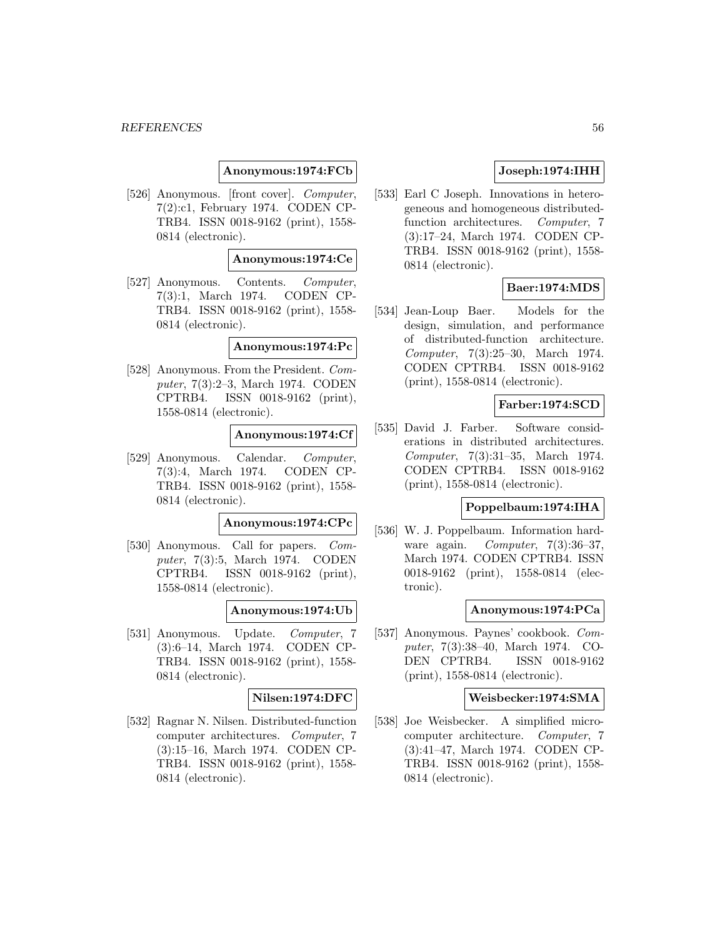### **Anonymous:1974:FCb**

[526] Anonymous. [front cover]. Computer, 7(2):c1, February 1974. CODEN CP-TRB4. ISSN 0018-9162 (print), 1558- 0814 (electronic).

#### **Anonymous:1974:Ce**

[527] Anonymous. Contents. Computer, 7(3):1, March 1974. CODEN CP-TRB4. ISSN 0018-9162 (print), 1558- 0814 (electronic).

#### **Anonymous:1974:Pc**

[528] Anonymous. From the President. Computer, 7(3):2–3, March 1974. CODEN CPTRB4. ISSN 0018-9162 (print), 1558-0814 (electronic).

#### **Anonymous:1974:Cf**

[529] Anonymous. Calendar. Computer, 7(3):4, March 1974. CODEN CP-TRB4. ISSN 0018-9162 (print), 1558- 0814 (electronic).

#### **Anonymous:1974:CPc**

[530] Anonymous. Call for papers. *Com*puter, 7(3):5, March 1974. CODEN CPTRB4. ISSN 0018-9162 (print), 1558-0814 (electronic).

#### **Anonymous:1974:Ub**

[531] Anonymous. Update. Computer, 7 (3):6–14, March 1974. CODEN CP-TRB4. ISSN 0018-9162 (print), 1558- 0814 (electronic).

#### **Nilsen:1974:DFC**

[532] Ragnar N. Nilsen. Distributed-function computer architectures. Computer, 7 (3):15–16, March 1974. CODEN CP-TRB4. ISSN 0018-9162 (print), 1558- 0814 (electronic).

# **Joseph:1974:IHH**

[533] Earl C Joseph. Innovations in heterogeneous and homogeneous distributedfunction architectures. Computer, 7 (3):17–24, March 1974. CODEN CP-TRB4. ISSN 0018-9162 (print), 1558- 0814 (electronic).

## **Baer:1974:MDS**

[534] Jean-Loup Baer. Models for the design, simulation, and performance of distributed-function architecture. Computer, 7(3):25–30, March 1974. CODEN CPTRB4. ISSN 0018-9162 (print), 1558-0814 (electronic).

## **Farber:1974:SCD**

[535] David J. Farber. Software considerations in distributed architectures. Computer, 7(3):31–35, March 1974. CODEN CPTRB4. ISSN 0018-9162 (print), 1558-0814 (electronic).

# **Poppelbaum:1974:IHA**

[536] W. J. Poppelbaum. Information hardware again. *Computer*, 7(3):36-37, March 1974. CODEN CPTRB4. ISSN 0018-9162 (print), 1558-0814 (electronic).

#### **Anonymous:1974:PCa**

[537] Anonymous. Paynes' cookbook. Computer, 7(3):38–40, March 1974. CO-DEN CPTRB4. ISSN 0018-9162 (print), 1558-0814 (electronic).

#### **Weisbecker:1974:SMA**

[538] Joe Weisbecker. A simplified microcomputer architecture. Computer, 7 (3):41–47, March 1974. CODEN CP-TRB4. ISSN 0018-9162 (print), 1558- 0814 (electronic).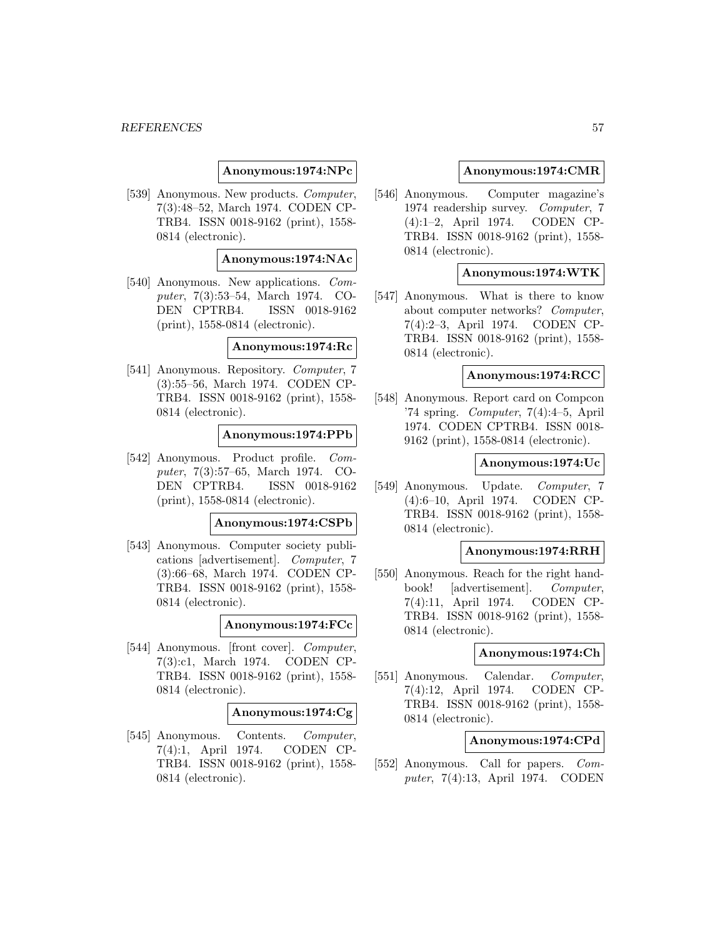### **Anonymous:1974:NPc**

[539] Anonymous. New products. *Computer*, 7(3):48–52, March 1974. CODEN CP-TRB4. ISSN 0018-9162 (print), 1558- 0814 (electronic).

### **Anonymous:1974:NAc**

[540] Anonymous. New applications. Computer, 7(3):53–54, March 1974. CO-DEN CPTRB4. ISSN 0018-9162 (print), 1558-0814 (electronic).

**Anonymous:1974:Rc**

[541] Anonymous. Repository. Computer, 7 (3):55–56, March 1974. CODEN CP-TRB4. ISSN 0018-9162 (print), 1558- 0814 (electronic).

## **Anonymous:1974:PPb**

[542] Anonymous. Product profile. Computer, 7(3):57–65, March 1974. CO-DEN CPTRB4. ISSN 0018-9162 (print), 1558-0814 (electronic).

#### **Anonymous:1974:CSPb**

[543] Anonymous. Computer society publications [advertisement]. Computer, 7 (3):66–68, March 1974. CODEN CP-TRB4. ISSN 0018-9162 (print), 1558- 0814 (electronic).

#### **Anonymous:1974:FCc**

[544] Anonymous. [front cover]. *Computer*, 7(3):c1, March 1974. CODEN CP-TRB4. ISSN 0018-9162 (print), 1558- 0814 (electronic).

#### **Anonymous:1974:Cg**

[545] Anonymous. Contents. Computer, 7(4):1, April 1974. CODEN CP-TRB4. ISSN 0018-9162 (print), 1558- 0814 (electronic).

### **Anonymous:1974:CMR**

[546] Anonymous. Computer magazine's 1974 readership survey. Computer, 7 (4):1–2, April 1974. CODEN CP-TRB4. ISSN 0018-9162 (print), 1558- 0814 (electronic).

## **Anonymous:1974:WTK**

[547] Anonymous. What is there to know about computer networks? Computer, 7(4):2–3, April 1974. CODEN CP-TRB4. ISSN 0018-9162 (print), 1558- 0814 (electronic).

#### **Anonymous:1974:RCC**

[548] Anonymous. Report card on Compcon '74 spring. *Computer*,  $7(4):4-5$ , April 1974. CODEN CPTRB4. ISSN 0018- 9162 (print), 1558-0814 (electronic).

#### **Anonymous:1974:Uc**

[549] Anonymous. Update. Computer, 7 (4):6–10, April 1974. CODEN CP-TRB4. ISSN 0018-9162 (print), 1558- 0814 (electronic).

#### **Anonymous:1974:RRH**

[550] Anonymous. Reach for the right handbook! [advertisement]. Computer, 7(4):11, April 1974. CODEN CP-TRB4. ISSN 0018-9162 (print), 1558- 0814 (electronic).

#### **Anonymous:1974:Ch**

[551] Anonymous. Calendar. Computer, 7(4):12, April 1974. CODEN CP-TRB4. ISSN 0018-9162 (print), 1558- 0814 (electronic).

## **Anonymous:1974:CPd**

[552] Anonymous. Call for papers. Computer, 7(4):13, April 1974. CODEN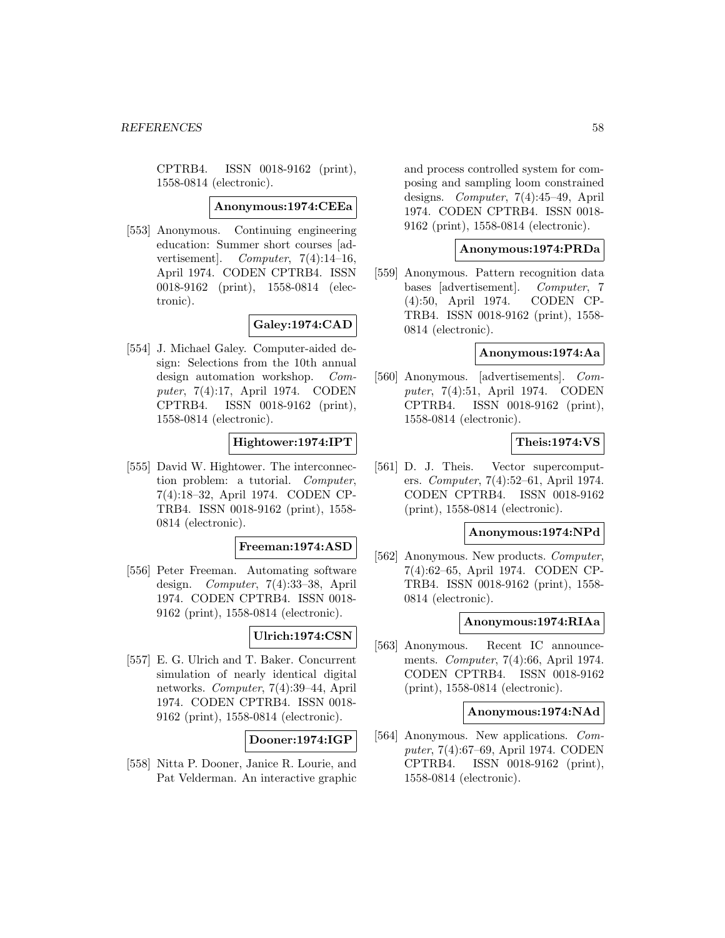CPTRB4. ISSN 0018-9162 (print), 1558-0814 (electronic).

#### **Anonymous:1974:CEEa**

[553] Anonymous. Continuing engineering education: Summer short courses [advertisement. Computer,  $7(4):14-16$ , April 1974. CODEN CPTRB4. ISSN 0018-9162 (print), 1558-0814 (electronic).

**Galey:1974:CAD**

[554] J. Michael Galey. Computer-aided design: Selections from the 10th annual design automation workshop. Computer, 7(4):17, April 1974. CODEN CPTRB4. ISSN 0018-9162 (print), 1558-0814 (electronic).

# **Hightower:1974:IPT**

[555] David W. Hightower. The interconnection problem: a tutorial. Computer, 7(4):18–32, April 1974. CODEN CP-TRB4. ISSN 0018-9162 (print), 1558- 0814 (electronic).

## **Freeman:1974:ASD**

[556] Peter Freeman. Automating software design. Computer, 7(4):33–38, April 1974. CODEN CPTRB4. ISSN 0018- 9162 (print), 1558-0814 (electronic).

## **Ulrich:1974:CSN**

[557] E. G. Ulrich and T. Baker. Concurrent simulation of nearly identical digital networks. Computer, 7(4):39–44, April 1974. CODEN CPTRB4. ISSN 0018- 9162 (print), 1558-0814 (electronic).

## **Dooner:1974:IGP**

[558] Nitta P. Dooner, Janice R. Lourie, and Pat Velderman. An interactive graphic and process controlled system for composing and sampling loom constrained designs. Computer, 7(4):45–49, April 1974. CODEN CPTRB4. ISSN 0018- 9162 (print), 1558-0814 (electronic).

### **Anonymous:1974:PRDa**

[559] Anonymous. Pattern recognition data bases [advertisement]. Computer, 7 (4):50, April 1974. CODEN CP-TRB4. ISSN 0018-9162 (print), 1558- 0814 (electronic).

# **Anonymous:1974:Aa**

[560] Anonymous. [advertisements]. Computer, 7(4):51, April 1974. CODEN CPTRB4. ISSN 0018-9162 (print), 1558-0814 (electronic).

## **Theis:1974:VS**

[561] D. J. Theis. Vector supercomputers. Computer, 7(4):52–61, April 1974. CODEN CPTRB4. ISSN 0018-9162 (print), 1558-0814 (electronic).

# **Anonymous:1974:NPd**

[562] Anonymous. New products. *Computer*, 7(4):62–65, April 1974. CODEN CP-TRB4. ISSN 0018-9162 (print), 1558- 0814 (electronic).

#### **Anonymous:1974:RIAa**

[563] Anonymous. Recent IC announcements. Computer, 7(4):66, April 1974. CODEN CPTRB4. ISSN 0018-9162 (print), 1558-0814 (electronic).

#### **Anonymous:1974:NAd**

[564] Anonymous. New applications. Computer, 7(4):67–69, April 1974. CODEN CPTRB4. ISSN 0018-9162 (print), 1558-0814 (electronic).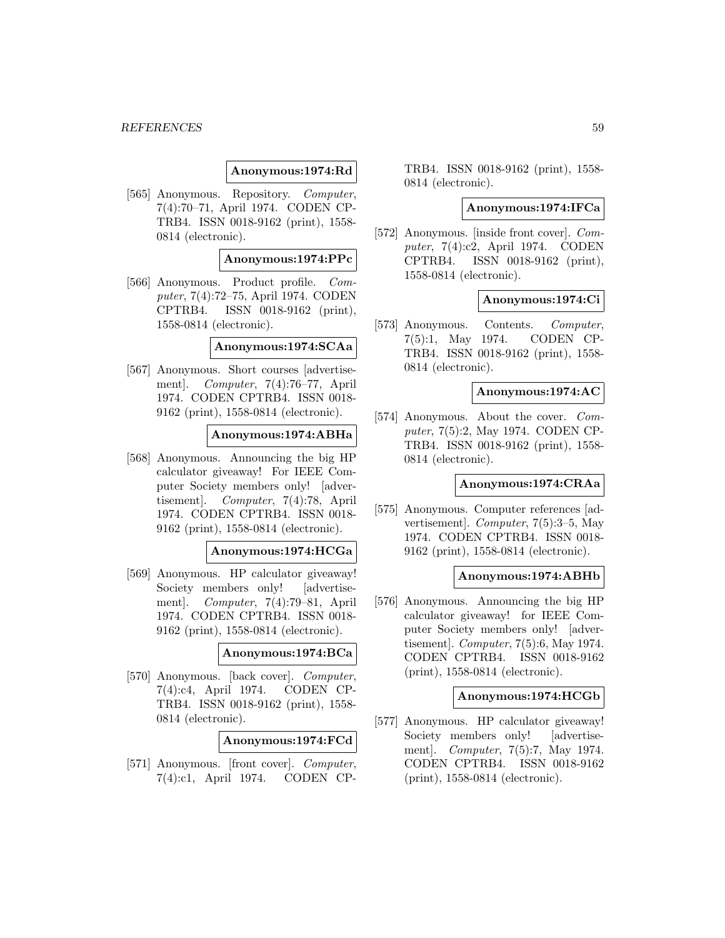### **Anonymous:1974:Rd**

[565] Anonymous. Repository. Computer, 7(4):70–71, April 1974. CODEN CP-TRB4. ISSN 0018-9162 (print), 1558- 0814 (electronic).

## **Anonymous:1974:PPc**

[566] Anonymous. Product profile. Computer, 7(4):72–75, April 1974. CODEN CPTRB4. ISSN 0018-9162 (print), 1558-0814 (electronic).

### **Anonymous:1974:SCAa**

[567] Anonymous. Short courses [advertisement]. Computer, 7(4):76–77, April 1974. CODEN CPTRB4. ISSN 0018- 9162 (print), 1558-0814 (electronic).

## **Anonymous:1974:ABHa**

[568] Anonymous. Announcing the big HP calculator giveaway! For IEEE Computer Society members only! [advertisement]. Computer, 7(4):78, April 1974. CODEN CPTRB4. ISSN 0018- 9162 (print), 1558-0814 (electronic).

## **Anonymous:1974:HCGa**

[569] Anonymous. HP calculator giveaway! Society members only! [advertisement]. Computer, 7(4):79–81, April 1974. CODEN CPTRB4. ISSN 0018- 9162 (print), 1558-0814 (electronic).

## **Anonymous:1974:BCa**

[570] Anonymous. [back cover]. Computer, 7(4):c4, April 1974. CODEN CP-TRB4. ISSN 0018-9162 (print), 1558- 0814 (electronic).

**Anonymous:1974:FCd**

[571] Anonymous. [front cover]. Computer, 7(4):c1, April 1974. CODEN CP- TRB4. ISSN 0018-9162 (print), 1558- 0814 (electronic).

#### **Anonymous:1974:IFCa**

[572] Anonymous. [inside front cover]. Computer, 7(4):c2, April 1974. CODEN CPTRB4. ISSN 0018-9162 (print), 1558-0814 (electronic).

## **Anonymous:1974:Ci**

[573] Anonymous. Contents. Computer, 7(5):1, May 1974. CODEN CP-TRB4. ISSN 0018-9162 (print), 1558- 0814 (electronic).

## **Anonymous:1974:AC**

[574] Anonymous. About the cover. Computer, 7(5):2, May 1974. CODEN CP-TRB4. ISSN 0018-9162 (print), 1558- 0814 (electronic).

#### **Anonymous:1974:CRAa**

[575] Anonymous. Computer references [advertisement]. Computer, 7(5):3–5, May 1974. CODEN CPTRB4. ISSN 0018- 9162 (print), 1558-0814 (electronic).

## **Anonymous:1974:ABHb**

[576] Anonymous. Announcing the big HP calculator giveaway! for IEEE Computer Society members only! [advertisement]. Computer, 7(5):6, May 1974. CODEN CPTRB4. ISSN 0018-9162 (print), 1558-0814 (electronic).

#### **Anonymous:1974:HCGb**

[577] Anonymous. HP calculator giveaway! Society members only! [advertisement]. Computer, 7(5):7, May 1974. CODEN CPTRB4. ISSN 0018-9162 (print), 1558-0814 (electronic).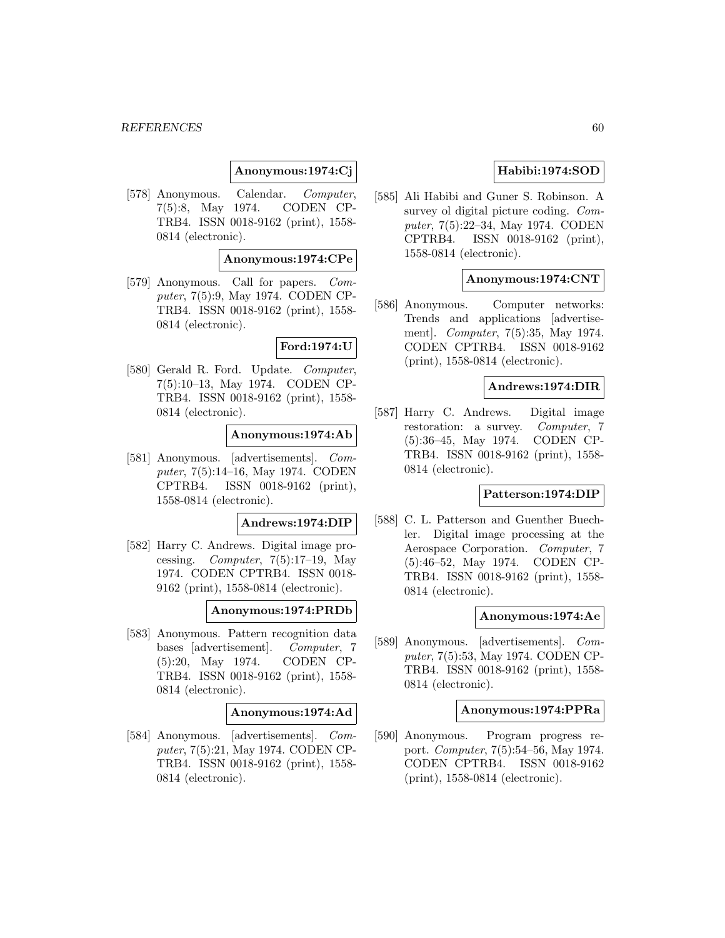# **Anonymous:1974:Cj**

[578] Anonymous. Calendar. Computer, 7(5):8, May 1974. CODEN CP-TRB4. ISSN 0018-9162 (print), 1558- 0814 (electronic).

### **Anonymous:1974:CPe**

[579] Anonymous. Call for papers. Computer, 7(5):9, May 1974. CODEN CP-TRB4. ISSN 0018-9162 (print), 1558- 0814 (electronic).

## **Ford:1974:U**

[580] Gerald R. Ford. Update. Computer, 7(5):10–13, May 1974. CODEN CP-TRB4. ISSN 0018-9162 (print), 1558- 0814 (electronic).

## **Anonymous:1974:Ab**

[581] Anonymous. [advertisements]. Computer, 7(5):14–16, May 1974. CODEN CPTRB4. ISSN 0018-9162 (print), 1558-0814 (electronic).

## **Andrews:1974:DIP**

[582] Harry C. Andrews. Digital image processing. Computer,  $7(5):17-19$ , May 1974. CODEN CPTRB4. ISSN 0018- 9162 (print), 1558-0814 (electronic).

## **Anonymous:1974:PRDb**

[583] Anonymous. Pattern recognition data bases [advertisement]. Computer, 7 (5):20, May 1974. CODEN CP-TRB4. ISSN 0018-9162 (print), 1558- 0814 (electronic).

#### **Anonymous:1974:Ad**

[584] Anonymous. [advertisements]. Computer, 7(5):21, May 1974. CODEN CP-TRB4. ISSN 0018-9162 (print), 1558- 0814 (electronic).

# **Habibi:1974:SOD**

[585] Ali Habibi and Guner S. Robinson. A survey ol digital picture coding. Computer, 7(5):22–34, May 1974. CODEN CPTRB4. ISSN 0018-9162 (print), 1558-0814 (electronic).

## **Anonymous:1974:CNT**

[586] Anonymous. Computer networks: Trends and applications [advertisement]. Computer, 7(5):35, May 1974. CODEN CPTRB4. ISSN 0018-9162 (print), 1558-0814 (electronic).

#### **Andrews:1974:DIR**

[587] Harry C. Andrews. Digital image restoration: a survey. Computer, 7 (5):36–45, May 1974. CODEN CP-TRB4. ISSN 0018-9162 (print), 1558- 0814 (electronic).

## **Patterson:1974:DIP**

[588] C. L. Patterson and Guenther Buechler. Digital image processing at the Aerospace Corporation. Computer, 7 (5):46–52, May 1974. CODEN CP-TRB4. ISSN 0018-9162 (print), 1558- 0814 (electronic).

#### **Anonymous:1974:Ae**

[589] Anonymous. [advertisements]. Computer, 7(5):53, May 1974. CODEN CP-TRB4. ISSN 0018-9162 (print), 1558- 0814 (electronic).

## **Anonymous:1974:PPRa**

[590] Anonymous. Program progress report. Computer, 7(5):54–56, May 1974. CODEN CPTRB4. ISSN 0018-9162 (print), 1558-0814 (electronic).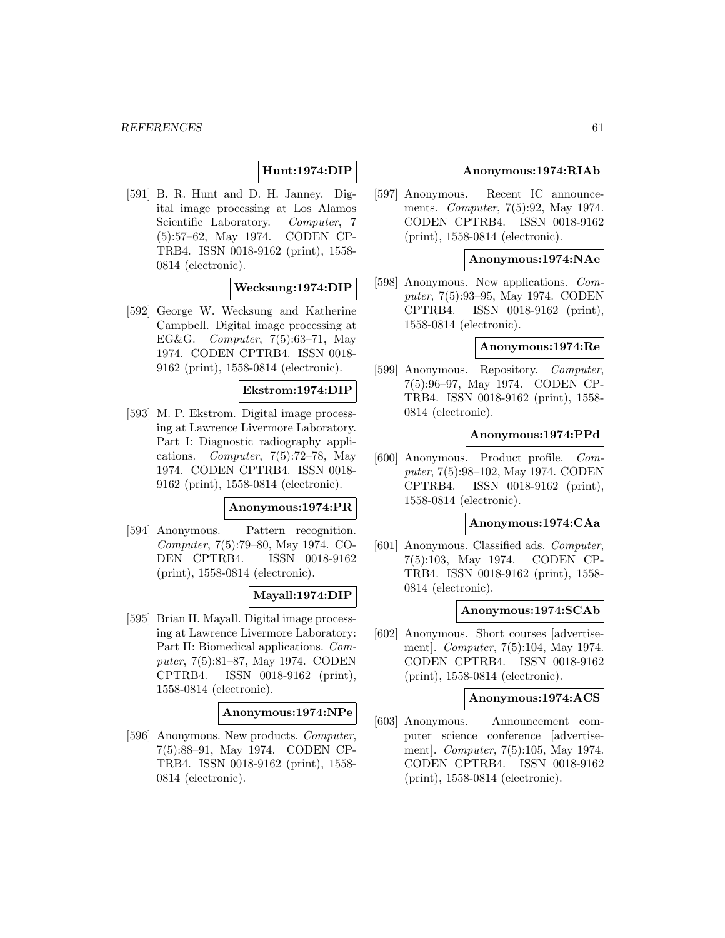# **Hunt:1974:DIP**

[591] B. R. Hunt and D. H. Janney. Digital image processing at Los Alamos Scientific Laboratory. Computer, 7 (5):57–62, May 1974. CODEN CP-TRB4. ISSN 0018-9162 (print), 1558- 0814 (electronic).

### **Wecksung:1974:DIP**

[592] George W. Wecksung and Katherine Campbell. Digital image processing at EG&G. Computer, 7(5):63–71, May 1974. CODEN CPTRB4. ISSN 0018- 9162 (print), 1558-0814 (electronic).

## **Ekstrom:1974:DIP**

[593] M. P. Ekstrom. Digital image processing at Lawrence Livermore Laboratory. Part I: Diagnostic radiography applications. Computer, 7(5):72–78, May 1974. CODEN CPTRB4. ISSN 0018- 9162 (print), 1558-0814 (electronic).

## **Anonymous:1974:PR**

[594] Anonymous. Pattern recognition. Computer, 7(5):79–80, May 1974. CO-DEN CPTRB4. ISSN 0018-9162 (print), 1558-0814 (electronic).

# **Mayall:1974:DIP**

[595] Brian H. Mayall. Digital image processing at Lawrence Livermore Laboratory: Part II: Biomedical applications. Computer, 7(5):81–87, May 1974. CODEN CPTRB4. ISSN 0018-9162 (print), 1558-0814 (electronic).

#### **Anonymous:1974:NPe**

[596] Anonymous. New products. Computer, 7(5):88–91, May 1974. CODEN CP-TRB4. ISSN 0018-9162 (print), 1558- 0814 (electronic).

## **Anonymous:1974:RIAb**

[597] Anonymous. Recent IC announcements. Computer, 7(5):92, May 1974. CODEN CPTRB4. ISSN 0018-9162 (print), 1558-0814 (electronic).

## **Anonymous:1974:NAe**

[598] Anonymous. New applications. Computer, 7(5):93–95, May 1974. CODEN CPTRB4. ISSN 0018-9162 (print), 1558-0814 (electronic).

## **Anonymous:1974:Re**

[599] Anonymous. Repository. Computer, 7(5):96–97, May 1974. CODEN CP-TRB4. ISSN 0018-9162 (print), 1558- 0814 (electronic).

## **Anonymous:1974:PPd**

[600] Anonymous. Product profile. Computer, 7(5):98–102, May 1974. CODEN CPTRB4. ISSN 0018-9162 (print), 1558-0814 (electronic).

#### **Anonymous:1974:CAa**

[601] Anonymous. Classified ads. Computer, 7(5):103, May 1974. CODEN CP-TRB4. ISSN 0018-9162 (print), 1558- 0814 (electronic).

## **Anonymous:1974:SCAb**

[602] Anonymous. Short courses [advertisement]. Computer, 7(5):104, May 1974. CODEN CPTRB4. ISSN 0018-9162 (print), 1558-0814 (electronic).

## **Anonymous:1974:ACS**

[603] Anonymous. Announcement computer science conference [advertisement]. Computer, 7(5):105, May 1974. CODEN CPTRB4. ISSN 0018-9162 (print), 1558-0814 (electronic).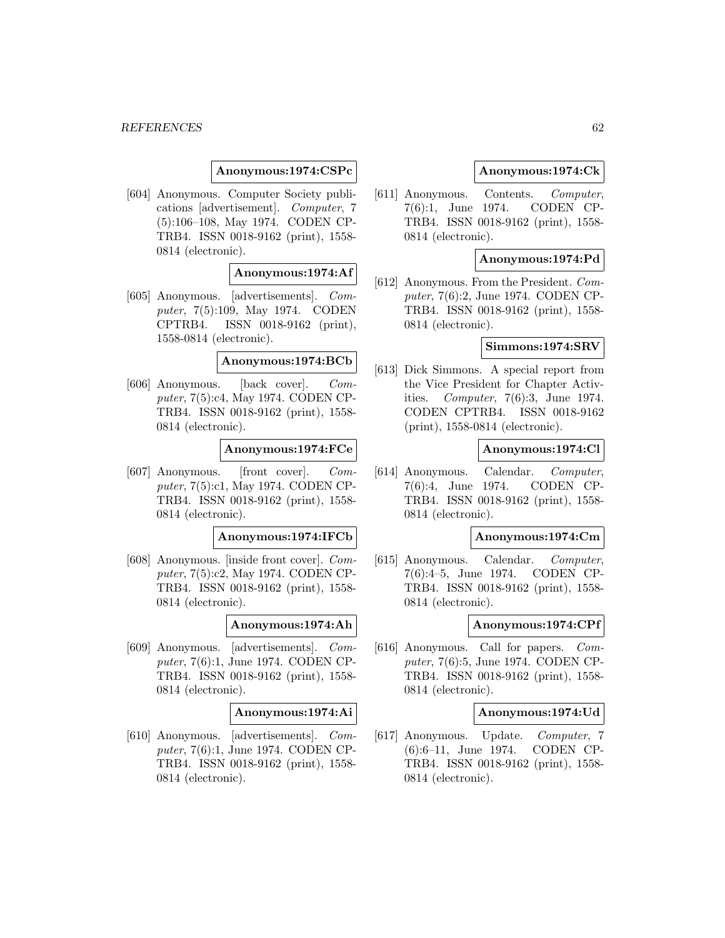## **Anonymous:1974:CSPc**

[604] Anonymous. Computer Society publications [advertisement]. Computer, 7 (5):106–108, May 1974. CODEN CP-TRB4. ISSN 0018-9162 (print), 1558- 0814 (electronic).

### **Anonymous:1974:Af**

[605] Anonymous. [advertisements]. Computer, 7(5):109, May 1974. CODEN CPTRB4. ISSN 0018-9162 (print), 1558-0814 (electronic).

**Anonymous:1974:BCb**

[606] Anonymous. [back cover]. Computer, 7(5):c4, May 1974. CODEN CP-TRB4. ISSN 0018-9162 (print), 1558- 0814 (electronic).

#### **Anonymous:1974:FCe**

[607] Anonymous. [front cover]. Computer, 7(5):c1, May 1974. CODEN CP-TRB4. ISSN 0018-9162 (print), 1558- 0814 (electronic).

#### **Anonymous:1974:IFCb**

[608] Anonymous. [inside front cover]. Computer, 7(5):c2, May 1974. CODEN CP-TRB4. ISSN 0018-9162 (print), 1558- 0814 (electronic).

#### **Anonymous:1974:Ah**

[609] Anonymous. [advertisements]. Computer, 7(6):1, June 1974. CODEN CP-TRB4. ISSN 0018-9162 (print), 1558- 0814 (electronic).

#### **Anonymous:1974:Ai**

[610] Anonymous. [advertisements]. Computer, 7(6):1, June 1974. CODEN CP-TRB4. ISSN 0018-9162 (print), 1558- 0814 (electronic).

## **Anonymous:1974:Ck**

[611] Anonymous. Contents. Computer, 7(6):1, June 1974. CODEN CP-TRB4. ISSN 0018-9162 (print), 1558- 0814 (electronic).

## **Anonymous:1974:Pd**

[612] Anonymous. From the President. Computer, 7(6):2, June 1974. CODEN CP-TRB4. ISSN 0018-9162 (print), 1558- 0814 (electronic).

## **Simmons:1974:SRV**

[613] Dick Simmons. A special report from the Vice President for Chapter Activities. Computer, 7(6):3, June 1974. CODEN CPTRB4. ISSN 0018-9162 (print), 1558-0814 (electronic).

#### **Anonymous:1974:Cl**

[614] Anonymous. Calendar. Computer, 7(6):4, June 1974. CODEN CP-TRB4. ISSN 0018-9162 (print), 1558- 0814 (electronic).

#### **Anonymous:1974:Cm**

[615] Anonymous. Calendar. Computer, 7(6):4–5, June 1974. CODEN CP-TRB4. ISSN 0018-9162 (print), 1558- 0814 (electronic).

#### **Anonymous:1974:CPf**

[616] Anonymous. Call for papers. Computer, 7(6):5, June 1974. CODEN CP-TRB4. ISSN 0018-9162 (print), 1558- 0814 (electronic).

#### **Anonymous:1974:Ud**

[617] Anonymous. Update. Computer, 7 (6):6–11, June 1974. CODEN CP-TRB4. ISSN 0018-9162 (print), 1558- 0814 (electronic).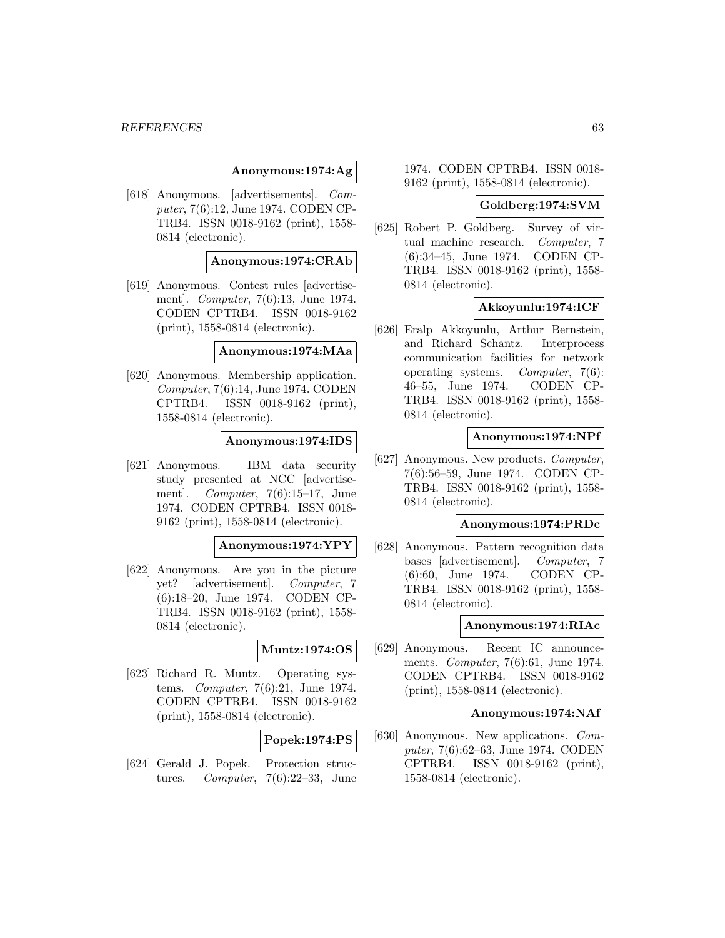## **Anonymous:1974:Ag**

[618] Anonymous. [advertisements]. Computer, 7(6):12, June 1974. CODEN CP-TRB4. ISSN 0018-9162 (print), 1558- 0814 (electronic).

## **Anonymous:1974:CRAb**

[619] Anonymous. Contest rules [advertisement]. Computer, 7(6):13, June 1974. CODEN CPTRB4. ISSN 0018-9162 (print), 1558-0814 (electronic).

## **Anonymous:1974:MAa**

[620] Anonymous. Membership application. Computer, 7(6):14, June 1974. CODEN CPTRB4. ISSN 0018-9162 (print), 1558-0814 (electronic).

## **Anonymous:1974:IDS**

[621] Anonymous. IBM data security study presented at NCC [advertisement]. *Computer*,  $7(6):15-17$ , June 1974. CODEN CPTRB4. ISSN 0018- 9162 (print), 1558-0814 (electronic).

## **Anonymous:1974:YPY**

[622] Anonymous. Are you in the picture yet? [advertisement]. Computer, 7 (6):18–20, June 1974. CODEN CP-TRB4. ISSN 0018-9162 (print), 1558- 0814 (electronic).

### **Muntz:1974:OS**

[623] Richard R. Muntz. Operating systems. Computer, 7(6):21, June 1974. CODEN CPTRB4. ISSN 0018-9162 (print), 1558-0814 (electronic).

# **Popek:1974:PS**

[624] Gerald J. Popek. Protection structures. Computer,  $7(6):22-33$ , June

1974. CODEN CPTRB4. ISSN 0018- 9162 (print), 1558-0814 (electronic).

#### **Goldberg:1974:SVM**

[625] Robert P. Goldberg. Survey of virtual machine research. Computer, 7 (6):34–45, June 1974. CODEN CP-TRB4. ISSN 0018-9162 (print), 1558- 0814 (electronic).

## **Akkoyunlu:1974:ICF**

[626] Eralp Akkoyunlu, Arthur Bernstein, and Richard Schantz. Interprocess communication facilities for network operating systems. Computer, 7(6): 46–55, June 1974. CODEN CP-TRB4. ISSN 0018-9162 (print), 1558- 0814 (electronic).

## **Anonymous:1974:NPf**

[627] Anonymous. New products. Computer, 7(6):56–59, June 1974. CODEN CP-TRB4. ISSN 0018-9162 (print), 1558- 0814 (electronic).

#### **Anonymous:1974:PRDc**

[628] Anonymous. Pattern recognition data bases [advertisement]. Computer, 7 (6):60, June 1974. CODEN CP-TRB4. ISSN 0018-9162 (print), 1558- 0814 (electronic).

## **Anonymous:1974:RIAc**

[629] Anonymous. Recent IC announcements. Computer, 7(6):61, June 1974. CODEN CPTRB4. ISSN 0018-9162 (print), 1558-0814 (electronic).

#### **Anonymous:1974:NAf**

[630] Anonymous. New applications. Computer, 7(6):62–63, June 1974. CODEN CPTRB4. ISSN 0018-9162 (print), 1558-0814 (electronic).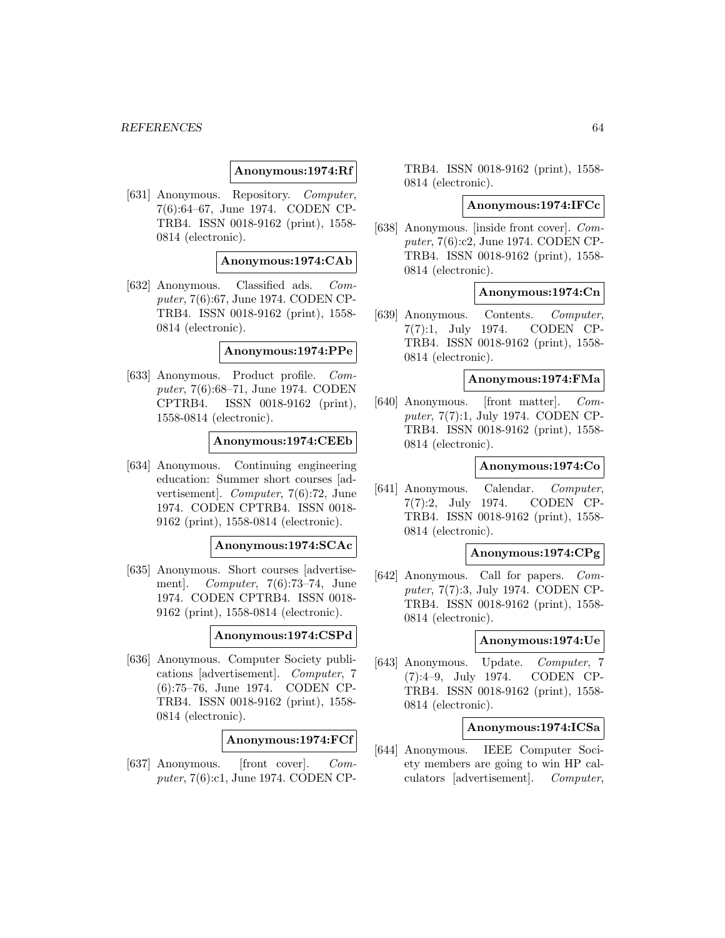### **Anonymous:1974:Rf**

[631] Anonymous. Repository. Computer, 7(6):64–67, June 1974. CODEN CP-TRB4. ISSN 0018-9162 (print), 1558- 0814 (electronic).

## **Anonymous:1974:CAb**

[632] Anonymous. Classified ads. Computer, 7(6):67, June 1974. CODEN CP-TRB4. ISSN 0018-9162 (print), 1558- 0814 (electronic).

## **Anonymous:1974:PPe**

[633] Anonymous. Product profile. Computer, 7(6):68–71, June 1974. CODEN CPTRB4. ISSN 0018-9162 (print), 1558-0814 (electronic).

#### **Anonymous:1974:CEEb**

[634] Anonymous. Continuing engineering education: Summer short courses [advertisement]. Computer, 7(6):72, June 1974. CODEN CPTRB4. ISSN 0018- 9162 (print), 1558-0814 (electronic).

**Anonymous:1974:SCAc**

[635] Anonymous. Short courses [advertisement]. Computer, 7(6):73–74, June 1974. CODEN CPTRB4. ISSN 0018- 9162 (print), 1558-0814 (electronic).

### **Anonymous:1974:CSPd**

[636] Anonymous. Computer Society publications [advertisement]. Computer, 7 (6):75–76, June 1974. CODEN CP-TRB4. ISSN 0018-9162 (print), 1558- 0814 (electronic).

## **Anonymous:1974:FCf**

[637] Anonymous. [front cover]. Computer, 7(6):c1, June 1974. CODEN CP- TRB4. ISSN 0018-9162 (print), 1558- 0814 (electronic).

#### **Anonymous:1974:IFCc**

[638] Anonymous. [inside front cover]. Computer, 7(6):c2, June 1974. CODEN CP-TRB4. ISSN 0018-9162 (print), 1558- 0814 (electronic).

## **Anonymous:1974:Cn**

[639] Anonymous. Contents. Computer, 7(7):1, July 1974. CODEN CP-TRB4. ISSN 0018-9162 (print), 1558- 0814 (electronic).

### **Anonymous:1974:FMa**

[640] Anonymous. [front matter]. Computer, 7(7):1, July 1974. CODEN CP-TRB4. ISSN 0018-9162 (print), 1558- 0814 (electronic).

### **Anonymous:1974:Co**

[641] Anonymous. Calendar. Computer, 7(7):2, July 1974. CODEN CP-TRB4. ISSN 0018-9162 (print), 1558- 0814 (electronic).

## **Anonymous:1974:CPg**

[642] Anonymous. Call for papers. Computer, 7(7):3, July 1974. CODEN CP-TRB4. ISSN 0018-9162 (print), 1558- 0814 (electronic).

#### **Anonymous:1974:Ue**

[643] Anonymous. Update. Computer, 7 (7):4–9, July 1974. CODEN CP-TRB4. ISSN 0018-9162 (print), 1558- 0814 (electronic).

#### **Anonymous:1974:ICSa**

[644] Anonymous. IEEE Computer Society members are going to win HP calculators [advertisement]. Computer,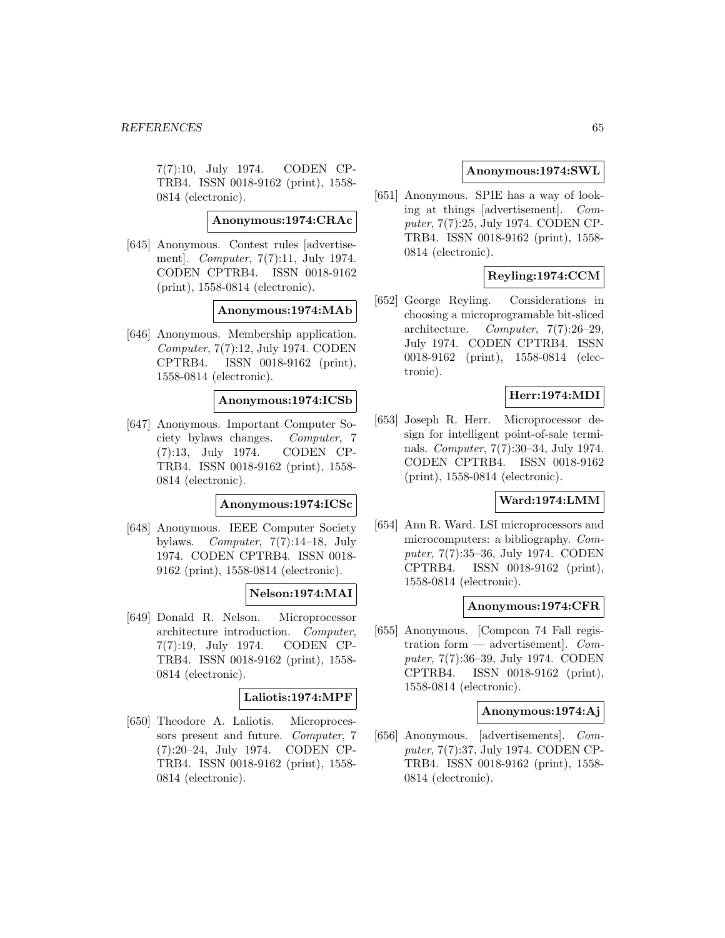7(7):10, July 1974. CODEN CP-TRB4. ISSN 0018-9162 (print), 1558- 0814 (electronic).

## **Anonymous:1974:CRAc**

[645] Anonymous. Contest rules [advertisement]. Computer, 7(7):11, July 1974. CODEN CPTRB4. ISSN 0018-9162 (print), 1558-0814 (electronic).

### **Anonymous:1974:MAb**

[646] Anonymous. Membership application. Computer, 7(7):12, July 1974. CODEN CPTRB4. ISSN 0018-9162 (print), 1558-0814 (electronic).

## **Anonymous:1974:ICSb**

[647] Anonymous. Important Computer Society bylaws changes. Computer, 7 (7):13, July 1974. CODEN CP-TRB4. ISSN 0018-9162 (print), 1558- 0814 (electronic).

#### **Anonymous:1974:ICSc**

[648] Anonymous. IEEE Computer Society bylaws. *Computer*,  $7(7):14-18$ , July 1974. CODEN CPTRB4. ISSN 0018- 9162 (print), 1558-0814 (electronic).

## **Nelson:1974:MAI**

[649] Donald R. Nelson. Microprocessor architecture introduction. Computer, 7(7):19, July 1974. CODEN CP-TRB4. ISSN 0018-9162 (print), 1558- 0814 (electronic).

# **Laliotis:1974:MPF**

[650] Theodore A. Laliotis. Microprocessors present and future. Computer, 7 (7):20–24, July 1974. CODEN CP-TRB4. ISSN 0018-9162 (print), 1558- 0814 (electronic).

## **Anonymous:1974:SWL**

[651] Anonymous. SPIE has a way of looking at things [advertisement]. Computer, 7(7):25, July 1974. CODEN CP-TRB4. ISSN 0018-9162 (print), 1558- 0814 (electronic).

# **Reyling:1974:CCM**

[652] George Reyling. Considerations in choosing a microprogramable bit-sliced architecture. Computer, 7(7):26–29, July 1974. CODEN CPTRB4. ISSN 0018-9162 (print), 1558-0814 (electronic).

# **Herr:1974:MDI**

[653] Joseph R. Herr. Microprocessor design for intelligent point-of-sale terminals. Computer, 7(7):30–34, July 1974. CODEN CPTRB4. ISSN 0018-9162 (print), 1558-0814 (electronic).

# **Ward:1974:LMM**

[654] Ann R. Ward. LSI microprocessors and microcomputers: a bibliography. Computer, 7(7):35–36, July 1974. CODEN CPTRB4. ISSN 0018-9162 (print), 1558-0814 (electronic).

## **Anonymous:1974:CFR**

[655] Anonymous. [Compcon 74 Fall registration form  $-$  advertisement]. Computer, 7(7):36–39, July 1974. CODEN CPTRB4. ISSN 0018-9162 (print), 1558-0814 (electronic).

## **Anonymous:1974:Aj**

[656] Anonymous. [advertisements]. Computer, 7(7):37, July 1974. CODEN CP-TRB4. ISSN 0018-9162 (print), 1558- 0814 (electronic).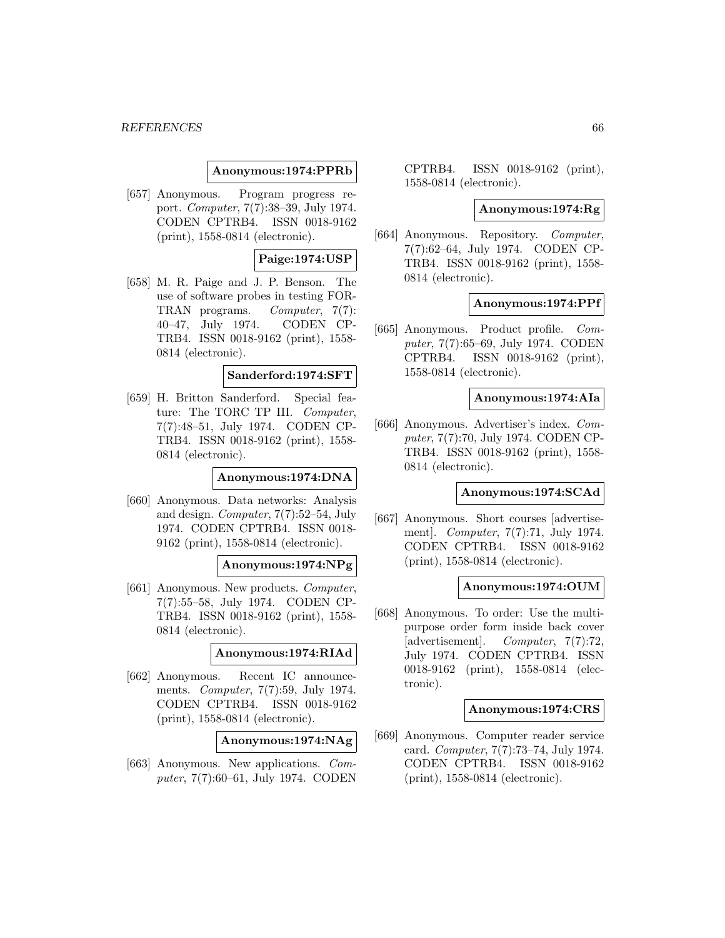### **Anonymous:1974:PPRb**

[657] Anonymous. Program progress report. Computer, 7(7):38–39, July 1974. CODEN CPTRB4. ISSN 0018-9162 (print), 1558-0814 (electronic).

## **Paige:1974:USP**

[658] M. R. Paige and J. P. Benson. The use of software probes in testing FOR-TRAN programs. Computer, 7(7): 40–47, July 1974. CODEN CP-TRB4. ISSN 0018-9162 (print), 1558- 0814 (electronic).

## **Sanderford:1974:SFT**

[659] H. Britton Sanderford. Special feature: The TORC TP III. Computer, 7(7):48–51, July 1974. CODEN CP-TRB4. ISSN 0018-9162 (print), 1558- 0814 (electronic).

#### **Anonymous:1974:DNA**

[660] Anonymous. Data networks: Analysis and design. Computer, 7(7):52–54, July 1974. CODEN CPTRB4. ISSN 0018- 9162 (print), 1558-0814 (electronic).

## **Anonymous:1974:NPg**

[661] Anonymous. New products. Computer, 7(7):55–58, July 1974. CODEN CP-TRB4. ISSN 0018-9162 (print), 1558- 0814 (electronic).

## **Anonymous:1974:RIAd**

[662] Anonymous. Recent IC announcements. Computer, 7(7):59, July 1974. CODEN CPTRB4. ISSN 0018-9162 (print), 1558-0814 (electronic).

**Anonymous:1974:NAg**

[663] Anonymous. New applications. Computer, 7(7):60–61, July 1974. CODEN CPTRB4. ISSN 0018-9162 (print), 1558-0814 (electronic).

### **Anonymous:1974:Rg**

[664] Anonymous. Repository. Computer, 7(7):62–64, July 1974. CODEN CP-TRB4. ISSN 0018-9162 (print), 1558- 0814 (electronic).

### **Anonymous:1974:PPf**

[665] Anonymous. Product profile. Computer, 7(7):65–69, July 1974. CODEN CPTRB4. ISSN 0018-9162 (print), 1558-0814 (electronic).

## **Anonymous:1974:AIa**

[666] Anonymous. Advertiser's index. Computer, 7(7):70, July 1974. CODEN CP-TRB4. ISSN 0018-9162 (print), 1558- 0814 (electronic).

# **Anonymous:1974:SCAd**

[667] Anonymous. Short courses [advertisement]. Computer, 7(7):71, July 1974. CODEN CPTRB4. ISSN 0018-9162 (print), 1558-0814 (electronic).

### **Anonymous:1974:OUM**

[668] Anonymous. To order: Use the multipurpose order form inside back cover [advertisement]. Computer, 7(7):72, July 1974. CODEN CPTRB4. ISSN 0018-9162 (print), 1558-0814 (electronic).

### **Anonymous:1974:CRS**

[669] Anonymous. Computer reader service card. Computer, 7(7):73–74, July 1974. CODEN CPTRB4. ISSN 0018-9162 (print), 1558-0814 (electronic).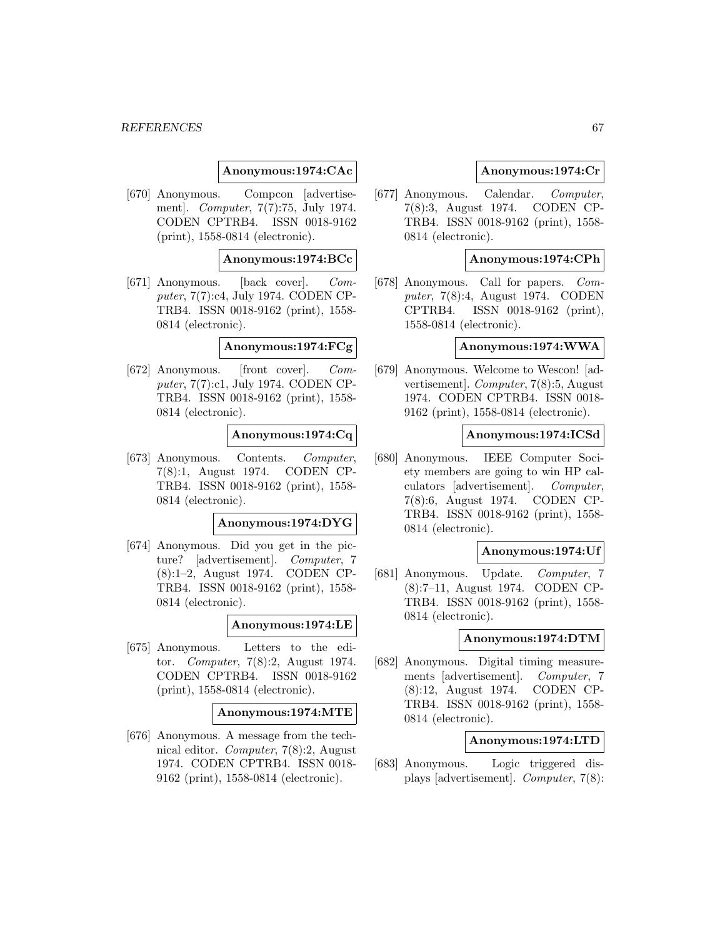### **Anonymous:1974:CAc**

[670] Anonymous. Compcon [advertisement]. Computer, 7(7):75, July 1974. CODEN CPTRB4. ISSN 0018-9162 (print), 1558-0814 (electronic).

## **Anonymous:1974:BCc**

[671] Anonymous. [back cover]. Computer, 7(7):c4, July 1974. CODEN CP-TRB4. ISSN 0018-9162 (print), 1558- 0814 (electronic).

### **Anonymous:1974:FCg**

[672] Anonymous. [front cover]. Computer, 7(7):c1, July 1974. CODEN CP-TRB4. ISSN 0018-9162 (print), 1558- 0814 (electronic).

## **Anonymous:1974:Cq**

[673] Anonymous. Contents. Computer, 7(8):1, August 1974. CODEN CP-TRB4. ISSN 0018-9162 (print), 1558- 0814 (electronic).

#### **Anonymous:1974:DYG**

[674] Anonymous. Did you get in the picture? [advertisement]. Computer, 7 (8):1–2, August 1974. CODEN CP-TRB4. ISSN 0018-9162 (print), 1558- 0814 (electronic).

### **Anonymous:1974:LE**

[675] Anonymous. Letters to the editor. Computer, 7(8):2, August 1974. CODEN CPTRB4. ISSN 0018-9162 (print), 1558-0814 (electronic).

#### **Anonymous:1974:MTE**

[676] Anonymous. A message from the technical editor. Computer, 7(8):2, August 1974. CODEN CPTRB4. ISSN 0018- 9162 (print), 1558-0814 (electronic).

## **Anonymous:1974:Cr**

[677] Anonymous. Calendar. Computer, 7(8):3, August 1974. CODEN CP-TRB4. ISSN 0018-9162 (print), 1558- 0814 (electronic).

## **Anonymous:1974:CPh**

[678] Anonymous. Call for papers. Computer, 7(8):4, August 1974. CODEN CPTRB4. ISSN 0018-9162 (print), 1558-0814 (electronic).

### **Anonymous:1974:WWA**

[679] Anonymous. Welcome to Wescon! [advertisement]. Computer, 7(8):5, August 1974. CODEN CPTRB4. ISSN 0018- 9162 (print), 1558-0814 (electronic).

## **Anonymous:1974:ICSd**

[680] Anonymous. IEEE Computer Society members are going to win HP calculators [advertisement]. Computer, 7(8):6, August 1974. CODEN CP-TRB4. ISSN 0018-9162 (print), 1558- 0814 (electronic).

#### **Anonymous:1974:Uf**

[681] Anonymous. Update. Computer, 7 (8):7–11, August 1974. CODEN CP-TRB4. ISSN 0018-9162 (print), 1558- 0814 (electronic).

## **Anonymous:1974:DTM**

[682] Anonymous. Digital timing measurements [advertisement]. Computer, 7 (8):12, August 1974. CODEN CP-TRB4. ISSN 0018-9162 (print), 1558- 0814 (electronic).

# **Anonymous:1974:LTD**

[683] Anonymous. Logic triggered displays [advertisement]. Computer, 7(8):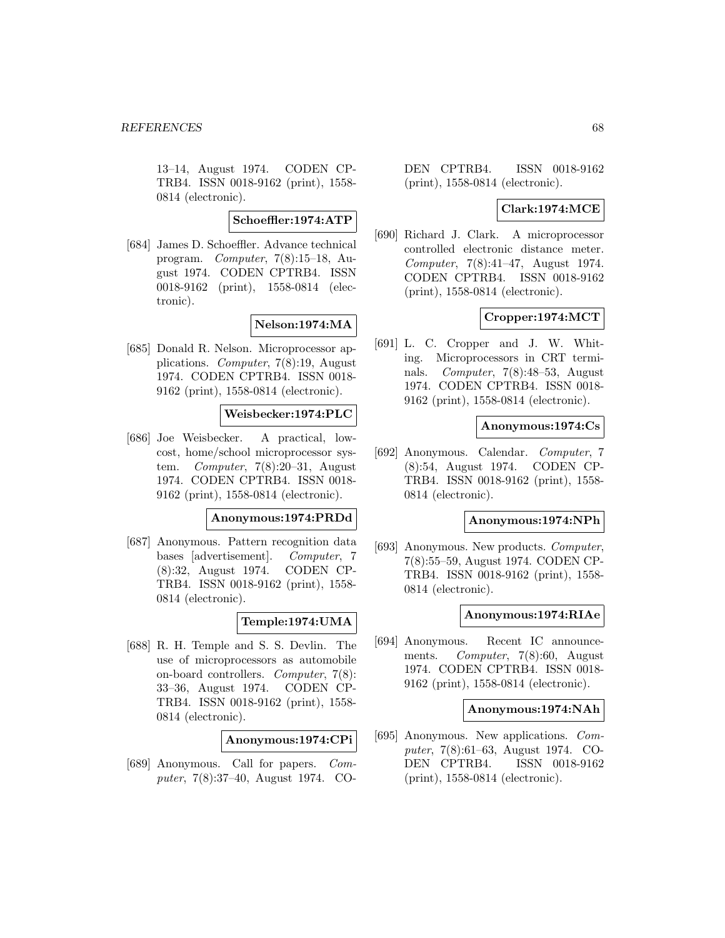13–14, August 1974. CODEN CP-TRB4. ISSN 0018-9162 (print), 1558- 0814 (electronic).

## **Schoeffler:1974:ATP**

[684] James D. Schoeffler. Advance technical program. Computer, 7(8):15–18, August 1974. CODEN CPTRB4. ISSN 0018-9162 (print), 1558-0814 (electronic).

# **Nelson:1974:MA**

[685] Donald R. Nelson. Microprocessor applications. Computer, 7(8):19, August 1974. CODEN CPTRB4. ISSN 0018- 9162 (print), 1558-0814 (electronic).

## **Weisbecker:1974:PLC**

[686] Joe Weisbecker. A practical, lowcost, home/school microprocessor system. Computer, 7(8):20–31, August 1974. CODEN CPTRB4. ISSN 0018- 9162 (print), 1558-0814 (electronic).

#### **Anonymous:1974:PRDd**

[687] Anonymous. Pattern recognition data bases [advertisement]. Computer, 7 (8):32, August 1974. CODEN CP-TRB4. ISSN 0018-9162 (print), 1558- 0814 (electronic).

## **Temple:1974:UMA**

[688] R. H. Temple and S. S. Devlin. The use of microprocessors as automobile on-board controllers. Computer, 7(8): 33–36, August 1974. CODEN CP-TRB4. ISSN 0018-9162 (print), 1558- 0814 (electronic).

## **Anonymous:1974:CPi**

[689] Anonymous. Call for papers. Computer, 7(8):37–40, August 1974. CO- DEN CPTRB4. ISSN 0018-9162 (print), 1558-0814 (electronic).

# **Clark:1974:MCE**

[690] Richard J. Clark. A microprocessor controlled electronic distance meter. Computer, 7(8):41–47, August 1974. CODEN CPTRB4. ISSN 0018-9162 (print), 1558-0814 (electronic).

# **Cropper:1974:MCT**

[691] L. C. Cropper and J. W. Whiting. Microprocessors in CRT terminals. Computer, 7(8):48–53, August 1974. CODEN CPTRB4. ISSN 0018- 9162 (print), 1558-0814 (electronic).

## **Anonymous:1974:Cs**

[692] Anonymous. Calendar. Computer, 7 (8):54, August 1974. CODEN CP-TRB4. ISSN 0018-9162 (print), 1558- 0814 (electronic).

# **Anonymous:1974:NPh**

[693] Anonymous. New products. Computer, 7(8):55–59, August 1974. CODEN CP-TRB4. ISSN 0018-9162 (print), 1558- 0814 (electronic).

#### **Anonymous:1974:RIAe**

[694] Anonymous. Recent IC announcements. Computer, 7(8):60, August 1974. CODEN CPTRB4. ISSN 0018- 9162 (print), 1558-0814 (electronic).

### **Anonymous:1974:NAh**

[695] Anonymous. New applications. Computer, 7(8):61–63, August 1974. CO-DEN CPTRB4. ISSN 0018-9162 (print), 1558-0814 (electronic).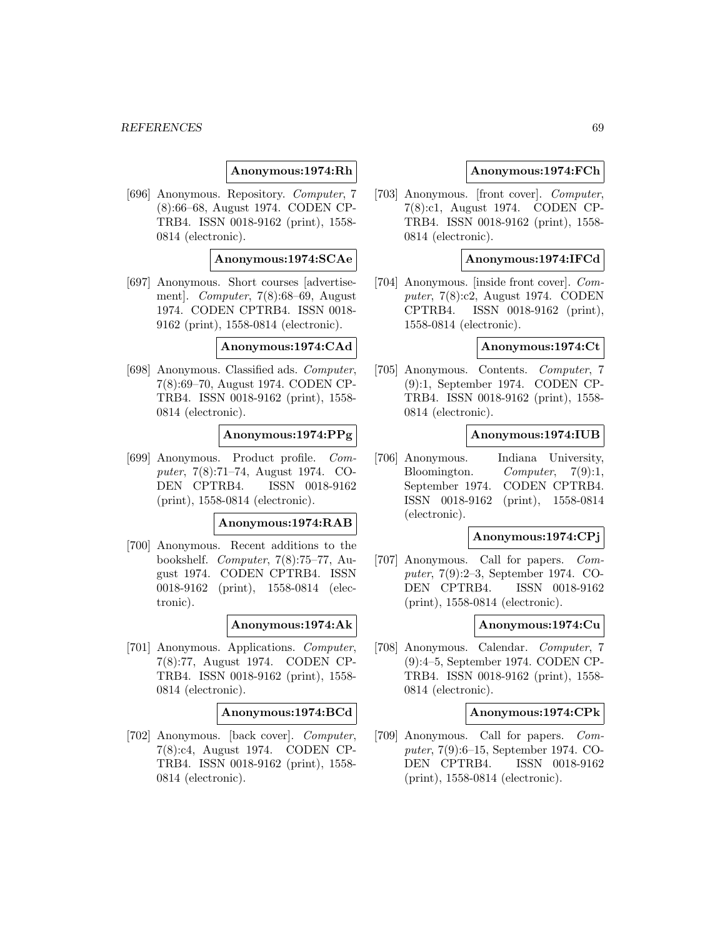### **Anonymous:1974:Rh**

[696] Anonymous. Repository. Computer, 7 (8):66–68, August 1974. CODEN CP-TRB4. ISSN 0018-9162 (print), 1558- 0814 (electronic).

## **Anonymous:1974:SCAe**

[697] Anonymous. Short courses [advertisement]. Computer, 7(8):68–69, August 1974. CODEN CPTRB4. ISSN 0018- 9162 (print), 1558-0814 (electronic).

**Anonymous:1974:CAd**

[698] Anonymous. Classified ads. Computer, 7(8):69–70, August 1974. CODEN CP-TRB4. ISSN 0018-9162 (print), 1558- 0814 (electronic).

# **Anonymous:1974:PPg**

[699] Anonymous. Product profile. Computer, 7(8):71–74, August 1974. CO-DEN CPTRB4. ISSN 0018-9162 (print), 1558-0814 (electronic).

#### **Anonymous:1974:RAB**

[700] Anonymous. Recent additions to the bookshelf. Computer, 7(8):75–77, August 1974. CODEN CPTRB4. ISSN 0018-9162 (print), 1558-0814 (electronic).

#### **Anonymous:1974:Ak**

[701] Anonymous. Applications. Computer, 7(8):77, August 1974. CODEN CP-TRB4. ISSN 0018-9162 (print), 1558- 0814 (electronic).

#### **Anonymous:1974:BCd**

[702] Anonymous. [back cover]. Computer, 7(8):c4, August 1974. CODEN CP-TRB4. ISSN 0018-9162 (print), 1558- 0814 (electronic).

### **Anonymous:1974:FCh**

[703] Anonymous. [front cover]. Computer, 7(8):c1, August 1974. CODEN CP-TRB4. ISSN 0018-9162 (print), 1558- 0814 (electronic).

## **Anonymous:1974:IFCd**

[704] Anonymous. [inside front cover]. Computer, 7(8):c2, August 1974. CODEN CPTRB4. ISSN 0018-9162 (print), 1558-0814 (electronic).

## **Anonymous:1974:Ct**

[705] Anonymous. Contents. Computer, 7 (9):1, September 1974. CODEN CP-TRB4. ISSN 0018-9162 (print), 1558- 0814 (electronic).

## **Anonymous:1974:IUB**

[706] Anonymous. Indiana University, Bloomington. Computer, 7(9):1, September 1974. CODEN CPTRB4. ISSN 0018-9162 (print), 1558-0814 (electronic).

#### **Anonymous:1974:CPj**

[707] Anonymous. Call for papers. Computer, 7(9):2–3, September 1974. CO-DEN CPTRB4. ISSN 0018-9162 (print), 1558-0814 (electronic).

## **Anonymous:1974:Cu**

[708] Anonymous. Calendar. Computer, 7 (9):4–5, September 1974. CODEN CP-TRB4. ISSN 0018-9162 (print), 1558- 0814 (electronic).

#### **Anonymous:1974:CPk**

[709] Anonymous. Call for papers. Computer, 7(9):6–15, September 1974. CO-DEN CPTRB4. ISSN 0018-9162 (print), 1558-0814 (electronic).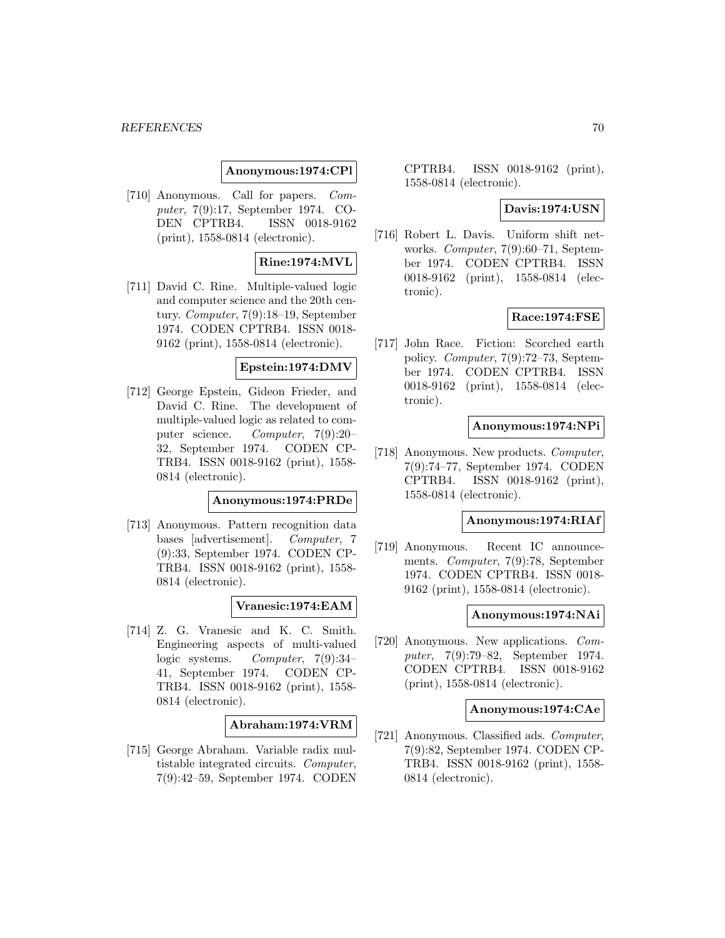## **Anonymous:1974:CPl**

[710] Anonymous. Call for papers. Computer, 7(9):17, September 1974. CO-DEN CPTRB4. ISSN 0018-9162 (print), 1558-0814 (electronic).

## **Rine:1974:MVL**

[711] David C. Rine. Multiple-valued logic and computer science and the 20th century. Computer, 7(9):18–19, September 1974. CODEN CPTRB4. ISSN 0018- 9162 (print), 1558-0814 (electronic).

### **Epstein:1974:DMV**

[712] George Epstein, Gideon Frieder, and David C. Rine. The development of multiple-valued logic as related to computer science. Computer, 7(9):20– 32, September 1974. CODEN CP-TRB4. ISSN 0018-9162 (print), 1558- 0814 (electronic).

## **Anonymous:1974:PRDe**

[713] Anonymous. Pattern recognition data bases [advertisement]. Computer, 7 (9):33, September 1974. CODEN CP-TRB4. ISSN 0018-9162 (print), 1558- 0814 (electronic).

## **Vranesic:1974:EAM**

[714] Z. G. Vranesic and K. C. Smith. Engineering aspects of multi-valued logic systems. Computer, 7(9):34– 41, September 1974. CODEN CP-TRB4. ISSN 0018-9162 (print), 1558- 0814 (electronic).

**Abraham:1974:VRM**

[715] George Abraham. Variable radix multistable integrated circuits. Computer, 7(9):42–59, September 1974. CODEN

CPTRB4. ISSN 0018-9162 (print), 1558-0814 (electronic).

## **Davis:1974:USN**

[716] Robert L. Davis. Uniform shift networks. Computer, 7(9):60–71, September 1974. CODEN CPTRB4. ISSN 0018-9162 (print), 1558-0814 (electronic).

## **Race:1974:FSE**

[717] John Race. Fiction: Scorched earth policy. Computer, 7(9):72–73, September 1974. CODEN CPTRB4. ISSN 0018-9162 (print), 1558-0814 (electronic).

## **Anonymous:1974:NPi**

[718] Anonymous. New products. Computer, 7(9):74–77, September 1974. CODEN CPTRB4. ISSN 0018-9162 (print), 1558-0814 (electronic).

#### **Anonymous:1974:RIAf**

[719] Anonymous. Recent IC announcements. Computer, 7(9):78, September 1974. CODEN CPTRB4. ISSN 0018- 9162 (print), 1558-0814 (electronic).

#### **Anonymous:1974:NAi**

[720] Anonymous. New applications. Computer, 7(9):79–82, September 1974. CODEN CPTRB4. ISSN 0018-9162 (print), 1558-0814 (electronic).

### **Anonymous:1974:CAe**

[721] Anonymous. Classified ads. Computer, 7(9):82, September 1974. CODEN CP-TRB4. ISSN 0018-9162 (print), 1558- 0814 (electronic).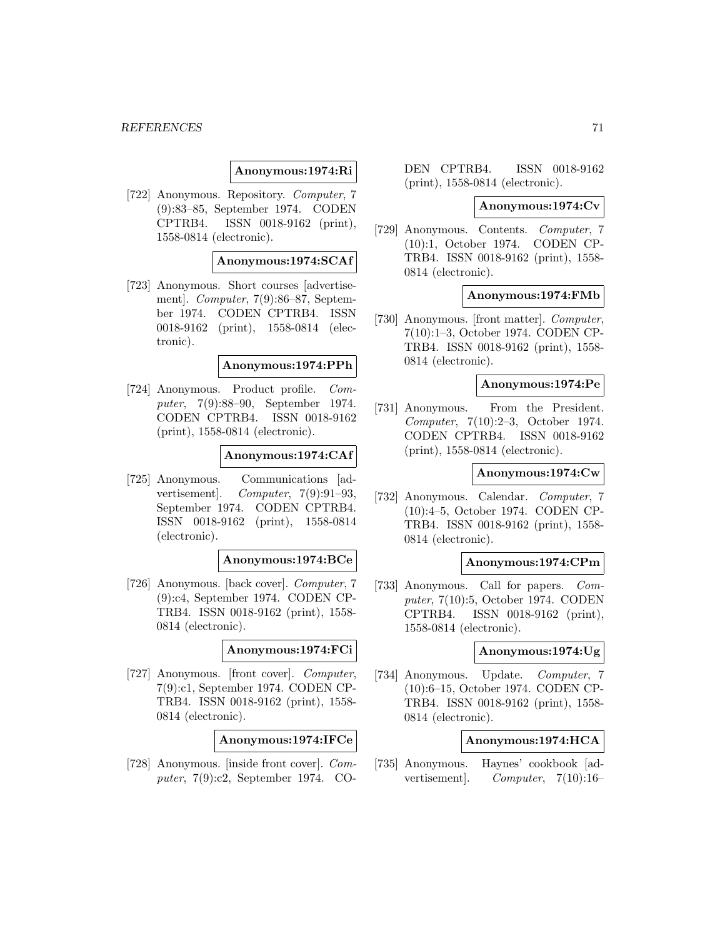### **Anonymous:1974:Ri**

[722] Anonymous. Repository. Computer, 7 (9):83–85, September 1974. CODEN CPTRB4. ISSN 0018-9162 (print), 1558-0814 (electronic).

### **Anonymous:1974:SCAf**

[723] Anonymous. Short courses [advertisement]. Computer, 7(9):86–87, September 1974. CODEN CPTRB4. ISSN 0018-9162 (print), 1558-0814 (electronic).

### **Anonymous:1974:PPh**

[724] Anonymous. Product profile. Computer, 7(9):88–90, September 1974. CODEN CPTRB4. ISSN 0018-9162 (print), 1558-0814 (electronic).

### **Anonymous:1974:CAf**

[725] Anonymous. Communications [advertisement. Computer,  $7(9):91-93$ , September 1974. CODEN CPTRB4. ISSN 0018-9162 (print), 1558-0814 (electronic).

## **Anonymous:1974:BCe**

[726] Anonymous. [back cover]. Computer, 7 (9):c4, September 1974. CODEN CP-TRB4. ISSN 0018-9162 (print), 1558- 0814 (electronic).

### **Anonymous:1974:FCi**

[727] Anonymous. [front cover]. Computer, 7(9):c1, September 1974. CODEN CP-TRB4. ISSN 0018-9162 (print), 1558- 0814 (electronic).

#### **Anonymous:1974:IFCe**

[728] Anonymous. [inside front cover]. Computer, 7(9):c2, September 1974. CO- DEN CPTRB4. ISSN 0018-9162 (print), 1558-0814 (electronic).

#### **Anonymous:1974:Cv**

[729] Anonymous. Contents. Computer, 7 (10):1, October 1974. CODEN CP-TRB4. ISSN 0018-9162 (print), 1558- 0814 (electronic).

#### **Anonymous:1974:FMb**

[730] Anonymous. [front matter]. Computer, 7(10):1–3, October 1974. CODEN CP-TRB4. ISSN 0018-9162 (print), 1558- 0814 (electronic).

## **Anonymous:1974:Pe**

[731] Anonymous. From the President. Computer, 7(10):2–3, October 1974. CODEN CPTRB4. ISSN 0018-9162 (print), 1558-0814 (electronic).

### **Anonymous:1974:Cw**

[732] Anonymous. Calendar. Computer, 7 (10):4–5, October 1974. CODEN CP-TRB4. ISSN 0018-9162 (print), 1558- 0814 (electronic).

#### **Anonymous:1974:CPm**

[733] Anonymous. Call for papers. Computer, 7(10):5, October 1974. CODEN CPTRB4. ISSN 0018-9162 (print), 1558-0814 (electronic).

## **Anonymous:1974:Ug**

[734] Anonymous. Update. Computer, 7 (10):6–15, October 1974. CODEN CP-TRB4. ISSN 0018-9162 (print), 1558- 0814 (electronic).

## **Anonymous:1974:HCA**

[735] Anonymous. Haynes' cookbook [advertisement]. Computer, 7(10):16–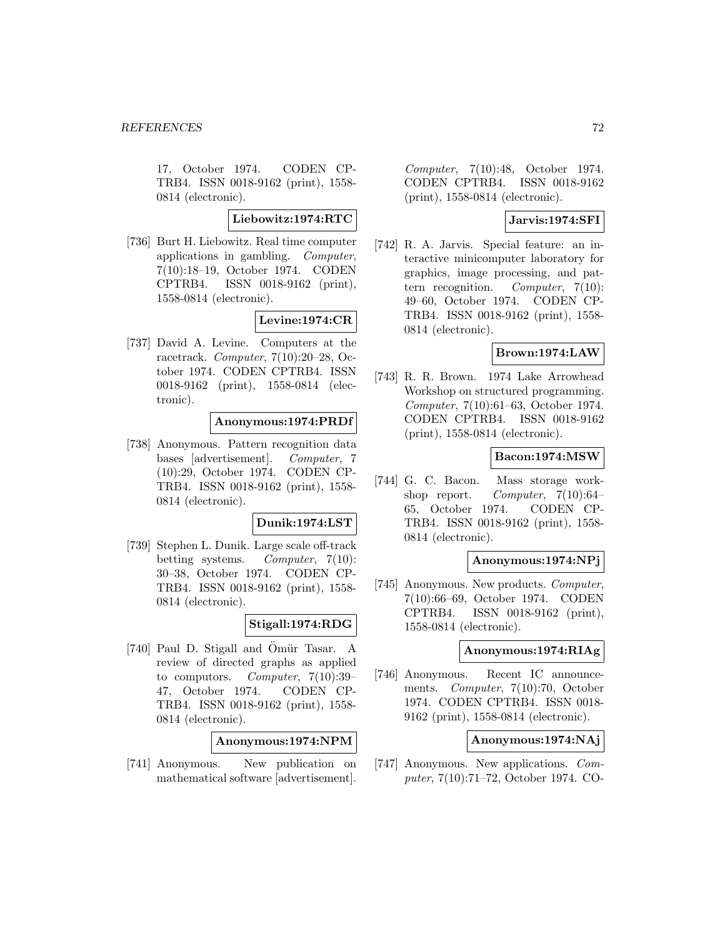17, October 1974. CODEN CP-TRB4. ISSN 0018-9162 (print), 1558- 0814 (electronic).

# **Liebowitz:1974:RTC**

[736] Burt H. Liebowitz. Real time computer applications in gambling. Computer, 7(10):18–19, October 1974. CODEN CPTRB4. ISSN 0018-9162 (print), 1558-0814 (electronic).

# **Levine:1974:CR**

[737] David A. Levine. Computers at the racetrack. Computer, 7(10):20–28, October 1974. CODEN CPTRB4. ISSN 0018-9162 (print), 1558-0814 (electronic).

## **Anonymous:1974:PRDf**

[738] Anonymous. Pattern recognition data bases [advertisement]. Computer, 7 (10):29, October 1974. CODEN CP-TRB4. ISSN 0018-9162 (print), 1558- 0814 (electronic).

## **Dunik:1974:LST**

[739] Stephen L. Dunik. Large scale off-track betting systems. Computer, 7(10): 30–38, October 1974. CODEN CP-TRB4. ISSN 0018-9162 (print), 1558- 0814 (electronic).

## **Stigall:1974:RDG**

[740] Paul D. Stigall and Ömür Tasar. A review of directed graphs as applied to computors. Computer, 7(10):39– 47, October 1974. CODEN CP-TRB4. ISSN 0018-9162 (print), 1558- 0814 (electronic).

**Anonymous:1974:NPM**

[741] Anonymous. New publication on mathematical software [advertisement].

Computer, 7(10):48, October 1974. CODEN CPTRB4. ISSN 0018-9162 (print), 1558-0814 (electronic).

# **Jarvis:1974:SFI**

[742] R. A. Jarvis. Special feature: an interactive minicomputer laboratory for graphics, image processing, and pattern recognition. Computer, 7(10): 49–60, October 1974. CODEN CP-TRB4. ISSN 0018-9162 (print), 1558- 0814 (electronic).

## **Brown:1974:LAW**

[743] R. R. Brown. 1974 Lake Arrowhead Workshop on structured programming. Computer, 7(10):61–63, October 1974. CODEN CPTRB4. ISSN 0018-9162 (print), 1558-0814 (electronic).

## **Bacon:1974:MSW**

[744] G. C. Bacon. Mass storage workshop report. Computer, 7(10):64– 65, October 1974. CODEN CP-TRB4. ISSN 0018-9162 (print), 1558- 0814 (electronic).

### **Anonymous:1974:NPj**

[745] Anonymous. New products. Computer, 7(10):66–69, October 1974. CODEN CPTRB4. ISSN 0018-9162 (print), 1558-0814 (electronic).

## **Anonymous:1974:RIAg**

[746] Anonymous. Recent IC announcements. Computer, 7(10):70, October 1974. CODEN CPTRB4. ISSN 0018- 9162 (print), 1558-0814 (electronic).

# **Anonymous:1974:NAj**

[747] Anonymous. New applications. Computer, 7(10):71–72, October 1974. CO-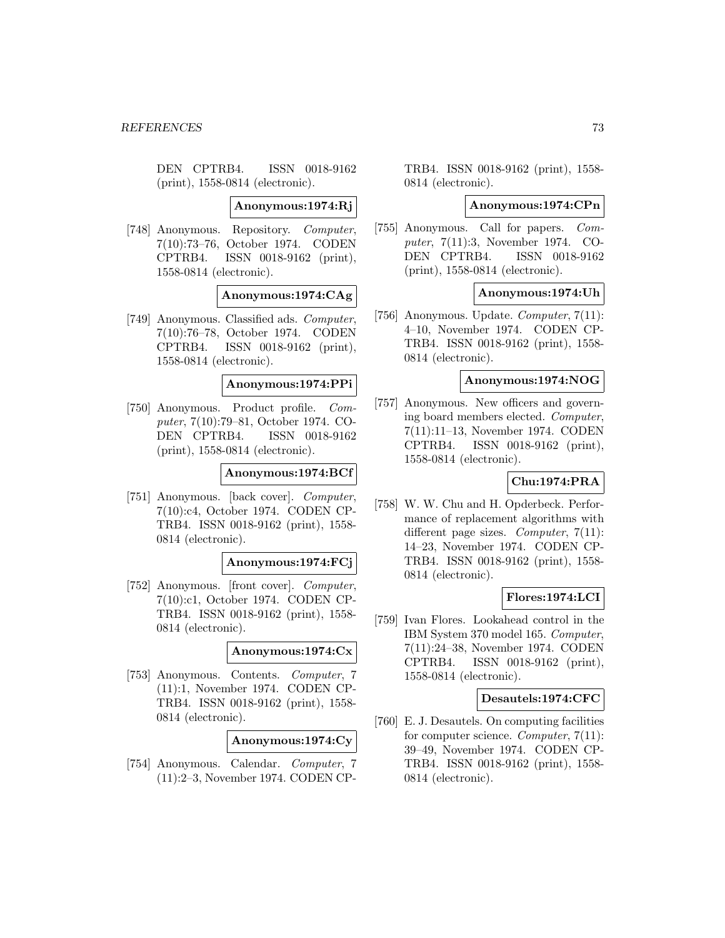DEN CPTRB4. ISSN 0018-9162 (print), 1558-0814 (electronic).

**Anonymous:1974:Rj**

[748] Anonymous. Repository. Computer, 7(10):73–76, October 1974. CODEN CPTRB4. ISSN 0018-9162 (print), 1558-0814 (electronic).

**Anonymous:1974:CAg**

[749] Anonymous. Classified ads. Computer, 7(10):76–78, October 1974. CODEN CPTRB4. ISSN 0018-9162 (print), 1558-0814 (electronic).

#### **Anonymous:1974:PPi**

[750] Anonymous. Product profile. Computer, 7(10):79–81, October 1974. CO-DEN CPTRB4. ISSN 0018-9162 (print), 1558-0814 (electronic).

### **Anonymous:1974:BCf**

[751] Anonymous. [back cover]. Computer, 7(10):c4, October 1974. CODEN CP-TRB4. ISSN 0018-9162 (print), 1558- 0814 (electronic).

#### **Anonymous:1974:FCj**

[752] Anonymous. [front cover]. Computer, 7(10):c1, October 1974. CODEN CP-TRB4. ISSN 0018-9162 (print), 1558- 0814 (electronic).

### **Anonymous:1974:Cx**

[753] Anonymous. Contents. Computer, 7 (11):1, November 1974. CODEN CP-TRB4. ISSN 0018-9162 (print), 1558- 0814 (electronic).

**Anonymous:1974:Cy**

[754] Anonymous. Calendar. Computer, 7 (11):2–3, November 1974. CODEN CP-

TRB4. ISSN 0018-9162 (print), 1558- 0814 (electronic).

#### **Anonymous:1974:CPn**

[755] Anonymous. Call for papers. Computer, 7(11):3, November 1974. CO-DEN CPTRB4. ISSN 0018-9162 (print), 1558-0814 (electronic).

### **Anonymous:1974:Uh**

[756] Anonymous. Update. Computer, 7(11): 4–10, November 1974. CODEN CP-TRB4. ISSN 0018-9162 (print), 1558- 0814 (electronic).

#### **Anonymous:1974:NOG**

[757] Anonymous. New officers and governing board members elected. Computer, 7(11):11–13, November 1974. CODEN CPTRB4. ISSN 0018-9162 (print), 1558-0814 (electronic).

# **Chu:1974:PRA**

[758] W. W. Chu and H. Opderbeck. Performance of replacement algorithms with different page sizes. *Computer*,  $7(11)$ : 14–23, November 1974. CODEN CP-TRB4. ISSN 0018-9162 (print), 1558- 0814 (electronic).

## **Flores:1974:LCI**

[759] Ivan Flores. Lookahead control in the IBM System 370 model 165. Computer, 7(11):24–38, November 1974. CODEN CPTRB4. ISSN 0018-9162 (print), 1558-0814 (electronic).

#### **Desautels:1974:CFC**

[760] E. J. Desautels. On computing facilities for computer science. Computer, 7(11): 39–49, November 1974. CODEN CP-TRB4. ISSN 0018-9162 (print), 1558- 0814 (electronic).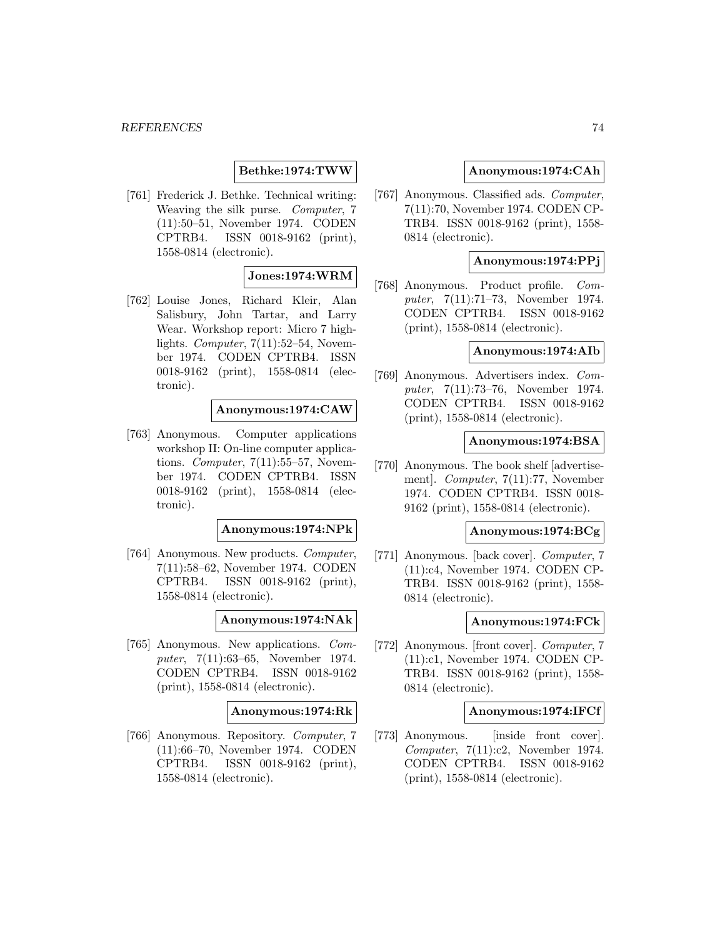## **Bethke:1974:TWW**

[761] Frederick J. Bethke. Technical writing: Weaving the silk purse. Computer, 7 (11):50–51, November 1974. CODEN CPTRB4. ISSN 0018-9162 (print), 1558-0814 (electronic).

## **Jones:1974:WRM**

[762] Louise Jones, Richard Kleir, Alan Salisbury, John Tartar, and Larry Wear. Workshop report: Micro 7 highlights. Computer, 7(11):52–54, November 1974. CODEN CPTRB4. ISSN 0018-9162 (print), 1558-0814 (electronic).

# **Anonymous:1974:CAW**

[763] Anonymous. Computer applications workshop II: On-line computer applications. *Computer*,  $7(11):55-57$ , November 1974. CODEN CPTRB4. ISSN 0018-9162 (print), 1558-0814 (electronic).

## **Anonymous:1974:NPk**

[764] Anonymous. New products. Computer, 7(11):58–62, November 1974. CODEN CPTRB4. ISSN 0018-9162 (print), 1558-0814 (electronic).

# **Anonymous:1974:NAk**

[765] Anonymous. New applications. Computer, 7(11):63–65, November 1974. CODEN CPTRB4. ISSN 0018-9162 (print), 1558-0814 (electronic).

#### **Anonymous:1974:Rk**

[766] Anonymous. Repository. Computer, 7 (11):66–70, November 1974. CODEN CPTRB4. ISSN 0018-9162 (print), 1558-0814 (electronic).

### **Anonymous:1974:CAh**

[767] Anonymous. Classified ads. Computer, 7(11):70, November 1974. CODEN CP-TRB4. ISSN 0018-9162 (print), 1558- 0814 (electronic).

#### **Anonymous:1974:PPj**

[768] Anonymous. Product profile. Computer, 7(11):71–73, November 1974. CODEN CPTRB4. ISSN 0018-9162 (print), 1558-0814 (electronic).

### **Anonymous:1974:AIb**

[769] Anonymous. Advertisers index. Computer, 7(11):73–76, November 1974. CODEN CPTRB4. ISSN 0018-9162 (print), 1558-0814 (electronic).

#### **Anonymous:1974:BSA**

[770] Anonymous. The book shelf [advertisement]. Computer, 7(11):77, November 1974. CODEN CPTRB4. ISSN 0018- 9162 (print), 1558-0814 (electronic).

## **Anonymous:1974:BCg**

[771] Anonymous. [back cover]. Computer, 7 (11):c4, November 1974. CODEN CP-TRB4. ISSN 0018-9162 (print), 1558- 0814 (electronic).

#### **Anonymous:1974:FCk**

[772] Anonymous. [front cover]. Computer, 7 (11):c1, November 1974. CODEN CP-TRB4. ISSN 0018-9162 (print), 1558- 0814 (electronic).

#### **Anonymous:1974:IFCf**

[773] Anonymous. [inside front cover]. Computer, 7(11):c2, November 1974. CODEN CPTRB4. ISSN 0018-9162 (print), 1558-0814 (electronic).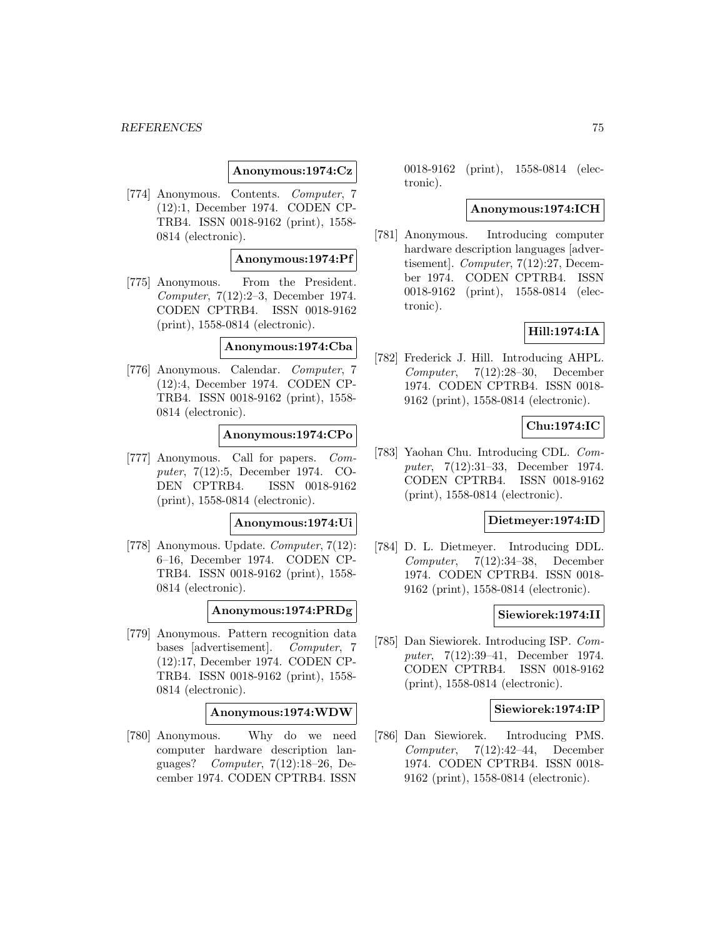### **Anonymous:1974:Cz**

[774] Anonymous. Contents. Computer, 7 (12):1, December 1974. CODEN CP-TRB4. ISSN 0018-9162 (print), 1558- 0814 (electronic).

### **Anonymous:1974:Pf**

[775] Anonymous. From the President. Computer, 7(12):2–3, December 1974. CODEN CPTRB4. ISSN 0018-9162 (print), 1558-0814 (electronic).

**Anonymous:1974:Cba**

[776] Anonymous. Calendar. Computer, 7 (12):4, December 1974. CODEN CP-TRB4. ISSN 0018-9162 (print), 1558- 0814 (electronic).

# **Anonymous:1974:CPo**

[777] Anonymous. Call for papers. Computer, 7(12):5, December 1974. CO-DEN CPTRB4. ISSN 0018-9162 (print), 1558-0814 (electronic).

#### **Anonymous:1974:Ui**

[778] Anonymous. Update. Computer, 7(12): 6–16, December 1974. CODEN CP-TRB4. ISSN 0018-9162 (print), 1558- 0814 (electronic).

**Anonymous:1974:PRDg**

[779] Anonymous. Pattern recognition data bases [advertisement]. Computer, 7 (12):17, December 1974. CODEN CP-TRB4. ISSN 0018-9162 (print), 1558- 0814 (electronic).

## **Anonymous:1974:WDW**

[780] Anonymous. Why do we need computer hardware description languages? Computer, 7(12):18–26, December 1974. CODEN CPTRB4. ISSN

0018-9162 (print), 1558-0814 (electronic).

### **Anonymous:1974:ICH**

[781] Anonymous. Introducing computer hardware description languages [advertisement]. Computer, 7(12):27, December 1974. CODEN CPTRB4. ISSN 0018-9162 (print), 1558-0814 (electronic).

# **Hill:1974:IA**

[782] Frederick J. Hill. Introducing AHPL. Computer,  $7(12):28-30$ , December 1974. CODEN CPTRB4. ISSN 0018- 9162 (print), 1558-0814 (electronic).

# **Chu:1974:IC**

[783] Yaohan Chu. Introducing CDL. Computer, 7(12):31–33, December 1974. CODEN CPTRB4. ISSN 0018-9162 (print), 1558-0814 (electronic).

### **Dietmeyer:1974:ID**

[784] D. L. Dietmeyer. Introducing DDL. Computer, 7(12):34–38, December 1974. CODEN CPTRB4. ISSN 0018- 9162 (print), 1558-0814 (electronic).

#### **Siewiorek:1974:II**

[785] Dan Siewiorek. Introducing ISP. Computer, 7(12):39–41, December 1974. CODEN CPTRB4. ISSN 0018-9162 (print), 1558-0814 (electronic).

### **Siewiorek:1974:IP**

[786] Dan Siewiorek. Introducing PMS.  $Computer, 7(12):42-44, December$ 1974. CODEN CPTRB4. ISSN 0018- 9162 (print), 1558-0814 (electronic).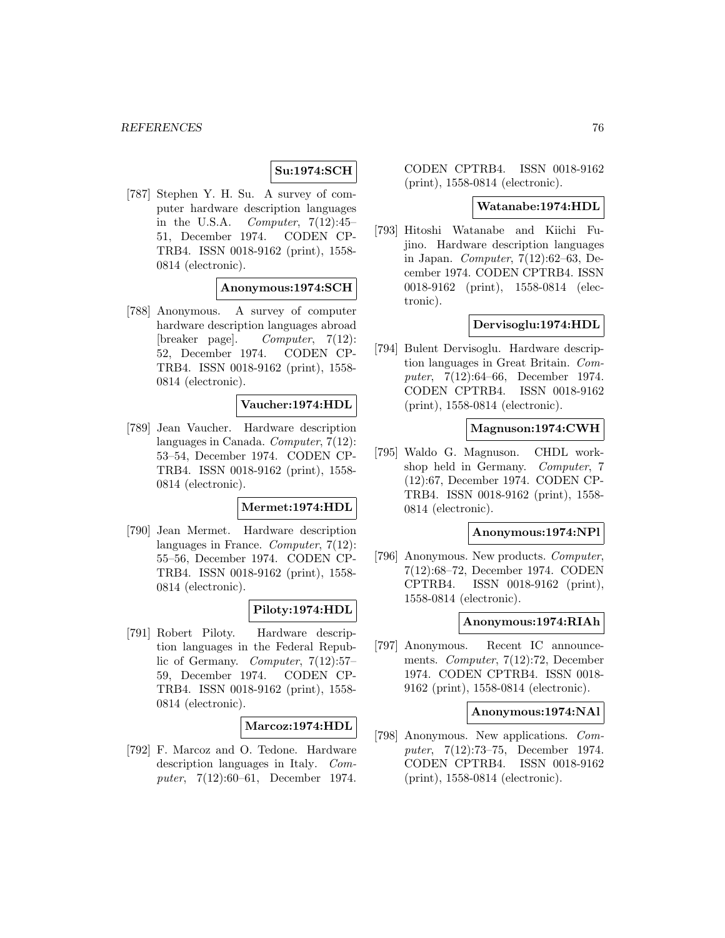# **Su:1974:SCH**

[787] Stephen Y. H. Su. A survey of computer hardware description languages in the U.S.A. Computer,  $7(12):45$ 51, December 1974. CODEN CP-TRB4. ISSN 0018-9162 (print), 1558- 0814 (electronic).

## **Anonymous:1974:SCH**

[788] Anonymous. A survey of computer hardware description languages abroad [breaker page]. Computer, 7(12): 52, December 1974. CODEN CP-TRB4. ISSN 0018-9162 (print), 1558- 0814 (electronic).

## **Vaucher:1974:HDL**

[789] Jean Vaucher. Hardware description languages in Canada. Computer, 7(12): 53–54, December 1974. CODEN CP-TRB4. ISSN 0018-9162 (print), 1558- 0814 (electronic).

#### **Mermet:1974:HDL**

[790] Jean Mermet. Hardware description languages in France. Computer, 7(12): 55–56, December 1974. CODEN CP-TRB4. ISSN 0018-9162 (print), 1558- 0814 (electronic).

# **Piloty:1974:HDL**

[791] Robert Piloty. Hardware description languages in the Federal Republic of Germany. Computer, 7(12):57– 59, December 1974. CODEN CP-TRB4. ISSN 0018-9162 (print), 1558- 0814 (electronic).

## **Marcoz:1974:HDL**

[792] F. Marcoz and O. Tedone. Hardware description languages in Italy. Computer, 7(12):60–61, December 1974.

CODEN CPTRB4. ISSN 0018-9162 (print), 1558-0814 (electronic).

#### **Watanabe:1974:HDL**

[793] Hitoshi Watanabe and Kiichi Fujino. Hardware description languages in Japan. Computer, 7(12):62–63, December 1974. CODEN CPTRB4. ISSN 0018-9162 (print), 1558-0814 (electronic).

### **Dervisoglu:1974:HDL**

[794] Bulent Dervisoglu. Hardware description languages in Great Britain. Computer, 7(12):64–66, December 1974. CODEN CPTRB4. ISSN 0018-9162 (print), 1558-0814 (electronic).

## **Magnuson:1974:CWH**

[795] Waldo G. Magnuson. CHDL workshop held in Germany. Computer, 7 (12):67, December 1974. CODEN CP-TRB4. ISSN 0018-9162 (print), 1558- 0814 (electronic).

### **Anonymous:1974:NPl**

[796] Anonymous. New products. *Computer*, 7(12):68–72, December 1974. CODEN CPTRB4. ISSN 0018-9162 (print), 1558-0814 (electronic).

#### **Anonymous:1974:RIAh**

[797] Anonymous. Recent IC announcements. Computer, 7(12):72, December 1974. CODEN CPTRB4. ISSN 0018- 9162 (print), 1558-0814 (electronic).

#### **Anonymous:1974:NAl**

[798] Anonymous. New applications. Computer, 7(12):73–75, December 1974. CODEN CPTRB4. ISSN 0018-9162 (print), 1558-0814 (electronic).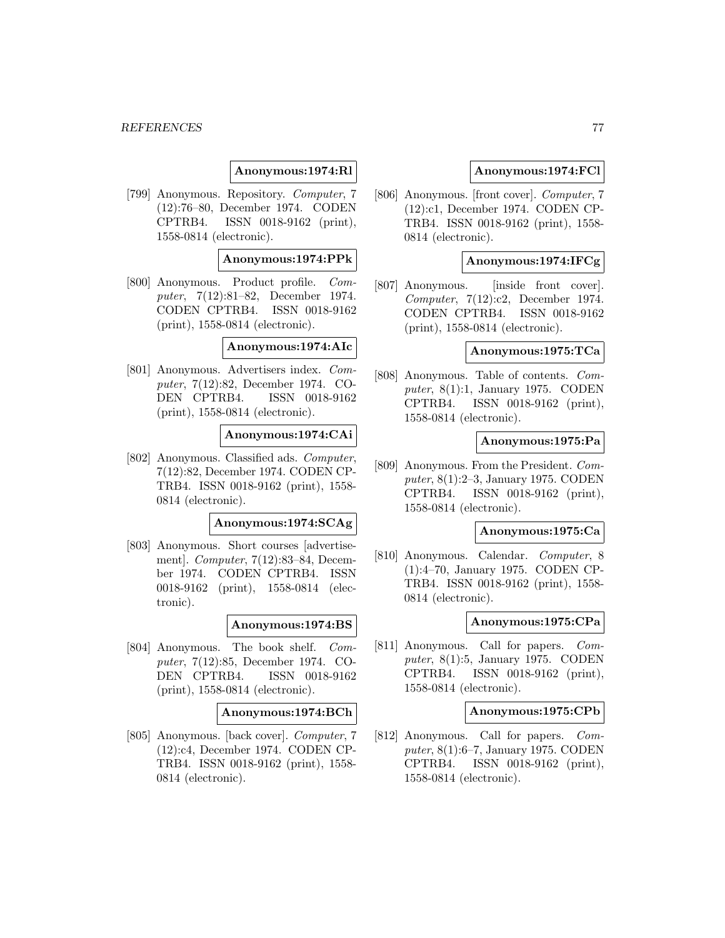### **Anonymous:1974:Rl**

[799] Anonymous. Repository. Computer, 7 (12):76–80, December 1974. CODEN CPTRB4. ISSN 0018-9162 (print), 1558-0814 (electronic).

### **Anonymous:1974:PPk**

[800] Anonymous. Product profile. Computer, 7(12):81–82, December 1974. CODEN CPTRB4. ISSN 0018-9162 (print), 1558-0814 (electronic).

### **Anonymous:1974:AIc**

[801] Anonymous. Advertisers index. Computer, 7(12):82, December 1974. CO-DEN CPTRB4. ISSN 0018-9162 (print), 1558-0814 (electronic).

## **Anonymous:1974:CAi**

[802] Anonymous. Classified ads. Computer, 7(12):82, December 1974. CODEN CP-TRB4. ISSN 0018-9162 (print), 1558- 0814 (electronic).

#### **Anonymous:1974:SCAg**

[803] Anonymous. Short courses [advertisement]. Computer, 7(12):83–84, December 1974. CODEN CPTRB4. ISSN 0018-9162 (print), 1558-0814 (electronic).

#### **Anonymous:1974:BS**

[804] Anonymous. The book shelf. Computer, 7(12):85, December 1974. CO-DEN CPTRB4. ISSN 0018-9162 (print), 1558-0814 (electronic).

#### **Anonymous:1974:BCh**

[805] Anonymous. [back cover]. Computer, 7 (12):c4, December 1974. CODEN CP-TRB4. ISSN 0018-9162 (print), 1558- 0814 (electronic).

### **Anonymous:1974:FCl**

[806] Anonymous. [front cover]. Computer, 7 (12):c1, December 1974. CODEN CP-TRB4. ISSN 0018-9162 (print), 1558- 0814 (electronic).

#### **Anonymous:1974:IFCg**

[807] Anonymous. [inside front cover]. Computer, 7(12):c2, December 1974. CODEN CPTRB4. ISSN 0018-9162 (print), 1558-0814 (electronic).

## **Anonymous:1975:TCa**

[808] Anonymous. Table of contents. Computer, 8(1):1, January 1975. CODEN CPTRB4. ISSN 0018-9162 (print), 1558-0814 (electronic).

### **Anonymous:1975:Pa**

[809] Anonymous. From the President. Computer, 8(1):2–3, January 1975. CODEN CPTRB4. ISSN 0018-9162 (print), 1558-0814 (electronic).

#### **Anonymous:1975:Ca**

[810] Anonymous. Calendar. Computer, 8 (1):4–70, January 1975. CODEN CP-TRB4. ISSN 0018-9162 (print), 1558- 0814 (electronic).

### **Anonymous:1975:CPa**

[811] Anonymous. Call for papers. Computer, 8(1):5, January 1975. CODEN CPTRB4. ISSN 0018-9162 (print), 1558-0814 (electronic).

#### **Anonymous:1975:CPb**

[812] Anonymous. Call for papers. Computer, 8(1):6–7, January 1975. CODEN CPTRB4. ISSN 0018-9162 (print), 1558-0814 (electronic).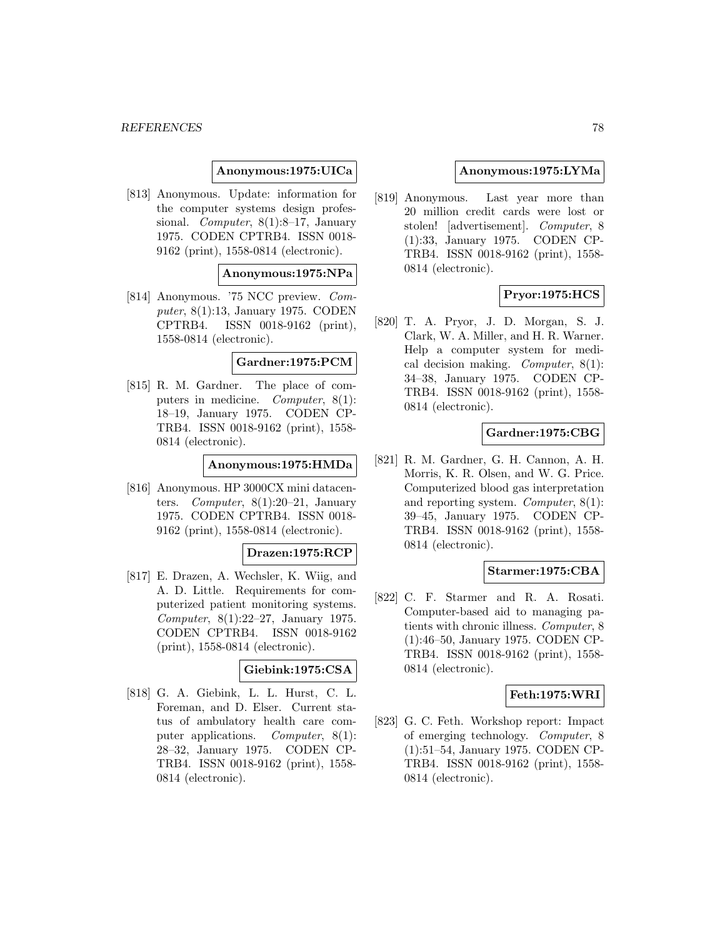### **Anonymous:1975:UICa**

[813] Anonymous. Update: information for the computer systems design professional. *Computer*, 8(1):8–17, January 1975. CODEN CPTRB4. ISSN 0018- 9162 (print), 1558-0814 (electronic).

#### **Anonymous:1975:NPa**

[814] Anonymous. '75 NCC preview. Computer, 8(1):13, January 1975. CODEN CPTRB4. ISSN 0018-9162 (print), 1558-0814 (electronic).

### **Gardner:1975:PCM**

[815] R. M. Gardner. The place of computers in medicine. *Computer*, 8(1): 18–19, January 1975. CODEN CP-TRB4. ISSN 0018-9162 (print), 1558- 0814 (electronic).

## **Anonymous:1975:HMDa**

[816] Anonymous. HP 3000CX mini datacenters. Computer,  $8(1):20-21$ , January 1975. CODEN CPTRB4. ISSN 0018- 9162 (print), 1558-0814 (electronic).

#### **Drazen:1975:RCP**

[817] E. Drazen, A. Wechsler, K. Wiig, and A. D. Little. Requirements for computerized patient monitoring systems. Computer, 8(1):22–27, January 1975. CODEN CPTRB4. ISSN 0018-9162 (print), 1558-0814 (electronic).

#### **Giebink:1975:CSA**

[818] G. A. Giebink, L. L. Hurst, C. L. Foreman, and D. Elser. Current status of ambulatory health care computer applications. Computer, 8(1): 28–32, January 1975. CODEN CP-TRB4. ISSN 0018-9162 (print), 1558- 0814 (electronic).

### **Anonymous:1975:LYMa**

[819] Anonymous. Last year more than 20 million credit cards were lost or stolen! [advertisement]. Computer, 8 (1):33, January 1975. CODEN CP-TRB4. ISSN 0018-9162 (print), 1558- 0814 (electronic).

# **Pryor:1975:HCS**

[820] T. A. Pryor, J. D. Morgan, S. J. Clark, W. A. Miller, and H. R. Warner. Help a computer system for medical decision making. Computer, 8(1): 34–38, January 1975. CODEN CP-TRB4. ISSN 0018-9162 (print), 1558- 0814 (electronic).

## **Gardner:1975:CBG**

[821] R. M. Gardner, G. H. Cannon, A. H. Morris, K. R. Olsen, and W. G. Price. Computerized blood gas interpretation and reporting system. Computer, 8(1): 39–45, January 1975. CODEN CP-TRB4. ISSN 0018-9162 (print), 1558- 0814 (electronic).

## **Starmer:1975:CBA**

[822] C. F. Starmer and R. A. Rosati. Computer-based aid to managing patients with chronic illness. Computer, 8 (1):46–50, January 1975. CODEN CP-TRB4. ISSN 0018-9162 (print), 1558- 0814 (electronic).

## **Feth:1975:WRI**

[823] G. C. Feth. Workshop report: Impact of emerging technology. Computer, 8 (1):51–54, January 1975. CODEN CP-TRB4. ISSN 0018-9162 (print), 1558- 0814 (electronic).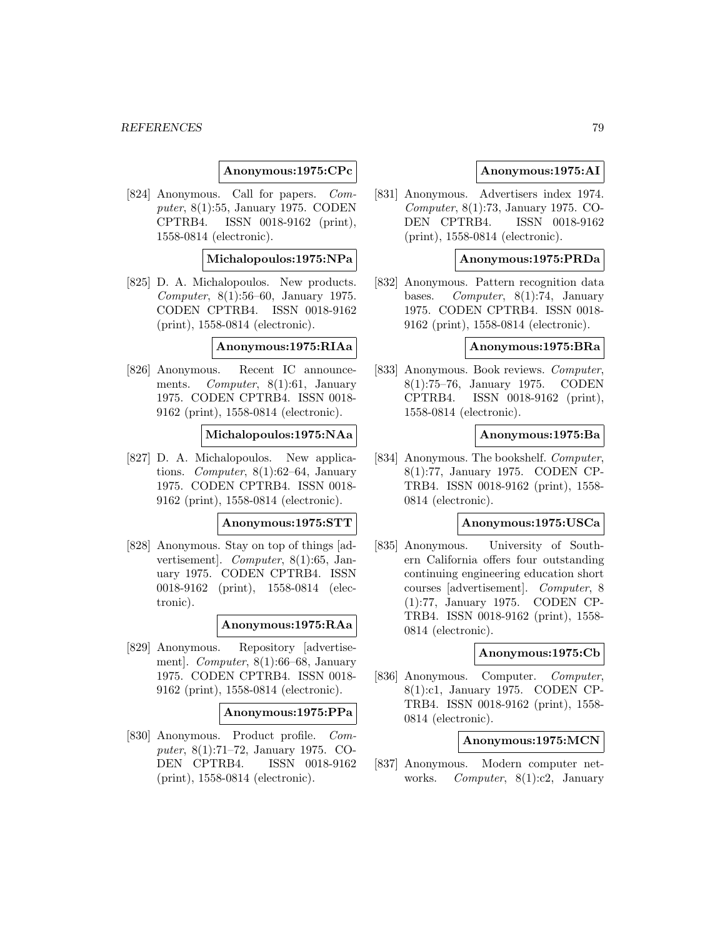### **Anonymous:1975:CPc**

[824] Anonymous. Call for papers. Computer, 8(1):55, January 1975. CODEN CPTRB4. ISSN 0018-9162 (print), 1558-0814 (electronic).

### **Michalopoulos:1975:NPa**

[825] D. A. Michalopoulos. New products. Computer, 8(1):56–60, January 1975. CODEN CPTRB4. ISSN 0018-9162 (print), 1558-0814 (electronic).

### **Anonymous:1975:RIAa**

[826] Anonymous. Recent IC announcements. *Computer*, 8(1):61, January 1975. CODEN CPTRB4. ISSN 0018- 9162 (print), 1558-0814 (electronic).

## **Michalopoulos:1975:NAa**

[827] D. A. Michalopoulos. New applications. Computer, 8(1):62–64, January 1975. CODEN CPTRB4. ISSN 0018- 9162 (print), 1558-0814 (electronic).

#### **Anonymous:1975:STT**

[828] Anonymous. Stay on top of things [advertisement]. Computer, 8(1):65, January 1975. CODEN CPTRB4. ISSN 0018-9162 (print), 1558-0814 (electronic).

#### **Anonymous:1975:RAa**

[829] Anonymous. Repository [advertisement]. Computer, 8(1):66–68, January 1975. CODEN CPTRB4. ISSN 0018- 9162 (print), 1558-0814 (electronic).

#### **Anonymous:1975:PPa**

[830] Anonymous. Product profile. Computer, 8(1):71–72, January 1975. CO-DEN CPTRB4. ISSN 0018-9162 (print), 1558-0814 (electronic).

### **Anonymous:1975:AI**

[831] Anonymous. Advertisers index 1974. Computer, 8(1):73, January 1975. CO-DEN CPTRB4. ISSN 0018-9162 (print), 1558-0814 (electronic).

### **Anonymous:1975:PRDa**

[832] Anonymous. Pattern recognition data bases. Computer, 8(1):74, January 1975. CODEN CPTRB4. ISSN 0018- 9162 (print), 1558-0814 (electronic).

### **Anonymous:1975:BRa**

[833] Anonymous. Book reviews. Computer, 8(1):75–76, January 1975. CODEN CPTRB4. ISSN 0018-9162 (print), 1558-0814 (electronic).

## **Anonymous:1975:Ba**

[834] Anonymous. The bookshelf. Computer, 8(1):77, January 1975. CODEN CP-TRB4. ISSN 0018-9162 (print), 1558- 0814 (electronic).

#### **Anonymous:1975:USCa**

[835] Anonymous. University of Southern California offers four outstanding continuing engineering education short courses [advertisement]. Computer, 8 (1):77, January 1975. CODEN CP-TRB4. ISSN 0018-9162 (print), 1558- 0814 (electronic).

#### **Anonymous:1975:Cb**

[836] Anonymous. Computer. Computer, 8(1):c1, January 1975. CODEN CP-TRB4. ISSN 0018-9162 (print), 1558- 0814 (electronic).

## **Anonymous:1975:MCN**

[837] Anonymous. Modern computer networks. *Computer*, 8(1):c2, January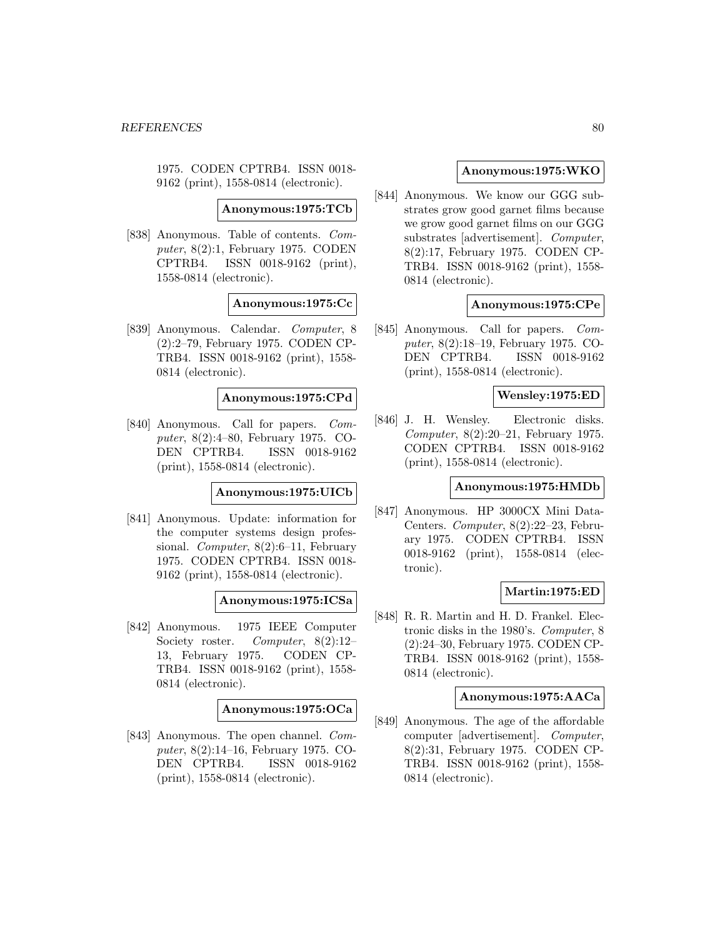1975. CODEN CPTRB4. ISSN 0018- 9162 (print), 1558-0814 (electronic).

**Anonymous:1975:TCb**

[838] Anonymous. Table of contents. Computer, 8(2):1, February 1975. CODEN CPTRB4. ISSN 0018-9162 (print), 1558-0814 (electronic).

### **Anonymous:1975:Cc**

[839] Anonymous. Calendar. Computer, 8 (2):2–79, February 1975. CODEN CP-TRB4. ISSN 0018-9162 (print), 1558- 0814 (electronic).

### **Anonymous:1975:CPd**

[840] Anonymous. Call for papers. Computer, 8(2):4–80, February 1975. CO-DEN CPTRB4. ISSN 0018-9162 (print), 1558-0814 (electronic).

## **Anonymous:1975:UICb**

[841] Anonymous. Update: information for the computer systems design professional. *Computer*, 8(2):6–11, February 1975. CODEN CPTRB4. ISSN 0018- 9162 (print), 1558-0814 (electronic).

## **Anonymous:1975:ICSa**

[842] Anonymous. 1975 IEEE Computer Society roster. Computer, 8(2):12-13, February 1975. CODEN CP-TRB4. ISSN 0018-9162 (print), 1558- 0814 (electronic).

### **Anonymous:1975:OCa**

[843] Anonymous. The open channel. Computer, 8(2):14–16, February 1975. CO-DEN CPTRB4. ISSN 0018-9162 (print), 1558-0814 (electronic).

### **Anonymous:1975:WKO**

[844] Anonymous. We know our GGG substrates grow good garnet films because we grow good garnet films on our GGG substrates [advertisement]. Computer, 8(2):17, February 1975. CODEN CP-TRB4. ISSN 0018-9162 (print), 1558- 0814 (electronic).

## **Anonymous:1975:CPe**

[845] Anonymous. Call for papers. Computer, 8(2):18–19, February 1975. CO-DEN CPTRB4. ISSN 0018-9162 (print), 1558-0814 (electronic).

## **Wensley:1975:ED**

[846] J. H. Wensley. Electronic disks. Computer, 8(2):20–21, February 1975. CODEN CPTRB4. ISSN 0018-9162 (print), 1558-0814 (electronic).

## **Anonymous:1975:HMDb**

[847] Anonymous. HP 3000CX Mini Data-Centers. Computer, 8(2):22–23, February 1975. CODEN CPTRB4. ISSN 0018-9162 (print), 1558-0814 (electronic).

## **Martin:1975:ED**

[848] R. R. Martin and H. D. Frankel. Electronic disks in the 1980's. Computer, 8 (2):24–30, February 1975. CODEN CP-TRB4. ISSN 0018-9162 (print), 1558- 0814 (electronic).

## **Anonymous:1975:AACa**

[849] Anonymous. The age of the affordable computer [advertisement]. Computer, 8(2):31, February 1975. CODEN CP-TRB4. ISSN 0018-9162 (print), 1558- 0814 (electronic).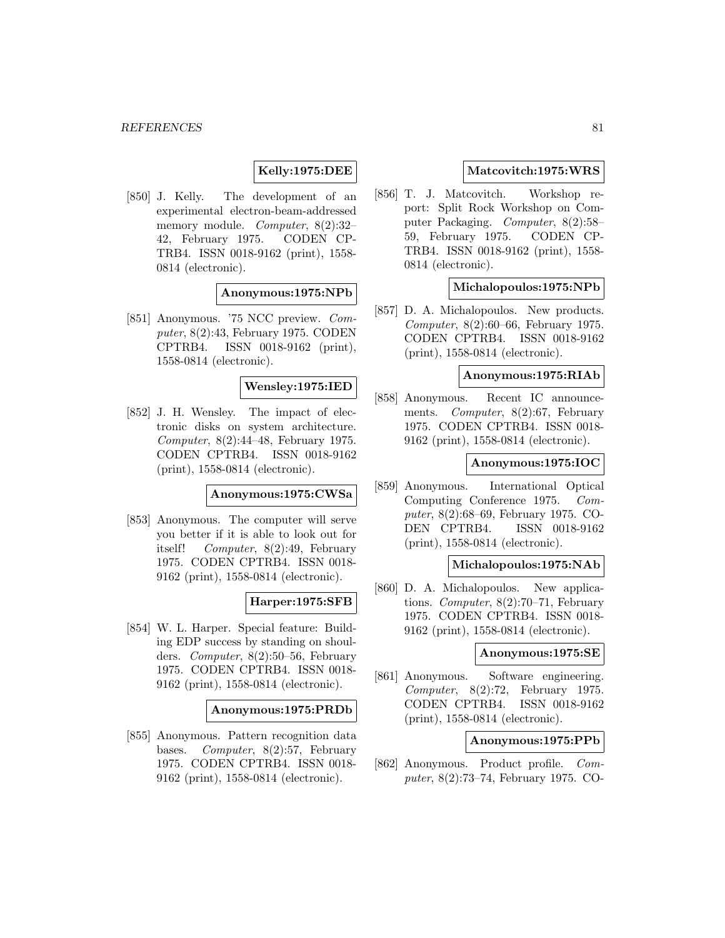# **Kelly:1975:DEE**

[850] J. Kelly. The development of an experimental electron-beam-addressed memory module. Computer, 8(2):32– 42, February 1975. CODEN CP-TRB4. ISSN 0018-9162 (print), 1558- 0814 (electronic).

### **Anonymous:1975:NPb**

[851] Anonymous. '75 NCC preview. Computer, 8(2):43, February 1975. CODEN CPTRB4. ISSN 0018-9162 (print), 1558-0814 (electronic).

#### **Wensley:1975:IED**

[852] J. H. Wensley. The impact of electronic disks on system architecture. Computer, 8(2):44–48, February 1975. CODEN CPTRB4. ISSN 0018-9162 (print), 1558-0814 (electronic).

#### **Anonymous:1975:CWSa**

[853] Anonymous. The computer will serve you better if it is able to look out for itself! Computer, 8(2):49, February 1975. CODEN CPTRB4. ISSN 0018- 9162 (print), 1558-0814 (electronic).

## **Harper:1975:SFB**

[854] W. L. Harper. Special feature: Building EDP success by standing on shoulders. Computer, 8(2):50–56, February 1975. CODEN CPTRB4. ISSN 0018- 9162 (print), 1558-0814 (electronic).

### **Anonymous:1975:PRDb**

[855] Anonymous. Pattern recognition data bases. Computer, 8(2):57, February 1975. CODEN CPTRB4. ISSN 0018- 9162 (print), 1558-0814 (electronic).

### **Matcovitch:1975:WRS**

[856] T. J. Matcovitch. Workshop report: Split Rock Workshop on Computer Packaging. Computer, 8(2):58– 59, February 1975. CODEN CP-TRB4. ISSN 0018-9162 (print), 1558- 0814 (electronic).

### **Michalopoulos:1975:NPb**

[857] D. A. Michalopoulos. New products. Computer, 8(2):60–66, February 1975. CODEN CPTRB4. ISSN 0018-9162 (print), 1558-0814 (electronic).

### **Anonymous:1975:RIAb**

[858] Anonymous. Recent IC announcements. Computer, 8(2):67, February 1975. CODEN CPTRB4. ISSN 0018- 9162 (print), 1558-0814 (electronic).

### **Anonymous:1975:IOC**

[859] Anonymous. International Optical Computing Conference 1975. Computer, 8(2):68–69, February 1975. CO-DEN CPTRB4. ISSN 0018-9162 (print), 1558-0814 (electronic).

## **Michalopoulos:1975:NAb**

[860] D. A. Michalopoulos. New applications. Computer, 8(2):70–71, February 1975. CODEN CPTRB4. ISSN 0018- 9162 (print), 1558-0814 (electronic).

### **Anonymous:1975:SE**

[861] Anonymous. Software engineering. Computer, 8(2):72, February 1975. CODEN CPTRB4. ISSN 0018-9162 (print), 1558-0814 (electronic).

### **Anonymous:1975:PPb**

[862] Anonymous. Product profile. Computer, 8(2):73–74, February 1975. CO-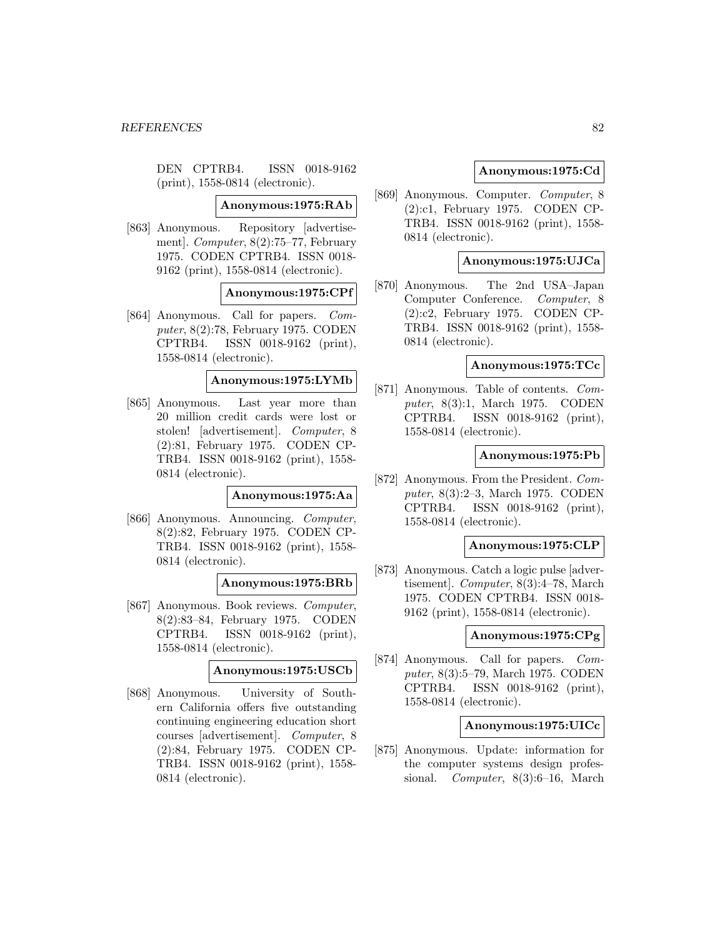DEN CPTRB4. ISSN 0018-9162 (print), 1558-0814 (electronic).

**Anonymous:1975:RAb**

[863] Anonymous. Repository [advertisement]. Computer, 8(2):75–77, February 1975. CODEN CPTRB4. ISSN 0018- 9162 (print), 1558-0814 (electronic).

### **Anonymous:1975:CPf**

[864] Anonymous. Call for papers. Computer, 8(2):78, February 1975. CODEN CPTRB4. ISSN 0018-9162 (print), 1558-0814 (electronic).

### **Anonymous:1975:LYMb**

[865] Anonymous. Last year more than 20 million credit cards were lost or stolen! [advertisement]. Computer, 8 (2):81, February 1975. CODEN CP-TRB4. ISSN 0018-9162 (print), 1558- 0814 (electronic).

#### **Anonymous:1975:Aa**

[866] Anonymous. Announcing. Computer, 8(2):82, February 1975. CODEN CP-TRB4. ISSN 0018-9162 (print), 1558- 0814 (electronic).

#### **Anonymous:1975:BRb**

[867] Anonymous. Book reviews. Computer, 8(2):83–84, February 1975. CODEN CPTRB4. ISSN 0018-9162 (print), 1558-0814 (electronic).

### **Anonymous:1975:USCb**

[868] Anonymous. University of Southern California offers five outstanding continuing engineering education short courses [advertisement]. Computer, 8 (2):84, February 1975. CODEN CP-TRB4. ISSN 0018-9162 (print), 1558- 0814 (electronic).

## **Anonymous:1975:Cd**

[869] Anonymous. Computer. Computer, 8 (2):c1, February 1975. CODEN CP-TRB4. ISSN 0018-9162 (print), 1558- 0814 (electronic).

### **Anonymous:1975:UJCa**

[870] Anonymous. The 2nd USA–Japan Computer Conference. Computer, 8 (2):c2, February 1975. CODEN CP-TRB4. ISSN 0018-9162 (print), 1558- 0814 (electronic).

### **Anonymous:1975:TCc**

[871] Anonymous. Table of contents. Computer, 8(3):1, March 1975. CODEN CPTRB4. ISSN 0018-9162 (print), 1558-0814 (electronic).

### **Anonymous:1975:Pb**

[872] Anonymous. From the President. Computer, 8(3):2–3, March 1975. CODEN CPTRB4. ISSN 0018-9162 (print), 1558-0814 (electronic).

### **Anonymous:1975:CLP**

[873] Anonymous. Catch a logic pulse [advertisement]. Computer, 8(3):4–78, March 1975. CODEN CPTRB4. ISSN 0018- 9162 (print), 1558-0814 (electronic).

#### **Anonymous:1975:CPg**

[874] Anonymous. Call for papers. Computer, 8(3):5–79, March 1975. CODEN CPTRB4. ISSN 0018-9162 (print), 1558-0814 (electronic).

## **Anonymous:1975:UICc**

[875] Anonymous. Update: information for the computer systems design professional. Computer, 8(3):6–16, March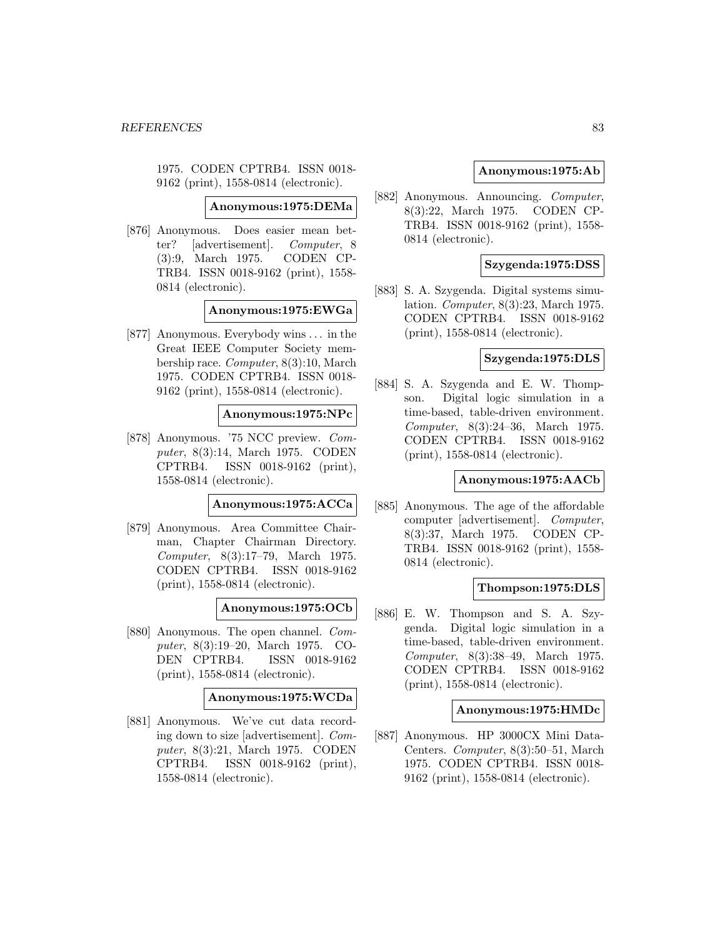1975. CODEN CPTRB4. ISSN 0018- 9162 (print), 1558-0814 (electronic).

**Anonymous:1975:DEMa**

[876] Anonymous. Does easier mean better? [advertisement]. Computer, 8 (3):9, March 1975. CODEN CP-TRB4. ISSN 0018-9162 (print), 1558- 0814 (electronic).

### **Anonymous:1975:EWGa**

[877] Anonymous. Everybody wins ... in the Great IEEE Computer Society membership race. Computer, 8(3):10, March 1975. CODEN CPTRB4. ISSN 0018- 9162 (print), 1558-0814 (electronic).

### **Anonymous:1975:NPc**

[878] Anonymous. '75 NCC preview. Computer, 8(3):14, March 1975. CODEN CPTRB4. ISSN 0018-9162 (print), 1558-0814 (electronic).

#### **Anonymous:1975:ACCa**

[879] Anonymous. Area Committee Chairman, Chapter Chairman Directory. Computer, 8(3):17–79, March 1975. CODEN CPTRB4. ISSN 0018-9162 (print), 1558-0814 (electronic).

#### **Anonymous:1975:OCb**

[880] Anonymous. The open channel. Computer, 8(3):19–20, March 1975. CO-DEN CPTRB4. ISSN 0018-9162 (print), 1558-0814 (electronic).

### **Anonymous:1975:WCDa**

[881] Anonymous. We've cut data recording down to size [advertisement]. Computer, 8(3):21, March 1975. CODEN CPTRB4. ISSN 0018-9162 (print), 1558-0814 (electronic).

## **Anonymous:1975:Ab**

[882] Anonymous. Announcing. Computer, 8(3):22, March 1975. CODEN CP-TRB4. ISSN 0018-9162 (print), 1558- 0814 (electronic).

#### **Szygenda:1975:DSS**

[883] S. A. Szygenda. Digital systems simulation. Computer, 8(3):23, March 1975. CODEN CPTRB4. ISSN 0018-9162 (print), 1558-0814 (electronic).

### **Szygenda:1975:DLS**

[884] S. A. Szygenda and E. W. Thompson. Digital logic simulation in a time-based, table-driven environment. Computer, 8(3):24–36, March 1975. CODEN CPTRB4. ISSN 0018-9162 (print), 1558-0814 (electronic).

### **Anonymous:1975:AACb**

[885] Anonymous. The age of the affordable computer [advertisement]. Computer, 8(3):37, March 1975. CODEN CP-TRB4. ISSN 0018-9162 (print), 1558- 0814 (electronic).

## **Thompson:1975:DLS**

[886] E. W. Thompson and S. A. Szygenda. Digital logic simulation in a time-based, table-driven environment. Computer, 8(3):38–49, March 1975. CODEN CPTRB4. ISSN 0018-9162 (print), 1558-0814 (electronic).

### **Anonymous:1975:HMDc**

[887] Anonymous. HP 3000CX Mini Data-Centers. Computer, 8(3):50–51, March 1975. CODEN CPTRB4. ISSN 0018- 9162 (print), 1558-0814 (electronic).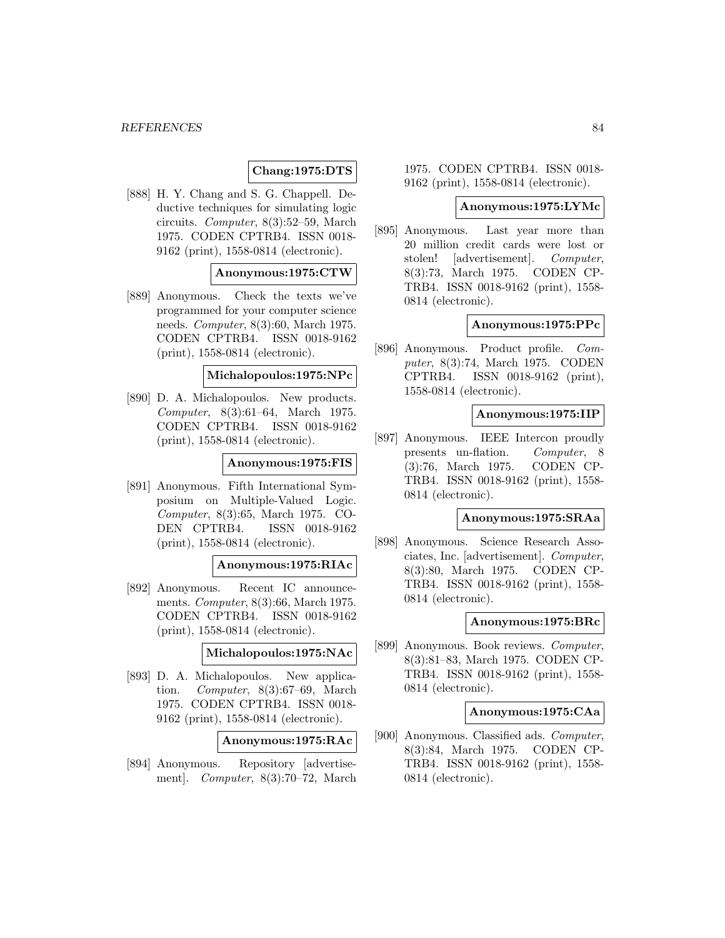## **Chang:1975:DTS**

[888] H. Y. Chang and S. G. Chappell. Deductive techniques for simulating logic circuits. Computer, 8(3):52–59, March 1975. CODEN CPTRB4. ISSN 0018- 9162 (print), 1558-0814 (electronic).

### **Anonymous:1975:CTW**

[889] Anonymous. Check the texts we've programmed for your computer science needs. Computer, 8(3):60, March 1975. CODEN CPTRB4. ISSN 0018-9162 (print), 1558-0814 (electronic).

## **Michalopoulos:1975:NPc**

[890] D. A. Michalopoulos. New products. Computer, 8(3):61–64, March 1975. CODEN CPTRB4. ISSN 0018-9162 (print), 1558-0814 (electronic).

### **Anonymous:1975:FIS**

[891] Anonymous. Fifth International Symposium on Multiple-Valued Logic. Computer, 8(3):65, March 1975. CO-DEN CPTRB4. ISSN 0018-9162 (print), 1558-0814 (electronic).

# **Anonymous:1975:RIAc**

[892] Anonymous. Recent IC announcements. Computer, 8(3):66, March 1975. CODEN CPTRB4. ISSN 0018-9162 (print), 1558-0814 (electronic).

### **Michalopoulos:1975:NAc**

[893] D. A. Michalopoulos. New application. Computer, 8(3):67–69, March 1975. CODEN CPTRB4. ISSN 0018- 9162 (print), 1558-0814 (electronic).

**Anonymous:1975:RAc**

[894] Anonymous. Repository [advertisement]. Computer, 8(3):70–72, March

1975. CODEN CPTRB4. ISSN 0018- 9162 (print), 1558-0814 (electronic).

#### **Anonymous:1975:LYMc**

[895] Anonymous. Last year more than 20 million credit cards were lost or stolen! [advertisement]. Computer, 8(3):73, March 1975. CODEN CP-TRB4. ISSN 0018-9162 (print), 1558- 0814 (electronic).

## **Anonymous:1975:PPc**

[896] Anonymous. Product profile. Computer, 8(3):74, March 1975. CODEN CPTRB4. ISSN 0018-9162 (print), 1558-0814 (electronic).

### **Anonymous:1975:IIP**

[897] Anonymous. IEEE Intercon proudly presents un-flation. Computer, 8 (3):76, March 1975. CODEN CP-TRB4. ISSN 0018-9162 (print), 1558- 0814 (electronic).

#### **Anonymous:1975:SRAa**

[898] Anonymous. Science Research Associates, Inc. [advertisement]. Computer, 8(3):80, March 1975. CODEN CP-TRB4. ISSN 0018-9162 (print), 1558- 0814 (electronic).

#### **Anonymous:1975:BRc**

[899] Anonymous. Book reviews. Computer, 8(3):81–83, March 1975. CODEN CP-TRB4. ISSN 0018-9162 (print), 1558- 0814 (electronic).

#### **Anonymous:1975:CAa**

[900] Anonymous. Classified ads. Computer, 8(3):84, March 1975. CODEN CP-TRB4. ISSN 0018-9162 (print), 1558- 0814 (electronic).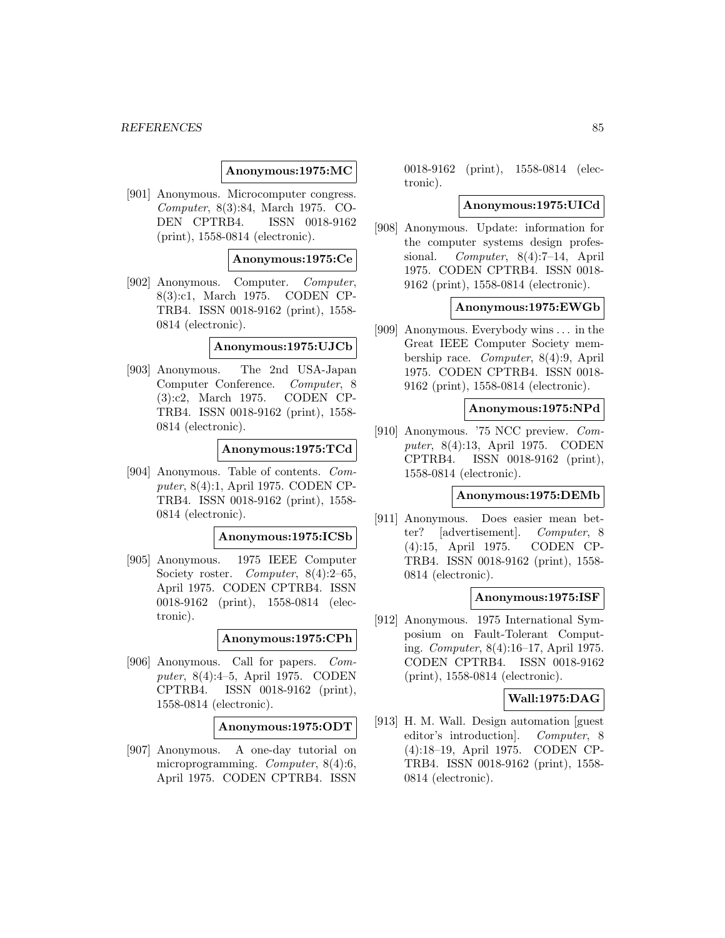### **Anonymous:1975:MC**

[901] Anonymous. Microcomputer congress. Computer, 8(3):84, March 1975. CO-DEN CPTRB4. ISSN 0018-9162 (print), 1558-0814 (electronic).

### **Anonymous:1975:Ce**

[902] Anonymous. Computer. Computer, 8(3):c1, March 1975. CODEN CP-TRB4. ISSN 0018-9162 (print), 1558- 0814 (electronic).

#### **Anonymous:1975:UJCb**

[903] Anonymous. The 2nd USA-Japan Computer Conference. Computer, 8 (3):c2, March 1975. CODEN CP-TRB4. ISSN 0018-9162 (print), 1558- 0814 (electronic).

### **Anonymous:1975:TCd**

[904] Anonymous. Table of contents. Computer, 8(4):1, April 1975. CODEN CP-TRB4. ISSN 0018-9162 (print), 1558- 0814 (electronic).

#### **Anonymous:1975:ICSb**

[905] Anonymous. 1975 IEEE Computer Society roster. Computer, 8(4):2–65, April 1975. CODEN CPTRB4. ISSN 0018-9162 (print), 1558-0814 (electronic).

### **Anonymous:1975:CPh**

[906] Anonymous. Call for papers. Computer, 8(4):4–5, April 1975. CODEN CPTRB4. ISSN 0018-9162 (print), 1558-0814 (electronic).

**Anonymous:1975:ODT**

[907] Anonymous. A one-day tutorial on microprogramming. Computer, 8(4):6, April 1975. CODEN CPTRB4. ISSN

0018-9162 (print), 1558-0814 (electronic).

#### **Anonymous:1975:UICd**

[908] Anonymous. Update: information for the computer systems design professional. Computer, 8(4):7–14, April 1975. CODEN CPTRB4. ISSN 0018- 9162 (print), 1558-0814 (electronic).

#### **Anonymous:1975:EWGb**

[909] Anonymous. Everybody wins ... in the Great IEEE Computer Society membership race. Computer, 8(4):9, April 1975. CODEN CPTRB4. ISSN 0018- 9162 (print), 1558-0814 (electronic).

## **Anonymous:1975:NPd**

[910] Anonymous. '75 NCC preview. Computer, 8(4):13, April 1975. CODEN CPTRB4. ISSN 0018-9162 (print), 1558-0814 (electronic).

#### **Anonymous:1975:DEMb**

[911] Anonymous. Does easier mean better? [advertisement]. Computer, 8 (4):15, April 1975. CODEN CP-TRB4. ISSN 0018-9162 (print), 1558- 0814 (electronic).

#### **Anonymous:1975:ISF**

[912] Anonymous. 1975 International Symposium on Fault-Tolerant Computing. Computer, 8(4):16–17, April 1975. CODEN CPTRB4. ISSN 0018-9162 (print), 1558-0814 (electronic).

### **Wall:1975:DAG**

[913] H. M. Wall. Design automation [guest editor's introduction]. Computer, 8 (4):18–19, April 1975. CODEN CP-TRB4. ISSN 0018-9162 (print), 1558- 0814 (electronic).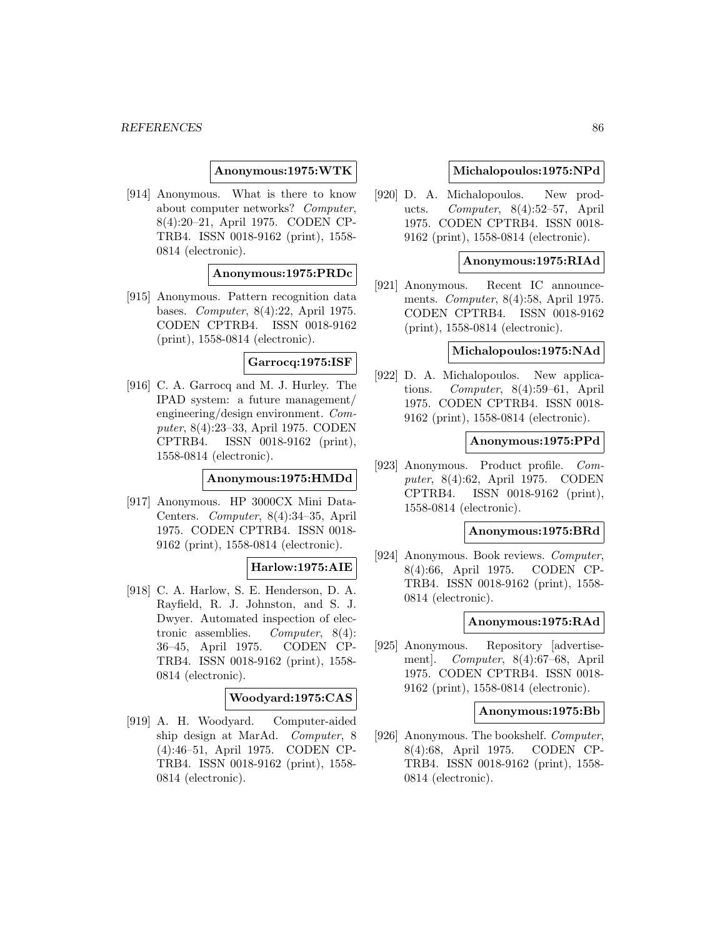### **Anonymous:1975:WTK**

[914] Anonymous. What is there to know about computer networks? Computer, 8(4):20–21, April 1975. CODEN CP-TRB4. ISSN 0018-9162 (print), 1558- 0814 (electronic).

### **Anonymous:1975:PRDc**

[915] Anonymous. Pattern recognition data bases. Computer, 8(4):22, April 1975. CODEN CPTRB4. ISSN 0018-9162 (print), 1558-0814 (electronic).

## **Garrocq:1975:ISF**

[916] C. A. Garrocq and M. J. Hurley. The IPAD system: a future management/ engineering/design environment. Computer, 8(4):23–33, April 1975. CODEN CPTRB4. ISSN 0018-9162 (print), 1558-0814 (electronic).

#### **Anonymous:1975:HMDd**

[917] Anonymous. HP 3000CX Mini Data-Centers. Computer, 8(4):34–35, April 1975. CODEN CPTRB4. ISSN 0018- 9162 (print), 1558-0814 (electronic).

## **Harlow:1975:AIE**

[918] C. A. Harlow, S. E. Henderson, D. A. Rayfield, R. J. Johnston, and S. J. Dwyer. Automated inspection of electronic assemblies. Computer, 8(4): 36–45, April 1975. CODEN CP-TRB4. ISSN 0018-9162 (print), 1558- 0814 (electronic).

## **Woodyard:1975:CAS**

[919] A. H. Woodyard. Computer-aided ship design at MarAd. Computer, 8 (4):46–51, April 1975. CODEN CP-TRB4. ISSN 0018-9162 (print), 1558- 0814 (electronic).

### **Michalopoulos:1975:NPd**

[920] D. A. Michalopoulos. New products. Computer, 8(4):52–57, April 1975. CODEN CPTRB4. ISSN 0018- 9162 (print), 1558-0814 (electronic).

### **Anonymous:1975:RIAd**

[921] Anonymous. Recent IC announcements. Computer, 8(4):58, April 1975. CODEN CPTRB4. ISSN 0018-9162 (print), 1558-0814 (electronic).

# **Michalopoulos:1975:NAd**

[922] D. A. Michalopoulos. New applications. Computer, 8(4):59–61, April 1975. CODEN CPTRB4. ISSN 0018- 9162 (print), 1558-0814 (electronic).

#### **Anonymous:1975:PPd**

[923] Anonymous. Product profile. Computer, 8(4):62, April 1975. CODEN CPTRB4. ISSN 0018-9162 (print), 1558-0814 (electronic).

## **Anonymous:1975:BRd**

[924] Anonymous. Book reviews. Computer, 8(4):66, April 1975. CODEN CP-TRB4. ISSN 0018-9162 (print), 1558- 0814 (electronic).

## **Anonymous:1975:RAd**

[925] Anonymous. Repository [advertisement]. Computer, 8(4):67–68, April 1975. CODEN CPTRB4. ISSN 0018- 9162 (print), 1558-0814 (electronic).

### **Anonymous:1975:Bb**

[926] Anonymous. The bookshelf. Computer, 8(4):68, April 1975. CODEN CP-TRB4. ISSN 0018-9162 (print), 1558- 0814 (electronic).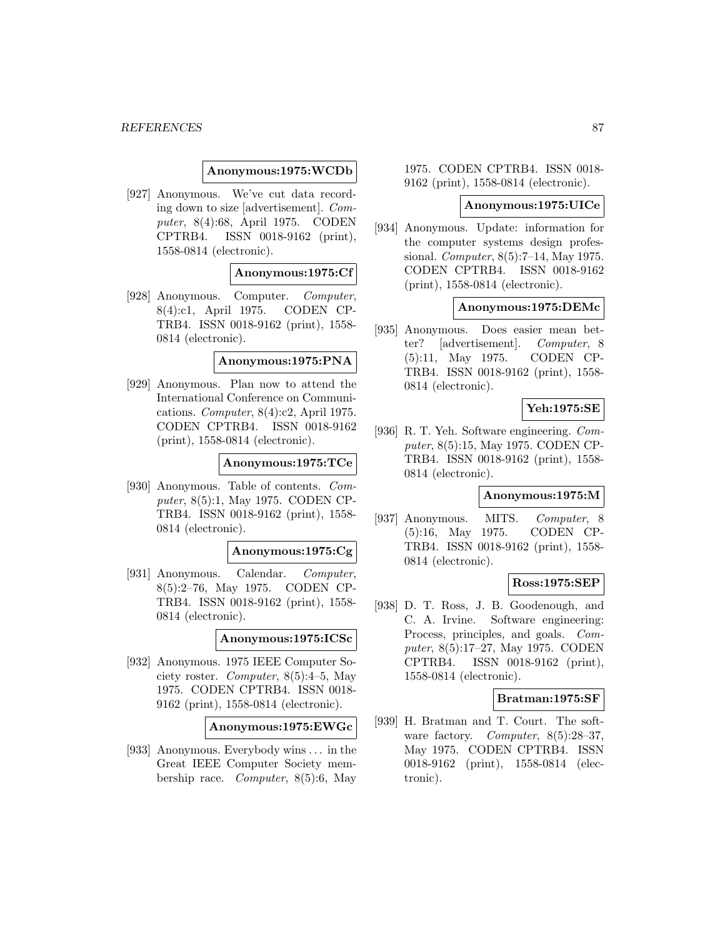### **Anonymous:1975:WCDb**

[927] Anonymous. We've cut data recording down to size [advertisement]. Computer, 8(4):68, April 1975. CODEN CPTRB4. ISSN 0018-9162 (print), 1558-0814 (electronic).

### **Anonymous:1975:Cf**

[928] Anonymous. Computer. Computer, 8(4):c1, April 1975. CODEN CP-TRB4. ISSN 0018-9162 (print), 1558- 0814 (electronic).

#### **Anonymous:1975:PNA**

[929] Anonymous. Plan now to attend the International Conference on Communications. Computer, 8(4):c2, April 1975. CODEN CPTRB4. ISSN 0018-9162 (print), 1558-0814 (electronic).

## **Anonymous:1975:TCe**

[930] Anonymous. Table of contents. Computer, 8(5):1, May 1975. CODEN CP-TRB4. ISSN 0018-9162 (print), 1558- 0814 (electronic).

#### **Anonymous:1975:Cg**

[931] Anonymous. Calendar. Computer, 8(5):2–76, May 1975. CODEN CP-TRB4. ISSN 0018-9162 (print), 1558- 0814 (electronic).

### **Anonymous:1975:ICSc**

[932] Anonymous. 1975 IEEE Computer Society roster. Computer, 8(5):4–5, May 1975. CODEN CPTRB4. ISSN 0018- 9162 (print), 1558-0814 (electronic).

## **Anonymous:1975:EWGc**

[933] Anonymous. Everybody wins ... in the Great IEEE Computer Society membership race. Computer, 8(5):6, May

1975. CODEN CPTRB4. ISSN 0018- 9162 (print), 1558-0814 (electronic).

#### **Anonymous:1975:UICe**

[934] Anonymous. Update: information for the computer systems design professional. Computer, 8(5):7–14, May 1975. CODEN CPTRB4. ISSN 0018-9162 (print), 1558-0814 (electronic).

### **Anonymous:1975:DEMc**

[935] Anonymous. Does easier mean better? [advertisement]. Computer, 8 (5):11, May 1975. CODEN CP-TRB4. ISSN 0018-9162 (print), 1558- 0814 (electronic).

## **Yeh:1975:SE**

[936] R. T. Yeh. Software engineering. Computer, 8(5):15, May 1975. CODEN CP-TRB4. ISSN 0018-9162 (print), 1558- 0814 (electronic).

#### **Anonymous:1975:M**

[937] Anonymous. MITS. Computer, 8 (5):16, May 1975. CODEN CP-TRB4. ISSN 0018-9162 (print), 1558- 0814 (electronic).

#### **Ross:1975:SEP**

[938] D. T. Ross, J. B. Goodenough, and C. A. Irvine. Software engineering: Process, principles, and goals. Computer, 8(5):17–27, May 1975. CODEN CPTRB4. ISSN 0018-9162 (print), 1558-0814 (electronic).

#### **Bratman:1975:SF**

[939] H. Bratman and T. Court. The software factory. Computer, 8(5):28-37, May 1975. CODEN CPTRB4. ISSN 0018-9162 (print), 1558-0814 (electronic).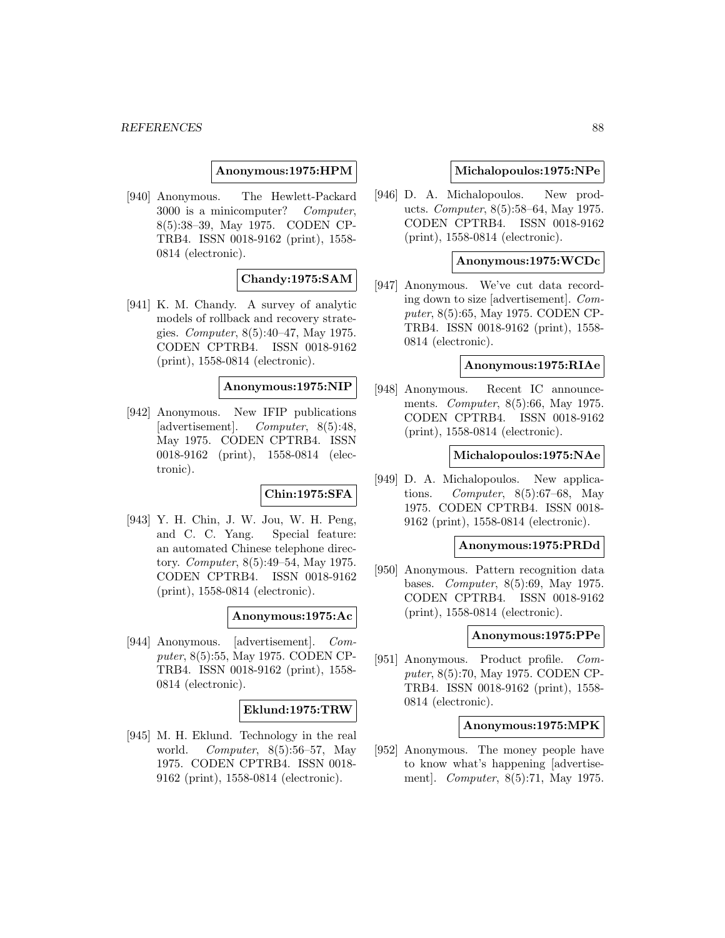#### **Anonymous:1975:HPM**

[940] Anonymous. The Hewlett-Packard 3000 is a minicomputer? Computer, 8(5):38–39, May 1975. CODEN CP-TRB4. ISSN 0018-9162 (print), 1558- 0814 (electronic).

# **Chandy:1975:SAM**

[941] K. M. Chandy. A survey of analytic models of rollback and recovery strategies. Computer, 8(5):40–47, May 1975. CODEN CPTRB4. ISSN 0018-9162 (print), 1558-0814 (electronic).

#### **Anonymous:1975:NIP**

[942] Anonymous. New IFIP publications [advertisement]. Computer, 8(5):48, May 1975. CODEN CPTRB4. ISSN 0018-9162 (print), 1558-0814 (electronic).

## **Chin:1975:SFA**

[943] Y. H. Chin, J. W. Jou, W. H. Peng, and C. C. Yang. Special feature: an automated Chinese telephone directory. Computer, 8(5):49–54, May 1975. CODEN CPTRB4. ISSN 0018-9162 (print), 1558-0814 (electronic).

## **Anonymous:1975:Ac**

[944] Anonymous. [advertisement]. Computer, 8(5):55, May 1975. CODEN CP-TRB4. ISSN 0018-9162 (print), 1558- 0814 (electronic).

#### **Eklund:1975:TRW**

[945] M. H. Eklund. Technology in the real world. Computer,  $8(5):56-57$ , May 1975. CODEN CPTRB4. ISSN 0018- 9162 (print), 1558-0814 (electronic).

#### **Michalopoulos:1975:NPe**

[946] D. A. Michalopoulos. New products. Computer, 8(5):58–64, May 1975. CODEN CPTRB4. ISSN 0018-9162 (print), 1558-0814 (electronic).

## **Anonymous:1975:WCDc**

[947] Anonymous. We've cut data recording down to size [advertisement]. Computer, 8(5):65, May 1975. CODEN CP-TRB4. ISSN 0018-9162 (print), 1558- 0814 (electronic).

### **Anonymous:1975:RIAe**

[948] Anonymous. Recent IC announcements. Computer, 8(5):66, May 1975. CODEN CPTRB4. ISSN 0018-9162 (print), 1558-0814 (electronic).

### **Michalopoulos:1975:NAe**

[949] D. A. Michalopoulos. New applications. Computer,  $8(5):67-68$ , May 1975. CODEN CPTRB4. ISSN 0018- 9162 (print), 1558-0814 (electronic).

#### **Anonymous:1975:PRDd**

[950] Anonymous. Pattern recognition data bases. Computer, 8(5):69, May 1975. CODEN CPTRB4. ISSN 0018-9162 (print), 1558-0814 (electronic).

#### **Anonymous:1975:PPe**

[951] Anonymous. Product profile. Computer, 8(5):70, May 1975. CODEN CP-TRB4. ISSN 0018-9162 (print), 1558- 0814 (electronic).

#### **Anonymous:1975:MPK**

[952] Anonymous. The money people have to know what's happening [advertisement]. Computer, 8(5):71, May 1975.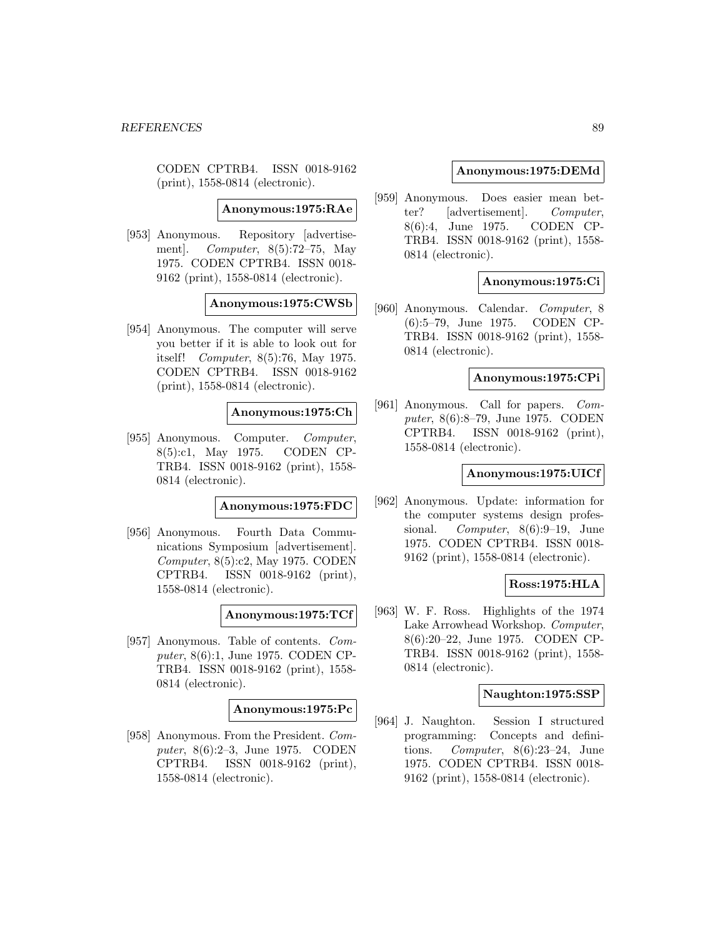CODEN CPTRB4. ISSN 0018-9162 (print), 1558-0814 (electronic).

**Anonymous:1975:RAe**

[953] Anonymous. Repository [advertisement]. *Computer*,  $8(5):72-75$ , May 1975. CODEN CPTRB4. ISSN 0018- 9162 (print), 1558-0814 (electronic).

## **Anonymous:1975:CWSb**

[954] Anonymous. The computer will serve you better if it is able to look out for itself! Computer, 8(5):76, May 1975. CODEN CPTRB4. ISSN 0018-9162 (print), 1558-0814 (electronic).

### **Anonymous:1975:Ch**

[955] Anonymous. Computer. Computer, 8(5):c1, May 1975. CODEN CP-TRB4. ISSN 0018-9162 (print), 1558- 0814 (electronic).

## **Anonymous:1975:FDC**

[956] Anonymous. Fourth Data Communications Symposium [advertisement]. Computer, 8(5):c2, May 1975. CODEN CPTRB4. ISSN 0018-9162 (print), 1558-0814 (electronic).

**Anonymous:1975:TCf**

[957] Anonymous. Table of contents. Computer, 8(6):1, June 1975. CODEN CP-TRB4. ISSN 0018-9162 (print), 1558- 0814 (electronic).

### **Anonymous:1975:Pc**

[958] Anonymous. From the President. Computer, 8(6):2–3, June 1975. CODEN CPTRB4. ISSN 0018-9162 (print), 1558-0814 (electronic).

#### **Anonymous:1975:DEMd**

[959] Anonymous. Does easier mean better? [advertisement]. Computer, 8(6):4, June 1975. CODEN CP-TRB4. ISSN 0018-9162 (print), 1558- 0814 (electronic).

## **Anonymous:1975:Ci**

[960] Anonymous. Calendar. Computer, 8 (6):5–79, June 1975. CODEN CP-TRB4. ISSN 0018-9162 (print), 1558- 0814 (electronic).

#### **Anonymous:1975:CPi**

[961] Anonymous. Call for papers. Computer, 8(6):8–79, June 1975. CODEN CPTRB4. ISSN 0018-9162 (print), 1558-0814 (electronic).

### **Anonymous:1975:UICf**

[962] Anonymous. Update: information for the computer systems design professional. Computer, 8(6):9–19, June 1975. CODEN CPTRB4. ISSN 0018- 9162 (print), 1558-0814 (electronic).

#### **Ross:1975:HLA**

[963] W. F. Ross. Highlights of the 1974 Lake Arrowhead Workshop. Computer, 8(6):20–22, June 1975. CODEN CP-TRB4. ISSN 0018-9162 (print), 1558- 0814 (electronic).

#### **Naughton:1975:SSP**

[964] J. Naughton. Session I structured programming: Concepts and definitions. Computer, 8(6):23–24, June 1975. CODEN CPTRB4. ISSN 0018- 9162 (print), 1558-0814 (electronic).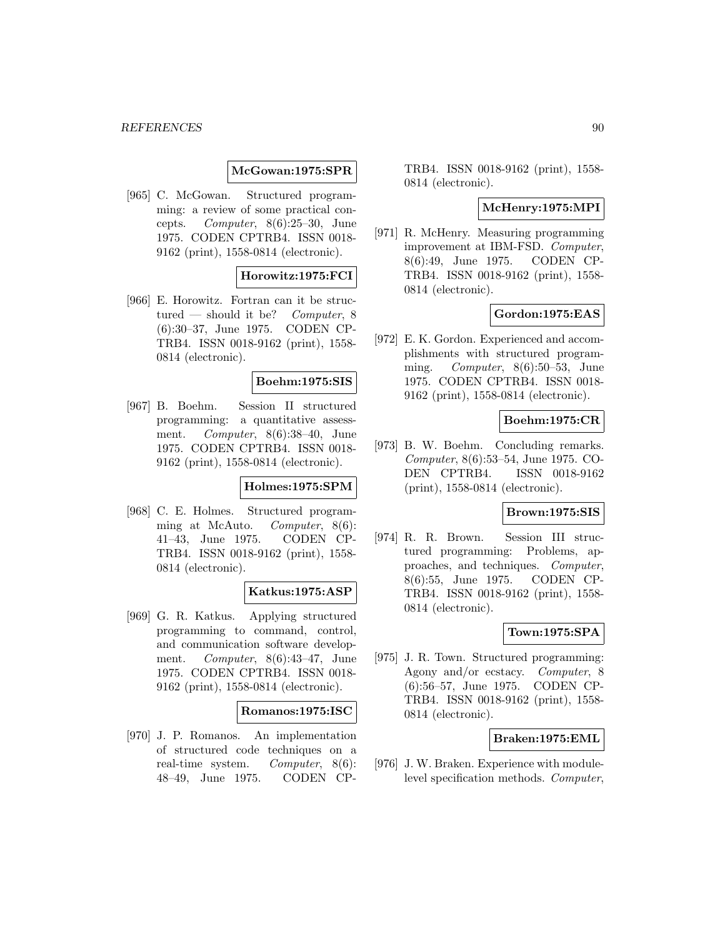### **McGowan:1975:SPR**

[965] C. McGowan. Structured programming: a review of some practical concepts. Computer, 8(6):25–30, June 1975. CODEN CPTRB4. ISSN 0018- 9162 (print), 1558-0814 (electronic).

## **Horowitz:1975:FCI**

[966] E. Horowitz. Fortran can it be structured — should it be? *Computer*,  $8$ (6):30–37, June 1975. CODEN CP-TRB4. ISSN 0018-9162 (print), 1558- 0814 (electronic).

## **Boehm:1975:SIS**

[967] B. Boehm. Session II structured programming: a quantitative assessment. Computer, 8(6):38–40, June 1975. CODEN CPTRB4. ISSN 0018- 9162 (print), 1558-0814 (electronic).

## **Holmes:1975:SPM**

[968] C. E. Holmes. Structured programming at McAuto. Computer, 8(6): 41–43, June 1975. CODEN CP-TRB4. ISSN 0018-9162 (print), 1558- 0814 (electronic).

### **Katkus:1975:ASP**

[969] G. R. Katkus. Applying structured programming to command, control, and communication software development. Computer, 8(6):43–47, June 1975. CODEN CPTRB4. ISSN 0018- 9162 (print), 1558-0814 (electronic).

#### **Romanos:1975:ISC**

[970] J. P. Romanos. An implementation of structured code techniques on a real-time system. Computer, 8(6): 48–49, June 1975. CODEN CP- TRB4. ISSN 0018-9162 (print), 1558- 0814 (electronic).

### **McHenry:1975:MPI**

[971] R. McHenry. Measuring programming improvement at IBM-FSD. Computer, 8(6):49, June 1975. CODEN CP-TRB4. ISSN 0018-9162 (print), 1558- 0814 (electronic).

# **Gordon:1975:EAS**

[972] E. K. Gordon. Experienced and accomplishments with structured programming. Computer,  $8(6):50-53$ , June 1975. CODEN CPTRB4. ISSN 0018- 9162 (print), 1558-0814 (electronic).

### **Boehm:1975:CR**

[973] B. W. Boehm. Concluding remarks. Computer, 8(6):53–54, June 1975. CO-DEN CPTRB4. ISSN 0018-9162 (print), 1558-0814 (electronic).

#### **Brown:1975:SIS**

[974] R. R. Brown. Session III structured programming: Problems, approaches, and techniques. Computer, 8(6):55, June 1975. CODEN CP-TRB4. ISSN 0018-9162 (print), 1558- 0814 (electronic).

### **Town:1975:SPA**

[975] J. R. Town. Structured programming: Agony and/or ecstacy. Computer, 8 (6):56–57, June 1975. CODEN CP-TRB4. ISSN 0018-9162 (print), 1558- 0814 (electronic).

#### **Braken:1975:EML**

[976] J. W. Braken. Experience with modulelevel specification methods. Computer,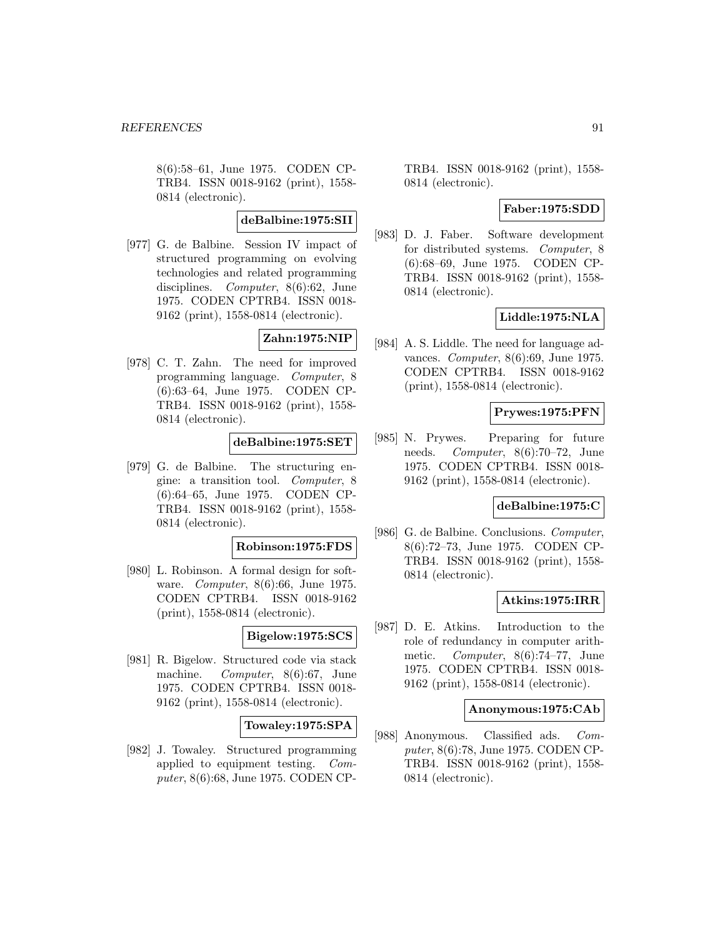8(6):58–61, June 1975. CODEN CP-TRB4. ISSN 0018-9162 (print), 1558- 0814 (electronic).

## **deBalbine:1975:SII**

[977] G. de Balbine. Session IV impact of structured programming on evolving technologies and related programming disciplines. Computer, 8(6):62, June 1975. CODEN CPTRB4. ISSN 0018- 9162 (print), 1558-0814 (electronic).

# **Zahn:1975:NIP**

[978] C. T. Zahn. The need for improved programming language. Computer, 8 (6):63–64, June 1975. CODEN CP-TRB4. ISSN 0018-9162 (print), 1558- 0814 (electronic).

## **deBalbine:1975:SET**

[979] G. de Balbine. The structuring engine: a transition tool. Computer, 8 (6):64–65, June 1975. CODEN CP-TRB4. ISSN 0018-9162 (print), 1558- 0814 (electronic).

#### **Robinson:1975:FDS**

[980] L. Robinson. A formal design for software. Computer, 8(6):66, June 1975. CODEN CPTRB4. ISSN 0018-9162 (print), 1558-0814 (electronic).

## **Bigelow:1975:SCS**

[981] R. Bigelow. Structured code via stack machine. Computer, 8(6):67, June 1975. CODEN CPTRB4. ISSN 0018- 9162 (print), 1558-0814 (electronic).

## **Towaley:1975:SPA**

[982] J. Towaley. Structured programming applied to equipment testing. Computer, 8(6):68, June 1975. CODEN CP- TRB4. ISSN 0018-9162 (print), 1558- 0814 (electronic).

# **Faber:1975:SDD**

[983] D. J. Faber. Software development for distributed systems. Computer, 8 (6):68–69, June 1975. CODEN CP-TRB4. ISSN 0018-9162 (print), 1558- 0814 (electronic).

## **Liddle:1975:NLA**

[984] A. S. Liddle. The need for language advances. Computer, 8(6):69, June 1975. CODEN CPTRB4. ISSN 0018-9162 (print), 1558-0814 (electronic).

## **Prywes:1975:PFN**

[985] N. Prywes. Preparing for future needs. Computer, 8(6):70–72, June 1975. CODEN CPTRB4. ISSN 0018- 9162 (print), 1558-0814 (electronic).

### **deBalbine:1975:C**

[986] G. de Balbine. Conclusions. Computer, 8(6):72–73, June 1975. CODEN CP-TRB4. ISSN 0018-9162 (print), 1558- 0814 (electronic).

#### **Atkins:1975:IRR**

[987] D. E. Atkins. Introduction to the role of redundancy in computer arithmetic. Computer, 8(6):74–77, June 1975. CODEN CPTRB4. ISSN 0018- 9162 (print), 1558-0814 (electronic).

## **Anonymous:1975:CAb**

[988] Anonymous. Classified ads. Computer, 8(6):78, June 1975. CODEN CP-TRB4. ISSN 0018-9162 (print), 1558- 0814 (electronic).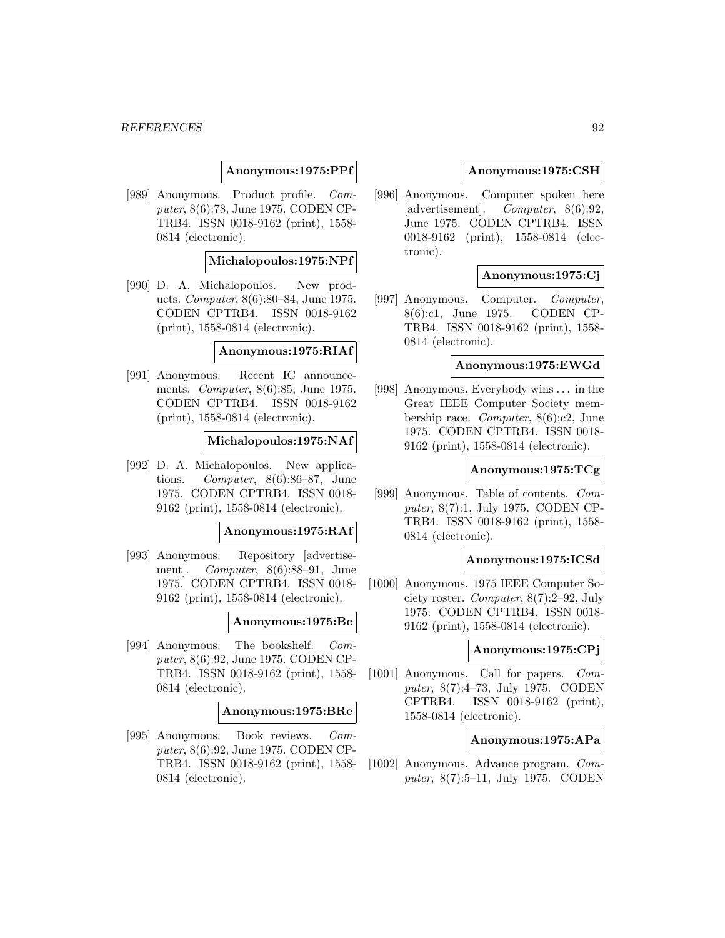## **Anonymous:1975:PPf**

[989] Anonymous. Product profile. Computer, 8(6):78, June 1975. CODEN CP-TRB4. ISSN 0018-9162 (print), 1558- 0814 (electronic).

#### **Michalopoulos:1975:NPf**

[990] D. A. Michalopoulos. New products. Computer, 8(6):80–84, June 1975. CODEN CPTRB4. ISSN 0018-9162 (print), 1558-0814 (electronic).

### **Anonymous:1975:RIAf**

[991] Anonymous. Recent IC announcements. Computer, 8(6):85, June 1975. CODEN CPTRB4. ISSN 0018-9162 (print), 1558-0814 (electronic).

## **Michalopoulos:1975:NAf**

[992] D. A. Michalopoulos. New applications. Computer, 8(6):86–87, June 1975. CODEN CPTRB4. ISSN 0018- 9162 (print), 1558-0814 (electronic).

## **Anonymous:1975:RAf**

[993] Anonymous. Repository [advertisement]. Computer, 8(6):88–91, June 1975. CODEN CPTRB4. ISSN 0018- 9162 (print), 1558-0814 (electronic).

#### **Anonymous:1975:Bc**

[994] Anonymous. The bookshelf. Computer, 8(6):92, June 1975. CODEN CP-TRB4. ISSN 0018-9162 (print), 1558- 0814 (electronic).

#### **Anonymous:1975:BRe**

[995] Anonymous. Book reviews. Computer, 8(6):92, June 1975. CODEN CP-TRB4. ISSN 0018-9162 (print), 1558- 0814 (electronic).

### **Anonymous:1975:CSH**

[996] Anonymous. Computer spoken here [advertisement]. Computer, 8(6):92, June 1975. CODEN CPTRB4. ISSN 0018-9162 (print), 1558-0814 (electronic).

# **Anonymous:1975:Cj**

[997] Anonymous. Computer. Computer, 8(6):c1, June 1975. CODEN CP-TRB4. ISSN 0018-9162 (print), 1558- 0814 (electronic).

### **Anonymous:1975:EWGd**

[998] Anonymous. Everybody wins ... in the Great IEEE Computer Society membership race. Computer, 8(6):c2, June 1975. CODEN CPTRB4. ISSN 0018- 9162 (print), 1558-0814 (electronic).

## **Anonymous:1975:TCg**

[999] Anonymous. Table of contents. Computer, 8(7):1, July 1975. CODEN CP-TRB4. ISSN 0018-9162 (print), 1558- 0814 (electronic).

#### **Anonymous:1975:ICSd**

[1000] Anonymous. 1975 IEEE Computer Society roster. Computer, 8(7):2–92, July 1975. CODEN CPTRB4. ISSN 0018- 9162 (print), 1558-0814 (electronic).

### **Anonymous:1975:CPj**

[1001] Anonymous. Call for papers. Computer, 8(7):4–73, July 1975. CODEN CPTRB4. ISSN 0018-9162 (print), 1558-0814 (electronic).

#### **Anonymous:1975:APa**

[1002] Anonymous. Advance program. Computer, 8(7):5–11, July 1975. CODEN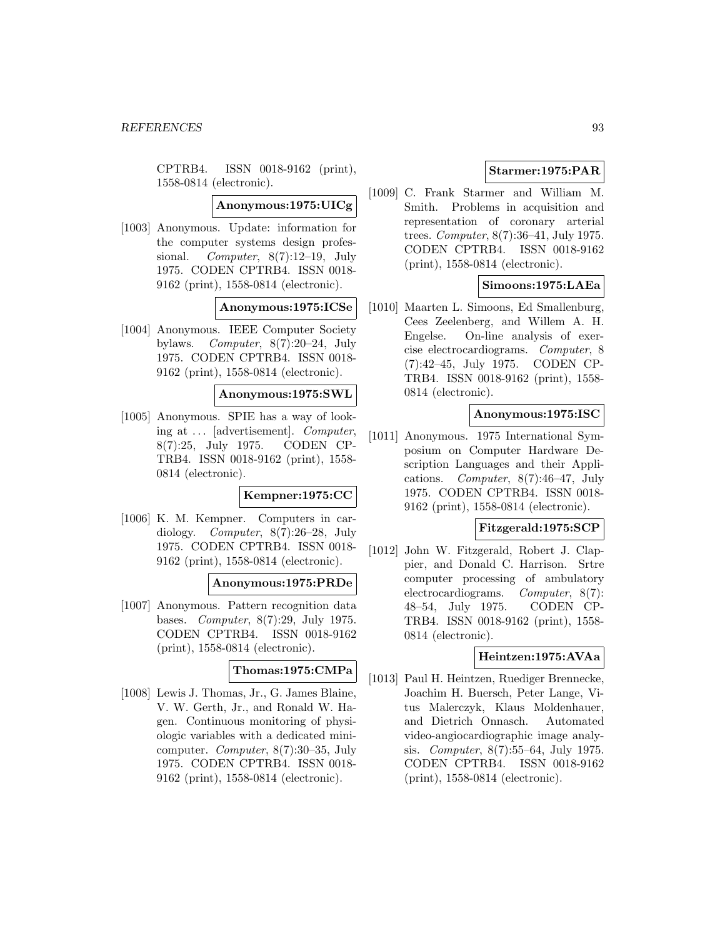CPTRB4. ISSN 0018-9162 (print), 1558-0814 (electronic).

**Anonymous:1975:UICg**

[1003] Anonymous. Update: information for the computer systems design professional. Computer,  $8(7):12-19$ , July 1975. CODEN CPTRB4. ISSN 0018- 9162 (print), 1558-0814 (electronic).

# **Anonymous:1975:ICSe**

[1004] Anonymous. IEEE Computer Society bylaws. Computer, 8(7):20–24, July 1975. CODEN CPTRB4. ISSN 0018- 9162 (print), 1558-0814 (electronic).

## **Anonymous:1975:SWL**

[1005] Anonymous. SPIE has a way of looking at ... [advertisement]. Computer, 8(7):25, July 1975. CODEN CP-TRB4. ISSN 0018-9162 (print), 1558- 0814 (electronic).

## **Kempner:1975:CC**

[1006] K. M. Kempner. Computers in cardiology. Computer, 8(7):26–28, July 1975. CODEN CPTRB4. ISSN 0018- 9162 (print), 1558-0814 (electronic).

## **Anonymous:1975:PRDe**

[1007] Anonymous. Pattern recognition data bases. Computer, 8(7):29, July 1975. CODEN CPTRB4. ISSN 0018-9162 (print), 1558-0814 (electronic).

### **Thomas:1975:CMPa**

[1008] Lewis J. Thomas, Jr., G. James Blaine, V. W. Gerth, Jr., and Ronald W. Hagen. Continuous monitoring of physiologic variables with a dedicated minicomputer. Computer, 8(7):30–35, July 1975. CODEN CPTRB4. ISSN 0018- 9162 (print), 1558-0814 (electronic).

# **Starmer:1975:PAR**

[1009] C. Frank Starmer and William M. Smith. Problems in acquisition and representation of coronary arterial trees. Computer, 8(7):36–41, July 1975. CODEN CPTRB4. ISSN 0018-9162 (print), 1558-0814 (electronic).

# **Simoons:1975:LAEa**

[1010] Maarten L. Simoons, Ed Smallenburg, Cees Zeelenberg, and Willem A. H. Engelse. On-line analysis of exercise electrocardiograms. Computer, 8 (7):42–45, July 1975. CODEN CP-TRB4. ISSN 0018-9162 (print), 1558- 0814 (electronic).

## **Anonymous:1975:ISC**

[1011] Anonymous. 1975 International Symposium on Computer Hardware Description Languages and their Applications. Computer, 8(7):46–47, July 1975. CODEN CPTRB4. ISSN 0018- 9162 (print), 1558-0814 (electronic).

# **Fitzgerald:1975:SCP**

[1012] John W. Fitzgerald, Robert J. Clappier, and Donald C. Harrison. Srtre computer processing of ambulatory electrocardiograms. Computer, 8(7): 48–54, July 1975. CODEN CP-TRB4. ISSN 0018-9162 (print), 1558- 0814 (electronic).

# **Heintzen:1975:AVAa**

[1013] Paul H. Heintzen, Ruediger Brennecke, Joachim H. Buersch, Peter Lange, Vitus Malerczyk, Klaus Moldenhauer, and Dietrich Onnasch. Automated video-angiocardiographic image analysis. Computer, 8(7):55–64, July 1975. CODEN CPTRB4. ISSN 0018-9162 (print), 1558-0814 (electronic).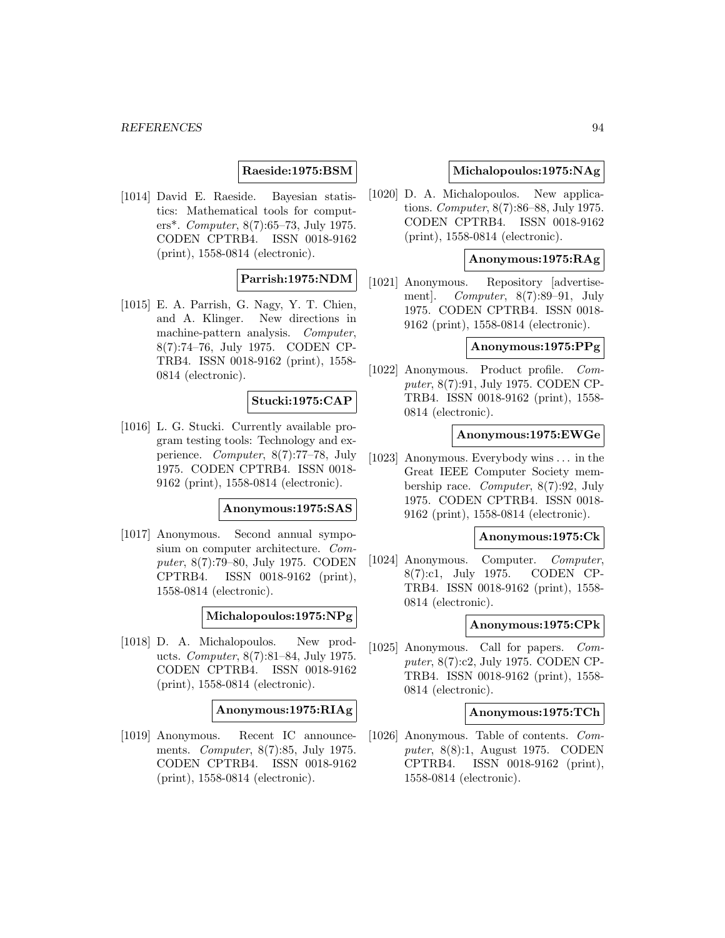### **Raeside:1975:BSM**

[1014] David E. Raeside. Bayesian statistics: Mathematical tools for computers\*. Computer, 8(7):65–73, July 1975. CODEN CPTRB4. ISSN 0018-9162 (print), 1558-0814 (electronic).

## **Parrish:1975:NDM**

[1015] E. A. Parrish, G. Nagy, Y. T. Chien, and A. Klinger. New directions in machine-pattern analysis. Computer, 8(7):74–76, July 1975. CODEN CP-TRB4. ISSN 0018-9162 (print), 1558- 0814 (electronic).

### **Stucki:1975:CAP**

[1016] L. G. Stucki. Currently available program testing tools: Technology and experience. Computer, 8(7):77–78, July 1975. CODEN CPTRB4. ISSN 0018- 9162 (print), 1558-0814 (electronic).

### **Anonymous:1975:SAS**

[1017] Anonymous. Second annual symposium on computer architecture. Computer, 8(7):79–80, July 1975. CODEN CPTRB4. ISSN 0018-9162 (print), 1558-0814 (electronic).

## **Michalopoulos:1975:NPg**

[1018] D. A. Michalopoulos. New products. Computer, 8(7):81–84, July 1975. CODEN CPTRB4. ISSN 0018-9162 (print), 1558-0814 (electronic).

#### **Anonymous:1975:RIAg**

[1019] Anonymous. Recent IC announcements. Computer, 8(7):85, July 1975. CODEN CPTRB4. ISSN 0018-9162 (print), 1558-0814 (electronic).

### **Michalopoulos:1975:NAg**

[1020] D. A. Michalopoulos. New applications. Computer, 8(7):86–88, July 1975. CODEN CPTRB4. ISSN 0018-9162 (print), 1558-0814 (electronic).

## **Anonymous:1975:RAg**

[1021] Anonymous. Repository [advertisement]. Computer, 8(7):89–91, July 1975. CODEN CPTRB4. ISSN 0018- 9162 (print), 1558-0814 (electronic).

# **Anonymous:1975:PPg**

[1022] Anonymous. Product profile. Computer, 8(7):91, July 1975. CODEN CP-TRB4. ISSN 0018-9162 (print), 1558- 0814 (electronic).

## **Anonymous:1975:EWGe**

[1023] Anonymous. Everybody wins ... in the Great IEEE Computer Society membership race. Computer, 8(7):92, July 1975. CODEN CPTRB4. ISSN 0018- 9162 (print), 1558-0814 (electronic).

#### **Anonymous:1975:Ck**

[1024] Anonymous. Computer. Computer, 8(7):c1, July 1975. CODEN CP-TRB4. ISSN 0018-9162 (print), 1558- 0814 (electronic).

### **Anonymous:1975:CPk**

[1025] Anonymous. Call for papers. Computer, 8(7):c2, July 1975. CODEN CP-TRB4. ISSN 0018-9162 (print), 1558- 0814 (electronic).

#### **Anonymous:1975:TCh**

[1026] Anonymous. Table of contents. Computer, 8(8):1, August 1975. CODEN CPTRB4. ISSN 0018-9162 (print), 1558-0814 (electronic).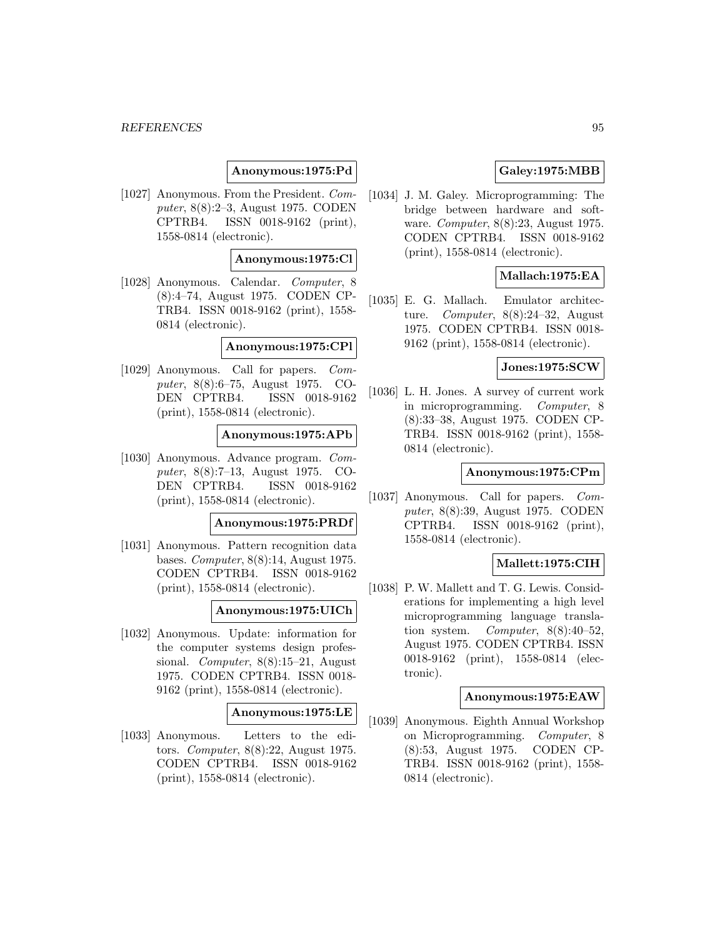## **Anonymous:1975:Pd**

[1027] Anonymous. From the President. Computer, 8(8):2–3, August 1975. CODEN CPTRB4. ISSN 0018-9162 (print), 1558-0814 (electronic).

#### **Anonymous:1975:Cl**

[1028] Anonymous. Calendar. Computer, 8 (8):4–74, August 1975. CODEN CP-TRB4. ISSN 0018-9162 (print), 1558- 0814 (electronic).

### **Anonymous:1975:CPl**

[1029] Anonymous. Call for papers. Computer, 8(8):6–75, August 1975. CO-DEN CPTRB4. ISSN 0018-9162 (print), 1558-0814 (electronic).

### **Anonymous:1975:APb**

[1030] Anonymous. Advance program. Computer, 8(8):7–13, August 1975. CO-DEN CPTRB4. ISSN 0018-9162 (print), 1558-0814 (electronic).

#### **Anonymous:1975:PRDf**

[1031] Anonymous. Pattern recognition data bases. Computer, 8(8):14, August 1975. CODEN CPTRB4. ISSN 0018-9162 (print), 1558-0814 (electronic).

#### **Anonymous:1975:UICh**

[1032] Anonymous. Update: information for the computer systems design professional. Computer, 8(8):15–21, August 1975. CODEN CPTRB4. ISSN 0018- 9162 (print), 1558-0814 (electronic).

#### **Anonymous:1975:LE**

[1033] Anonymous. Letters to the editors. Computer, 8(8):22, August 1975. CODEN CPTRB4. ISSN 0018-9162 (print), 1558-0814 (electronic).

# **Galey:1975:MBB**

[1034] J. M. Galey. Microprogramming: The bridge between hardware and software. Computer, 8(8):23, August 1975. CODEN CPTRB4. ISSN 0018-9162 (print), 1558-0814 (electronic).

## **Mallach:1975:EA**

[1035] E. G. Mallach. Emulator architecture. Computer, 8(8):24–32, August 1975. CODEN CPTRB4. ISSN 0018- 9162 (print), 1558-0814 (electronic).

#### **Jones:1975:SCW**

[1036] L. H. Jones. A survey of current work in microprogramming. Computer, 8 (8):33–38, August 1975. CODEN CP-TRB4. ISSN 0018-9162 (print), 1558- 0814 (electronic).

### **Anonymous:1975:CPm**

[1037] Anonymous. Call for papers. Computer, 8(8):39, August 1975. CODEN CPTRB4. ISSN 0018-9162 (print), 1558-0814 (electronic).

## **Mallett:1975:CIH**

[1038] P. W. Mallett and T. G. Lewis. Considerations for implementing a high level microprogramming language translation system. Computer, 8(8):40–52, August 1975. CODEN CPTRB4. ISSN 0018-9162 (print), 1558-0814 (electronic).

### **Anonymous:1975:EAW**

[1039] Anonymous. Eighth Annual Workshop on Microprogramming. Computer, 8 (8):53, August 1975. CODEN CP-TRB4. ISSN 0018-9162 (print), 1558- 0814 (electronic).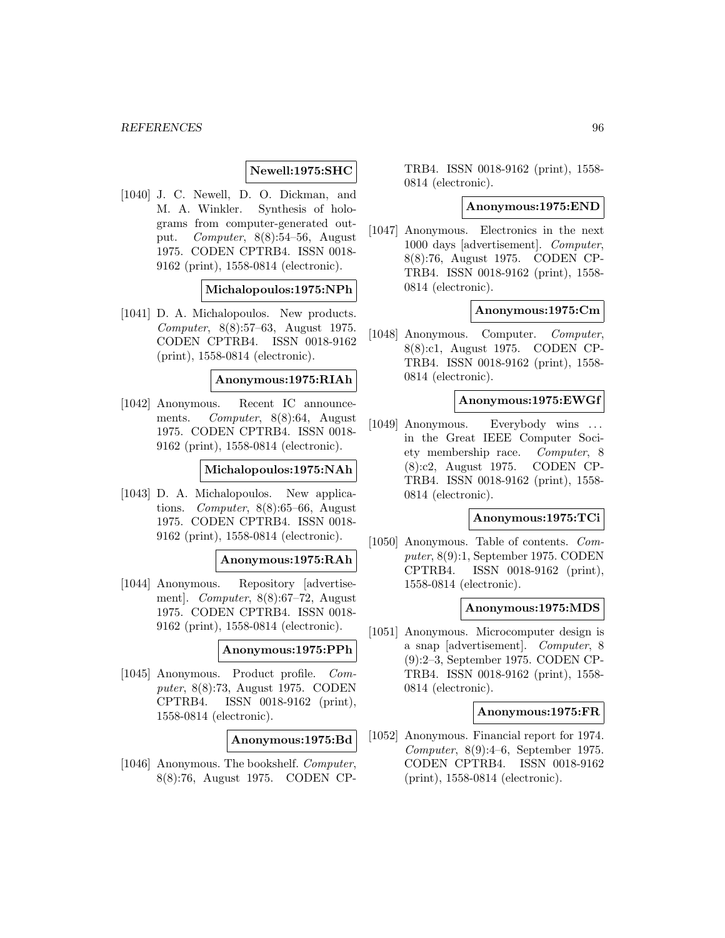## **Newell:1975:SHC**

[1040] J. C. Newell, D. O. Dickman, and M. A. Winkler. Synthesis of holograms from computer-generated output. Computer, 8(8):54–56, August 1975. CODEN CPTRB4. ISSN 0018- 9162 (print), 1558-0814 (electronic).

#### **Michalopoulos:1975:NPh**

[1041] D. A. Michalopoulos. New products. Computer, 8(8):57–63, August 1975. CODEN CPTRB4. ISSN 0018-9162 (print), 1558-0814 (electronic).

#### **Anonymous:1975:RIAh**

[1042] Anonymous. Recent IC announcements. Computer, 8(8):64, August 1975. CODEN CPTRB4. ISSN 0018- 9162 (print), 1558-0814 (electronic).

## **Michalopoulos:1975:NAh**

[1043] D. A. Michalopoulos. New applications. Computer, 8(8):65–66, August 1975. CODEN CPTRB4. ISSN 0018- 9162 (print), 1558-0814 (electronic).

#### **Anonymous:1975:RAh**

[1044] Anonymous. Repository [advertisement]. Computer, 8(8):67–72, August 1975. CODEN CPTRB4. ISSN 0018- 9162 (print), 1558-0814 (electronic).

#### **Anonymous:1975:PPh**

[1045] Anonymous. Product profile. Computer, 8(8):73, August 1975. CODEN CPTRB4. ISSN 0018-9162 (print), 1558-0814 (electronic).

# **Anonymous:1975:Bd**

[1046] Anonymous. The bookshelf. Computer, 8(8):76, August 1975. CODEN CP- TRB4. ISSN 0018-9162 (print), 1558- 0814 (electronic).

### **Anonymous:1975:END**

[1047] Anonymous. Electronics in the next 1000 days [advertisement]. Computer, 8(8):76, August 1975. CODEN CP-TRB4. ISSN 0018-9162 (print), 1558- 0814 (electronic).

### **Anonymous:1975:Cm**

[1048] Anonymous. Computer. Computer, 8(8):c1, August 1975. CODEN CP-TRB4. ISSN 0018-9162 (print), 1558- 0814 (electronic).

#### **Anonymous:1975:EWGf**

[1049] Anonymous. Everybody wins ... in the Great IEEE Computer Society membership race. Computer, 8 (8):c2, August 1975. CODEN CP-TRB4. ISSN 0018-9162 (print), 1558- 0814 (electronic).

#### **Anonymous:1975:TCi**

[1050] Anonymous. Table of contents. Computer, 8(9):1, September 1975. CODEN CPTRB4. ISSN 0018-9162 (print), 1558-0814 (electronic).

#### **Anonymous:1975:MDS**

[1051] Anonymous. Microcomputer design is a snap [advertisement]. Computer, 8 (9):2–3, September 1975. CODEN CP-TRB4. ISSN 0018-9162 (print), 1558- 0814 (electronic).

#### **Anonymous:1975:FR**

[1052] Anonymous. Financial report for 1974. Computer, 8(9):4–6, September 1975. CODEN CPTRB4. ISSN 0018-9162 (print), 1558-0814 (electronic).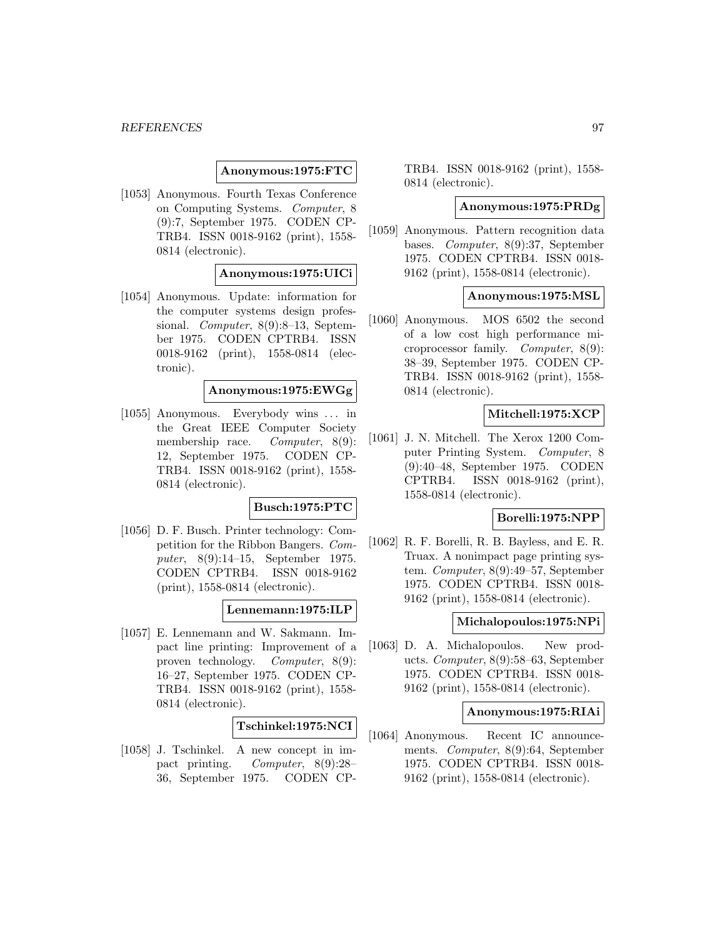### **Anonymous:1975:FTC**

[1053] Anonymous. Fourth Texas Conference on Computing Systems. Computer, 8 (9):7, September 1975. CODEN CP-TRB4. ISSN 0018-9162 (print), 1558- 0814 (electronic).

## **Anonymous:1975:UICi**

[1054] Anonymous. Update: information for the computer systems design professional. *Computer*, 8(9):8–13, September 1975. CODEN CPTRB4. ISSN 0018-9162 (print), 1558-0814 (electronic).

## **Anonymous:1975:EWGg**

[1055] Anonymous. Everybody wins ... in the Great IEEE Computer Society membership race. *Computer*, 8(9): 12, September 1975. CODEN CP-TRB4. ISSN 0018-9162 (print), 1558- 0814 (electronic).

#### **Busch:1975:PTC**

[1056] D. F. Busch. Printer technology: Competition for the Ribbon Bangers. Computer, 8(9):14–15, September 1975. CODEN CPTRB4. ISSN 0018-9162 (print), 1558-0814 (electronic).

## **Lennemann:1975:ILP**

[1057] E. Lennemann and W. Sakmann. Impact line printing: Improvement of a proven technology. Computer, 8(9): 16–27, September 1975. CODEN CP-TRB4. ISSN 0018-9162 (print), 1558- 0814 (electronic).

# **Tschinkel:1975:NCI**

[1058] J. Tschinkel. A new concept in impact printing. Computer, 8(9):28– 36, September 1975. CODEN CP- TRB4. ISSN 0018-9162 (print), 1558- 0814 (electronic).

### **Anonymous:1975:PRDg**

[1059] Anonymous. Pattern recognition data bases. Computer, 8(9):37, September 1975. CODEN CPTRB4. ISSN 0018- 9162 (print), 1558-0814 (electronic).

#### **Anonymous:1975:MSL**

[1060] Anonymous. MOS 6502 the second of a low cost high performance microprocessor family. Computer, 8(9): 38–39, September 1975. CODEN CP-TRB4. ISSN 0018-9162 (print), 1558- 0814 (electronic).

## **Mitchell:1975:XCP**

[1061] J. N. Mitchell. The Xerox 1200 Computer Printing System. Computer, 8 (9):40–48, September 1975. CODEN CPTRB4. ISSN 0018-9162 (print), 1558-0814 (electronic).

#### **Borelli:1975:NPP**

[1062] R. F. Borelli, R. B. Bayless, and E. R. Truax. A nonimpact page printing system. Computer, 8(9):49–57, September 1975. CODEN CPTRB4. ISSN 0018- 9162 (print), 1558-0814 (electronic).

#### **Michalopoulos:1975:NPi**

[1063] D. A. Michalopoulos. New products. Computer, 8(9):58–63, September 1975. CODEN CPTRB4. ISSN 0018- 9162 (print), 1558-0814 (electronic).

#### **Anonymous:1975:RIAi**

[1064] Anonymous. Recent IC announcements. Computer, 8(9):64, September 1975. CODEN CPTRB4. ISSN 0018- 9162 (print), 1558-0814 (electronic).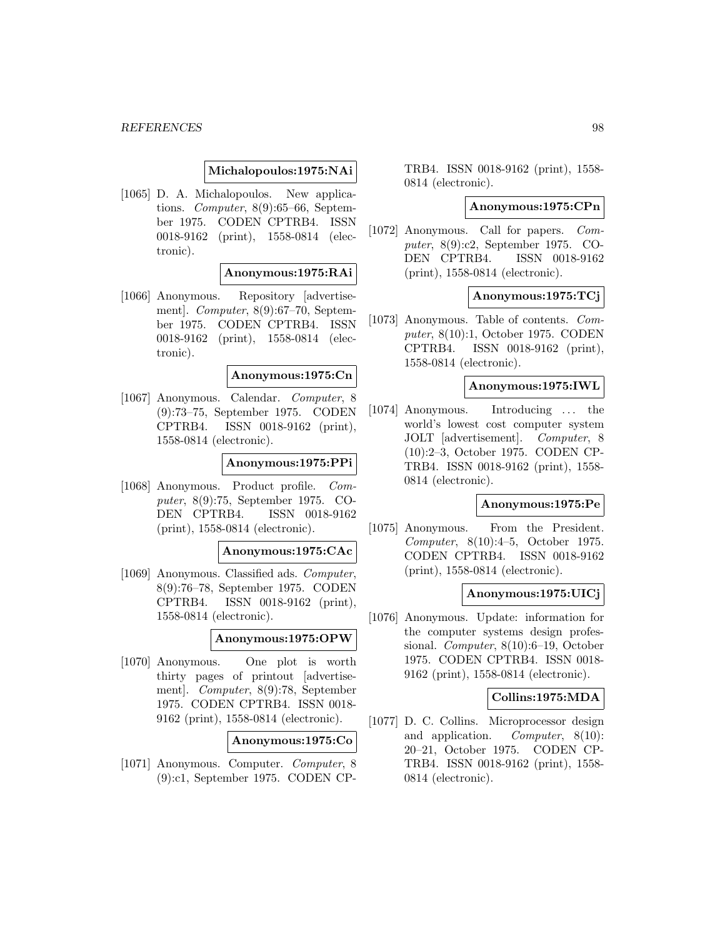### **Michalopoulos:1975:NAi**

[1065] D. A. Michalopoulos. New applications. Computer, 8(9):65–66, September 1975. CODEN CPTRB4. ISSN 0018-9162 (print), 1558-0814 (electronic).

## **Anonymous:1975:RAi**

[1066] Anonymous. Repository [advertisement]. Computer, 8(9):67–70, September 1975. CODEN CPTRB4. ISSN 0018-9162 (print), 1558-0814 (electronic).

## **Anonymous:1975:Cn**

[1067] Anonymous. Calendar. Computer, 8 (9):73–75, September 1975. CODEN CPTRB4. ISSN 0018-9162 (print), 1558-0814 (electronic).

#### **Anonymous:1975:PPi**

[1068] Anonymous. Product profile. Computer, 8(9):75, September 1975. CO-DEN CPTRB4. ISSN 0018-9162 (print), 1558-0814 (electronic).

#### **Anonymous:1975:CAc**

[1069] Anonymous. Classified ads. Computer, 8(9):76–78, September 1975. CODEN CPTRB4. ISSN 0018-9162 (print), 1558-0814 (electronic).

#### **Anonymous:1975:OPW**

[1070] Anonymous. One plot is worth thirty pages of printout [advertisement]. Computer, 8(9):78, September 1975. CODEN CPTRB4. ISSN 0018- 9162 (print), 1558-0814 (electronic).

#### **Anonymous:1975:Co**

[1071] Anonymous. Computer. Computer, 8 (9):c1, September 1975. CODEN CP- TRB4. ISSN 0018-9162 (print), 1558- 0814 (electronic).

### **Anonymous:1975:CPn**

[1072] Anonymous. Call for papers. Computer, 8(9):c2, September 1975. CO-DEN CPTRB4. ISSN 0018-9162 (print), 1558-0814 (electronic).

### **Anonymous:1975:TCj**

[1073] Anonymous. Table of contents. Computer, 8(10):1, October 1975. CODEN CPTRB4. ISSN 0018-9162 (print), 1558-0814 (electronic).

#### **Anonymous:1975:IWL**

[1074] Anonymous. Introducing ... the world's lowest cost computer system JOLT [advertisement]. Computer, 8 (10):2–3, October 1975. CODEN CP-TRB4. ISSN 0018-9162 (print), 1558- 0814 (electronic).

#### **Anonymous:1975:Pe**

[1075] Anonymous. From the President. Computer, 8(10):4–5, October 1975. CODEN CPTRB4. ISSN 0018-9162 (print), 1558-0814 (electronic).

#### **Anonymous:1975:UICj**

[1076] Anonymous. Update: information for the computer systems design professional. Computer, 8(10):6–19, October 1975. CODEN CPTRB4. ISSN 0018- 9162 (print), 1558-0814 (electronic).

#### **Collins:1975:MDA**

[1077] D. C. Collins. Microprocessor design and application. Computer, 8(10): 20–21, October 1975. CODEN CP-TRB4. ISSN 0018-9162 (print), 1558- 0814 (electronic).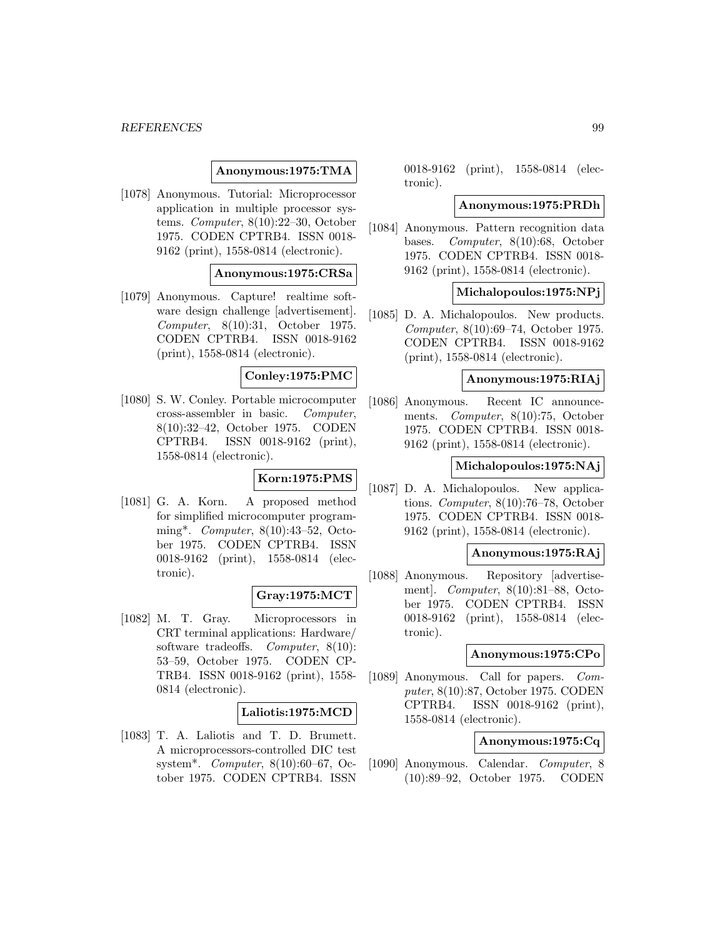## **Anonymous:1975:TMA**

[1078] Anonymous. Tutorial: Microprocessor application in multiple processor systems. Computer, 8(10):22–30, October 1975. CODEN CPTRB4. ISSN 0018- 9162 (print), 1558-0814 (electronic).

### **Anonymous:1975:CRSa**

[1079] Anonymous. Capture! realtime software design challenge [advertisement]. Computer, 8(10):31, October 1975. CODEN CPTRB4. ISSN 0018-9162 (print), 1558-0814 (electronic).

### **Conley:1975:PMC**

[1080] S. W. Conley. Portable microcomputer cross-assembler in basic. Computer, 8(10):32–42, October 1975. CODEN CPTRB4. ISSN 0018-9162 (print), 1558-0814 (electronic).

#### **Korn:1975:PMS**

[1081] G. A. Korn. A proposed method for simplified microcomputer programming\*. Computer, 8(10):43–52, October 1975. CODEN CPTRB4. ISSN 0018-9162 (print), 1558-0814 (electronic).

## **Gray:1975:MCT**

[1082] M. T. Gray. Microprocessors in CRT terminal applications: Hardware/ software tradeoffs. Computer, 8(10): 53–59, October 1975. CODEN CP-TRB4. ISSN 0018-9162 (print), 1558- 0814 (electronic).

#### **Laliotis:1975:MCD**

[1083] T. A. Laliotis and T. D. Brumett. A microprocessors-controlled DIC test system\*. Computer, 8(10):60–67, October 1975. CODEN CPTRB4. ISSN

0018-9162 (print), 1558-0814 (electronic).

#### **Anonymous:1975:PRDh**

[1084] Anonymous. Pattern recognition data bases. Computer, 8(10):68, October 1975. CODEN CPTRB4. ISSN 0018- 9162 (print), 1558-0814 (electronic).

## **Michalopoulos:1975:NPj**

[1085] D. A. Michalopoulos. New products. Computer, 8(10):69–74, October 1975. CODEN CPTRB4. ISSN 0018-9162 (print), 1558-0814 (electronic).

### **Anonymous:1975:RIAj**

[1086] Anonymous. Recent IC announcements. Computer, 8(10):75, October 1975. CODEN CPTRB4. ISSN 0018- 9162 (print), 1558-0814 (electronic).

#### **Michalopoulos:1975:NAj**

[1087] D. A. Michalopoulos. New applications. Computer, 8(10):76–78, October 1975. CODEN CPTRB4. ISSN 0018- 9162 (print), 1558-0814 (electronic).

#### **Anonymous:1975:RAj**

[1088] Anonymous. Repository [advertisement]. Computer, 8(10):81–88, October 1975. CODEN CPTRB4. ISSN 0018-9162 (print), 1558-0814 (electronic).

#### **Anonymous:1975:CPo**

[1089] Anonymous. Call for papers. Computer, 8(10):87, October 1975. CODEN CPTRB4. ISSN 0018-9162 (print), 1558-0814 (electronic).

## **Anonymous:1975:Cq**

[1090] Anonymous. Calendar. Computer, 8 (10):89–92, October 1975. CODEN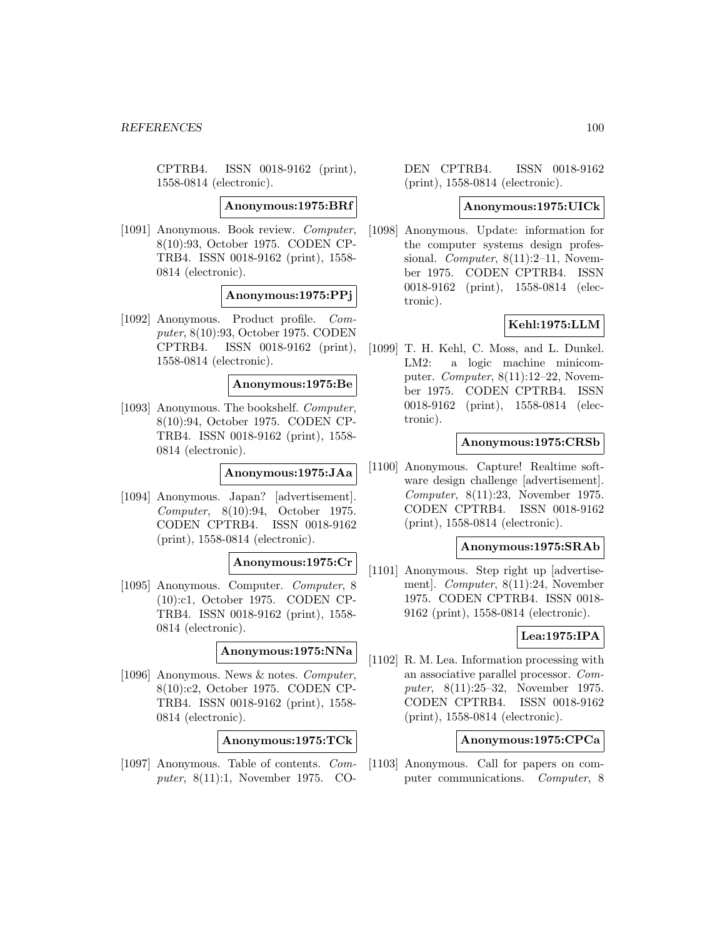CPTRB4. ISSN 0018-9162 (print), 1558-0814 (electronic).

**Anonymous:1975:BRf**

[1091] Anonymous. Book review. Computer, 8(10):93, October 1975. CODEN CP-TRB4. ISSN 0018-9162 (print), 1558- 0814 (electronic).

**Anonymous:1975:PPj**

[1092] Anonymous. Product profile. Computer, 8(10):93, October 1975. CODEN CPTRB4. ISSN 0018-9162 (print), 1558-0814 (electronic).

**Anonymous:1975:Be**

[1093] Anonymous. The bookshelf. Computer, 8(10):94, October 1975. CODEN CP-TRB4. ISSN 0018-9162 (print), 1558- 0814 (electronic).

**Anonymous:1975:JAa**

[1094] Anonymous. Japan? [advertisement]. Computer, 8(10):94, October 1975. CODEN CPTRB4. ISSN 0018-9162 (print), 1558-0814 (electronic).

#### **Anonymous:1975:Cr**

[1095] Anonymous. Computer. Computer, 8 (10):c1, October 1975. CODEN CP-TRB4. ISSN 0018-9162 (print), 1558- 0814 (electronic).

**Anonymous:1975:NNa**

[1096] Anonymous. News & notes. Computer, 8(10):c2, October 1975. CODEN CP-TRB4. ISSN 0018-9162 (print), 1558- 0814 (electronic).

**Anonymous:1975:TCk**

[1097] Anonymous. Table of contents. Computer, 8(11):1, November 1975. CO-

DEN CPTRB4. ISSN 0018-9162 (print), 1558-0814 (electronic).

#### **Anonymous:1975:UICk**

[1098] Anonymous. Update: information for the computer systems design professional. Computer,  $8(11):2-11$ , November 1975. CODEN CPTRB4. ISSN 0018-9162 (print), 1558-0814 (electronic).

### **Kehl:1975:LLM**

[1099] T. H. Kehl, C. Moss, and L. Dunkel. LM2: a logic machine minicomputer. Computer, 8(11):12–22, November 1975. CODEN CPTRB4. ISSN 0018-9162 (print), 1558-0814 (electronic).

#### **Anonymous:1975:CRSb**

[1100] Anonymous. Capture! Realtime software design challenge [advertisement]. Computer, 8(11):23, November 1975. CODEN CPTRB4. ISSN 0018-9162 (print), 1558-0814 (electronic).

### **Anonymous:1975:SRAb**

[1101] Anonymous. Step right up [advertisement]. Computer, 8(11):24, November 1975. CODEN CPTRB4. ISSN 0018- 9162 (print), 1558-0814 (electronic).

## **Lea:1975:IPA**

[1102] R. M. Lea. Information processing with an associative parallel processor. Computer, 8(11):25–32, November 1975. CODEN CPTRB4. ISSN 0018-9162 (print), 1558-0814 (electronic).

# **Anonymous:1975:CPCa**

[1103] Anonymous. Call for papers on computer communications. Computer, 8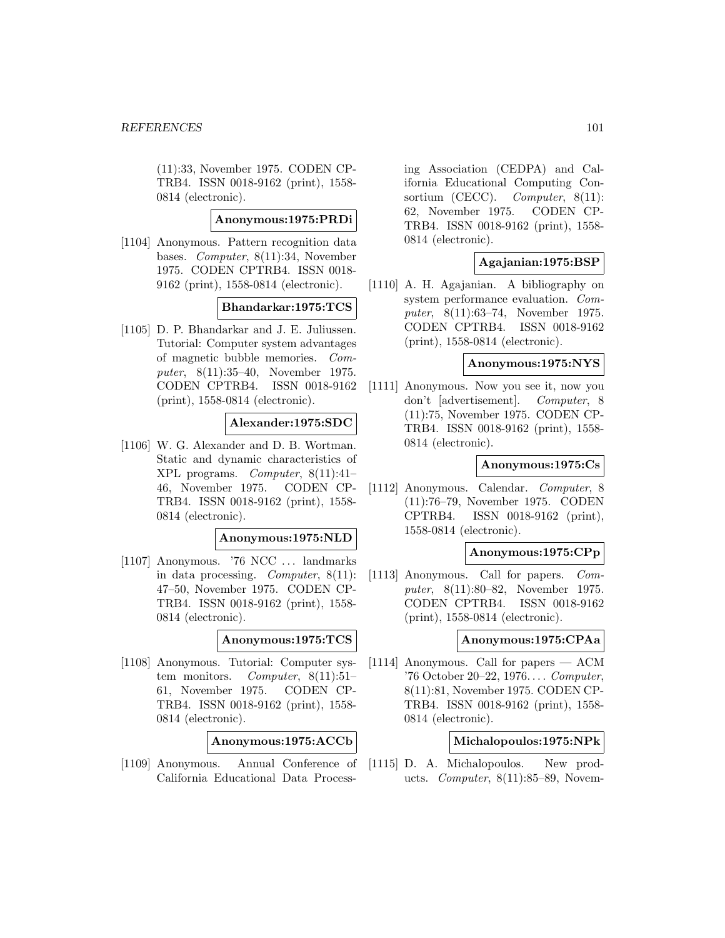(11):33, November 1975. CODEN CP-TRB4. ISSN 0018-9162 (print), 1558- 0814 (electronic).

## **Anonymous:1975:PRDi**

[1104] Anonymous. Pattern recognition data bases. Computer, 8(11):34, November 1975. CODEN CPTRB4. ISSN 0018- 9162 (print), 1558-0814 (electronic).

# **Bhandarkar:1975:TCS**

[1105] D. P. Bhandarkar and J. E. Juliussen. Tutorial: Computer system advantages of magnetic bubble memories. Computer, 8(11):35–40, November 1975. CODEN CPTRB4. ISSN 0018-9162 (print), 1558-0814 (electronic).

## **Alexander:1975:SDC**

[1106] W. G. Alexander and D. B. Wortman. Static and dynamic characteristics of XPL programs. Computer, 8(11):41– 46, November 1975. CODEN CP-TRB4. ISSN 0018-9162 (print), 1558- 0814 (electronic).

#### **Anonymous:1975:NLD**

[1107] Anonymous. '76 NCC ... landmarks in data processing. Computer, 8(11): 47–50, November 1975. CODEN CP-TRB4. ISSN 0018-9162 (print), 1558- 0814 (electronic).

### **Anonymous:1975:TCS**

[1108] Anonymous. Tutorial: Computer system monitors. Computer, 8(11):51-61, November 1975. CODEN CP-TRB4. ISSN 0018-9162 (print), 1558- 0814 (electronic).

**Anonymous:1975:ACCb**

[1109] Anonymous. Annual Conference of California Educational Data Process-

ing Association (CEDPA) and California Educational Computing Consortium (CECC). *Computer*, 8(11): 62, November 1975. CODEN CP-TRB4. ISSN 0018-9162 (print), 1558- 0814 (electronic).

#### **Agajanian:1975:BSP**

[1110] A. H. Agajanian. A bibliography on system performance evaluation. Computer, 8(11):63–74, November 1975. CODEN CPTRB4. ISSN 0018-9162 (print), 1558-0814 (electronic).

## **Anonymous:1975:NYS**

[1111] Anonymous. Now you see it, now you don't [advertisement]. Computer, 8 (11):75, November 1975. CODEN CP-TRB4. ISSN 0018-9162 (print), 1558- 0814 (electronic).

### **Anonymous:1975:Cs**

[1112] Anonymous. Calendar. Computer, 8 (11):76–79, November 1975. CODEN CPTRB4. ISSN 0018-9162 (print), 1558-0814 (electronic).

## **Anonymous:1975:CPp**

[1113] Anonymous. Call for papers. Computer, 8(11):80–82, November 1975. CODEN CPTRB4. ISSN 0018-9162 (print), 1558-0814 (electronic).

### **Anonymous:1975:CPAa**

[1114] Anonymous. Call for papers — ACM '76 October 20–22, 1976... . Computer, 8(11):81, November 1975. CODEN CP-TRB4. ISSN 0018-9162 (print), 1558- 0814 (electronic).

# **Michalopoulos:1975:NPk**

[1115] D. A. Michalopoulos. New products. *Computer*,  $8(11):85-89$ , Novem-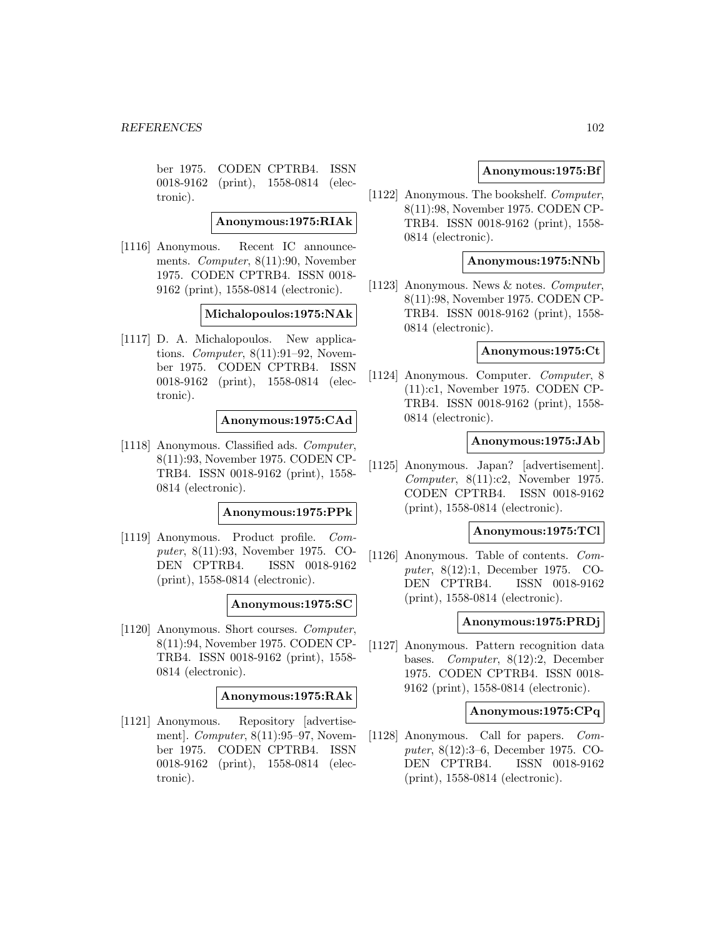ber 1975. CODEN CPTRB4. ISSN 0018-9162 (print), 1558-0814 (electronic).

**Anonymous:1975:RIAk**

[1116] Anonymous. Recent IC announcements. Computer, 8(11):90, November 1975. CODEN CPTRB4. ISSN 0018- 9162 (print), 1558-0814 (electronic).

### **Michalopoulos:1975:NAk**

[1117] D. A. Michalopoulos. New applications. Computer, 8(11):91–92, November 1975. CODEN CPTRB4. ISSN 0018-9162 (print), 1558-0814 (electronic).

### **Anonymous:1975:CAd**

[1118] Anonymous. Classified ads. Computer, 8(11):93, November 1975. CODEN CP-TRB4. ISSN 0018-9162 (print), 1558- 0814 (electronic).

#### **Anonymous:1975:PPk**

[1119] Anonymous. Product profile. Computer, 8(11):93, November 1975. CO-DEN CPTRB4. ISSN 0018-9162 (print), 1558-0814 (electronic).

**Anonymous:1975:SC**

[1120] Anonymous. Short courses. Computer, 8(11):94, November 1975. CODEN CP-TRB4. ISSN 0018-9162 (print), 1558- 0814 (electronic).

**Anonymous:1975:RAk**

[1121] Anonymous. Repository [advertisement]. Computer, 8(11):95–97, November 1975. CODEN CPTRB4. ISSN 0018-9162 (print), 1558-0814 (electronic).

## **Anonymous:1975:Bf**

[1122] Anonymous. The bookshelf. Computer, 8(11):98, November 1975. CODEN CP-TRB4. ISSN 0018-9162 (print), 1558- 0814 (electronic).

#### **Anonymous:1975:NNb**

[1123] Anonymous. News & notes. Computer, 8(11):98, November 1975. CODEN CP-TRB4. ISSN 0018-9162 (print), 1558- 0814 (electronic).

### **Anonymous:1975:Ct**

[1124] Anonymous. Computer. Computer, 8 (11):c1, November 1975. CODEN CP-TRB4. ISSN 0018-9162 (print), 1558- 0814 (electronic).

### **Anonymous:1975:JAb**

[1125] Anonymous. Japan? [advertisement]. Computer, 8(11):c2, November 1975. CODEN CPTRB4. ISSN 0018-9162 (print), 1558-0814 (electronic).

## **Anonymous:1975:TCl**

[1126] Anonymous. Table of contents. Computer, 8(12):1, December 1975. CO-DEN CPTRB4. ISSN 0018-9162 (print), 1558-0814 (electronic).

#### **Anonymous:1975:PRDj**

[1127] Anonymous. Pattern recognition data bases. Computer, 8(12):2, December 1975. CODEN CPTRB4. ISSN 0018- 9162 (print), 1558-0814 (electronic).

### **Anonymous:1975:CPq**

[1128] Anonymous. Call for papers. Computer, 8(12):3–6, December 1975. CO-DEN CPTRB4. ISSN 0018-9162 (print), 1558-0814 (electronic).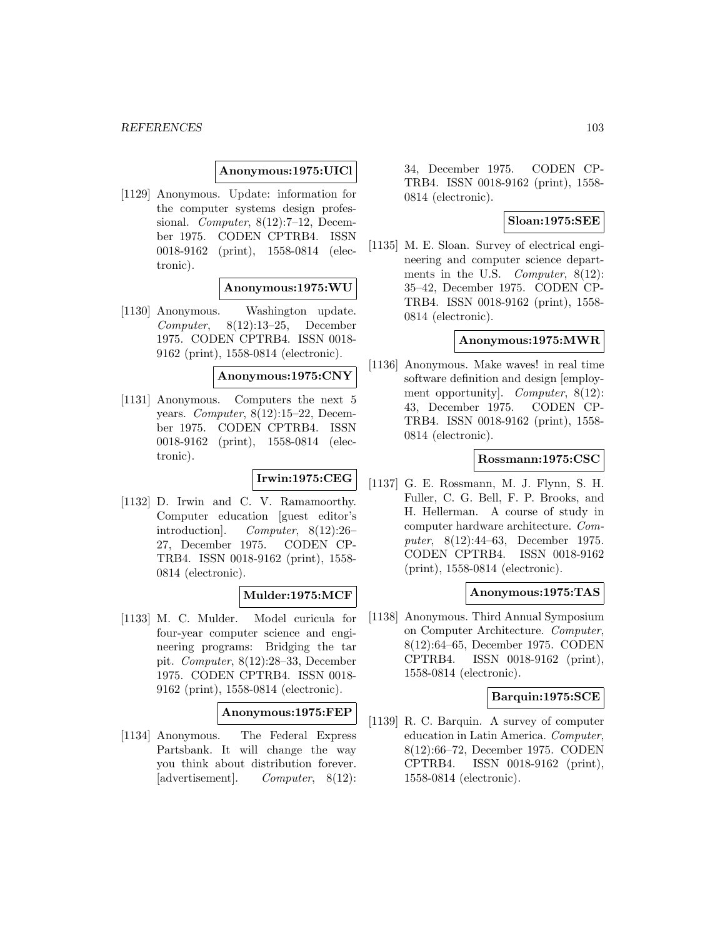### **Anonymous:1975:UICl**

[1129] Anonymous. Update: information for the computer systems design professional. *Computer*, 8(12):7–12, December 1975. CODEN CPTRB4. ISSN 0018-9162 (print), 1558-0814 (electronic).

## **Anonymous:1975:WU**

[1130] Anonymous. Washington update. Computer, 8(12):13–25, December 1975. CODEN CPTRB4. ISSN 0018- 9162 (print), 1558-0814 (electronic).

### **Anonymous:1975:CNY**

[1131] Anonymous. Computers the next 5 years. Computer, 8(12):15–22, December 1975. CODEN CPTRB4. ISSN 0018-9162 (print), 1558-0814 (electronic).

# **Irwin:1975:CEG**

[1132] D. Irwin and C. V. Ramamoorthy. Computer education [guest editor's introduction]. Computer, 8(12):26– 27, December 1975. CODEN CP-TRB4. ISSN 0018-9162 (print), 1558- 0814 (electronic).

## **Mulder:1975:MCF**

[1133] M. C. Mulder. Model curicula for four-year computer science and engineering programs: Bridging the tar pit. Computer, 8(12):28–33, December 1975. CODEN CPTRB4. ISSN 0018- 9162 (print), 1558-0814 (electronic).

## **Anonymous:1975:FEP**

[1134] Anonymous. The Federal Express Partsbank. It will change the way you think about distribution forever. [advertisement]. Computer, 8(12): 34, December 1975. CODEN CP-TRB4. ISSN 0018-9162 (print), 1558- 0814 (electronic).

## **Sloan:1975:SEE**

[1135] M. E. Sloan. Survey of electrical engineering and computer science departments in the U.S. *Computer*, 8(12): 35–42, December 1975. CODEN CP-TRB4. ISSN 0018-9162 (print), 1558- 0814 (electronic).

## **Anonymous:1975:MWR**

[1136] Anonymous. Make waves! in real time software definition and design [employment opportunity]. Computer, 8(12): 43, December 1975. CODEN CP-TRB4. ISSN 0018-9162 (print), 1558- 0814 (electronic).

### **Rossmann:1975:CSC**

[1137] G. E. Rossmann, M. J. Flynn, S. H. Fuller, C. G. Bell, F. P. Brooks, and H. Hellerman. A course of study in computer hardware architecture. Computer, 8(12):44–63, December 1975. CODEN CPTRB4. ISSN 0018-9162 (print), 1558-0814 (electronic).

### **Anonymous:1975:TAS**

[1138] Anonymous. Third Annual Symposium on Computer Architecture. Computer, 8(12):64–65, December 1975. CODEN CPTRB4. ISSN 0018-9162 (print), 1558-0814 (electronic).

## **Barquin:1975:SCE**

[1139] R. C. Barquin. A survey of computer education in Latin America. Computer, 8(12):66–72, December 1975. CODEN CPTRB4. ISSN 0018-9162 (print), 1558-0814 (electronic).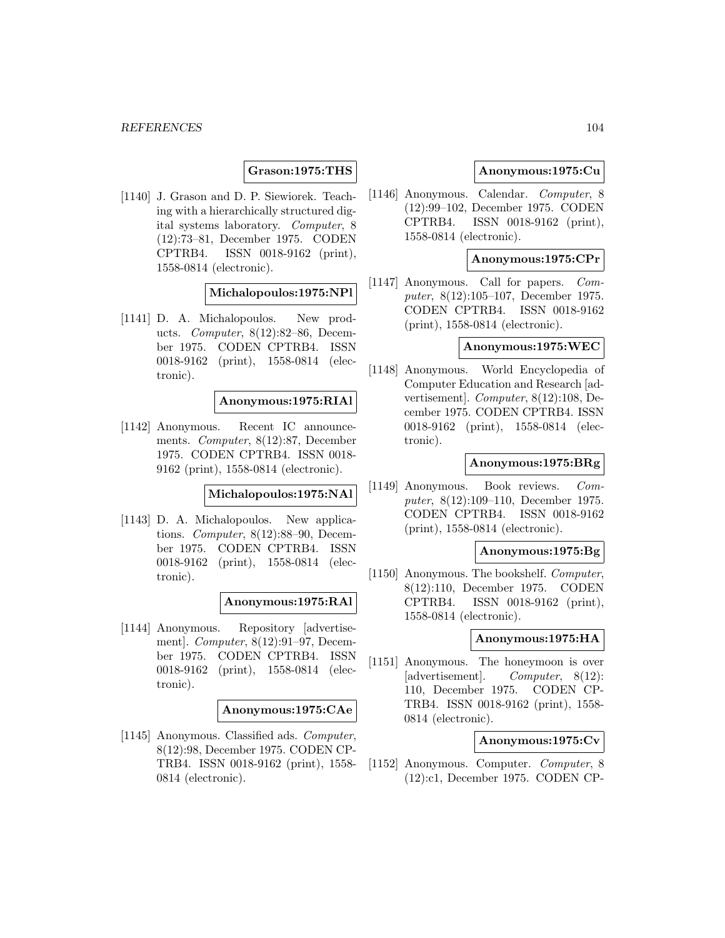## **Grason:1975:THS**

[1140] J. Grason and D. P. Siewiorek. Teaching with a hierarchically structured digital systems laboratory. Computer, 8 (12):73–81, December 1975. CODEN CPTRB4. ISSN 0018-9162 (print), 1558-0814 (electronic).

### **Michalopoulos:1975:NPl**

[1141] D. A. Michalopoulos. New products. Computer, 8(12):82–86, December 1975. CODEN CPTRB4. ISSN 0018-9162 (print), 1558-0814 (electronic).

### **Anonymous:1975:RIAl**

[1142] Anonymous. Recent IC announcements. Computer, 8(12):87, December 1975. CODEN CPTRB4. ISSN 0018- 9162 (print), 1558-0814 (electronic).

#### **Michalopoulos:1975:NAl**

[1143] D. A. Michalopoulos. New applications. Computer, 8(12):88–90, December 1975. CODEN CPTRB4. ISSN 0018-9162 (print), 1558-0814 (electronic).

#### **Anonymous:1975:RAl**

[1144] Anonymous. Repository [advertisement]. Computer, 8(12):91–97, December 1975. CODEN CPTRB4. ISSN 0018-9162 (print), 1558-0814 (electronic).

#### **Anonymous:1975:CAe**

[1145] Anonymous. Classified ads. Computer, 8(12):98, December 1975. CODEN CP-TRB4. ISSN 0018-9162 (print), 1558- 0814 (electronic).

### **Anonymous:1975:Cu**

[1146] Anonymous. Calendar. Computer, 8 (12):99–102, December 1975. CODEN CPTRB4. ISSN 0018-9162 (print), 1558-0814 (electronic).

### **Anonymous:1975:CPr**

[1147] Anonymous. Call for papers. Computer, 8(12):105–107, December 1975. CODEN CPTRB4. ISSN 0018-9162 (print), 1558-0814 (electronic).

### **Anonymous:1975:WEC**

[1148] Anonymous. World Encyclopedia of Computer Education and Research [advertisement]. Computer, 8(12):108, December 1975. CODEN CPTRB4. ISSN 0018-9162 (print), 1558-0814 (electronic).

## **Anonymous:1975:BRg**

[1149] Anonymous. Book reviews. Computer, 8(12):109–110, December 1975. CODEN CPTRB4. ISSN 0018-9162 (print), 1558-0814 (electronic).

#### **Anonymous:1975:Bg**

[1150] Anonymous. The bookshelf. Computer, 8(12):110, December 1975. CODEN CPTRB4. ISSN 0018-9162 (print), 1558-0814 (electronic).

### **Anonymous:1975:HA**

[1151] Anonymous. The honeymoon is over [advertisement]. Computer, 8(12): 110, December 1975. CODEN CP-TRB4. ISSN 0018-9162 (print), 1558- 0814 (electronic).

### **Anonymous:1975:Cv**

[1152] Anonymous. Computer. Computer, 8 (12):c1, December 1975. CODEN CP-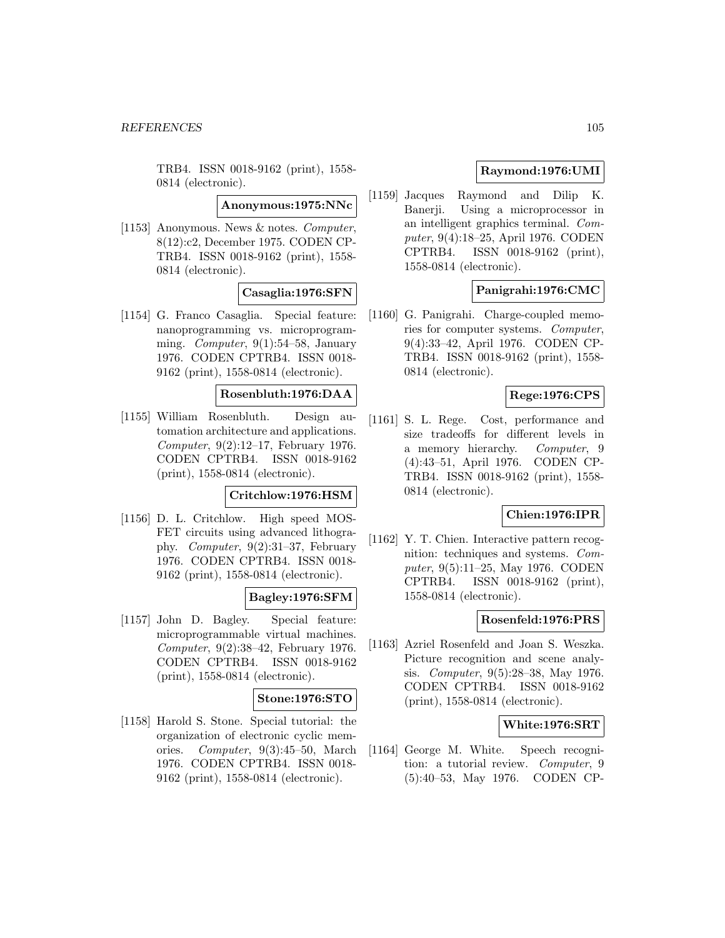TRB4. ISSN 0018-9162 (print), 1558- 0814 (electronic).

**Anonymous:1975:NNc**

[1153] Anonymous. News & notes. Computer, 8(12):c2, December 1975. CODEN CP-TRB4. ISSN 0018-9162 (print), 1558- 0814 (electronic).

## **Casaglia:1976:SFN**

[1154] G. Franco Casaglia. Special feature: nanoprogramming vs. microprogramming. *Computer*, 9(1):54–58, January 1976. CODEN CPTRB4. ISSN 0018- 9162 (print), 1558-0814 (electronic).

## **Rosenbluth:1976:DAA**

[1155] William Rosenbluth. Design automation architecture and applications. Computer, 9(2):12–17, February 1976. CODEN CPTRB4. ISSN 0018-9162 (print), 1558-0814 (electronic).

#### **Critchlow:1976:HSM**

[1156] D. L. Critchlow. High speed MOS-FET circuits using advanced lithography. Computer, 9(2):31–37, February 1976. CODEN CPTRB4. ISSN 0018- 9162 (print), 1558-0814 (electronic).

# **Bagley:1976:SFM**

[1157] John D. Bagley. Special feature: microprogrammable virtual machines. Computer, 9(2):38–42, February 1976. CODEN CPTRB4. ISSN 0018-9162 (print), 1558-0814 (electronic).

## **Stone:1976:STO**

[1158] Harold S. Stone. Special tutorial: the organization of electronic cyclic memories. Computer, 9(3):45–50, March 1976. CODEN CPTRB4. ISSN 0018- 9162 (print), 1558-0814 (electronic).

# **Raymond:1976:UMI**

[1159] Jacques Raymond and Dilip K. Banerji. Using a microprocessor in an intelligent graphics terminal. Computer, 9(4):18–25, April 1976. CODEN CPTRB4. ISSN 0018-9162 (print), 1558-0814 (electronic).

## **Panigrahi:1976:CMC**

[1160] G. Panigrahi. Charge-coupled memories for computer systems. Computer, 9(4):33–42, April 1976. CODEN CP-TRB4. ISSN 0018-9162 (print), 1558- 0814 (electronic).

# **Rege:1976:CPS**

[1161] S. L. Rege. Cost, performance and size tradeoffs for different levels in a memory hierarchy. Computer, 9 (4):43–51, April 1976. CODEN CP-TRB4. ISSN 0018-9162 (print), 1558- 0814 (electronic).

### **Chien:1976:IPR**

[1162] Y. T. Chien. Interactive pattern recognition: techniques and systems. Computer, 9(5):11–25, May 1976. CODEN CPTRB4. ISSN 0018-9162 (print), 1558-0814 (electronic).

## **Rosenfeld:1976:PRS**

[1163] Azriel Rosenfeld and Joan S. Weszka. Picture recognition and scene analysis. Computer, 9(5):28–38, May 1976. CODEN CPTRB4. ISSN 0018-9162 (print), 1558-0814 (electronic).

## **White:1976:SRT**

[1164] George M. White. Speech recognition: a tutorial review. Computer, 9 (5):40–53, May 1976. CODEN CP-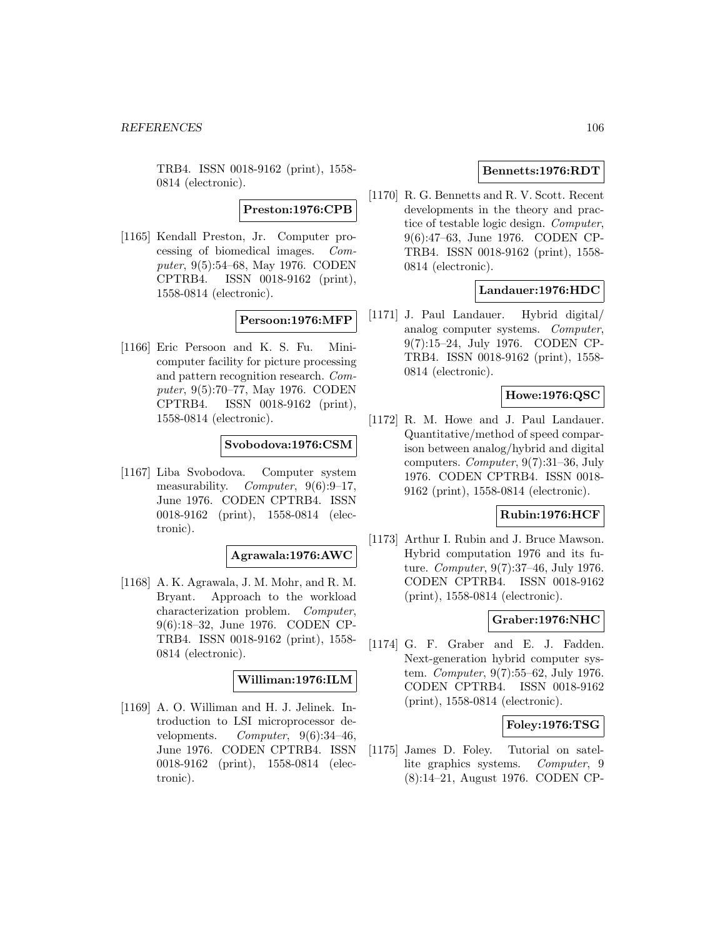TRB4. ISSN 0018-9162 (print), 1558- 0814 (electronic).

**Preston:1976:CPB**

[1165] Kendall Preston, Jr. Computer processing of biomedical images. Computer, 9(5):54–68, May 1976. CODEN CPTRB4. ISSN 0018-9162 (print), 1558-0814 (electronic).

## **Persoon:1976:MFP**

[1166] Eric Persoon and K. S. Fu. Minicomputer facility for picture processing and pattern recognition research. Computer, 9(5):70–77, May 1976. CODEN CPTRB4. ISSN 0018-9162 (print), 1558-0814 (electronic).

## **Svobodova:1976:CSM**

[1167] Liba Svobodova. Computer system measurability. Computer, 9(6):9-17, June 1976. CODEN CPTRB4. ISSN 0018-9162 (print), 1558-0814 (electronic).

#### **Agrawala:1976:AWC**

[1168] A. K. Agrawala, J. M. Mohr, and R. M. Bryant. Approach to the workload characterization problem. Computer, 9(6):18–32, June 1976. CODEN CP-TRB4. ISSN 0018-9162 (print), 1558- 0814 (electronic).

### **Williman:1976:ILM**

[1169] A. O. Williman and H. J. Jelinek. Introduction to LSI microprocessor developments. Computer,  $9(6):34-46$ , June 1976. CODEN CPTRB4. ISSN 0018-9162 (print), 1558-0814 (electronic).

# **Bennetts:1976:RDT**

[1170] R. G. Bennetts and R. V. Scott. Recent developments in the theory and practice of testable logic design. Computer, 9(6):47–63, June 1976. CODEN CP-TRB4. ISSN 0018-9162 (print), 1558- 0814 (electronic).

# **Landauer:1976:HDC**

[1171] J. Paul Landauer. Hybrid digital/ analog computer systems. Computer, 9(7):15–24, July 1976. CODEN CP-TRB4. ISSN 0018-9162 (print), 1558- 0814 (electronic).

## **Howe:1976:QSC**

[1172] R. M. Howe and J. Paul Landauer. Quantitative/method of speed comparison between analog/hybrid and digital computers. Computer, 9(7):31–36, July 1976. CODEN CPTRB4. ISSN 0018- 9162 (print), 1558-0814 (electronic).

## **Rubin:1976:HCF**

[1173] Arthur I. Rubin and J. Bruce Mawson. Hybrid computation 1976 and its future. Computer, 9(7):37–46, July 1976. CODEN CPTRB4. ISSN 0018-9162 (print), 1558-0814 (electronic).

## **Graber:1976:NHC**

[1174] G. F. Graber and E. J. Fadden. Next-generation hybrid computer system. Computer, 9(7):55–62, July 1976. CODEN CPTRB4. ISSN 0018-9162 (print), 1558-0814 (electronic).

## **Foley:1976:TSG**

[1175] James D. Foley. Tutorial on satellite graphics systems. Computer, 9 (8):14–21, August 1976. CODEN CP-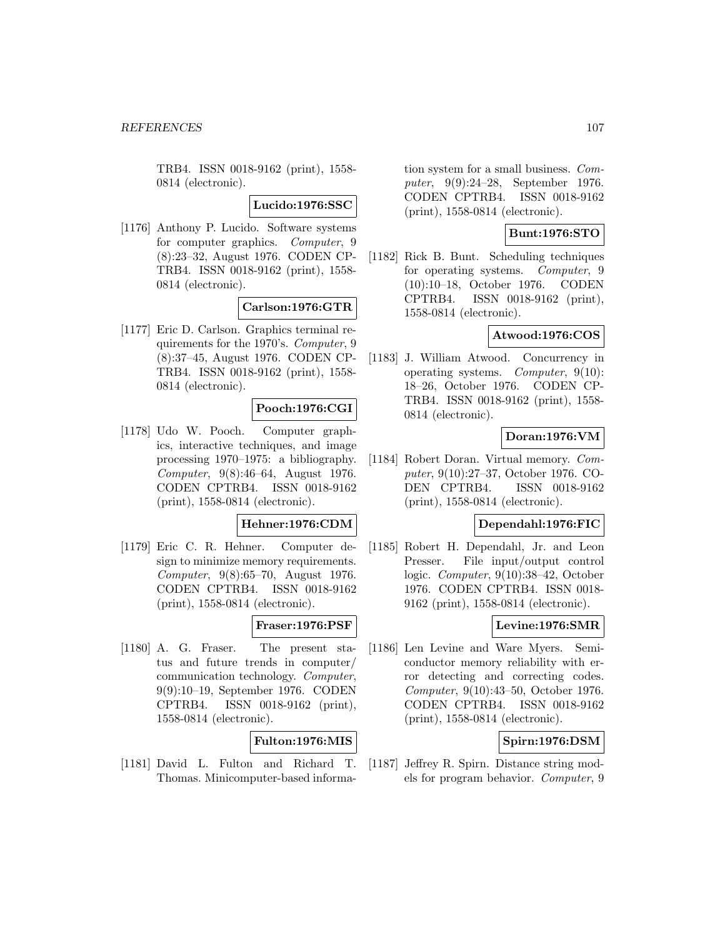TRB4. ISSN 0018-9162 (print), 1558- 0814 (electronic).

**Lucido:1976:SSC**

[1176] Anthony P. Lucido. Software systems for computer graphics. Computer, 9 (8):23–32, August 1976. CODEN CP-TRB4. ISSN 0018-9162 (print), 1558- 0814 (electronic).

# **Carlson:1976:GTR**

[1177] Eric D. Carlson. Graphics terminal requirements for the 1970's. Computer, 9 (8):37–45, August 1976. CODEN CP-TRB4. ISSN 0018-9162 (print), 1558- 0814 (electronic).

# **Pooch:1976:CGI**

[1178] Udo W. Pooch. Computer graphics, interactive techniques, and image processing 1970–1975: a bibliography. Computer, 9(8):46–64, August 1976. CODEN CPTRB4. ISSN 0018-9162 (print), 1558-0814 (electronic).

### **Hehner:1976:CDM**

[1179] Eric C. R. Hehner. Computer design to minimize memory requirements. Computer, 9(8):65–70, August 1976. CODEN CPTRB4. ISSN 0018-9162 (print), 1558-0814 (electronic).

## **Fraser:1976:PSF**

[1180] A. G. Fraser. The present status and future trends in computer/ communication technology. Computer, 9(9):10–19, September 1976. CODEN CPTRB4. ISSN 0018-9162 (print), 1558-0814 (electronic).

## **Fulton:1976:MIS**

[1181] David L. Fulton and Richard T. Thomas. Minicomputer-based information system for a small business. Computer, 9(9):24–28, September 1976. CODEN CPTRB4. ISSN 0018-9162 (print), 1558-0814 (electronic).

## **Bunt:1976:STO**

[1182] Rick B. Bunt. Scheduling techniques for operating systems. Computer, 9 (10):10–18, October 1976. CODEN CPTRB4. ISSN 0018-9162 (print), 1558-0814 (electronic).

# **Atwood:1976:COS**

[1183] J. William Atwood. Concurrency in operating systems. Computer, 9(10): 18–26, October 1976. CODEN CP-TRB4. ISSN 0018-9162 (print), 1558- 0814 (electronic).

# **Doran:1976:VM**

[1184] Robert Doran. Virtual memory. Computer, 9(10):27–37, October 1976. CO-DEN CPTRB4. ISSN 0018-9162 (print), 1558-0814 (electronic).

#### **Dependahl:1976:FIC**

[1185] Robert H. Dependahl, Jr. and Leon Presser. File input/output control logic. Computer, 9(10):38–42, October 1976. CODEN CPTRB4. ISSN 0018- 9162 (print), 1558-0814 (electronic).

# **Levine:1976:SMR**

[1186] Len Levine and Ware Myers. Semiconductor memory reliability with error detecting and correcting codes. Computer, 9(10):43–50, October 1976. CODEN CPTRB4. ISSN 0018-9162 (print), 1558-0814 (electronic).

## **Spirn:1976:DSM**

[1187] Jeffrey R. Spirn. Distance string models for program behavior. Computer, 9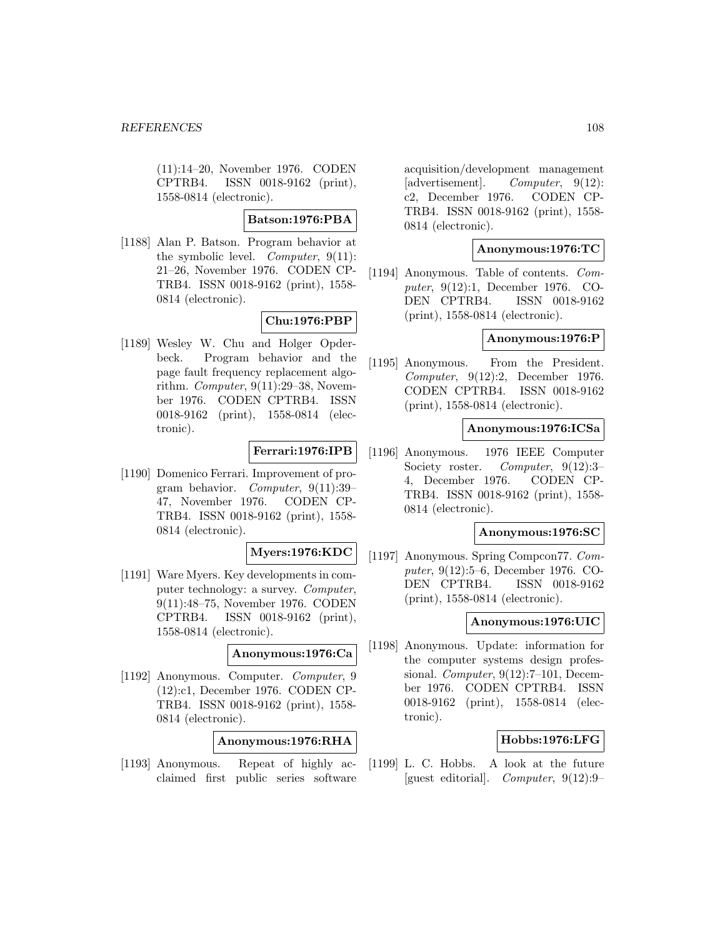(11):14–20, November 1976. CODEN CPTRB4. ISSN 0018-9162 (print), 1558-0814 (electronic).

# **Batson:1976:PBA**

[1188] Alan P. Batson. Program behavior at the symbolic level. *Computer*, 9(11): 21–26, November 1976. CODEN CP-TRB4. ISSN 0018-9162 (print), 1558- 0814 (electronic).

# **Chu:1976:PBP**

[1189] Wesley W. Chu and Holger Opderbeck. Program behavior and the page fault frequency replacement algorithm. Computer, 9(11):29–38, November 1976. CODEN CPTRB4. ISSN 0018-9162 (print), 1558-0814 (electronic).

# **Ferrari:1976:IPB**

[1190] Domenico Ferrari. Improvement of program behavior. Computer, 9(11):39– 47, November 1976. CODEN CP-TRB4. ISSN 0018-9162 (print), 1558- 0814 (electronic).

## **Myers:1976:KDC**

[1191] Ware Myers. Key developments in computer technology: a survey. Computer, 9(11):48–75, November 1976. CODEN CPTRB4. ISSN 0018-9162 (print), 1558-0814 (electronic).

#### **Anonymous:1976:Ca**

[1192] Anonymous. Computer. Computer, 9 (12):c1, December 1976. CODEN CP-TRB4. ISSN 0018-9162 (print), 1558- 0814 (electronic).

## **Anonymous:1976:RHA**

[1193] Anonymous. Repeat of highly acclaimed first public series software

acquisition/development management [advertisement]. Computer, 9(12): c2, December 1976. CODEN CP-TRB4. ISSN 0018-9162 (print), 1558- 0814 (electronic).

## **Anonymous:1976:TC**

[1194] Anonymous. Table of contents. Computer, 9(12):1, December 1976. CO-DEN CPTRB4. ISSN 0018-9162 (print), 1558-0814 (electronic).

### **Anonymous:1976:P**

[1195] Anonymous. From the President. Computer, 9(12):2, December 1976. CODEN CPTRB4. ISSN 0018-9162 (print), 1558-0814 (electronic).

## **Anonymous:1976:ICSa**

[1196] Anonymous. 1976 IEEE Computer Society roster. Computer, 9(12):3-4, December 1976. CODEN CP-TRB4. ISSN 0018-9162 (print), 1558- 0814 (electronic).

## **Anonymous:1976:SC**

[1197] Anonymous. Spring Compcon77. Computer, 9(12):5–6, December 1976. CO-DEN CPTRB4. ISSN 0018-9162 (print), 1558-0814 (electronic).

#### **Anonymous:1976:UIC**

[1198] Anonymous. Update: information for the computer systems design professional. Computer, 9(12):7–101, December 1976. CODEN CPTRB4. ISSN 0018-9162 (print), 1558-0814 (electronic).

## **Hobbs:1976:LFG**

[1199] L. C. Hobbs. A look at the future [guest editorial]. Computer, 9(12):9–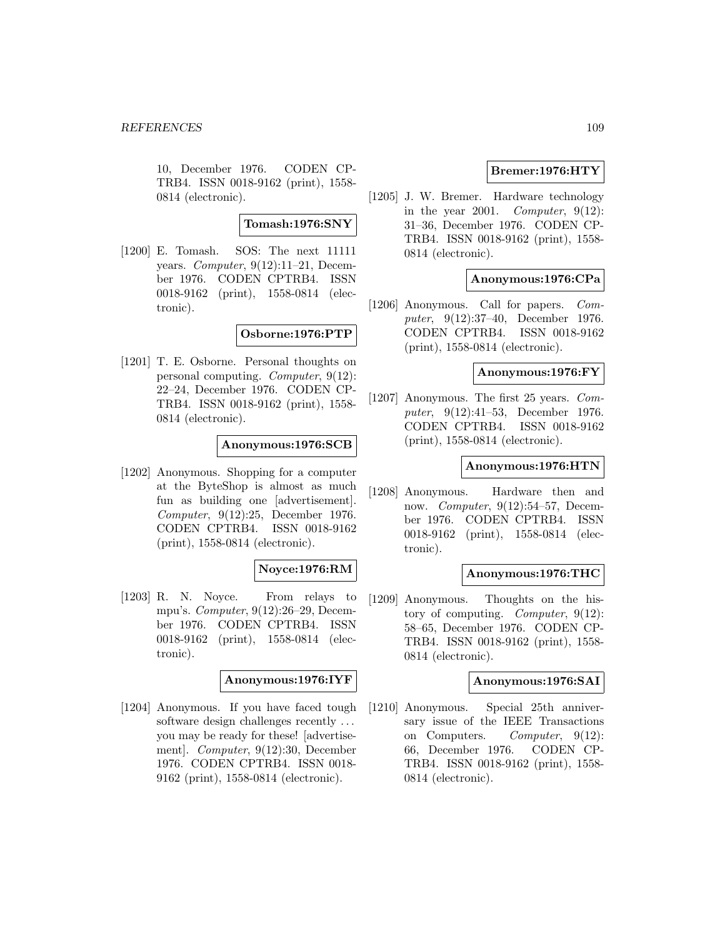10, December 1976. CODEN CP-TRB4. ISSN 0018-9162 (print), 1558- 0814 (electronic).

#### **Tomash:1976:SNY**

[1200] E. Tomash. SOS: The next 11111 years. Computer,  $9(12):11-21$ , December 1976. CODEN CPTRB4. ISSN 0018-9162 (print), 1558-0814 (electronic).

**Osborne:1976:PTP**

[1201] T. E. Osborne. Personal thoughts on personal computing. Computer, 9(12): 22–24, December 1976. CODEN CP-TRB4. ISSN 0018-9162 (print), 1558- 0814 (electronic).

### **Anonymous:1976:SCB**

[1202] Anonymous. Shopping for a computer at the ByteShop is almost as much fun as building one [advertisement]. Computer, 9(12):25, December 1976. CODEN CPTRB4. ISSN 0018-9162 (print), 1558-0814 (electronic).

# **Noyce:1976:RM**

[1203] R. N. Noyce. From relays to mpu's. Computer, 9(12):26–29, December 1976. CODEN CPTRB4. ISSN 0018-9162 (print), 1558-0814 (electronic).

# **Anonymous:1976:IYF**

[1204] Anonymous. If you have faced tough software design challenges recently ... you may be ready for these! [advertisement]. Computer, 9(12):30, December 1976. CODEN CPTRB4. ISSN 0018- 9162 (print), 1558-0814 (electronic).

# **Bremer:1976:HTY**

[1205] J. W. Bremer. Hardware technology in the year 2001. Computer,  $9(12)$ : 31–36, December 1976. CODEN CP-TRB4. ISSN 0018-9162 (print), 1558- 0814 (electronic).

### **Anonymous:1976:CPa**

[1206] Anonymous. Call for papers. Computer, 9(12):37–40, December 1976. CODEN CPTRB4. ISSN 0018-9162 (print), 1558-0814 (electronic).

# **Anonymous:1976:FY**

[1207] Anonymous. The first 25 years. Computer, 9(12):41–53, December 1976. CODEN CPTRB4. ISSN 0018-9162 (print), 1558-0814 (electronic).

### **Anonymous:1976:HTN**

[1208] Anonymous. Hardware then and now. Computer, 9(12):54–57, December 1976. CODEN CPTRB4. ISSN 0018-9162 (print), 1558-0814 (electronic).

### **Anonymous:1976:THC**

[1209] Anonymous. Thoughts on the history of computing. Computer, 9(12): 58–65, December 1976. CODEN CP-TRB4. ISSN 0018-9162 (print), 1558- 0814 (electronic).

#### **Anonymous:1976:SAI**

[1210] Anonymous. Special 25th anniversary issue of the IEEE Transactions on Computers. Computer, 9(12): 66, December 1976. CODEN CP-TRB4. ISSN 0018-9162 (print), 1558- 0814 (electronic).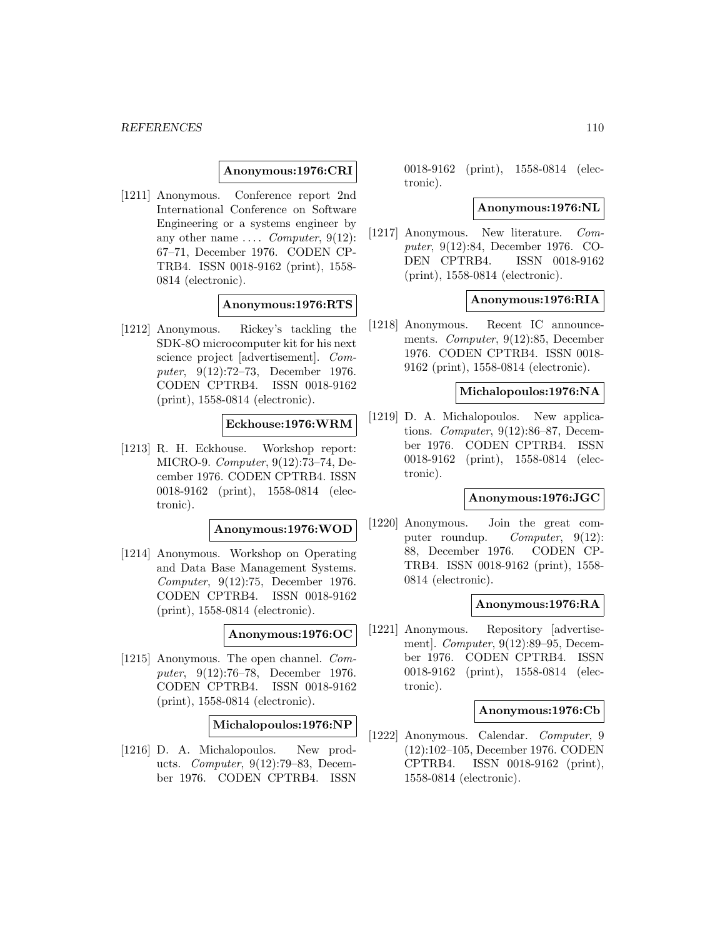### **Anonymous:1976:CRI**

[1211] Anonymous. Conference report 2nd International Conference on Software Engineering or a systems engineer by any other name  $\ldots$  *Computer*, 9(12): 67–71, December 1976. CODEN CP-TRB4. ISSN 0018-9162 (print), 1558- 0814 (electronic).

### **Anonymous:1976:RTS**

[1212] Anonymous. Rickey's tackling the SDK-8O microcomputer kit for his next science project [advertisement]. Computer, 9(12):72–73, December 1976. CODEN CPTRB4. ISSN 0018-9162 (print), 1558-0814 (electronic).

### **Eckhouse:1976:WRM**

[1213] R. H. Eckhouse. Workshop report: MICRO-9. Computer, 9(12):73–74, December 1976. CODEN CPTRB4. ISSN 0018-9162 (print), 1558-0814 (electronic).

### **Anonymous:1976:WOD**

[1214] Anonymous. Workshop on Operating and Data Base Management Systems. Computer, 9(12):75, December 1976. CODEN CPTRB4. ISSN 0018-9162 (print), 1558-0814 (electronic).

#### **Anonymous:1976:OC**

[1215] Anonymous. The open channel. Computer, 9(12):76–78, December 1976. CODEN CPTRB4. ISSN 0018-9162 (print), 1558-0814 (electronic).

**Michalopoulos:1976:NP**

[1216] D. A. Michalopoulos. New products. Computer, 9(12):79–83, December 1976. CODEN CPTRB4. ISSN

0018-9162 (print), 1558-0814 (electronic).

### **Anonymous:1976:NL**

[1217] Anonymous. New literature. Computer, 9(12):84, December 1976. CO-DEN CPTRB4. ISSN 0018-9162 (print), 1558-0814 (electronic).

### **Anonymous:1976:RIA**

[1218] Anonymous. Recent IC announcements. Computer, 9(12):85, December 1976. CODEN CPTRB4. ISSN 0018- 9162 (print), 1558-0814 (electronic).

### **Michalopoulos:1976:NA**

[1219] D. A. Michalopoulos. New applications. Computer, 9(12):86–87, December 1976. CODEN CPTRB4. ISSN 0018-9162 (print), 1558-0814 (electronic).

### **Anonymous:1976:JGC**

[1220] Anonymous. Join the great computer roundup. Computer, 9(12): 88, December 1976. CODEN CP-TRB4. ISSN 0018-9162 (print), 1558- 0814 (electronic).

### **Anonymous:1976:RA**

[1221] Anonymous. Repository [advertisement]. Computer, 9(12):89–95, December 1976. CODEN CPTRB4. ISSN 0018-9162 (print), 1558-0814 (electronic).

### **Anonymous:1976:Cb**

[1222] Anonymous. Calendar. Computer, 9 (12):102–105, December 1976. CODEN CPTRB4. ISSN 0018-9162 (print), 1558-0814 (electronic).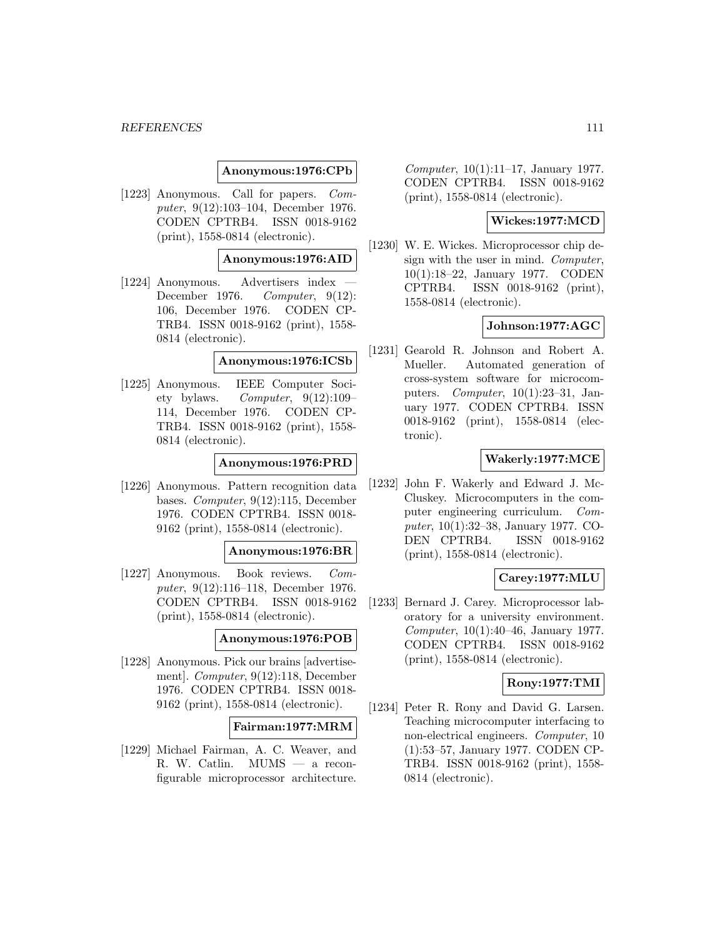### **Anonymous:1976:CPb**

[1223] Anonymous. Call for papers. Computer, 9(12):103–104, December 1976. CODEN CPTRB4. ISSN 0018-9162 (print), 1558-0814 (electronic).

### **Anonymous:1976:AID**

[1224] Anonymous. Advertisers index December 1976. Computer, 9(12): 106, December 1976. CODEN CP-TRB4. ISSN 0018-9162 (print), 1558- 0814 (electronic).

#### **Anonymous:1976:ICSb**

[1225] Anonymous. IEEE Computer Society bylaws. Computer,  $9(12):109-$ 114, December 1976. CODEN CP-TRB4. ISSN 0018-9162 (print), 1558- 0814 (electronic).

# **Anonymous:1976:PRD**

[1226] Anonymous. Pattern recognition data bases. Computer, 9(12):115, December 1976. CODEN CPTRB4. ISSN 0018- 9162 (print), 1558-0814 (electronic).

#### **Anonymous:1976:BR**

[1227] Anonymous. Book reviews. Computer, 9(12):116–118, December 1976. CODEN CPTRB4. ISSN 0018-9162 (print), 1558-0814 (electronic).

### **Anonymous:1976:POB**

[1228] Anonymous. Pick our brains [advertisement]. Computer, 9(12):118, December 1976. CODEN CPTRB4. ISSN 0018- 9162 (print), 1558-0814 (electronic).

#### **Fairman:1977:MRM**

[1229] Michael Fairman, A. C. Weaver, and R. W. Catlin. MUMS — a reconfigurable microprocessor architecture.

Computer, 10(1):11–17, January 1977. CODEN CPTRB4. ISSN 0018-9162 (print), 1558-0814 (electronic).

### **Wickes:1977:MCD**

[1230] W. E. Wickes. Microprocessor chip design with the user in mind. Computer, 10(1):18–22, January 1977. CODEN CPTRB4. ISSN 0018-9162 (print), 1558-0814 (electronic).

# **Johnson:1977:AGC**

[1231] Gearold R. Johnson and Robert A. Mueller. Automated generation of cross-system software for microcomputers. *Computer*,  $10(1):23-31$ , January 1977. CODEN CPTRB4. ISSN 0018-9162 (print), 1558-0814 (electronic).

### **Wakerly:1977:MCE**

[1232] John F. Wakerly and Edward J. Mc-Cluskey. Microcomputers in the computer engineering curriculum. Computer, 10(1):32–38, January 1977. CO-DEN CPTRB4. ISSN 0018-9162 (print), 1558-0814 (electronic).

### **Carey:1977:MLU**

[1233] Bernard J. Carey. Microprocessor laboratory for a university environment. Computer, 10(1):40–46, January 1977. CODEN CPTRB4. ISSN 0018-9162 (print), 1558-0814 (electronic).

# **Rony:1977:TMI**

[1234] Peter R. Rony and David G. Larsen. Teaching microcomputer interfacing to non-electrical engineers. Computer, 10 (1):53–57, January 1977. CODEN CP-TRB4. ISSN 0018-9162 (print), 1558- 0814 (electronic).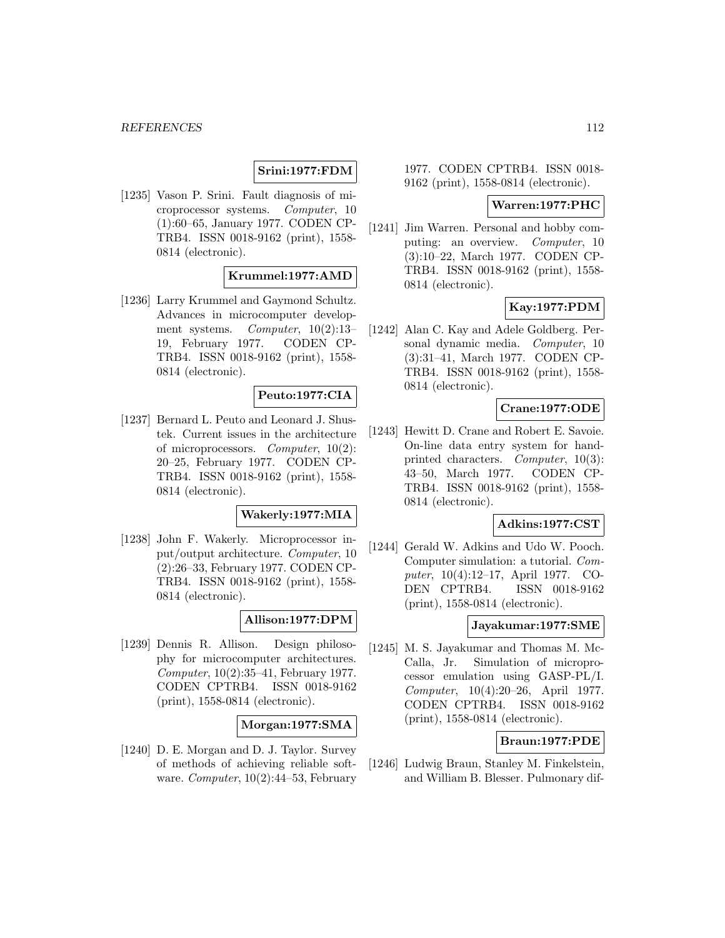# **Srini:1977:FDM**

[1235] Vason P. Srini. Fault diagnosis of microprocessor systems. Computer, 10 (1):60–65, January 1977. CODEN CP-TRB4. ISSN 0018-9162 (print), 1558- 0814 (electronic).

# **Krummel:1977:AMD**

[1236] Larry Krummel and Gaymond Schultz. Advances in microcomputer development systems. Computer, 10(2):13– 19, February 1977. CODEN CP-TRB4. ISSN 0018-9162 (print), 1558- 0814 (electronic).

### **Peuto:1977:CIA**

[1237] Bernard L. Peuto and Leonard J. Shustek. Current issues in the architecture of microprocessors. Computer, 10(2): 20–25, February 1977. CODEN CP-TRB4. ISSN 0018-9162 (print), 1558- 0814 (electronic).

#### **Wakerly:1977:MIA**

[1238] John F. Wakerly. Microprocessor input/output architecture. Computer, 10 (2):26–33, February 1977. CODEN CP-TRB4. ISSN 0018-9162 (print), 1558- 0814 (electronic).

#### **Allison:1977:DPM**

[1239] Dennis R. Allison. Design philosophy for microcomputer architectures. Computer, 10(2):35–41, February 1977. CODEN CPTRB4. ISSN 0018-9162 (print), 1558-0814 (electronic).

#### **Morgan:1977:SMA**

[1240] D. E. Morgan and D. J. Taylor. Survey of methods of achieving reliable software. Computer,  $10(2):44-53$ , February

1977. CODEN CPTRB4. ISSN 0018- 9162 (print), 1558-0814 (electronic).

### **Warren:1977:PHC**

[1241] Jim Warren. Personal and hobby computing: an overview. Computer, 10 (3):10–22, March 1977. CODEN CP-TRB4. ISSN 0018-9162 (print), 1558- 0814 (electronic).

### **Kay:1977:PDM**

[1242] Alan C. Kay and Adele Goldberg. Personal dynamic media. Computer, 10 (3):31–41, March 1977. CODEN CP-TRB4. ISSN 0018-9162 (print), 1558- 0814 (electronic).

# **Crane:1977:ODE**

[1243] Hewitt D. Crane and Robert E. Savoie. On-line data entry system for handprinted characters. Computer, 10(3): 43–50, March 1977. CODEN CP-TRB4. ISSN 0018-9162 (print), 1558- 0814 (electronic).

#### **Adkins:1977:CST**

[1244] Gerald W. Adkins and Udo W. Pooch. Computer simulation: a tutorial. Computer, 10(4):12–17, April 1977. CO-DEN CPTRB4. ISSN 0018-9162 (print), 1558-0814 (electronic).

# **Jayakumar:1977:SME**

[1245] M. S. Jayakumar and Thomas M. Mc-Calla, Jr. Simulation of microprocessor emulation using GASP-PL/I. Computer, 10(4):20–26, April 1977. CODEN CPTRB4. ISSN 0018-9162 (print), 1558-0814 (electronic).

#### **Braun:1977:PDE**

[1246] Ludwig Braun, Stanley M. Finkelstein, and William B. Blesser. Pulmonary dif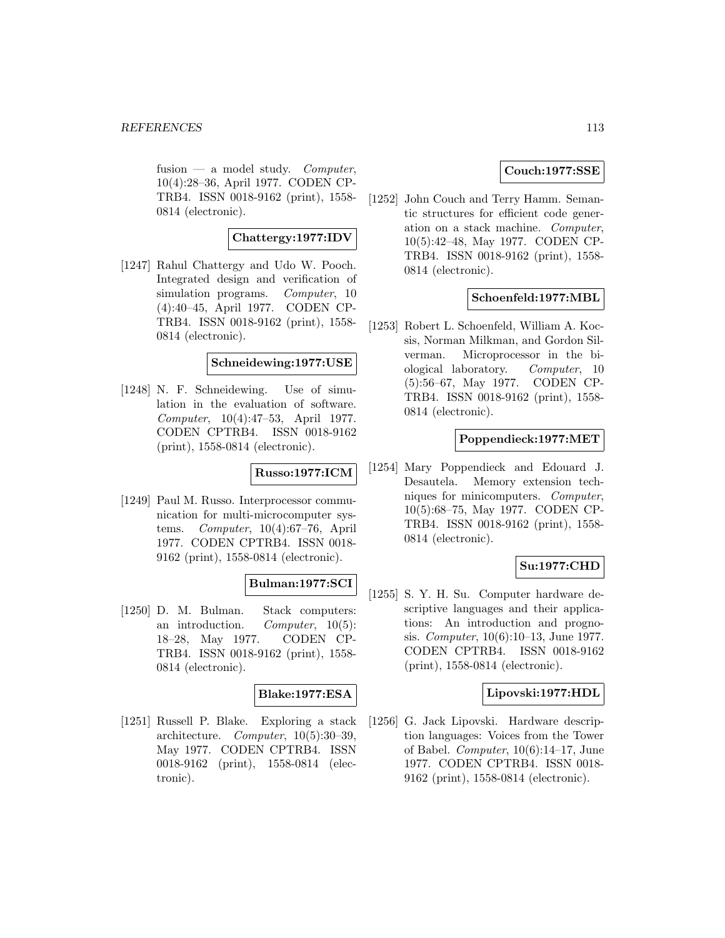fusion — a model study. Computer, 10(4):28–36, April 1977. CODEN CP-TRB4. ISSN 0018-9162 (print), 1558- 0814 (electronic).

## **Chattergy:1977:IDV**

[1247] Rahul Chattergy and Udo W. Pooch. Integrated design and verification of simulation programs. *Computer*, 10 (4):40–45, April 1977. CODEN CP-TRB4. ISSN 0018-9162 (print), 1558- 0814 (electronic).

### **Schneidewing:1977:USE**

[1248] N. F. Schneidewing. Use of simulation in the evaluation of software. Computer, 10(4):47–53, April 1977. CODEN CPTRB4. ISSN 0018-9162 (print), 1558-0814 (electronic).

# **Russo:1977:ICM**

[1249] Paul M. Russo. Interprocessor communication for multi-microcomputer systems. Computer, 10(4):67–76, April 1977. CODEN CPTRB4. ISSN 0018- 9162 (print), 1558-0814 (electronic).

### **Bulman:1977:SCI**

[1250] D. M. Bulman. Stack computers: an introduction. Computer,  $10(5)$ : 18–28, May 1977. CODEN CP-TRB4. ISSN 0018-9162 (print), 1558- 0814 (electronic).

### **Blake:1977:ESA**

[1251] Russell P. Blake. Exploring a stack architecture. Computer, 10(5):30–39, May 1977. CODEN CPTRB4. ISSN 0018-9162 (print), 1558-0814 (electronic).

# **Couch:1977:SSE**

[1252] John Couch and Terry Hamm. Semantic structures for efficient code generation on a stack machine. Computer, 10(5):42–48, May 1977. CODEN CP-TRB4. ISSN 0018-9162 (print), 1558- 0814 (electronic).

### **Schoenfeld:1977:MBL**

[1253] Robert L. Schoenfeld, William A. Kocsis, Norman Milkman, and Gordon Silverman. Microprocessor in the biological laboratory. Computer, 10 (5):56–67, May 1977. CODEN CP-TRB4. ISSN 0018-9162 (print), 1558- 0814 (electronic).

### **Poppendieck:1977:MET**

[1254] Mary Poppendieck and Edouard J. Desautela. Memory extension techniques for minicomputers. Computer, 10(5):68–75, May 1977. CODEN CP-TRB4. ISSN 0018-9162 (print), 1558- 0814 (electronic).

# **Su:1977:CHD**

[1255] S. Y. H. Su. Computer hardware descriptive languages and their applications: An introduction and prognosis. Computer, 10(6):10–13, June 1977. CODEN CPTRB4. ISSN 0018-9162 (print), 1558-0814 (electronic).

### **Lipovski:1977:HDL**

[1256] G. Jack Lipovski. Hardware description languages: Voices from the Tower of Babel. Computer, 10(6):14–17, June 1977. CODEN CPTRB4. ISSN 0018- 9162 (print), 1558-0814 (electronic).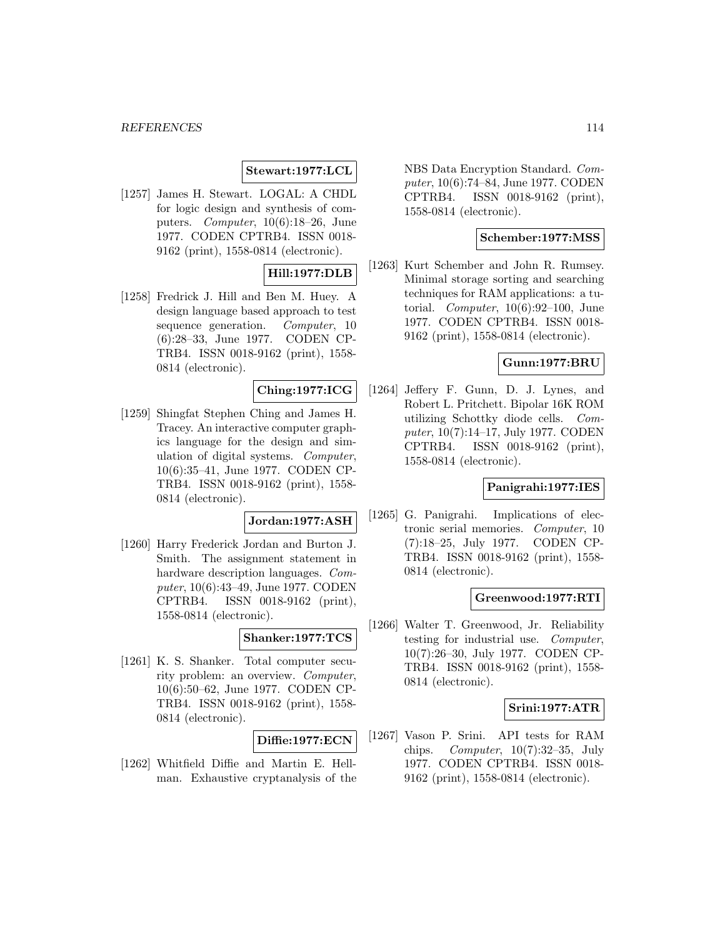# **Stewart:1977:LCL**

[1257] James H. Stewart. LOGAL: A CHDL for logic design and synthesis of computers. Computer, 10(6):18–26, June 1977. CODEN CPTRB4. ISSN 0018- 9162 (print), 1558-0814 (electronic).

# **Hill:1977:DLB**

[1258] Fredrick J. Hill and Ben M. Huey. A design language based approach to test sequence generation. *Computer*, 10 (6):28–33, June 1977. CODEN CP-TRB4. ISSN 0018-9162 (print), 1558- 0814 (electronic).

# **Ching:1977:ICG**

[1259] Shingfat Stephen Ching and James H. Tracey. An interactive computer graphics language for the design and simulation of digital systems. Computer, 10(6):35–41, June 1977. CODEN CP-TRB4. ISSN 0018-9162 (print), 1558- 0814 (electronic).

#### **Jordan:1977:ASH**

[1260] Harry Frederick Jordan and Burton J. Smith. The assignment statement in hardware description languages. Computer, 10(6):43–49, June 1977. CODEN CPTRB4. ISSN 0018-9162 (print), 1558-0814 (electronic).

# **Shanker:1977:TCS**

[1261] K. S. Shanker. Total computer security problem: an overview. Computer, 10(6):50–62, June 1977. CODEN CP-TRB4. ISSN 0018-9162 (print), 1558- 0814 (electronic).

### **Diffie:1977:ECN**

[1262] Whitfield Diffie and Martin E. Hellman. Exhaustive cryptanalysis of the NBS Data Encryption Standard. Computer, 10(6):74–84, June 1977. CODEN CPTRB4. ISSN 0018-9162 (print), 1558-0814 (electronic).

## **Schember:1977:MSS**

[1263] Kurt Schember and John R. Rumsey. Minimal storage sorting and searching techniques for RAM applications: a tutorial. *Computer*,  $10(6):92-100$ , June 1977. CODEN CPTRB4. ISSN 0018- 9162 (print), 1558-0814 (electronic).

### **Gunn:1977:BRU**

[1264] Jeffery F. Gunn, D. J. Lynes, and Robert L. Pritchett. Bipolar 16K ROM utilizing Schottky diode cells. Computer, 10(7):14–17, July 1977. CODEN CPTRB4. ISSN 0018-9162 (print), 1558-0814 (electronic).

### **Panigrahi:1977:IES**

[1265] G. Panigrahi. Implications of electronic serial memories. Computer, 10 (7):18–25, July 1977. CODEN CP-TRB4. ISSN 0018-9162 (print), 1558- 0814 (electronic).

### **Greenwood:1977:RTI**

[1266] Walter T. Greenwood, Jr. Reliability testing for industrial use. Computer, 10(7):26–30, July 1977. CODEN CP-TRB4. ISSN 0018-9162 (print), 1558- 0814 (electronic).

### **Srini:1977:ATR**

[1267] Vason P. Srini. API tests for RAM chips. Computer,  $10(7):32-35$ , July 1977. CODEN CPTRB4. ISSN 0018- 9162 (print), 1558-0814 (electronic).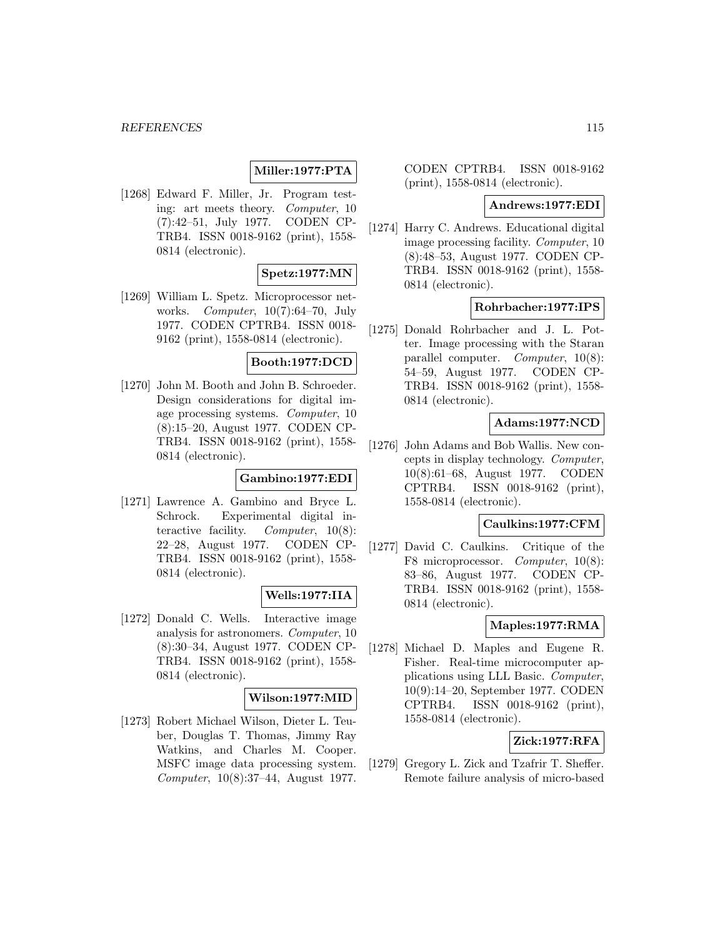# **Miller:1977:PTA**

[1268] Edward F. Miller, Jr. Program testing: art meets theory. Computer, 10 (7):42–51, July 1977. CODEN CP-TRB4. ISSN 0018-9162 (print), 1558- 0814 (electronic).

# **Spetz:1977:MN**

[1269] William L. Spetz. Microprocessor networks. Computer, 10(7):64–70, July 1977. CODEN CPTRB4. ISSN 0018- 9162 (print), 1558-0814 (electronic).

### **Booth:1977:DCD**

[1270] John M. Booth and John B. Schroeder. Design considerations for digital image processing systems. Computer, 10 (8):15–20, August 1977. CODEN CP-TRB4. ISSN 0018-9162 (print), 1558- 0814 (electronic).

### **Gambino:1977:EDI**

[1271] Lawrence A. Gambino and Bryce L. Schrock. Experimental digital interactive facility. Computer, 10(8): 22–28, August 1977. CODEN CP-TRB4. ISSN 0018-9162 (print), 1558- 0814 (electronic).

### **Wells:1977:IIA**

[1272] Donald C. Wells. Interactive image analysis for astronomers. Computer, 10 (8):30–34, August 1977. CODEN CP-TRB4. ISSN 0018-9162 (print), 1558- 0814 (electronic).

### **Wilson:1977:MID**

[1273] Robert Michael Wilson, Dieter L. Teuber, Douglas T. Thomas, Jimmy Ray Watkins, and Charles M. Cooper. MSFC image data processing system. Computer, 10(8):37–44, August 1977.

CODEN CPTRB4. ISSN 0018-9162 (print), 1558-0814 (electronic).

### **Andrews:1977:EDI**

[1274] Harry C. Andrews. Educational digital image processing facility. Computer, 10 (8):48–53, August 1977. CODEN CP-TRB4. ISSN 0018-9162 (print), 1558- 0814 (electronic).

# **Rohrbacher:1977:IPS**

[1275] Donald Rohrbacher and J. L. Potter. Image processing with the Staran parallel computer. Computer, 10(8): 54–59, August 1977. CODEN CP-TRB4. ISSN 0018-9162 (print), 1558- 0814 (electronic).

### **Adams:1977:NCD**

[1276] John Adams and Bob Wallis. New concepts in display technology. Computer, 10(8):61–68, August 1977. CODEN CPTRB4. ISSN 0018-9162 (print), 1558-0814 (electronic).

#### **Caulkins:1977:CFM**

[1277] David C. Caulkins. Critique of the F8 microprocessor. Computer, 10(8): 83–86, August 1977. CODEN CP-TRB4. ISSN 0018-9162 (print), 1558- 0814 (electronic).

# **Maples:1977:RMA**

[1278] Michael D. Maples and Eugene R. Fisher. Real-time microcomputer applications using LLL Basic. Computer, 10(9):14–20, September 1977. CODEN CPTRB4. ISSN 0018-9162 (print), 1558-0814 (electronic).

# **Zick:1977:RFA**

[1279] Gregory L. Zick and Tzafrir T. Sheffer. Remote failure analysis of micro-based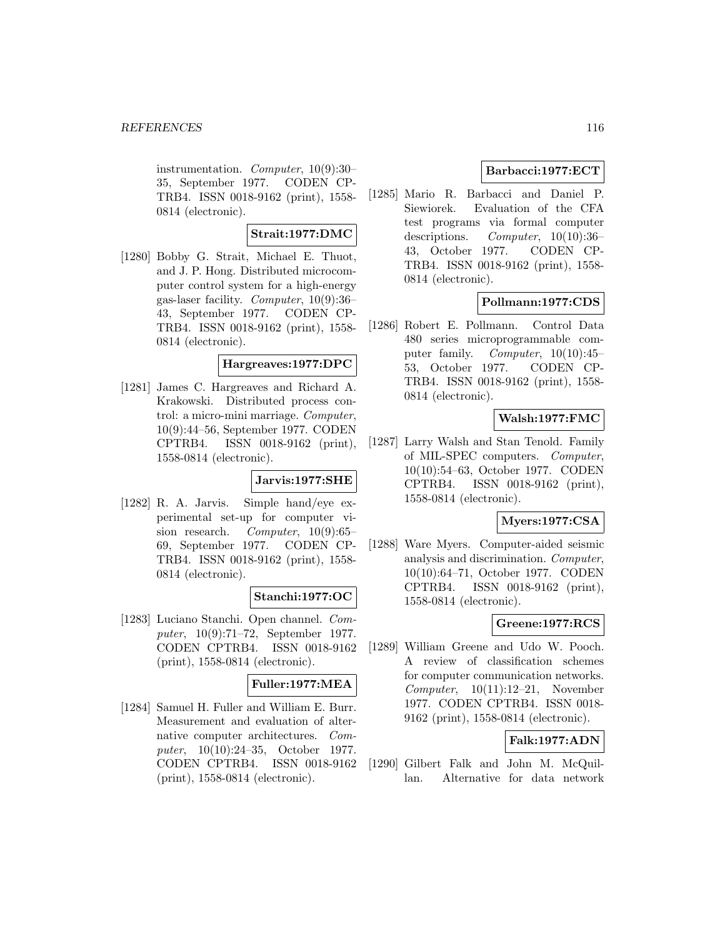instrumentation. Computer, 10(9):30– 35, September 1977. CODEN CP-TRB4. ISSN 0018-9162 (print), 1558- 0814 (electronic).

# **Strait:1977:DMC**

[1280] Bobby G. Strait, Michael E. Thuot, and J. P. Hong. Distributed microcomputer control system for a high-energy gas-laser facility. Computer, 10(9):36– 43, September 1977. CODEN CP-TRB4. ISSN 0018-9162 (print), 1558- 0814 (electronic).

# **Hargreaves:1977:DPC**

[1281] James C. Hargreaves and Richard A. Krakowski. Distributed process control: a micro-mini marriage. Computer, 10(9):44–56, September 1977. CODEN CPTRB4. ISSN 0018-9162 (print), 1558-0814 (electronic).

# **Jarvis:1977:SHE**

[1282] R. A. Jarvis. Simple hand/eye experimental set-up for computer vision research. Computer, 10(9):65– 69, September 1977. CODEN CP-TRB4. ISSN 0018-9162 (print), 1558- 0814 (electronic).

# **Stanchi:1977:OC**

[1283] Luciano Stanchi. Open channel. Computer, 10(9):71–72, September 1977. CODEN CPTRB4. ISSN 0018-9162 (print), 1558-0814 (electronic).

# **Fuller:1977:MEA**

[1284] Samuel H. Fuller and William E. Burr. Measurement and evaluation of alternative computer architectures. Computer, 10(10):24–35, October 1977. CODEN CPTRB4. ISSN 0018-9162 (print), 1558-0814 (electronic).

# **Barbacci:1977:ECT**

[1285] Mario R. Barbacci and Daniel P. Siewiorek. Evaluation of the CFA test programs via formal computer descriptions. Computer,  $10(10):36-$ 43, October 1977. CODEN CP-TRB4. ISSN 0018-9162 (print), 1558- 0814 (electronic).

# **Pollmann:1977:CDS**

[1286] Robert E. Pollmann. Control Data 480 series microprogrammable computer family. Computer, 10(10):45– 53, October 1977. CODEN CP-TRB4. ISSN 0018-9162 (print), 1558- 0814 (electronic).

# **Walsh:1977:FMC**

[1287] Larry Walsh and Stan Tenold. Family of MIL-SPEC computers. Computer, 10(10):54–63, October 1977. CODEN CPTRB4. ISSN 0018-9162 (print), 1558-0814 (electronic).

### **Myers:1977:CSA**

[1288] Ware Myers. Computer-aided seismic analysis and discrimination. Computer, 10(10):64–71, October 1977. CODEN CPTRB4. ISSN 0018-9162 (print), 1558-0814 (electronic).

# **Greene:1977:RCS**

[1289] William Greene and Udo W. Pooch. A review of classification schemes for computer communication networks.  $Computer, 10(11):12-21, November$ 1977. CODEN CPTRB4. ISSN 0018- 9162 (print), 1558-0814 (electronic).

# **Falk:1977:ADN**

[1290] Gilbert Falk and John M. McQuillan. Alternative for data network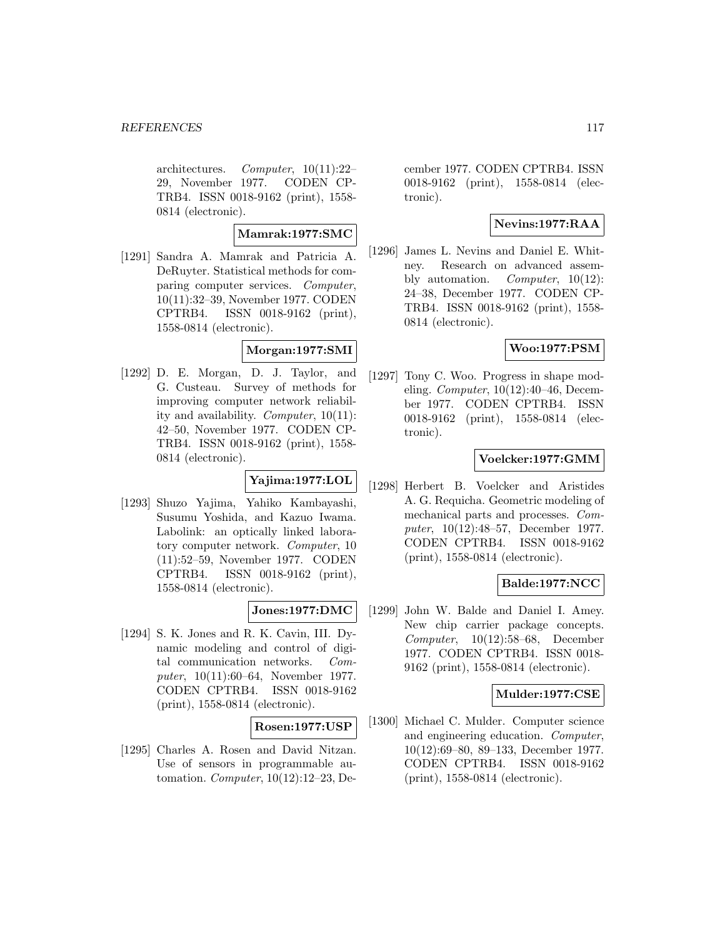architectures. Computer,  $10(11):22-$ 29, November 1977. CODEN CP-TRB4. ISSN 0018-9162 (print), 1558- 0814 (electronic).

### **Mamrak:1977:SMC**

[1291] Sandra A. Mamrak and Patricia A. DeRuyter. Statistical methods for comparing computer services. Computer, 10(11):32–39, November 1977. CODEN CPTRB4. ISSN 0018-9162 (print), 1558-0814 (electronic).

# **Morgan:1977:SMI**

[1292] D. E. Morgan, D. J. Taylor, and G. Custeau. Survey of methods for improving computer network reliability and availability. Computer, 10(11): 42–50, November 1977. CODEN CP-TRB4. ISSN 0018-9162 (print), 1558- 0814 (electronic).

## **Yajima:1977:LOL**

[1293] Shuzo Yajima, Yahiko Kambayashi, Susumu Yoshida, and Kazuo Iwama. Labolink: an optically linked laboratory computer network. Computer, 10 (11):52–59, November 1977. CODEN CPTRB4. ISSN 0018-9162 (print), 1558-0814 (electronic).

### **Jones:1977:DMC**

[1294] S. K. Jones and R. K. Cavin, III. Dynamic modeling and control of digital communication networks. Computer, 10(11):60–64, November 1977. CODEN CPTRB4. ISSN 0018-9162 (print), 1558-0814 (electronic).

### **Rosen:1977:USP**

[1295] Charles A. Rosen and David Nitzan. Use of sensors in programmable automation. Computer, 10(12):12–23, De-

cember 1977. CODEN CPTRB4. ISSN 0018-9162 (print), 1558-0814 (electronic).

# **Nevins:1977:RAA**

[1296] James L. Nevins and Daniel E. Whitney. Research on advanced assembly automation. Computer, 10(12): 24–38, December 1977. CODEN CP-TRB4. ISSN 0018-9162 (print), 1558- 0814 (electronic).

# **Woo:1977:PSM**

[1297] Tony C. Woo. Progress in shape modeling. Computer, 10(12):40–46, December 1977. CODEN CPTRB4. ISSN 0018-9162 (print), 1558-0814 (electronic).

### **Voelcker:1977:GMM**

[1298] Herbert B. Voelcker and Aristides A. G. Requicha. Geometric modeling of mechanical parts and processes. Computer, 10(12):48–57, December 1977. CODEN CPTRB4. ISSN 0018-9162 (print), 1558-0814 (electronic).

#### **Balde:1977:NCC**

[1299] John W. Balde and Daniel I. Amey. New chip carrier package concepts. Computer, 10(12):58–68, December 1977. CODEN CPTRB4. ISSN 0018- 9162 (print), 1558-0814 (electronic).

### **Mulder:1977:CSE**

[1300] Michael C. Mulder. Computer science and engineering education. Computer, 10(12):69–80, 89–133, December 1977. CODEN CPTRB4. ISSN 0018-9162 (print), 1558-0814 (electronic).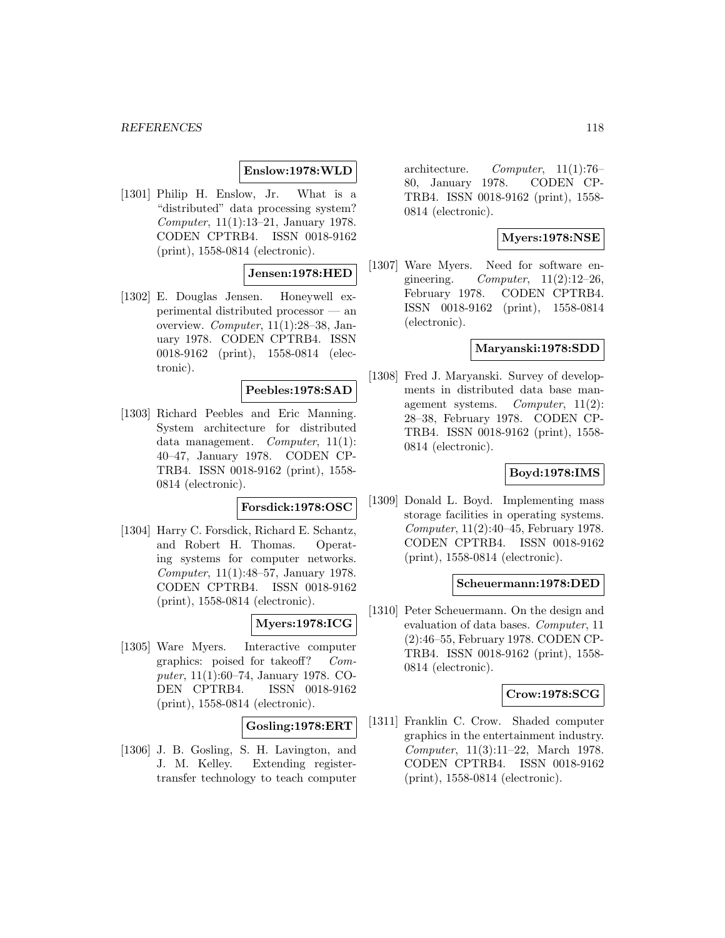#### *REFERENCES* 118

### **Enslow:1978:WLD**

[1301] Philip H. Enslow, Jr. What is a "distributed" data processing system? Computer, 11(1):13–21, January 1978. CODEN CPTRB4. ISSN 0018-9162 (print), 1558-0814 (electronic).

### **Jensen:1978:HED**

[1302] E. Douglas Jensen. Honeywell experimental distributed processor — an overview. Computer, 11(1):28–38, January 1978. CODEN CPTRB4. ISSN 0018-9162 (print), 1558-0814 (electronic).

## **Peebles:1978:SAD**

[1303] Richard Peebles and Eric Manning. System architecture for distributed data management. Computer, 11(1): 40–47, January 1978. CODEN CP-TRB4. ISSN 0018-9162 (print), 1558- 0814 (electronic).

# **Forsdick:1978:OSC**

[1304] Harry C. Forsdick, Richard E. Schantz, and Robert H. Thomas. Operating systems for computer networks. Computer, 11(1):48–57, January 1978. CODEN CPTRB4. ISSN 0018-9162 (print), 1558-0814 (electronic).

### **Myers:1978:ICG**

[1305] Ware Myers. Interactive computer graphics: poised for takeoff? Computer, 11(1):60–74, January 1978. CO-DEN CPTRB4. ISSN 0018-9162 (print), 1558-0814 (electronic).

### **Gosling:1978:ERT**

[1306] J. B. Gosling, S. H. Lavington, and J. M. Kelley. Extending registertransfer technology to teach computer

architecture. Computer, 11(1):76– 80, January 1978. CODEN CP-TRB4. ISSN 0018-9162 (print), 1558- 0814 (electronic).

### **Myers:1978:NSE**

[1307] Ware Myers. Need for software engineering.  $Computer, 11(2):12-26,$ February 1978. CODEN CPTRB4. ISSN 0018-9162 (print), 1558-0814 (electronic).

### **Maryanski:1978:SDD**

[1308] Fred J. Maryanski. Survey of developments in distributed data base management systems. Computer, 11(2): 28–38, February 1978. CODEN CP-TRB4. ISSN 0018-9162 (print), 1558- 0814 (electronic).

# **Boyd:1978:IMS**

[1309] Donald L. Boyd. Implementing mass storage facilities in operating systems. Computer, 11(2):40–45, February 1978. CODEN CPTRB4. ISSN 0018-9162 (print), 1558-0814 (electronic).

#### **Scheuermann:1978:DED**

[1310] Peter Scheuermann. On the design and evaluation of data bases. Computer, 11 (2):46–55, February 1978. CODEN CP-TRB4. ISSN 0018-9162 (print), 1558- 0814 (electronic).

### **Crow:1978:SCG**

[1311] Franklin C. Crow. Shaded computer graphics in the entertainment industry. Computer, 11(3):11–22, March 1978. CODEN CPTRB4. ISSN 0018-9162 (print), 1558-0814 (electronic).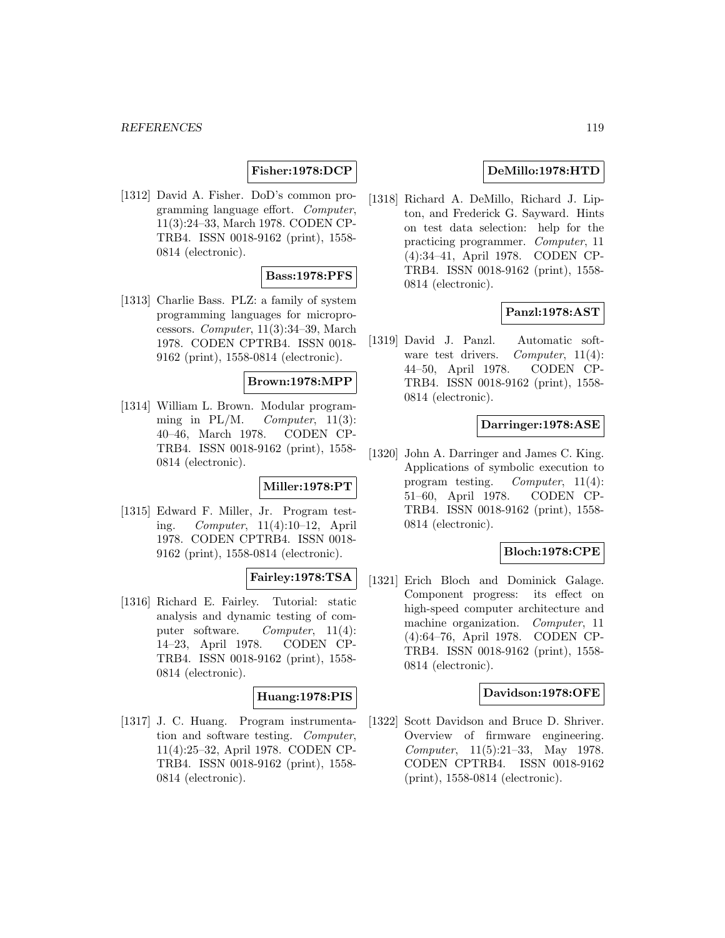# **Fisher:1978:DCP**

[1312] David A. Fisher. DoD's common programming language effort. Computer, 11(3):24–33, March 1978. CODEN CP-TRB4. ISSN 0018-9162 (print), 1558- 0814 (electronic).

### **Bass:1978:PFS**

[1313] Charlie Bass. PLZ: a family of system programming languages for microprocessors. Computer, 11(3):34–39, March 1978. CODEN CPTRB4. ISSN 0018- 9162 (print), 1558-0814 (electronic).

#### **Brown:1978:MPP**

[1314] William L. Brown. Modular programming in PL/M. Computer,  $11(3)$ : 40–46, March 1978. CODEN CP-TRB4. ISSN 0018-9162 (print), 1558- 0814 (electronic).

# **Miller:1978:PT**

[1315] Edward F. Miller, Jr. Program testing. Computer, 11(4):10–12, April 1978. CODEN CPTRB4. ISSN 0018- 9162 (print), 1558-0814 (electronic).

# **Fairley:1978:TSA**

[1316] Richard E. Fairley. Tutorial: static analysis and dynamic testing of computer software. Computer, 11(4): 14–23, April 1978. CODEN CP-TRB4. ISSN 0018-9162 (print), 1558- 0814 (electronic).

# **Huang:1978:PIS**

[1317] J. C. Huang. Program instrumentation and software testing. Computer, 11(4):25–32, April 1978. CODEN CP-TRB4. ISSN 0018-9162 (print), 1558- 0814 (electronic).

# **DeMillo:1978:HTD**

[1318] Richard A. DeMillo, Richard J. Lipton, and Frederick G. Sayward. Hints on test data selection: help for the practicing programmer. Computer, 11 (4):34–41, April 1978. CODEN CP-TRB4. ISSN 0018-9162 (print), 1558- 0814 (electronic).

# **Panzl:1978:AST**

[1319] David J. Panzl. Automatic software test drivers. *Computer*, 11(4): 44–50, April 1978. CODEN CP-TRB4. ISSN 0018-9162 (print), 1558- 0814 (electronic).

### **Darringer:1978:ASE**

[1320] John A. Darringer and James C. King. Applications of symbolic execution to program testing. Computer, 11(4): 51–60, April 1978. CODEN CP-TRB4. ISSN 0018-9162 (print), 1558- 0814 (electronic).

### **Bloch:1978:CPE**

[1321] Erich Bloch and Dominick Galage. Component progress: its effect on high-speed computer architecture and machine organization. Computer, 11 (4):64–76, April 1978. CODEN CP-TRB4. ISSN 0018-9162 (print), 1558- 0814 (electronic).

#### **Davidson:1978:OFE**

[1322] Scott Davidson and Bruce D. Shriver. Overview of firmware engineering. Computer, 11(5):21–33, May 1978. CODEN CPTRB4. ISSN 0018-9162 (print), 1558-0814 (electronic).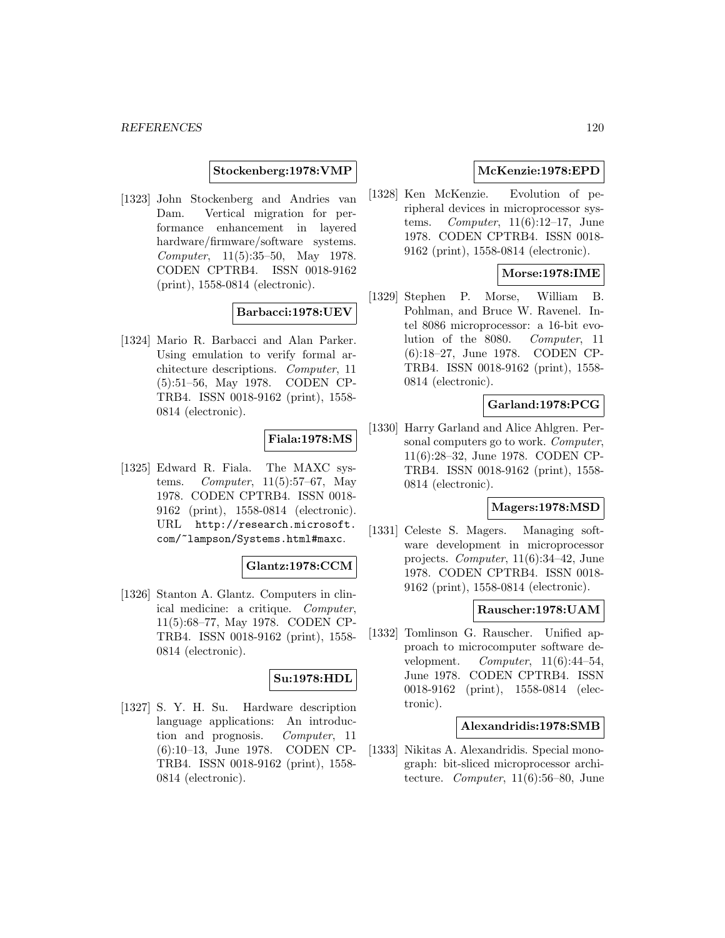### **Stockenberg:1978:VMP**

[1323] John Stockenberg and Andries van Dam. Vertical migration for performance enhancement in layered hardware/firmware/software systems. Computer, 11(5):35–50, May 1978. CODEN CPTRB4. ISSN 0018-9162 (print), 1558-0814 (electronic).

### **Barbacci:1978:UEV**

[1324] Mario R. Barbacci and Alan Parker. Using emulation to verify formal architecture descriptions. Computer, 11 (5):51–56, May 1978. CODEN CP-TRB4. ISSN 0018-9162 (print), 1558- 0814 (electronic).

# **Fiala:1978:MS**

[1325] Edward R. Fiala. The MAXC systems. Computer, 11(5):57–67, May 1978. CODEN CPTRB4. ISSN 0018- 9162 (print), 1558-0814 (electronic). URL http://research.microsoft. com/~lampson/Systems.html#maxc.

# **Glantz:1978:CCM**

[1326] Stanton A. Glantz. Computers in clinical medicine: a critique. Computer, 11(5):68–77, May 1978. CODEN CP-TRB4. ISSN 0018-9162 (print), 1558- 0814 (electronic).

### **Su:1978:HDL**

[1327] S. Y. H. Su. Hardware description language applications: An introduction and prognosis. Computer, 11 (6):10–13, June 1978. CODEN CP-TRB4. ISSN 0018-9162 (print), 1558- 0814 (electronic).

# **McKenzie:1978:EPD**

[1328] Ken McKenzie. Evolution of peripheral devices in microprocessor systems. Computer,  $11(6):12-17$ , June 1978. CODEN CPTRB4. ISSN 0018- 9162 (print), 1558-0814 (electronic).

## **Morse:1978:IME**

[1329] Stephen P. Morse, William B. Pohlman, and Bruce W. Ravenel. Intel 8086 microprocessor: a 16-bit evolution of the 8080. Computer, 11 (6):18–27, June 1978. CODEN CP-TRB4. ISSN 0018-9162 (print), 1558- 0814 (electronic).

### **Garland:1978:PCG**

[1330] Harry Garland and Alice Ahlgren. Personal computers go to work. Computer, 11(6):28–32, June 1978. CODEN CP-TRB4. ISSN 0018-9162 (print), 1558- 0814 (electronic).

### **Magers:1978:MSD**

[1331] Celeste S. Magers. Managing software development in microprocessor projects. Computer, 11(6):34–42, June 1978. CODEN CPTRB4. ISSN 0018- 9162 (print), 1558-0814 (electronic).

### **Rauscher:1978:UAM**

[1332] Tomlinson G. Rauscher. Unified approach to microcomputer software development.  $Computer, 11(6):44-54,$ June 1978. CODEN CPTRB4. ISSN 0018-9162 (print), 1558-0814 (electronic).

### **Alexandridis:1978:SMB**

[1333] Nikitas A. Alexandridis. Special monograph: bit-sliced microprocessor architecture. Computer, 11(6):56–80, June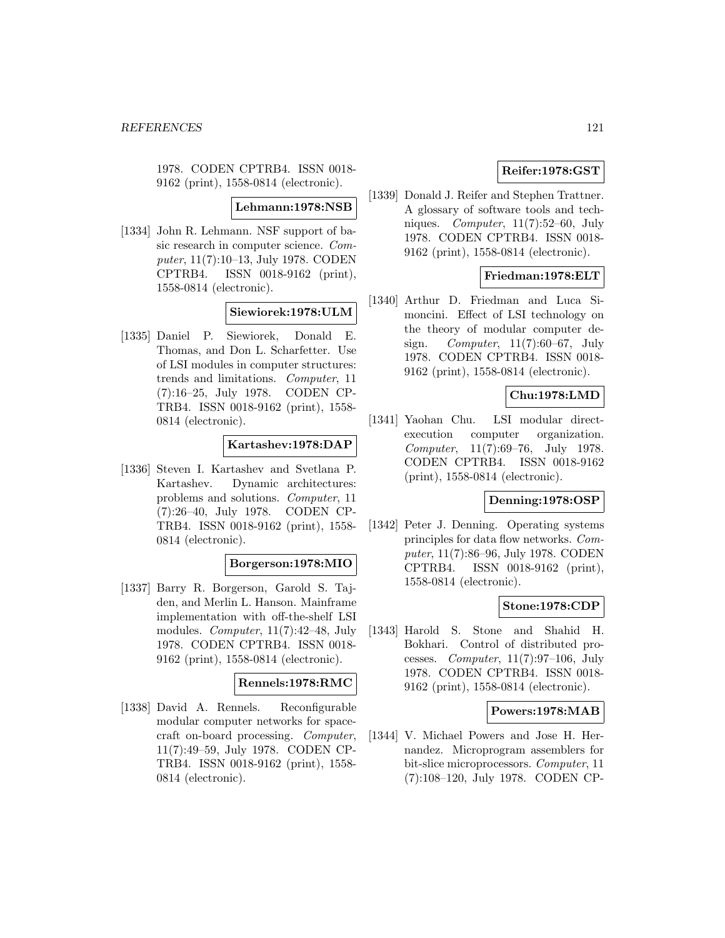1978. CODEN CPTRB4. ISSN 0018- 9162 (print), 1558-0814 (electronic).

### **Lehmann:1978:NSB**

[1334] John R. Lehmann. NSF support of basic research in computer science. Computer, 11(7):10–13, July 1978. CODEN CPTRB4. ISSN 0018-9162 (print), 1558-0814 (electronic).

### **Siewiorek:1978:ULM**

[1335] Daniel P. Siewiorek, Donald E. Thomas, and Don L. Scharfetter. Use of LSI modules in computer structures: trends and limitations. Computer, 11 (7):16–25, July 1978. CODEN CP-TRB4. ISSN 0018-9162 (print), 1558- 0814 (electronic).

### **Kartashev:1978:DAP**

[1336] Steven I. Kartashev and Svetlana P. Kartashev. Dynamic architectures: problems and solutions. Computer, 11 (7):26–40, July 1978. CODEN CP-TRB4. ISSN 0018-9162 (print), 1558- 0814 (electronic).

# **Borgerson:1978:MIO**

[1337] Barry R. Borgerson, Garold S. Tajden, and Merlin L. Hanson. Mainframe implementation with off-the-shelf LSI modules. Computer, 11(7):42–48, July 1978. CODEN CPTRB4. ISSN 0018- 9162 (print), 1558-0814 (electronic).

# **Rennels:1978:RMC**

[1338] David A. Rennels. Reconfigurable modular computer networks for spacecraft on-board processing. Computer, 11(7):49–59, July 1978. CODEN CP-TRB4. ISSN 0018-9162 (print), 1558- 0814 (electronic).

# **Reifer:1978:GST**

[1339] Donald J. Reifer and Stephen Trattner. A glossary of software tools and techniques. Computer, 11(7):52–60, July 1978. CODEN CPTRB4. ISSN 0018- 9162 (print), 1558-0814 (electronic).

### **Friedman:1978:ELT**

[1340] Arthur D. Friedman and Luca Simoncini. Effect of LSI technology on the theory of modular computer design. Computer, 11(7):60–67, July 1978. CODEN CPTRB4. ISSN 0018- 9162 (print), 1558-0814 (electronic).

# **Chu:1978:LMD**

[1341] Yaohan Chu. LSI modular directexecution computer organization. Computer, 11(7):69–76, July 1978. CODEN CPTRB4. ISSN 0018-9162 (print), 1558-0814 (electronic).

# **Denning:1978:OSP**

[1342] Peter J. Denning. Operating systems principles for data flow networks. Computer, 11(7):86–96, July 1978. CODEN CPTRB4. ISSN 0018-9162 (print), 1558-0814 (electronic).

### **Stone:1978:CDP**

[1343] Harold S. Stone and Shahid H. Bokhari. Control of distributed processes. Computer,  $11(7):97-106$ , July 1978. CODEN CPTRB4. ISSN 0018- 9162 (print), 1558-0814 (electronic).

### **Powers:1978:MAB**

[1344] V. Michael Powers and Jose H. Hernandez. Microprogram assemblers for bit-slice microprocessors. Computer, 11 (7):108–120, July 1978. CODEN CP-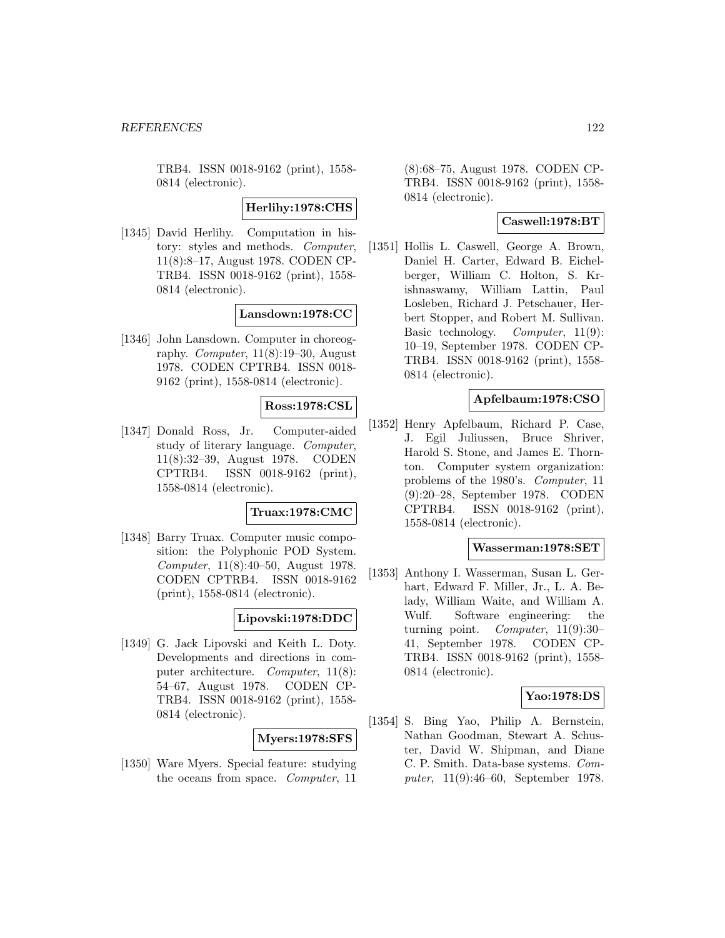TRB4. ISSN 0018-9162 (print), 1558- 0814 (electronic).

**Herlihy:1978:CHS**

[1345] David Herlihy. Computation in history: styles and methods. Computer, 11(8):8–17, August 1978. CODEN CP-TRB4. ISSN 0018-9162 (print), 1558- 0814 (electronic).

### **Lansdown:1978:CC**

[1346] John Lansdown. Computer in choreography. Computer,  $11(8):19-30$ , August 1978. CODEN CPTRB4. ISSN 0018- 9162 (print), 1558-0814 (electronic).

### **Ross:1978:CSL**

[1347] Donald Ross, Jr. Computer-aided study of literary language. Computer, 11(8):32–39, August 1978. CODEN CPTRB4. ISSN 0018-9162 (print), 1558-0814 (electronic).

### **Truax:1978:CMC**

[1348] Barry Truax. Computer music composition: the Polyphonic POD System. Computer, 11(8):40–50, August 1978. CODEN CPTRB4. ISSN 0018-9162 (print), 1558-0814 (electronic).

# **Lipovski:1978:DDC**

[1349] G. Jack Lipovski and Keith L. Doty. Developments and directions in computer architecture. Computer, 11(8): 54–67, August 1978. CODEN CP-TRB4. ISSN 0018-9162 (print), 1558- 0814 (electronic).

## **Myers:1978:SFS**

[1350] Ware Myers. Special feature: studying the oceans from space. Computer, 11

(8):68–75, August 1978. CODEN CP-TRB4. ISSN 0018-9162 (print), 1558- 0814 (electronic).

## **Caswell:1978:BT**

[1351] Hollis L. Caswell, George A. Brown, Daniel H. Carter, Edward B. Eichelberger, William C. Holton, S. Krishnaswamy, William Lattin, Paul Losleben, Richard J. Petschauer, Herbert Stopper, and Robert M. Sullivan. Basic technology. Computer, 11(9): 10–19, September 1978. CODEN CP-TRB4. ISSN 0018-9162 (print), 1558- 0814 (electronic).

### **Apfelbaum:1978:CSO**

[1352] Henry Apfelbaum, Richard P. Case, J. Egil Juliussen, Bruce Shriver, Harold S. Stone, and James E. Thornton. Computer system organization: problems of the 1980's. Computer, 11 (9):20–28, September 1978. CODEN CPTRB4. ISSN 0018-9162 (print), 1558-0814 (electronic).

### **Wasserman:1978:SET**

[1353] Anthony I. Wasserman, Susan L. Gerhart, Edward F. Miller, Jr., L. A. Belady, William Waite, and William A. Wulf. Software engineering: the turning point. Computer, 11(9):30– 41, September 1978. CODEN CP-TRB4. ISSN 0018-9162 (print), 1558- 0814 (electronic).

#### **Yao:1978:DS**

[1354] S. Bing Yao, Philip A. Bernstein, Nathan Goodman, Stewart A. Schuster, David W. Shipman, and Diane C. P. Smith. Data-base systems. Computer, 11(9):46–60, September 1978.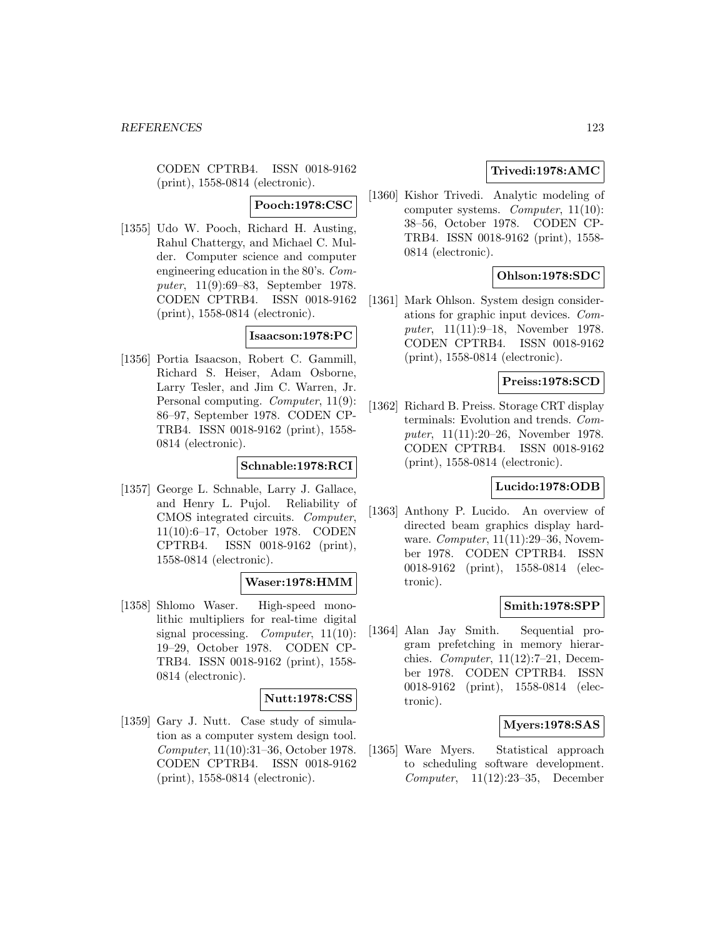CODEN CPTRB4. ISSN 0018-9162 (print), 1558-0814 (electronic).

# **Pooch:1978:CSC**

[1355] Udo W. Pooch, Richard H. Austing, Rahul Chattergy, and Michael C. Mulder. Computer science and computer engineering education in the 80's. Computer, 11(9):69–83, September 1978. CODEN CPTRB4. ISSN 0018-9162 (print), 1558-0814 (electronic).

# **Isaacson:1978:PC**

[1356] Portia Isaacson, Robert C. Gammill, Richard S. Heiser, Adam Osborne, Larry Tesler, and Jim C. Warren, Jr. Personal computing. Computer, 11(9): 86–97, September 1978. CODEN CP-TRB4. ISSN 0018-9162 (print), 1558- 0814 (electronic).

### **Schnable:1978:RCI**

[1357] George L. Schnable, Larry J. Gallace, and Henry L. Pujol. Reliability of CMOS integrated circuits. Computer, 11(10):6–17, October 1978. CODEN CPTRB4. ISSN 0018-9162 (print), 1558-0814 (electronic).

#### **Waser:1978:HMM**

[1358] Shlomo Waser. High-speed monolithic multipliers for real-time digital signal processing. *Computer*, 11(10): 19–29, October 1978. CODEN CP-TRB4. ISSN 0018-9162 (print), 1558- 0814 (electronic).

#### **Nutt:1978:CSS**

[1359] Gary J. Nutt. Case study of simulation as a computer system design tool. Computer, 11(10):31–36, October 1978. CODEN CPTRB4. ISSN 0018-9162 (print), 1558-0814 (electronic).

# **Trivedi:1978:AMC**

[1360] Kishor Trivedi. Analytic modeling of computer systems. Computer, 11(10): 38–56, October 1978. CODEN CP-TRB4. ISSN 0018-9162 (print), 1558- 0814 (electronic).

# **Ohlson:1978:SDC**

[1361] Mark Ohlson. System design considerations for graphic input devices. Computer, 11(11):9–18, November 1978. CODEN CPTRB4. ISSN 0018-9162 (print), 1558-0814 (electronic).

### **Preiss:1978:SCD**

[1362] Richard B. Preiss. Storage CRT display terminals: Evolution and trends. Computer, 11(11):20–26, November 1978. CODEN CPTRB4. ISSN 0018-9162 (print), 1558-0814 (electronic).

### **Lucido:1978:ODB**

[1363] Anthony P. Lucido. An overview of directed beam graphics display hardware. *Computer*, 11(11):29–36, November 1978. CODEN CPTRB4. ISSN 0018-9162 (print), 1558-0814 (electronic).

### **Smith:1978:SPP**

[1364] Alan Jay Smith. Sequential program prefetching in memory hierarchies. *Computer*,  $11(12):7-21$ , December 1978. CODEN CPTRB4. ISSN 0018-9162 (print), 1558-0814 (electronic).

### **Myers:1978:SAS**

[1365] Ware Myers. Statistical approach to scheduling software development. Computer, 11(12):23–35, December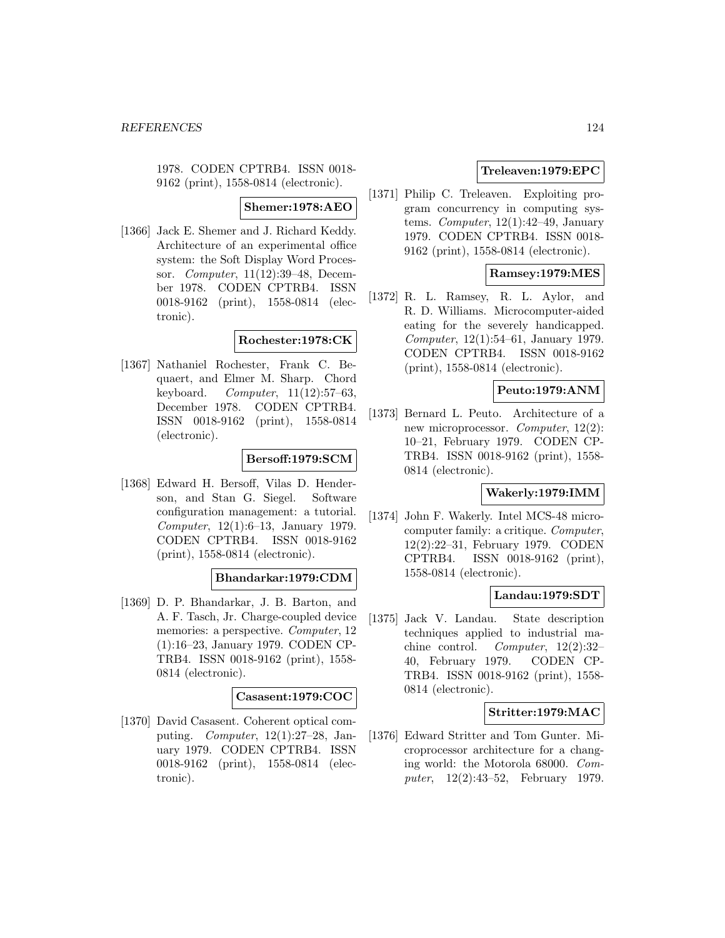1978. CODEN CPTRB4. ISSN 0018- 9162 (print), 1558-0814 (electronic).

### **Shemer:1978:AEO**

[1366] Jack E. Shemer and J. Richard Keddy. Architecture of an experimental office system: the Soft Display Word Processor. Computer, 11(12):39–48, December 1978. CODEN CPTRB4. ISSN 0018-9162 (print), 1558-0814 (electronic).

## **Rochester:1978:CK**

[1367] Nathaniel Rochester, Frank C. Bequaert, and Elmer M. Sharp. Chord keyboard. Computer,  $11(12):57-63$ , December 1978. CODEN CPTRB4. ISSN 0018-9162 (print), 1558-0814 (electronic).

# **Bersoff:1979:SCM**

[1368] Edward H. Bersoff, Vilas D. Henderson, and Stan G. Siegel. Software configuration management: a tutorial. Computer, 12(1):6–13, January 1979. CODEN CPTRB4. ISSN 0018-9162 (print), 1558-0814 (electronic).

#### **Bhandarkar:1979:CDM**

[1369] D. P. Bhandarkar, J. B. Barton, and A. F. Tasch, Jr. Charge-coupled device memories: a perspective. Computer, 12 (1):16–23, January 1979. CODEN CP-TRB4. ISSN 0018-9162 (print), 1558- 0814 (electronic).

#### **Casasent:1979:COC**

[1370] David Casasent. Coherent optical computing. Computer, 12(1):27–28, January 1979. CODEN CPTRB4. ISSN 0018-9162 (print), 1558-0814 (electronic).

# **Treleaven:1979:EPC**

[1371] Philip C. Treleaven. Exploiting program concurrency in computing systems. Computer,  $12(1):42-49$ , January 1979. CODEN CPTRB4. ISSN 0018- 9162 (print), 1558-0814 (electronic).

### **Ramsey:1979:MES**

[1372] R. L. Ramsey, R. L. Aylor, and R. D. Williams. Microcomputer-aided eating for the severely handicapped. Computer, 12(1):54–61, January 1979. CODEN CPTRB4. ISSN 0018-9162 (print), 1558-0814 (electronic).

## **Peuto:1979:ANM**

[1373] Bernard L. Peuto. Architecture of a new microprocessor. Computer, 12(2): 10–21, February 1979. CODEN CP-TRB4. ISSN 0018-9162 (print), 1558- 0814 (electronic).

### **Wakerly:1979:IMM**

[1374] John F. Wakerly. Intel MCS-48 microcomputer family: a critique. Computer, 12(2):22–31, February 1979. CODEN CPTRB4. ISSN 0018-9162 (print), 1558-0814 (electronic).

### **Landau:1979:SDT**

[1375] Jack V. Landau. State description techniques applied to industrial machine control. Computer, 12(2):32– 40, February 1979. CODEN CP-TRB4. ISSN 0018-9162 (print), 1558- 0814 (electronic).

#### **Stritter:1979:MAC**

[1376] Edward Stritter and Tom Gunter. Microprocessor architecture for a changing world: the Motorola 68000. Computer, 12(2):43–52, February 1979.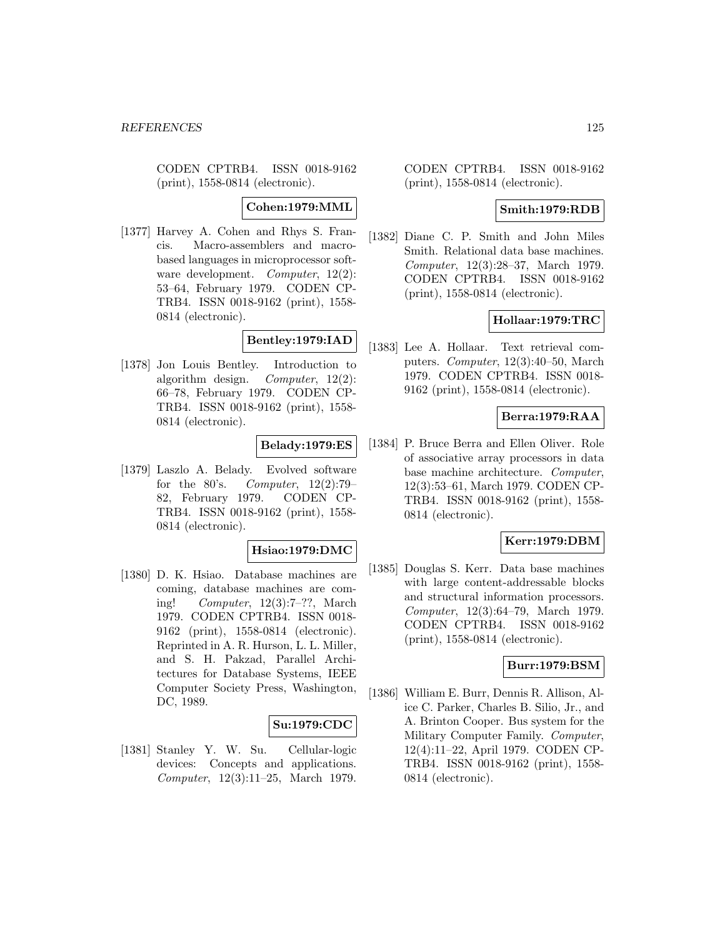CODEN CPTRB4. ISSN 0018-9162 (print), 1558-0814 (electronic).

**Cohen:1979:MML**

[1377] Harvey A. Cohen and Rhys S. Francis. Macro-assemblers and macrobased languages in microprocessor software development. *Computer*, 12(2): 53–64, February 1979. CODEN CP-TRB4. ISSN 0018-9162 (print), 1558- 0814 (electronic).

# **Bentley:1979:IAD**

[1378] Jon Louis Bentley. Introduction to algorithm design. Computer, 12(2): 66–78, February 1979. CODEN CP-TRB4. ISSN 0018-9162 (print), 1558- 0814 (electronic).

# **Belady:1979:ES**

[1379] Laszlo A. Belady. Evolved software for the  $80's.$  Computer,  $12(2):79-$ 82, February 1979. CODEN CP-TRB4. ISSN 0018-9162 (print), 1558- 0814 (electronic).

### **Hsiao:1979:DMC**

[1380] D. K. Hsiao. Database machines are coming, database machines are coming! Computer, 12(3):7–??, March 1979. CODEN CPTRB4. ISSN 0018- 9162 (print), 1558-0814 (electronic). Reprinted in A. R. Hurson, L. L. Miller, and S. H. Pakzad, Parallel Architectures for Database Systems, IEEE Computer Society Press, Washington, DC, 1989.

#### **Su:1979:CDC**

[1381] Stanley Y. W. Su. Cellular-logic devices: Concepts and applications. Computer, 12(3):11–25, March 1979.

CODEN CPTRB4. ISSN 0018-9162 (print), 1558-0814 (electronic).

### **Smith:1979:RDB**

[1382] Diane C. P. Smith and John Miles Smith. Relational data base machines. Computer, 12(3):28–37, March 1979. CODEN CPTRB4. ISSN 0018-9162 (print), 1558-0814 (electronic).

### **Hollaar:1979:TRC**

[1383] Lee A. Hollaar. Text retrieval computers. Computer, 12(3):40–50, March 1979. CODEN CPTRB4. ISSN 0018- 9162 (print), 1558-0814 (electronic).

# **Berra:1979:RAA**

[1384] P. Bruce Berra and Ellen Oliver. Role of associative array processors in data base machine architecture. Computer, 12(3):53–61, March 1979. CODEN CP-TRB4. ISSN 0018-9162 (print), 1558- 0814 (electronic).

### **Kerr:1979:DBM**

[1385] Douglas S. Kerr. Data base machines with large content-addressable blocks and structural information processors. Computer, 12(3):64–79, March 1979. CODEN CPTRB4. ISSN 0018-9162 (print), 1558-0814 (electronic).

### **Burr:1979:BSM**

[1386] William E. Burr, Dennis R. Allison, Alice C. Parker, Charles B. Silio, Jr., and A. Brinton Cooper. Bus system for the Military Computer Family. Computer, 12(4):11–22, April 1979. CODEN CP-TRB4. ISSN 0018-9162 (print), 1558- 0814 (electronic).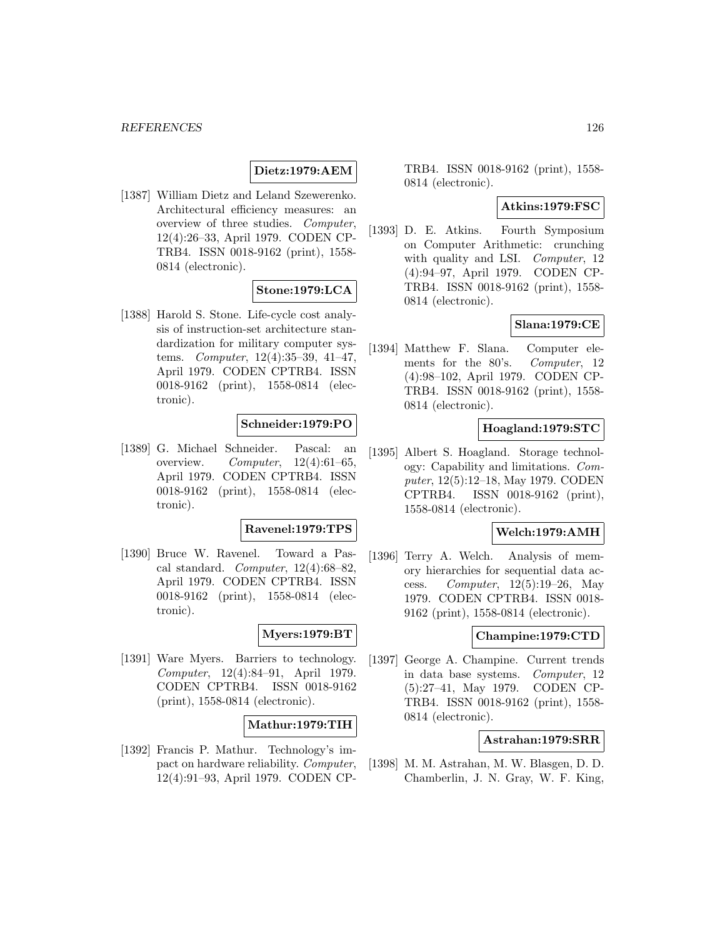# **Dietz:1979:AEM**

[1387] William Dietz and Leland Szewerenko. Architectural efficiency measures: an overview of three studies. Computer, 12(4):26–33, April 1979. CODEN CP-TRB4. ISSN 0018-9162 (print), 1558- 0814 (electronic).

### **Stone:1979:LCA**

[1388] Harold S. Stone. Life-cycle cost analysis of instruction-set architecture standardization for military computer systems. Computer, 12(4):35–39, 41–47, April 1979. CODEN CPTRB4. ISSN 0018-9162 (print), 1558-0814 (electronic).

# **Schneider:1979:PO**

[1389] G. Michael Schneider. Pascal: an overview. Computer,  $12(4):61-65$ , April 1979. CODEN CPTRB4. ISSN 0018-9162 (print), 1558-0814 (electronic).

# **Ravenel:1979:TPS**

[1390] Bruce W. Ravenel. Toward a Pascal standard. *Computer*,  $12(4):68-82$ . April 1979. CODEN CPTRB4. ISSN 0018-9162 (print), 1558-0814 (electronic).

### **Myers:1979:BT**

[1391] Ware Myers. Barriers to technology. Computer, 12(4):84–91, April 1979. CODEN CPTRB4. ISSN 0018-9162 (print), 1558-0814 (electronic).

### **Mathur:1979:TIH**

[1392] Francis P. Mathur. Technology's impact on hardware reliability. Computer, 12(4):91–93, April 1979. CODEN CP-

TRB4. ISSN 0018-9162 (print), 1558- 0814 (electronic).

### **Atkins:1979:FSC**

[1393] D. E. Atkins. Fourth Symposium on Computer Arithmetic: crunching with quality and LSI. Computer, 12 (4):94–97, April 1979. CODEN CP-TRB4. ISSN 0018-9162 (print), 1558- 0814 (electronic).

### **Slana:1979:CE**

[1394] Matthew F. Slana. Computer elements for the 80's. Computer, 12 (4):98–102, April 1979. CODEN CP-TRB4. ISSN 0018-9162 (print), 1558- 0814 (electronic).

### **Hoagland:1979:STC**

[1395] Albert S. Hoagland. Storage technology: Capability and limitations. Computer, 12(5):12–18, May 1979. CODEN CPTRB4. ISSN 0018-9162 (print), 1558-0814 (electronic).

### **Welch:1979:AMH**

[1396] Terry A. Welch. Analysis of memory hierarchies for sequential data access. Computer, 12(5):19–26, May 1979. CODEN CPTRB4. ISSN 0018- 9162 (print), 1558-0814 (electronic).

### **Champine:1979:CTD**

[1397] George A. Champine. Current trends in data base systems. Computer, 12 (5):27–41, May 1979. CODEN CP-TRB4. ISSN 0018-9162 (print), 1558- 0814 (electronic).

### **Astrahan:1979:SRR**

[1398] M. M. Astrahan, M. W. Blasgen, D. D. Chamberlin, J. N. Gray, W. F. King,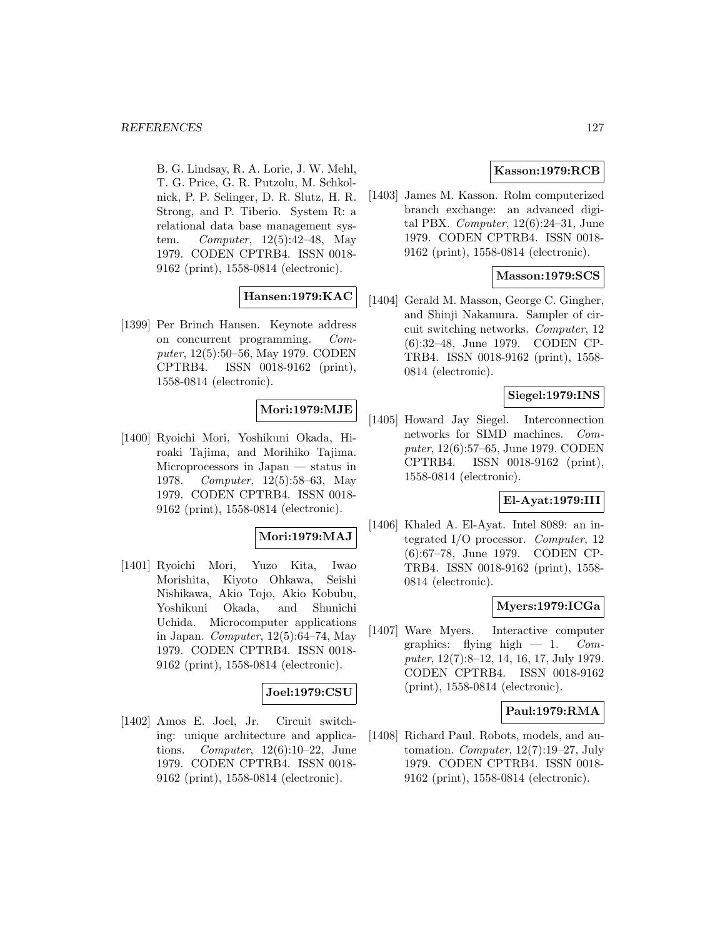B. G. Lindsay, R. A. Lorie, J. W. Mehl, T. G. Price, G. R. Putzolu, M. Schkolnick, P. P. Selinger, D. R. Slutz, H. R. Strong, and P. Tiberio. System R: a relational data base management system. Computer, 12(5):42–48, May 1979. CODEN CPTRB4. ISSN 0018- 9162 (print), 1558-0814 (electronic).

# **Hansen:1979:KAC**

[1399] Per Brinch Hansen. Keynote address on concurrent programming. Computer, 12(5):50–56, May 1979. CODEN CPTRB4. ISSN 0018-9162 (print), 1558-0814 (electronic).

### **Mori:1979:MJE**

[1400] Ryoichi Mori, Yoshikuni Okada, Hiroaki Tajima, and Morihiko Tajima. Microprocessors in Japan — status in 1978. Computer, 12(5):58–63, May 1979. CODEN CPTRB4. ISSN 0018- 9162 (print), 1558-0814 (electronic).

### **Mori:1979:MAJ**

[1401] Ryoichi Mori, Yuzo Kita, Iwao Morishita, Kiyoto Ohkawa, Seishi Nishikawa, Akio Tojo, Akio Kobubu, Yoshikuni Okada, and Shunichi Uchida. Microcomputer applications in Japan. Computer, 12(5):64–74, May 1979. CODEN CPTRB4. ISSN 0018- 9162 (print), 1558-0814 (electronic).

#### **Joel:1979:CSU**

[1402] Amos E. Joel, Jr. Circuit switching: unique architecture and applications. Computer,  $12(6):10-22$ , June 1979. CODEN CPTRB4. ISSN 0018- 9162 (print), 1558-0814 (electronic).

# **Kasson:1979:RCB**

[1403] James M. Kasson. Rolm computerized branch exchange: an advanced digital PBX. Computer, 12(6):24–31, June 1979. CODEN CPTRB4. ISSN 0018- 9162 (print), 1558-0814 (electronic).

### **Masson:1979:SCS**

[1404] Gerald M. Masson, George C. Gingher, and Shinji Nakamura. Sampler of circuit switching networks. Computer, 12 (6):32–48, June 1979. CODEN CP-TRB4. ISSN 0018-9162 (print), 1558- 0814 (electronic).

### **Siegel:1979:INS**

[1405] Howard Jay Siegel. Interconnection networks for SIMD machines. Computer, 12(6):57–65, June 1979. CODEN CPTRB4. ISSN 0018-9162 (print), 1558-0814 (electronic).

### **El-Ayat:1979:III**

[1406] Khaled A. El-Ayat. Intel 8089: an integrated I/O processor. Computer, 12 (6):67–78, June 1979. CODEN CP-TRB4. ISSN 0018-9162 (print), 1558- 0814 (electronic).

# **Myers:1979:ICGa**

[1407] Ware Myers. Interactive computer graphics: flying high  $-1$ . Computer, 12(7):8–12, 14, 16, 17, July 1979. CODEN CPTRB4. ISSN 0018-9162 (print), 1558-0814 (electronic).

### **Paul:1979:RMA**

[1408] Richard Paul. Robots, models, and automation. Computer, 12(7):19–27, July 1979. CODEN CPTRB4. ISSN 0018- 9162 (print), 1558-0814 (electronic).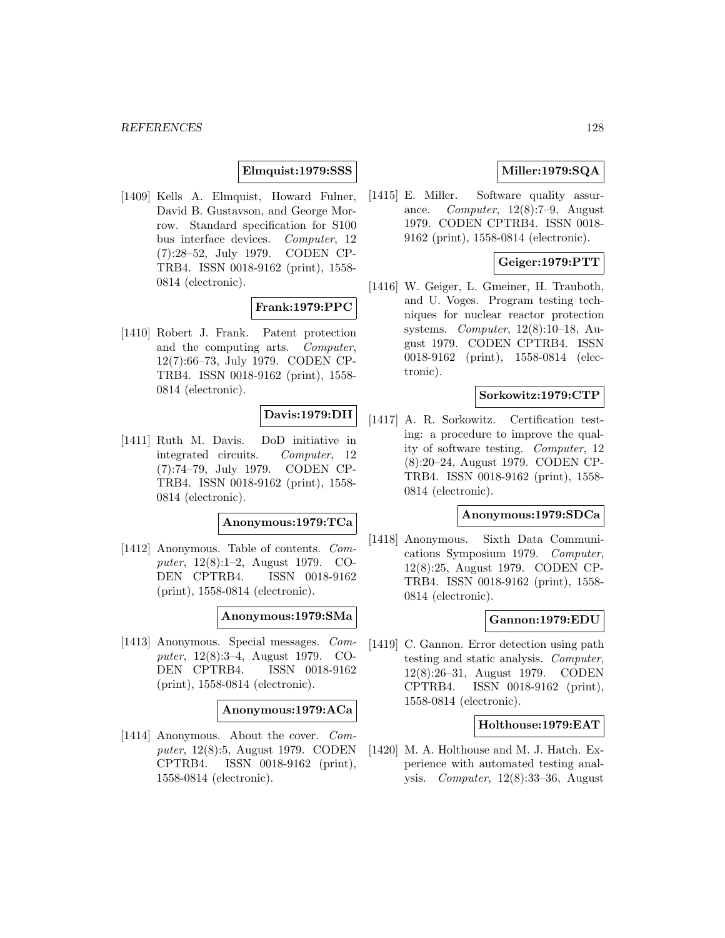### **Elmquist:1979:SSS**

[1409] Kells A. Elmquist, Howard Fulner, David B. Gustavson, and George Morrow. Standard specification for S100 bus interface devices. Computer, 12 (7):28–52, July 1979. CODEN CP-TRB4. ISSN 0018-9162 (print), 1558- 0814 (electronic).

# **Frank:1979:PPC**

[1410] Robert J. Frank. Patent protection and the computing arts. Computer, 12(7):66–73, July 1979. CODEN CP-TRB4. ISSN 0018-9162 (print), 1558- 0814 (electronic).

# **Davis:1979:DII**

[1411] Ruth M. Davis. DoD initiative in integrated circuits. Computer, 12 (7):74–79, July 1979. CODEN CP-TRB4. ISSN 0018-9162 (print), 1558- 0814 (electronic).

#### **Anonymous:1979:TCa**

[1412] Anonymous. Table of contents. Computer, 12(8):1–2, August 1979. CO-DEN CPTRB4. ISSN 0018-9162 (print), 1558-0814 (electronic).

### **Anonymous:1979:SMa**

[1413] Anonymous. Special messages. Computer, 12(8):3–4, August 1979. CO-DEN CPTRB4. ISSN 0018-9162 (print), 1558-0814 (electronic).

#### **Anonymous:1979:ACa**

[1414] Anonymous. About the cover. *Com*puter, 12(8):5, August 1979. CODEN CPTRB4. ISSN 0018-9162 (print), 1558-0814 (electronic).

# **Miller:1979:SQA**

[1415] E. Miller. Software quality assurance. Computer, 12(8):7–9, August 1979. CODEN CPTRB4. ISSN 0018- 9162 (print), 1558-0814 (electronic).

# **Geiger:1979:PTT**

[1416] W. Geiger, L. Gmeiner, H. Trauboth, and U. Voges. Program testing techniques for nuclear reactor protection systems. Computer, 12(8):10–18, August 1979. CODEN CPTRB4. ISSN 0018-9162 (print), 1558-0814 (electronic).

### **Sorkowitz:1979:CTP**

[1417] A. R. Sorkowitz. Certification testing: a procedure to improve the quality of software testing. Computer, 12 (8):20–24, August 1979. CODEN CP-TRB4. ISSN 0018-9162 (print), 1558- 0814 (electronic).

#### **Anonymous:1979:SDCa**

[1418] Anonymous. Sixth Data Communications Symposium 1979. Computer, 12(8):25, August 1979. CODEN CP-TRB4. ISSN 0018-9162 (print), 1558- 0814 (electronic).

### **Gannon:1979:EDU**

[1419] C. Gannon. Error detection using path testing and static analysis. Computer, 12(8):26–31, August 1979. CODEN CPTRB4. ISSN 0018-9162 (print), 1558-0814 (electronic).

### **Holthouse:1979:EAT**

[1420] M. A. Holthouse and M. J. Hatch. Experience with automated testing analysis. Computer, 12(8):33–36, August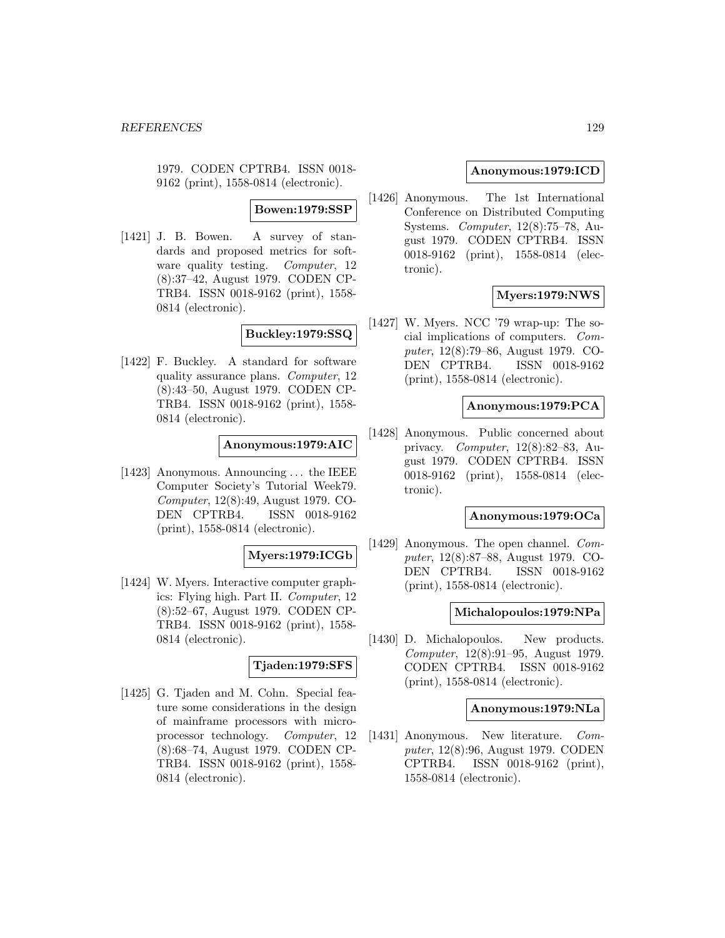1979. CODEN CPTRB4. ISSN 0018- 9162 (print), 1558-0814 (electronic).

**Bowen:1979:SSP**

[1421] J. B. Bowen. A survey of standards and proposed metrics for software quality testing. Computer, 12 (8):37–42, August 1979. CODEN CP-TRB4. ISSN 0018-9162 (print), 1558- 0814 (electronic).

**Buckley:1979:SSQ**

[1422] F. Buckley. A standard for software quality assurance plans. Computer, 12 (8):43–50, August 1979. CODEN CP-TRB4. ISSN 0018-9162 (print), 1558- 0814 (electronic).

### **Anonymous:1979:AIC**

[1423] Anonymous. Announcing ... the IEEE Computer Society's Tutorial Week79. Computer, 12(8):49, August 1979. CO-DEN CPTRB4. ISSN 0018-9162 (print), 1558-0814 (electronic).

### **Myers:1979:ICGb**

[1424] W. Myers. Interactive computer graphics: Flying high. Part II. Computer, 12 (8):52–67, August 1979. CODEN CP-TRB4. ISSN 0018-9162 (print), 1558- 0814 (electronic).

#### **Tjaden:1979:SFS**

[1425] G. Tjaden and M. Cohn. Special feature some considerations in the design of mainframe processors with microprocessor technology. Computer, 12 (8):68–74, August 1979. CODEN CP-TRB4. ISSN 0018-9162 (print), 1558- 0814 (electronic).

### **Anonymous:1979:ICD**

[1426] Anonymous. The 1st International Conference on Distributed Computing Systems. Computer, 12(8):75–78, August 1979. CODEN CPTRB4. ISSN 0018-9162 (print), 1558-0814 (electronic).

# **Myers:1979:NWS**

[1427] W. Myers. NCC '79 wrap-up: The social implications of computers. Computer, 12(8):79–86, August 1979. CO-DEN CPTRB4. ISSN 0018-9162 (print), 1558-0814 (electronic).

#### **Anonymous:1979:PCA**

[1428] Anonymous. Public concerned about privacy. Computer, 12(8):82–83, August 1979. CODEN CPTRB4. ISSN 0018-9162 (print), 1558-0814 (electronic).

#### **Anonymous:1979:OCa**

[1429] Anonymous. The open channel. Computer, 12(8):87–88, August 1979. CO-DEN CPTRB4. ISSN 0018-9162 (print), 1558-0814 (electronic).

### **Michalopoulos:1979:NPa**

[1430] D. Michalopoulos. New products. Computer, 12(8):91–95, August 1979. CODEN CPTRB4. ISSN 0018-9162 (print), 1558-0814 (electronic).

### **Anonymous:1979:NLa**

[1431] Anonymous. New literature. Computer, 12(8):96, August 1979. CODEN CPTRB4. ISSN 0018-9162 (print), 1558-0814 (electronic).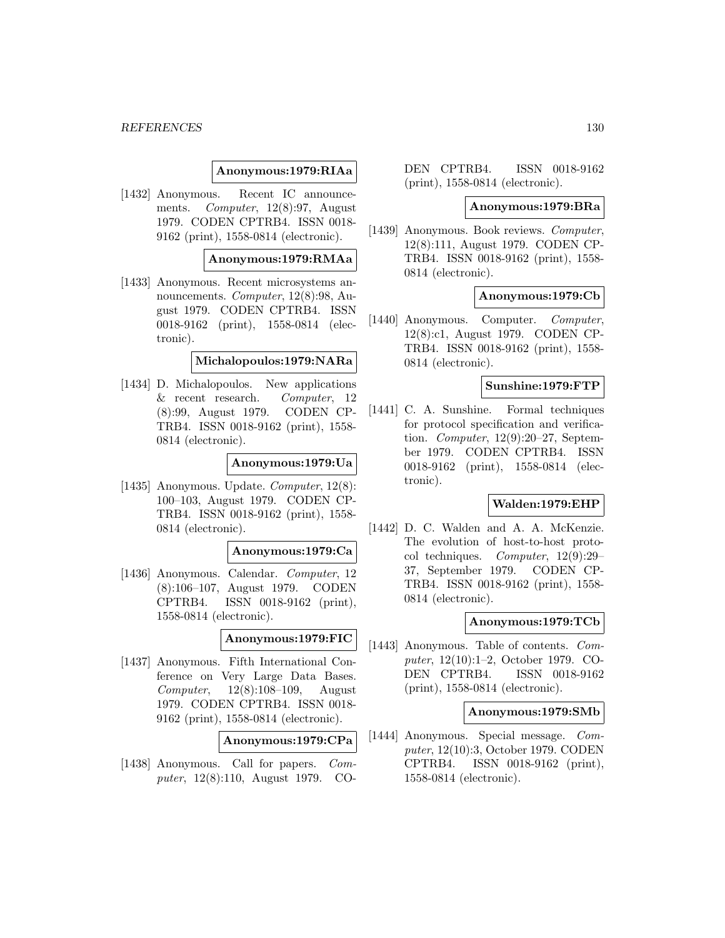### **Anonymous:1979:RIAa**

[1432] Anonymous. Recent IC announcements. Computer, 12(8):97, August 1979. CODEN CPTRB4. ISSN 0018- 9162 (print), 1558-0814 (electronic).

### **Anonymous:1979:RMAa**

[1433] Anonymous. Recent microsystems announcements. *Computer*, 12(8):98, August 1979. CODEN CPTRB4. ISSN 0018-9162 (print), 1558-0814 (electronic).

#### **Michalopoulos:1979:NARa**

[1434] D. Michalopoulos. New applications & recent research. Computer, 12 (8):99, August 1979. CODEN CP-TRB4. ISSN 0018-9162 (print), 1558- 0814 (electronic).

### **Anonymous:1979:Ua**

[1435] Anonymous. Update. *Computer*, 12(8): 100–103, August 1979. CODEN CP-TRB4. ISSN 0018-9162 (print), 1558- 0814 (electronic).

#### **Anonymous:1979:Ca**

[1436] Anonymous. Calendar. Computer, 12 (8):106–107, August 1979. CODEN CPTRB4. ISSN 0018-9162 (print), 1558-0814 (electronic).

### **Anonymous:1979:FIC**

[1437] Anonymous. Fifth International Conference on Very Large Data Bases. Computer, 12(8):108–109, August 1979. CODEN CPTRB4. ISSN 0018- 9162 (print), 1558-0814 (electronic).

### **Anonymous:1979:CPa**

[1438] Anonymous. Call for papers. Computer, 12(8):110, August 1979. CO-

DEN CPTRB4. ISSN 0018-9162 (print), 1558-0814 (electronic).

### **Anonymous:1979:BRa**

[1439] Anonymous. Book reviews. Computer, 12(8):111, August 1979. CODEN CP-TRB4. ISSN 0018-9162 (print), 1558- 0814 (electronic).

### **Anonymous:1979:Cb**

[1440] Anonymous. Computer. Computer, 12(8):c1, August 1979. CODEN CP-TRB4. ISSN 0018-9162 (print), 1558- 0814 (electronic).

#### **Sunshine:1979:FTP**

[1441] C. A. Sunshine. Formal techniques for protocol specification and verification. Computer, 12(9):20–27, September 1979. CODEN CPTRB4. ISSN 0018-9162 (print), 1558-0814 (electronic).

### **Walden:1979:EHP**

[1442] D. C. Walden and A. A. McKenzie. The evolution of host-to-host protocol techniques. Computer, 12(9):29– 37, September 1979. CODEN CP-TRB4. ISSN 0018-9162 (print), 1558- 0814 (electronic).

#### **Anonymous:1979:TCb**

[1443] Anonymous. Table of contents.  $Com$ puter, 12(10):1–2, October 1979. CO-DEN CPTRB4. ISSN 0018-9162 (print), 1558-0814 (electronic).

#### **Anonymous:1979:SMb**

[1444] Anonymous. Special message. Computer, 12(10):3, October 1979. CODEN CPTRB4. ISSN 0018-9162 (print), 1558-0814 (electronic).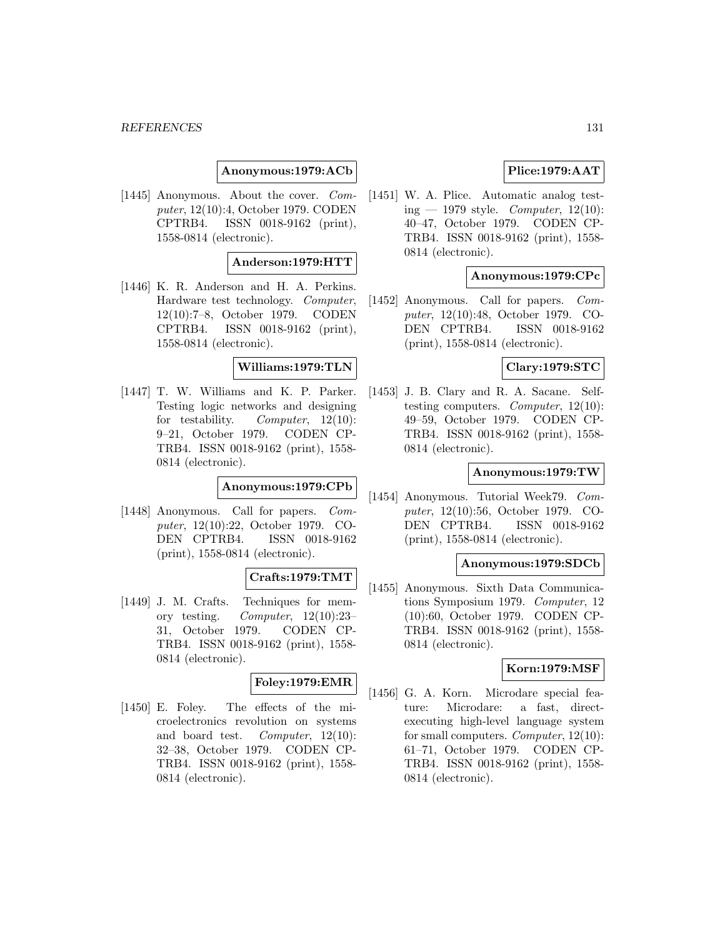### **Anonymous:1979:ACb**

[1445] Anonymous. About the cover. Computer, 12(10):4, October 1979. CODEN CPTRB4. ISSN 0018-9162 (print), 1558-0814 (electronic).

#### **Anderson:1979:HTT**

[1446] K. R. Anderson and H. A. Perkins. Hardware test technology. Computer, 12(10):7–8, October 1979. CODEN CPTRB4. ISSN 0018-9162 (print), 1558-0814 (electronic).

### **Williams:1979:TLN**

[1447] T. W. Williams and K. P. Parker. Testing logic networks and designing for testability. Computer, 12(10): 9–21, October 1979. CODEN CP-TRB4. ISSN 0018-9162 (print), 1558- 0814 (electronic).

### **Anonymous:1979:CPb**

[1448] Anonymous. Call for papers. Computer, 12(10):22, October 1979. CO-DEN CPTRB4. ISSN 0018-9162 (print), 1558-0814 (electronic).

### **Crafts:1979:TMT**

[1449] J. M. Crafts. Techniques for memory testing. Computer,  $12(10):23-$ 31, October 1979. CODEN CP-TRB4. ISSN 0018-9162 (print), 1558- 0814 (electronic).

# **Foley:1979:EMR**

[1450] E. Foley. The effects of the microelectronics revolution on systems and board test. Computer, 12(10): 32–38, October 1979. CODEN CP-TRB4. ISSN 0018-9162 (print), 1558- 0814 (electronic).

# **Plice:1979:AAT**

[1451] W. A. Plice. Automatic analog testing — 1979 style. Computer,  $12(10)$ : 40–47, October 1979. CODEN CP-TRB4. ISSN 0018-9162 (print), 1558- 0814 (electronic).

# **Anonymous:1979:CPc**

[1452] Anonymous. Call for papers. Computer, 12(10):48, October 1979. CO-DEN CPTRB4. ISSN 0018-9162 (print), 1558-0814 (electronic).

### **Clary:1979:STC**

[1453] J. B. Clary and R. A. Sacane. Selftesting computers. Computer, 12(10): 49–59, October 1979. CODEN CP-TRB4. ISSN 0018-9162 (print), 1558- 0814 (electronic).

### **Anonymous:1979:TW**

[1454] Anonymous. Tutorial Week79. Computer, 12(10):56, October 1979. CO-DEN CPTRB4. ISSN 0018-9162 (print), 1558-0814 (electronic).

#### **Anonymous:1979:SDCb**

[1455] Anonymous. Sixth Data Communications Symposium 1979. Computer, 12 (10):60, October 1979. CODEN CP-TRB4. ISSN 0018-9162 (print), 1558- 0814 (electronic).

### **Korn:1979:MSF**

[1456] G. A. Korn. Microdare special feature: Microdare: a fast, directexecuting high-level language system for small computers. Computer, 12(10): 61–71, October 1979. CODEN CP-TRB4. ISSN 0018-9162 (print), 1558- 0814 (electronic).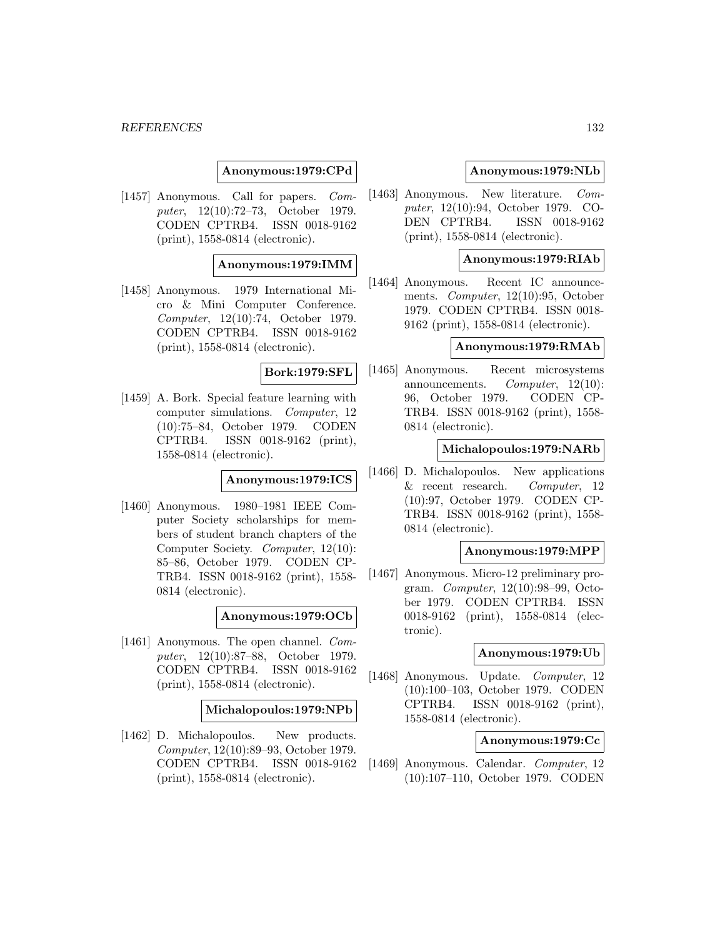### **Anonymous:1979:CPd**

[1457] Anonymous. Call for papers. Computer, 12(10):72–73, October 1979. CODEN CPTRB4. ISSN 0018-9162 (print), 1558-0814 (electronic).

### **Anonymous:1979:IMM**

[1458] Anonymous. 1979 International Micro & Mini Computer Conference. Computer, 12(10):74, October 1979. CODEN CPTRB4. ISSN 0018-9162 (print), 1558-0814 (electronic).

### **Bork:1979:SFL**

[1459] A. Bork. Special feature learning with computer simulations. Computer, 12 (10):75–84, October 1979. CODEN CPTRB4. ISSN 0018-9162 (print), 1558-0814 (electronic).

#### **Anonymous:1979:ICS**

[1460] Anonymous. 1980–1981 IEEE Computer Society scholarships for members of student branch chapters of the Computer Society. Computer, 12(10): 85–86, October 1979. CODEN CP-TRB4. ISSN 0018-9162 (print), 1558- 0814 (electronic).

### **Anonymous:1979:OCb**

[1461] Anonymous. The open channel. Computer, 12(10):87–88, October 1979. CODEN CPTRB4. ISSN 0018-9162 (print), 1558-0814 (electronic).

#### **Michalopoulos:1979:NPb**

[1462] D. Michalopoulos. New products. Computer, 12(10):89–93, October 1979. CODEN CPTRB4. ISSN 0018-9162 (print), 1558-0814 (electronic).

### **Anonymous:1979:NLb**

[1463] Anonymous. New literature. Computer, 12(10):94, October 1979. CO-DEN CPTRB4. ISSN 0018-9162 (print), 1558-0814 (electronic).

### **Anonymous:1979:RIAb**

[1464] Anonymous. Recent IC announcements. Computer, 12(10):95, October 1979. CODEN CPTRB4. ISSN 0018- 9162 (print), 1558-0814 (electronic).

### **Anonymous:1979:RMAb**

[1465] Anonymous. Recent microsystems announcements. Computer, 12(10): 96, October 1979. CODEN CP-TRB4. ISSN 0018-9162 (print), 1558- 0814 (electronic).

#### **Michalopoulos:1979:NARb**

[1466] D. Michalopoulos. New applications & recent research. Computer, 12 (10):97, October 1979. CODEN CP-TRB4. ISSN 0018-9162 (print), 1558- 0814 (electronic).

#### **Anonymous:1979:MPP**

[1467] Anonymous. Micro-12 preliminary program. Computer, 12(10):98–99, October 1979. CODEN CPTRB4. ISSN 0018-9162 (print), 1558-0814 (electronic).

#### **Anonymous:1979:Ub**

[1468] Anonymous. Update. Computer, 12 (10):100–103, October 1979. CODEN CPTRB4. ISSN 0018-9162 (print), 1558-0814 (electronic).

### **Anonymous:1979:Cc**

[1469] Anonymous. Calendar. Computer, 12 (10):107–110, October 1979. CODEN